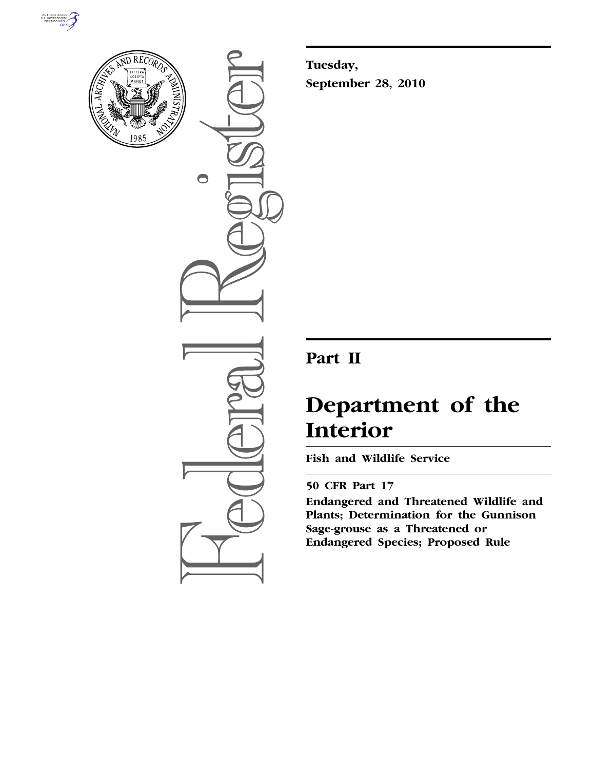



 $\bigcirc$ 

**Tuesday, September 28, 2010** 

## **Part II**

# **Department of the Interior**

**Fish and Wildlife Service** 

## **50 CFR Part 17**

**Endangered and Threatened Wildlife and Plants; Determination for the Gunnison Sage-grouse as a Threatened or Endangered Species; Proposed Rule**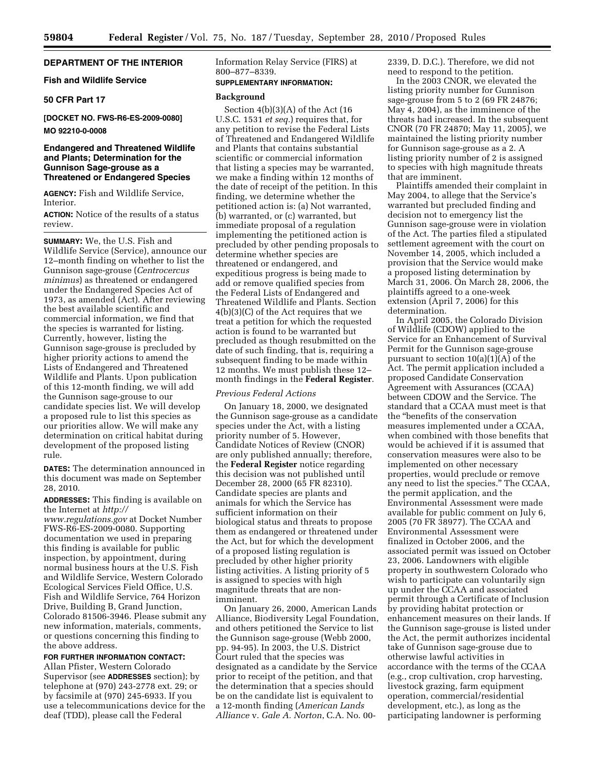## **DEPARTMENT OF THE INTERIOR**

## **Fish and Wildlife Service**

## **50 CFR Part 17**

**[DOCKET NO. FWS-R6-ES-2009-0080] MO 92210-0-0008** 

## **Endangered and Threatened Wildlife and Plants; Determination for the Gunnison Sage-grouse as a Threatened or Endangered Species**

**AGENCY:** Fish and Wildlife Service, **Interior** 

**ACTION:** Notice of the results of a status review.

**SUMMARY:** We, the U.S. Fish and Wildlife Service (Service), announce our 12–month finding on whether to list the Gunnison sage-grouse (*Centrocercus minimus*) as threatened or endangered under the Endangered Species Act of 1973, as amended (Act). After reviewing the best available scientific and commercial information, we find that the species is warranted for listing. Currently, however, listing the Gunnison sage-grouse is precluded by higher priority actions to amend the Lists of Endangered and Threatened Wildlife and Plants. Upon publication of this 12-month finding, we will add the Gunnison sage-grouse to our candidate species list. We will develop a proposed rule to list this species as our priorities allow. We will make any determination on critical habitat during development of the proposed listing rule.

**DATES:** The determination announced in this document was made on September 28, 2010.

**ADDRESSES:** This finding is available on the Internet at *[http://](http://www.regulations.gov)  [www.regulations.gov](http://www.regulations.gov)* at Docket Number

FWS-R6-ES-2009-0080. Supporting documentation we used in preparing this finding is available for public inspection, by appointment, during normal business hours at the U.S. Fish and Wildlife Service, Western Colorado Ecological Services Field Office, U.S. Fish and Wildlife Service, 764 Horizon Drive, Building B, Grand Junction, Colorado 81506-3946. Please submit any new information, materials, comments, or questions concerning this finding to the above address.

## **FOR FURTHER INFORMATION CONTACT:**

Allan Pfister, Western Colorado Supervisor (see **ADDRESSES** section); by telephone at (970) 243-2778 ext. 29; or by facsimile at (970) 245-6933. If you use a telecommunications device for the deaf (TDD), please call the Federal

Information Relay Service (FIRS) at 800–877–8339.

## **SUPPLEMENTARY INFORMATION:**

## **Background**

Section 4(b)(3)(A) of the Act (16 U.S.C. 1531 *et seq.*) requires that, for any petition to revise the Federal Lists of Threatened and Endangered Wildlife and Plants that contains substantial scientific or commercial information that listing a species may be warranted, we make a finding within 12 months of the date of receipt of the petition. In this finding, we determine whether the petitioned action is: (a) Not warranted, (b) warranted, or (c) warranted, but immediate proposal of a regulation implementing the petitioned action is precluded by other pending proposals to determine whether species are threatened or endangered, and expeditious progress is being made to add or remove qualified species from the Federal Lists of Endangered and Threatened Wildlife and Plants. Section 4(b)(3)(C) of the Act requires that we treat a petition for which the requested action is found to be warranted but precluded as though resubmitted on the date of such finding, that is, requiring a subsequent finding to be made within 12 months. We must publish these 12– month findings in the **Federal Register**.

## *Previous Federal Actions*

On January 18, 2000, we designated the Gunnison sage-grouse as a candidate species under the Act, with a listing priority number of 5. However, Candidate Notices of Review (CNOR) are only published annually; therefore, the **Federal Register** notice regarding this decision was not published until December 28, 2000 (65 FR 82310). Candidate species are plants and animals for which the Service has sufficient information on their biological status and threats to propose them as endangered or threatened under the Act, but for which the development of a proposed listing regulation is precluded by other higher priority listing activities. A listing priority of 5 is assigned to species with high magnitude threats that are nonimminent.

On January 26, 2000, American Lands Alliance, Biodiversity Legal Foundation, and others petitioned the Service to list the Gunnison sage-grouse (Webb 2000, pp. 94-95). In 2003, the U.S. District Court ruled that the species was designated as a candidate by the Service prior to receipt of the petition, and that the determination that a species should be on the candidate list is equivalent to a 12-month finding (*American Lands Alliance* v. *Gale A. Norton*, C.A. No. 002339, D. D.C.). Therefore, we did not need to respond to the petition.

In the 2003 CNOR, we elevated the listing priority number for Gunnison sage-grouse from 5 to 2 (69 FR 24876; May 4, 2004), as the imminence of the threats had increased. In the subsequent CNOR (70 FR 24870; May 11, 2005), we maintained the listing priority number for Gunnison sage-grouse as a 2. A listing priority number of 2 is assigned to species with high magnitude threats that are imminent.

Plaintiffs amended their complaint in May 2004, to allege that the Service's warranted but precluded finding and decision not to emergency list the Gunnison sage-grouse were in violation of the Act. The parties filed a stipulated settlement agreement with the court on November 14, 2005, which included a provision that the Service would make a proposed listing determination by March 31, 2006. On March 28, 2006, the plaintiffs agreed to a one-week extension (April 7, 2006) for this determination.

In April 2005, the Colorado Division of Wildlife (CDOW) applied to the Service for an Enhancement of Survival Permit for the Gunnison sage-grouse pursuant to section  $10(a)(1)(A)$  of the Act. The permit application included a proposed Candidate Conservation Agreement with Assurances (CCAA) between CDOW and the Service. The standard that a CCAA must meet is that the ''benefits of the conservation measures implemented under a CCAA, when combined with those benefits that would be achieved if it is assumed that conservation measures were also to be implemented on other necessary properties, would preclude or remove any need to list the species.'' The CCAA, the permit application, and the Environmental Assessment were made available for public comment on July 6, 2005 (70 FR 38977). The CCAA and Environmental Assessment were finalized in October 2006, and the associated permit was issued on October 23, 2006. Landowners with eligible property in southwestern Colorado who wish to participate can voluntarily sign up under the CCAA and associated permit through a Certificate of Inclusion by providing habitat protection or enhancement measures on their lands. If the Gunnison sage-grouse is listed under the Act, the permit authorizes incidental take of Gunnison sage-grouse due to otherwise lawful activities in accordance with the terms of the CCAA (e.g., crop cultivation, crop harvesting, livestock grazing, farm equipment operation, commercial/residential development, etc.), as long as the participating landowner is performing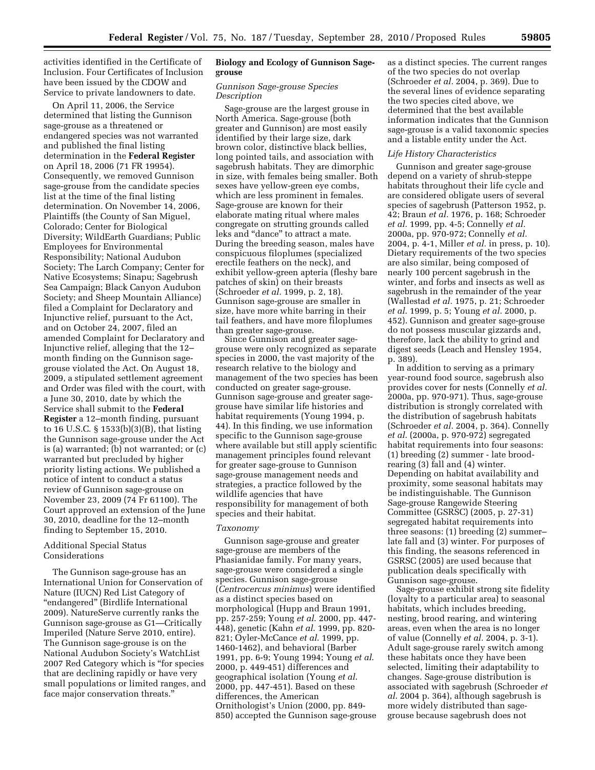activities identified in the Certificate of Inclusion. Four Certificates of Inclusion have been issued by the CDOW and Service to private landowners to date.

On April 11, 2006, the Service determined that listing the Gunnison sage-grouse as a threatened or endangered species was not warranted and published the final listing determination in the **Federal Register**  on April 18, 2006 (71 FR 19954). Consequently, we removed Gunnison sage-grouse from the candidate species list at the time of the final listing determination. On November 14, 2006, Plaintiffs (the County of San Miguel, Colorado; Center for Biological Diversity; WildEarth Guardians; Public Employees for Environmental Responsibility; National Audubon Society; The Larch Company; Center for Native Ecosystems; Sinapu; Sagebrush Sea Campaign; Black Canyon Audubon Society; and Sheep Mountain Alliance) filed a Complaint for Declaratory and Injunctive relief, pursuant to the Act, and on October 24, 2007, filed an amended Complaint for Declaratory and Injunctive relief, alleging that the 12– month finding on the Gunnison sagegrouse violated the Act. On August 18, 2009, a stipulated settlement agreement and Order was filed with the court, with a June 30, 2010, date by which the Service shall submit to the **Federal Register** a 12–month finding, pursuant to 16 U.S.C. § 1533(b)(3)(B), that listing the Gunnison sage-grouse under the Act is (a) warranted; (b) not warranted; or (c) warranted but precluded by higher priority listing actions. We published a notice of intent to conduct a status review of Gunnison sage-grouse on November 23, 2009 (74 Fr 61100). The Court approved an extension of the June 30, 2010, deadline for the 12–month finding to September 15, 2010.

## Additional Special Status Considerations

The Gunnison sage-grouse has an International Union for Conservation of Nature (IUCN) Red List Category of ''endangered'' (Birdlife International 2009). NatureServe currently ranks the Gunnison sage-grouse as G1—Critically Imperiled (Nature Serve 2010, entire). The Gunnison sage-grouse is on the National Audubon Society's WatchList 2007 Red Category which is ''for species that are declining rapidly or have very small populations or limited ranges, and face major conservation threats.''

## **Biology and Ecology of Gunnison Sagegrouse**

## *Gunnison Sage-grouse Species Description*

Sage-grouse are the largest grouse in North America. Sage-grouse (both greater and Gunnison) are most easily identified by their large size, dark brown color, distinctive black bellies, long pointed tails, and association with sagebrush habitats. They are dimorphic in size, with females being smaller. Both sexes have yellow-green eye combs, which are less prominent in females. Sage-grouse are known for their elaborate mating ritual where males congregate on strutting grounds called leks and ''dance'' to attract a mate. During the breeding season, males have conspicuous filoplumes (specialized erectile feathers on the neck), and exhibit yellow-green apteria (fleshy bare patches of skin) on their breasts (Schroeder *et al.* 1999, p. 2, 18). Gunnison sage-grouse are smaller in size, have more white barring in their tail feathers, and have more filoplumes than greater sage-grouse.

Since Gunnison and greater sagegrouse were only recognized as separate species in 2000, the vast majority of the research relative to the biology and management of the two species has been conducted on greater sage-grouse. Gunnison sage-grouse and greater sagegrouse have similar life histories and habitat requirements (Young 1994, p. 44). In this finding, we use information specific to the Gunnison sage-grouse where available but still apply scientific management principles found relevant for greater sage-grouse to Gunnison sage-grouse management needs and strategies, a practice followed by the wildlife agencies that have responsibility for management of both species and their habitat.

## *Taxonomy*

Gunnison sage-grouse and greater sage-grouse are members of the Phasianidae family. For many years, sage-grouse were considered a single species. Gunnison sage-grouse (*Centrocercus minimus*) were identified as a distinct species based on morphological (Hupp and Braun 1991, pp. 257-259; Young *et al*. 2000, pp. 447- 448), genetic (Kahn *et al*. 1999, pp. 820- 821; Oyler-McCance *et al*. 1999, pp. 1460-1462), and behavioral (Barber 1991, pp. 6-9; Young 1994; Young *et al*. 2000, p. 449-451) differences and geographical isolation (Young *et al*. 2000, pp. 447-451). Based on these differences, the American Ornithologist's Union (2000, pp. 849- 850) accepted the Gunnison sage-grouse as a distinct species. The current ranges of the two species do not overlap (Schroeder *et al.* 2004, p. 369). Due to the several lines of evidence separating the two species cited above, we determined that the best available information indicates that the Gunnison sage-grouse is a valid taxonomic species and a listable entity under the Act.

## *Life History Characteristics*

Gunnison and greater sage-grouse depend on a variety of shrub-steppe habitats throughout their life cycle and are considered obligate users of several species of sagebrush (Patterson 1952, p. 42; Braun *et al.* 1976, p. 168; Schroeder *et al.* 1999, pp. 4-5; Connelly *et al.*  2000a, pp. 970-972; Connelly *et al.*  2004, p. 4-1, Miller *et al.* in press, p. 10). Dietary requirements of the two species are also similar, being composed of nearly 100 percent sagebrush in the winter, and forbs and insects as well as sagebrush in the remainder of the year (Wallestad *et al.* 1975, p. 21; Schroeder *et al.* 1999, p. 5; Young *et al.* 2000, p. 452). Gunnison and greater sage-grouse do not possess muscular gizzards and, therefore, lack the ability to grind and digest seeds (Leach and Hensley 1954, p. 389).

In addition to serving as a primary year-round food source, sagebrush also provides cover for nests (Connelly *et al.*  2000a, pp. 970-971). Thus, sage-grouse distribution is strongly correlated with the distribution of sagebrush habitats (Schroeder *et al.* 2004, p. 364). Connelly *et al.* (2000a, p. 970-972) segregated habitat requirements into four seasons: (1) breeding (2) summer - late broodrearing (3) fall and (4) winter. Depending on habitat availability and proximity, some seasonal habitats may be indistinguishable. The Gunnison Sage-grouse Rangewide Steering Committee (GSRSC) (2005, p. 27-31) segregated habitat requirements into three seasons: (1) breeding (2) summer– late fall and (3) winter. For purposes of this finding, the seasons referenced in GSRSC (2005) are used because that publication deals specifically with Gunnison sage-grouse.

Sage-grouse exhibit strong site fidelity (loyalty to a particular area) to seasonal habitats, which includes breeding, nesting, brood rearing, and wintering areas, even when the area is no longer of value (Connelly *et al.* 2004, p. 3-1). Adult sage-grouse rarely switch among these habitats once they have been selected, limiting their adaptability to changes. Sage-grouse distribution is associated with sagebrush (Schroeder *et al*. 2004 p. 364), although sagebrush is more widely distributed than sagegrouse because sagebrush does not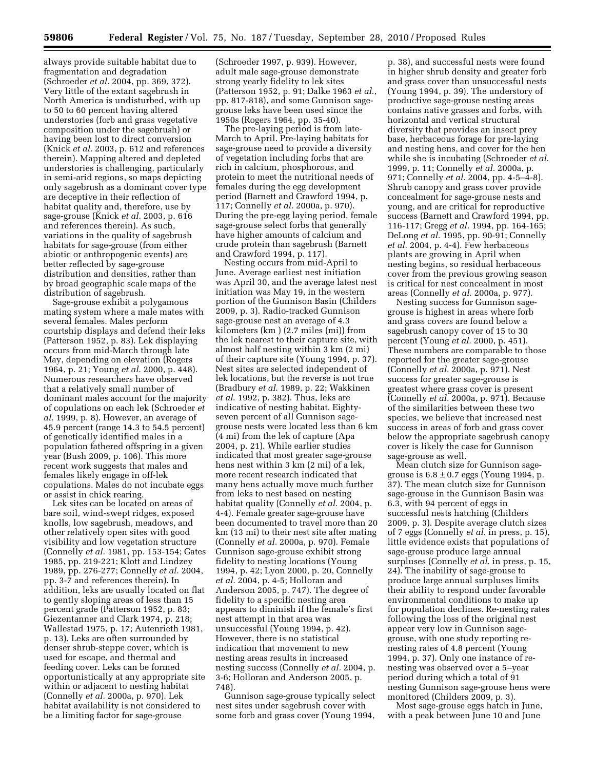always provide suitable habitat due to fragmentation and degradation (Schroeder *et al.* 2004, pp. 369, 372). Very little of the extant sagebrush in North America is undisturbed, with up to 50 to 60 percent having altered understories (forb and grass vegetative composition under the sagebrush) or having been lost to direct conversion (Knick *et al.* 2003, p. 612 and references therein). Mapping altered and depleted understories is challenging, particularly in semi-arid regions, so maps depicting only sagebrush as a dominant cover type are deceptive in their reflection of habitat quality and, therefore, use by sage-grouse (Knick *et al.* 2003, p. 616 and references therein). As such, variations in the quality of sagebrush habitats for sage-grouse (from either abiotic or anthropogenic events) are better reflected by sage-grouse distribution and densities, rather than by broad geographic scale maps of the distribution of sagebrush.

Sage-grouse exhibit a polygamous mating system where a male mates with several females. Males perform courtship displays and defend their leks (Patterson 1952, p. 83). Lek displaying occurs from mid-March through late May, depending on elevation (Rogers 1964, p. 21; Young *et al.* 2000, p. 448). Numerous researchers have observed that a relatively small number of dominant males account for the majority of copulations on each lek (Schroeder *et al.* 1999, p. 8). However, an average of 45.9 percent (range 14.3 to 54.5 percent) of genetically identified males in a population fathered offspring in a given year (Bush 2009, p. 106). This more recent work suggests that males and females likely engage in off-lek copulations. Males do not incubate eggs or assist in chick rearing.

Lek sites can be located on areas of bare soil, wind-swept ridges, exposed knolls, low sagebrush, meadows, and other relatively open sites with good visibility and low vegetation structure (Connelly *et al.* 1981, pp. 153-154; Gates 1985, pp. 219-221; Klott and Lindzey 1989, pp. 276-277; Connelly *et al.* 2004, pp. 3-7 and references therein). In addition, leks are usually located on flat to gently sloping areas of less than 15 percent grade (Patterson 1952, p. 83; Giezentanner and Clark 1974, p. 218; Wallestad 1975, p. 17; Autenrieth 1981, p. 13). Leks are often surrounded by denser shrub-steppe cover, which is used for escape, and thermal and feeding cover. Leks can be formed opportunistically at any appropriate site within or adjacent to nesting habitat (Connelly *et al.* 2000a, p. 970). Lek habitat availability is not considered to be a limiting factor for sage-grouse

(Schroeder 1997, p. 939). However, adult male sage-grouse demonstrate strong yearly fidelity to lek sites (Patterson 1952, p. 91; Dalke 1963 *et al.*, pp. 817-818), and some Gunnison sagegrouse leks have been used since the 1950s (Rogers 1964, pp. 35-40).

The pre-laying period is from late-March to April. Pre-laying habitats for sage-grouse need to provide a diversity of vegetation including forbs that are rich in calcium, phosphorous, and protein to meet the nutritional needs of females during the egg development period (Barnett and Crawford 1994, p. 117; Connelly *et al.* 2000a, p. 970). During the pre-egg laying period, female sage-grouse select forbs that generally have higher amounts of calcium and crude protein than sagebrush (Barnett and Crawford 1994, p. 117).

Nesting occurs from mid-April to June. Average earliest nest initiation was April 30, and the average latest nest initiation was May 19, in the western portion of the Gunnison Basin (Childers 2009, p. 3). Radio-tracked Gunnison sage-grouse nest an average of 4.3 kilometers (km ) (2.7 miles (mi)) from the lek nearest to their capture site, with almost half nesting within 3 km (2 mi) of their capture site (Young 1994, p. 37). Nest sites are selected independent of lek locations, but the reverse is not true (Bradbury *et al*. 1989, p. 22; Wakkinen *et al*. 1992, p. 382). Thus, leks are indicative of nesting habitat. Eightyseven percent of all Gunnison sagegrouse nests were located less than 6 km (4 mi) from the lek of capture (Apa 2004, p. 21). While earlier studies indicated that most greater sage-grouse hens nest within 3 km (2 mi) of a lek, more recent research indicated that many hens actually move much further from leks to nest based on nesting habitat quality (Connelly *et al.* 2004, p. 4-4). Female greater sage-grouse have been documented to travel more than 20 km (13 mi) to their nest site after mating (Connelly *et al.* 2000a, p. 970). Female Gunnison sage-grouse exhibit strong fidelity to nesting locations (Young 1994, p. 42; Lyon 2000, p. 20, Connelly *et al.* 2004, p. 4-5; Holloran and Anderson 2005, p. 747). The degree of fidelity to a specific nesting area appears to diminish if the female's first nest attempt in that area was unsuccessful (Young 1994, p. 42). However, there is no statistical indication that movement to new nesting areas results in increased nesting success (Connelly *et al.* 2004, p. 3-6; Holloran and Anderson 2005, p. 748).

Gunnison sage-grouse typically select nest sites under sagebrush cover with some forb and grass cover (Young 1994,

p. 38), and successful nests were found in higher shrub density and greater forb and grass cover than unsuccessful nests (Young 1994, p. 39). The understory of productive sage-grouse nesting areas contains native grasses and forbs, with horizontal and vertical structural diversity that provides an insect prey base, herbaceous forage for pre-laying and nesting hens, and cover for the hen while she is incubating (Schroeder *et al.*  1999, p. 11; Connelly *et al.* 2000a, p. 971; Connelly *et al.* 2004, pp. 4-5–4-8). Shrub canopy and grass cover provide concealment for sage-grouse nests and young, and are critical for reproductive success (Barnett and Crawford 1994, pp. 116-117; Gregg *et al.* 1994, pp. 164-165; DeLong *et al.* 1995, pp. 90-91; Connelly *et al.* 2004, p. 4-4). Few herbaceous plants are growing in April when nesting begins, so residual herbaceous cover from the previous growing season is critical for nest concealment in most areas (Connelly *et al.* 2000a, p. 977).

Nesting success for Gunnison sagegrouse is highest in areas where forb and grass covers are found below a sagebrush canopy cover of 15 to 30 percent (Young *et al.* 2000, p. 451). These numbers are comparable to those reported for the greater sage-grouse (Connelly *et al.* 2000a, p. 971). Nest success for greater sage-grouse is greatest where grass cover is present (Connelly *et al.* 2000a, p. 971). Because of the similarities between these two species, we believe that increased nest success in areas of forb and grass cover below the appropriate sagebrush canopy cover is likely the case for Gunnison sage-grouse as well.

Mean clutch size for Gunnison sagegrouse is  $6.8 \pm 0.7$  eggs (Young 1994, p. 37). The mean clutch size for Gunnison sage-grouse in the Gunnison Basin was 6.3, with 94 percent of eggs in successful nests hatching (Childers 2009, p. 3). Despite average clutch sizes of 7 eggs (Connelly *et al.* in press, p. 15), little evidence exists that populations of sage-grouse produce large annual surpluses (Connelly *et al.* in press, p. 15, 24). The inability of sage-grouse to produce large annual surpluses limits their ability to respond under favorable environmental conditions to make up for population declines. Re-nesting rates following the loss of the original nest appear very low in Gunnison sagegrouse, with one study reporting renesting rates of 4.8 percent (Young 1994, p. 37). Only one instance of renesting was observed over a 5–year period during which a total of 91 nesting Gunnison sage-grouse hens were monitored (Childers 2009, p. 3).

Most sage-grouse eggs hatch in June, with a peak between June 10 and June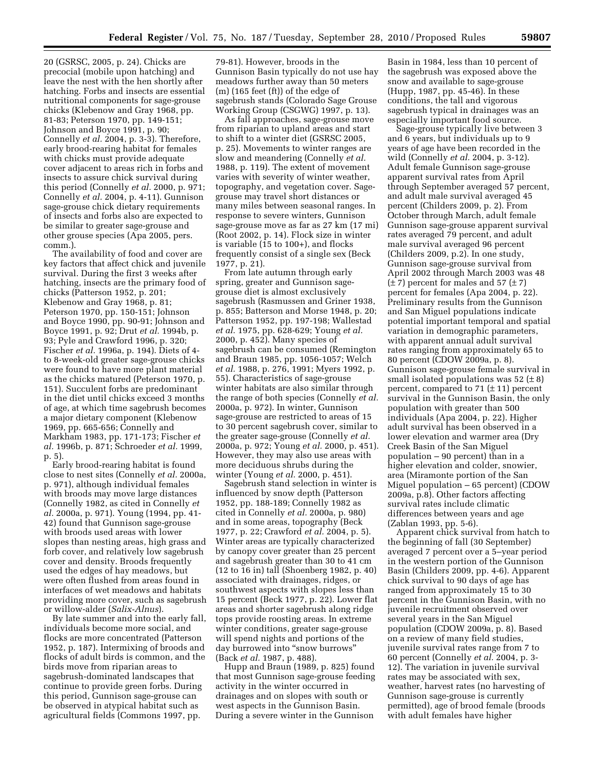20 (GSRSC, 2005, p. 24). Chicks are precocial (mobile upon hatching) and leave the nest with the hen shortly after hatching. Forbs and insects are essential nutritional components for sage-grouse chicks (Klebenow and Gray 1968, pp. 81-83; Peterson 1970, pp. 149-151; Johnson and Boyce 1991, p. 90; Connelly *et al.* 2004, p. 3-3). Therefore, early brood-rearing habitat for females with chicks must provide adequate cover adjacent to areas rich in forbs and insects to assure chick survival during this period (Connelly *et al.* 2000, p. 971; Connelly *et al.* 2004, p. 4-11). Gunnison sage-grouse chick dietary requirements of insects and forbs also are expected to be similar to greater sage-grouse and other grouse species (Apa 2005, pers. comm.).

The availability of food and cover are key factors that affect chick and juvenile survival. During the first 3 weeks after hatching, insects are the primary food of chicks (Patterson 1952, p. 201; Klebenow and Gray 1968, p. 81; Peterson 1970, pp. 150-151; Johnson and Boyce 1990, pp. 90-91; Johnson and Boyce 1991, p. 92; Drut *et al.* 1994b, p. 93; Pyle and Crawford 1996, p. 320; Fischer *et al.* 1996a, p. 194). Diets of 4 to 8-week-old greater sage-grouse chicks were found to have more plant material as the chicks matured (Peterson 1970, p. 151). Succulent forbs are predominant in the diet until chicks exceed 3 months of age, at which time sagebrush becomes a major dietary component (Klebenow 1969, pp. 665-656; Connelly and Markham 1983, pp. 171-173; Fischer *et al.* 1996b, p. 871; Schroeder *et al.* 1999, p. 5).

Early brood-rearing habitat is found close to nest sites (Connelly *et al.* 2000a, p. 971), although individual females with broods may move large distances (Connelly 1982, as cited in Connelly *et al.* 2000a, p. 971). Young (1994, pp. 41- 42) found that Gunnison sage-grouse with broods used areas with lower slopes than nesting areas, high grass and forb cover, and relatively low sagebrush cover and density. Broods frequently used the edges of hay meadows, but were often flushed from areas found in interfaces of wet meadows and habitats providing more cover, such as sagebrush or willow-alder (*Salix-Alnus*).

By late summer and into the early fall, individuals become more social, and flocks are more concentrated (Patterson 1952, p. 187). Intermixing of broods and flocks of adult birds is common, and the birds move from riparian areas to sagebrush-dominated landscapes that continue to provide green forbs. During this period, Gunnison sage-grouse can be observed in atypical habitat such as agricultural fields (Commons 1997, pp.

79-81). However, broods in the Gunnison Basin typically do not use hay meadows further away than 50 meters (m) (165 feet (ft)) of the edge of sagebrush stands (Colorado Sage Grouse Working Group (CSGWG) 1997, p. 13).

As fall approaches, sage-grouse move from riparian to upland areas and start to shift to a winter diet (GSRSC 2005, p. 25). Movements to winter ranges are slow and meandering (Connelly *et al.*  1988, p. 119). The extent of movement varies with severity of winter weather, topography, and vegetation cover. Sagegrouse may travel short distances or many miles between seasonal ranges. In response to severe winters, Gunnison sage-grouse move as far as 27 km (17 mi) (Root 2002, p. 14). Flock size in winter is variable  $(15 \text{ to } 100+)$ , and flocks frequently consist of a single sex (Beck 1977, p. 21).

From late autumn through early spring, greater and Gunnison sagegrouse diet is almost exclusively sagebrush (Rasmussen and Griner 1938, p. 855; Batterson and Morse 1948, p. 20; Patterson 1952, pp. 197-198; Wallestad *et al.* 1975, pp. 628-629; Young *et al.*  2000, p. 452). Many species of sagebrush can be consumed (Remington and Braun 1985, pp. 1056-1057; Welch *et al.* 1988, p. 276, 1991; Myers 1992, p. 55). Characteristics of sage-grouse winter habitats are also similar through the range of both species (Connelly *et al.*  2000a, p. 972). In winter, Gunnison sage-grouse are restricted to areas of 15 to 30 percent sagebrush cover, similar to the greater sage-grouse (Connelly *et al.*  2000a, p. 972; Young *et al.* 2000, p. 451). However, they may also use areas with more deciduous shrubs during the winter (Young *et al.* 2000, p. 451).

Sagebrush stand selection in winter is influenced by snow depth (Patterson 1952, pp. 188-189; Connelly 1982 as cited in Connelly *et al.* 2000a, p. 980) and in some areas, topography (Beck 1977, p. 22; Crawford *et al.* 2004, p. 5). Winter areas are typically characterized by canopy cover greater than 25 percent and sagebrush greater than 30 to 41 cm (12 to 16 in) tall (Shoenberg 1982, p. 40) associated with drainages, ridges, or southwest aspects with slopes less than 15 percent (Beck 1977, p. 22). Lower flat areas and shorter sagebrush along ridge tops provide roosting areas. In extreme winter conditions, greater sage-grouse will spend nights and portions of the day burrowed into ''snow burrows'' (Back *et al.* 1987, p. 488).

Hupp and Braun (1989, p. 825) found that most Gunnison sage-grouse feeding activity in the winter occurred in drainages and on slopes with south or west aspects in the Gunnison Basin. During a severe winter in the Gunnison

Basin in 1984, less than 10 percent of the sagebrush was exposed above the snow and available to sage-grouse (Hupp, 1987, pp. 45-46). In these conditions, the tall and vigorous sagebrush typical in drainages was an especially important food source.

Sage-grouse typically live between 3 and 6 years, but individuals up to 9 years of age have been recorded in the wild (Connelly *et al.* 2004, p. 3-12). Adult female Gunnison sage-grouse apparent survival rates from April through September averaged 57 percent, and adult male survival averaged 45 percent (Childers 2009, p. 2). From October through March, adult female Gunnison sage-grouse apparent survival rates averaged 79 percent, and adult male survival averaged 96 percent (Childers 2009, p.2). In one study, Gunnison sage-grouse survival from April 2002 through March 2003 was 48  $(\pm 7)$  percent for males and 57  $(\pm 7)$ percent for females (Apa 2004, p. 22). Preliminary results from the Gunnison and San Miguel populations indicate potential important temporal and spatial variation in demographic parameters, with apparent annual adult survival rates ranging from approximately 65 to 80 percent (CDOW 2009a, p. 8). Gunnison sage-grouse female survival in small isolated populations was 52  $(\pm 8)$ percent, compared to 71  $(\pm 11)$  percent survival in the Gunnison Basin, the only population with greater than 500 individuals (Apa 2004, p. 22). Higher adult survival has been observed in a lower elevation and warmer area (Dry Creek Basin of the San Miguel population – 90 percent) than in a higher elevation and colder, snowier, area (Miramonte portion of the San Miguel population – 65 percent) (CDOW 2009a, p.8). Other factors affecting survival rates include climatic differences between years and age (Zablan 1993, pp. 5-6).

Apparent chick survival from hatch to the beginning of fall (30 September) averaged 7 percent over a 5–year period in the western portion of the Gunnison Basin (Childers 2009, pp. 4-6). Apparent chick survival to 90 days of age has ranged from approximately 15 to 30 percent in the Gunnison Basin, with no juvenile recruitment observed over several years in the San Miguel population (CDOW 2009a, p. 8). Based on a review of many field studies, juvenile survival rates range from 7 to 60 percent (Connelly *et al.* 2004, p. 3- 12). The variation in juvenile survival rates may be associated with sex, weather, harvest rates (no harvesting of Gunnison sage-grouse is currently permitted), age of brood female (broods with adult females have higher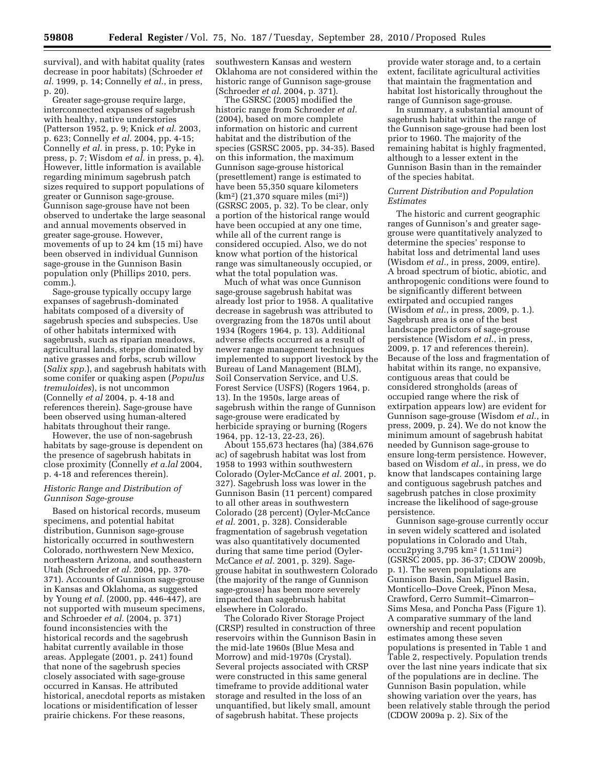survival), and with habitat quality (rates decrease in poor habitats) (Schroeder *et al.* 1999, p. 14; Connelly *et al*., in press, p. 20).

Greater sage-grouse require large, interconnected expanses of sagebrush with healthy, native understories (Patterson 1952, p. 9; Knick *et al*. 2003, p. 623; Connelly *et al.* 2004, pp. 4-15; Connelly *et al.* in press, p. 10; Pyke in press, p. 7; Wisdom *et al.* in press, p. 4). However, little information is available regarding minimum sagebrush patch sizes required to support populations of greater or Gunnison sage-grouse. Gunnison sage-grouse have not been observed to undertake the large seasonal and annual movements observed in greater sage-grouse. However, movements of up to 24 km (15 mi) have been observed in individual Gunnison sage-grouse in the Gunnison Basin population only (Phillips 2010, pers. comm.).

Sage-grouse typically occupy large expanses of sagebrush-dominated habitats composed of a diversity of sagebrush species and subspecies. Use of other habitats intermixed with sagebrush, such as riparian meadows, agricultural lands, steppe dominated by native grasses and forbs, scrub willow (*Salix spp.*), and sagebrush habitats with some conifer or quaking aspen (*Populus tremuloides*), is not uncommon (Connelly *et al* 2004, p. 4-18 and references therein). Sage-grouse have been observed using human-altered habitats throughout their range.

However, the use of non-sagebrush habitats by sage-grouse is dependent on the presence of sagebrush habitats in close proximity (Connelly *et a.lal* 2004, p. 4-18 and references therein).

## *Historic Range and Distribution of Gunnison Sage-grouse*

Based on historical records, museum specimens, and potential habitat distribution, Gunnison sage-grouse historically occurred in southwestern Colorado, northwestern New Mexico, northeastern Arizona, and southeastern Utah (Schroeder *et al.* 2004, pp. 370- 371). Accounts of Gunnison sage-grouse in Kansas and Oklahoma, as suggested by Young *et al.* (2000, pp. 446-447), are not supported with museum specimens, and Schroeder *et al.* (2004, p. 371) found inconsistencies with the historical records and the sagebrush habitat currently available in those areas. Applegate (2001, p. 241) found that none of the sagebrush species closely associated with sage-grouse occurred in Kansas. He attributed historical, anecdotal reports as mistaken locations or misidentification of lesser prairie chickens. For these reasons,

southwestern Kansas and western Oklahoma are not considered within the historic range of Gunnison sage-grouse (Schroeder *et al.* 2004, p. 371).

The GSRSC (2005) modified the historic range from Schroeder *et al.*  (2004), based on more complete information on historic and current habitat and the distribution of the species (GSRSC 2005, pp. 34-35). Based on this information, the maximum Gunnison sage-grouse historical (presettlement) range is estimated to have been 55,350 square kilometers (km2) (21,370 square miles (mi2)) (GSRSC 2005, p. 32). To be clear, only a portion of the historical range would have been occupied at any one time, while all of the current range is considered occupied. Also, we do not know what portion of the historical range was simultaneously occupied, or what the total population was.

Much of what was once Gunnison sage-grouse sagebrush habitat was already lost prior to 1958. A qualitative decrease in sagebrush was attributed to overgrazing from the 1870s until about 1934 (Rogers 1964, p. 13). Additional adverse effects occurred as a result of newer range management techniques implemented to support livestock by the Bureau of Land Management (BLM), Soil Conservation Service, and U.S. Forest Service (USFS) (Rogers 1964, p. 13). In the 1950s, large areas of sagebrush within the range of Gunnison sage-grouse were eradicated by herbicide spraying or burning (Rogers 1964, pp. 12-13, 22-23, 26).

About 155,673 hectares (ha) (384,676 ac) of sagebrush habitat was lost from 1958 to 1993 within southwestern Colorado (Oyler-McCance *et al.* 2001, p. 327). Sagebrush loss was lower in the Gunnison Basin (11 percent) compared to all other areas in southwestern Colorado (28 percent) (Oyler-McCance *et al.* 2001, p. 328). Considerable fragmentation of sagebrush vegetation was also quantitatively documented during that same time period (Oyler-McCance *et al.* 2001, p. 329). Sagegrouse habitat in southwestern Colorado (the majority of the range of Gunnison sage-grouse) has been more severely impacted than sagebrush habitat elsewhere in Colorado.

The Colorado River Storage Project (CRSP) resulted in construction of three reservoirs within the Gunnison Basin in the mid-late 1960s (Blue Mesa and Morrow) and mid-1970s (Crystal). Several projects associated with CRSP were constructed in this same general timeframe to provide additional water storage and resulted in the loss of an unquantified, but likely small, amount of sagebrush habitat. These projects

provide water storage and, to a certain extent, facilitate agricultural activities that maintain the fragmentation and habitat lost historically throughout the range of Gunnison sage-grouse.

In summary, a substantial amount of sagebrush habitat within the range of the Gunnison sage-grouse had been lost prior to 1960. The majority of the remaining habitat is highly fragmented, although to a lesser extent in the Gunnison Basin than in the remainder of the species habitat.

## *Current Distribution and Population Estimates*

The historic and current geographic ranges of Gunnison's and greater sagegrouse were quantitatively analyzed to determine the species' response to habitat loss and detrimental land uses (Wisdom *et al.*, in press, 2009, entire). A broad spectrum of biotic, abiotic, and anthropogenic conditions were found to be significantly different between extirpated and occupied ranges (Wisdom *et al*., in press, 2009, p. 1.). Sagebrush area is one of the best landscape predictors of sage-grouse persistence (Wisdom *et al*., in press, 2009, p. 17 and references therein). Because of the loss and fragmentation of habitat within its range, no expansive, contiguous areas that could be considered strongholds (areas of occupied range where the risk of extirpation appears low) are evident for Gunnison sage-grouse (Wisdom *et al*., in press, 2009, p. 24). We do not know the minimum amount of sagebrush habitat needed by Gunnison sage-grouse to ensure long-term persistence. However, based on Wisdom *et al*., in press, we do know that landscapes containing large and contiguous sagebrush patches and sagebrush patches in close proximity increase the likelihood of sage-grouse persistence.

Gunnison sage-grouse currently occur in seven widely scattered and isolated populations in Colorado and Utah, occu2pying 3,795 km2 (1,511mi2) (GSRSC 2005, pp. 36-37; CDOW 2009b, p. 1). The seven populations are Gunnison Basin, San Miguel Basin, Monticello–Dove Creek, Pinon Mesa, Crawford, Cerro Summit–Cimarron– Sims Mesa, and Poncha Pass (Figure 1). A comparative summary of the land ownership and recent population estimates among these seven populations is presented in Table 1 and Table 2, respectively. Population trends over the last nine years indicate that six of the populations are in decline. The Gunnison Basin population, while showing variation over the years, has been relatively stable through the period (CDOW 2009a p. 2). Six of the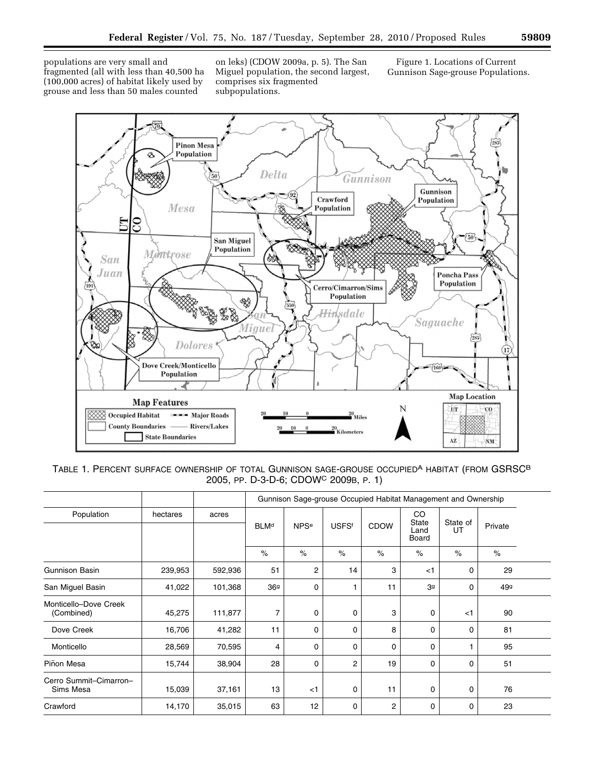populations are very small and fragmented (all with less than 40,500 ha (100,000 acres) of habitat likely used by grouse and less than 50 males counted

on leks) (CDOW 2009a, p. 5). The San Miguel population, the second largest, comprises six fragmented subpopulations.

Figure 1. Locations of Current Gunnison Sage-grouse Populations.



TABLE 1. PERCENT SURFACE OWNERSHIP OF TOTAL GUNNISON SAGE-GROUSE OCCUPIED<sup>A</sup> HABITAT (FROM GSRSC<sup>B</sup> 2005, PP. D-3-D-6; CDOWC 2009B, P. 1)

|                                     |          |         |             |                        |              |             |                                     | Gunnison Sage-grouse Occupied Habitat Management and Ownership |         |
|-------------------------------------|----------|---------|-------------|------------------------|--------------|-------------|-------------------------------------|----------------------------------------------------------------|---------|
| Population                          | hectares | acres   | <b>BLMd</b> | <b>NPS<sup>e</sup></b> | <b>USFSf</b> | <b>CDOW</b> | CO<br><b>State</b><br>Land<br>Board | State of<br>UT                                                 | Private |
|                                     |          |         | $\%$        | $\%$                   | $\%$         | $\%$        | $\%$                                | $\%$                                                           | $\%$    |
| <b>Gunnison Basin</b>               | 239,953  | 592,936 | 51          | 2                      | 14           | 3           | $<$ 1                               | 0                                                              | 29      |
| San Miguel Basin                    | 41,022   | 101,368 | 369         | $\mathbf 0$            |              | 11          | 3 <sup>g</sup>                      | 0                                                              | 499     |
| Monticello-Dove Creek<br>(Combined) | 45,275   | 111,877 | 7           | 0                      | 0            | 3           | 0                                   | $<$ 1                                                          | 90      |
| Dove Creek                          | 16,706   | 41,282  | 11          | $\mathbf 0$            | 0            | 8           | 0                                   | 0                                                              | 81      |
| Monticello                          | 28,569   | 70,595  | 4           | $\mathbf 0$            | 0            | 0           | $\Omega$                            |                                                                | 95      |
| Piñon Mesa                          | 15,744   | 38,904  | 28          | $\mathbf 0$            | 2            | 19          | 0                                   | 0                                                              | 51      |
| Cerro Summit-Cimarron-<br>Sims Mesa | 15,039   | 37,161  | 13          | $<$ 1                  | 0            | 11          | 0                                   | 0                                                              | 76      |
| Crawford                            | 14,170   | 35,015  | 63          | 12                     | 0            | 2           | 0                                   | 0                                                              | 23      |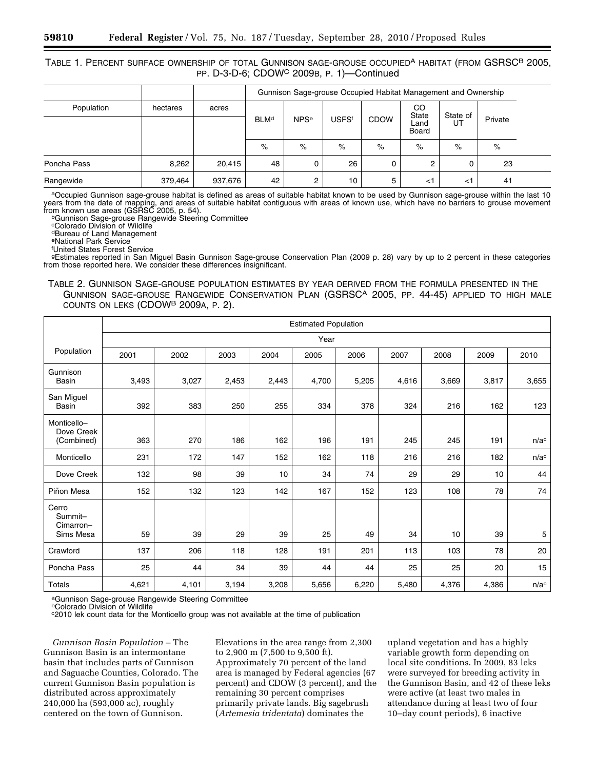## TABLE 1. PERCENT SURFACE OWNERSHIP OF TOTAL GUNNISON SAGE-GROUSE OCCUPIED<sup>A</sup> HABITAT (FROM GSRSC<sup>B</sup> 2005, PP. D-3-D-6; CDOWC 2009B, P. 1)—Continued

|             |          |         |             |                        |              |             |                                         | Gunnison Sage-grouse Occupied Habitat Management and Ownership |         |
|-------------|----------|---------|-------------|------------------------|--------------|-------------|-----------------------------------------|----------------------------------------------------------------|---------|
| Population  | hectares | acres   | <b>BLMd</b> | <b>NPS<sup>e</sup></b> | <b>USFSf</b> | <b>CDOW</b> | <sub>CO</sub><br>State<br>Land<br>Board | State of<br>UT                                                 | Private |
|             |          |         | $\%$        | $\%$                   | %            | %           | $\%$                                    | $\%$                                                           | $\%$    |
| Poncha Pass | 8,262    | 20,415  | 48          | 0                      | 26           |             |                                         |                                                                | 23      |
| Rangewide   | 379,464  | 937,676 | 42          | 2                      | 10           | 5           | $\leq$ 1                                | د>                                                             | 41      |

aOccupied Gunnison sage-grouse habitat is defined as areas of suitable habitat known to be used by Gunnison sage-grouse within the last 10 years from the date of mapping, and areas of suitable habitat contiguous with areas of known use, which have no barriers to grouse movement<br>from known use areas (GSRSC 2005, p. 54).

bGunnison Sage-grouse Rangewide Steering Committee

cColorado Division of Wildlife

dBureau of Land Management

eNational Park Service

f United States Forest Service

gEstimates reported in San Miguel Basin Gunnison Sage-grouse Conservation Plan (2009 p. 28) vary by up to 2 percent in these categories from those reported here. We consider these differences insignificant.

TABLE 2. GUNNISON SAGE-GROUSE POPULATION ESTIMATES BY YEAR DERIVED FROM THE FORMULA PRESENTED IN THE GUNNISON SAGE-GROUSE RANGEWIDE CONSERVATION PLAN (GSRSCA 2005, PP. 44-45) APPLIED TO HIGH MALE COUNTS ON LEKS (CDOWB 2009A, P. 2).

|                                            |       | <b>Estimated Population</b> |       |       |       |       |       |       |       |                  |
|--------------------------------------------|-------|-----------------------------|-------|-------|-------|-------|-------|-------|-------|------------------|
|                                            |       |                             |       |       | Year  |       |       |       |       |                  |
| Population                                 | 2001  | 2002                        | 2003  | 2004  | 2005  | 2006  | 2007  | 2008  | 2009  | 2010             |
| Gunnison<br><b>Basin</b>                   | 3,493 | 3,027                       | 2,453 | 2,443 | 4,700 | 5,205 | 4,616 | 3,669 | 3,817 | 3,655            |
| San Miguel<br><b>Basin</b>                 | 392   | 383                         | 250   | 255   | 334   | 378   | 324   | 216   | 162   | 123              |
| Monticello-<br>Dove Creek<br>(Combined)    | 363   | 270                         | 186   | 162   | 196   | 191   | 245   | 245   | 191   | n/a <sup>c</sup> |
| Monticello                                 | 231   | 172                         | 147   | 152   | 162   | 118   | 216   | 216   | 182   | n/a <sup>c</sup> |
| Dove Creek                                 | 132   | 98                          | 39    | 10    | 34    | 74    | 29    | 29    | 10    | 44               |
| Piñon Mesa                                 | 152   | 132                         | 123   | 142   | 167   | 152   | 123   | 108   | 78    | 74               |
| Cerro<br>Summit-<br>Cimarron-<br>Sims Mesa | 59    | 39                          | 29    | 39    | 25    | 49    | 34    | 10    | 39    | 5                |
| Crawford                                   | 137   | 206                         | 118   | 128   | 191   | 201   | 113   | 103   | 78    | 20               |
| Poncha Pass                                | 25    | 44                          | 34    | 39    | 44    | 44    | 25    | 25    | 20    | 15               |
| Totals                                     | 4,621 | 4,101                       | 3,194 | 3,208 | 5,656 | 6,220 | 5,480 | 4,376 | 4,386 | n/a <sup>c</sup> |

aGunnison Sage-grouse Rangewide Steering Committee

bColorado Division of Wildlife

c2010 lek count data for the Monticello group was not available at the time of publication

*Gunnison Basin Population* – The Gunnison Basin is an intermontane basin that includes parts of Gunnison and Saguache Counties, Colorado. The current Gunnison Basin population is distributed across approximately 240,000 ha (593,000 ac), roughly centered on the town of Gunnison.

Elevations in the area range from 2,300 to 2,900 m (7,500 to 9,500 ft). Approximately 70 percent of the land area is managed by Federal agencies (67 percent) and CDOW (3 percent), and the remaining 30 percent comprises primarily private lands. Big sagebrush (*Artemesia tridentata*) dominates the

upland vegetation and has a highly variable growth form depending on local site conditions. In 2009, 83 leks were surveyed for breeding activity in the Gunnison Basin, and 42 of these leks were active (at least two males in attendance during at least two of four 10–day count periods), 6 inactive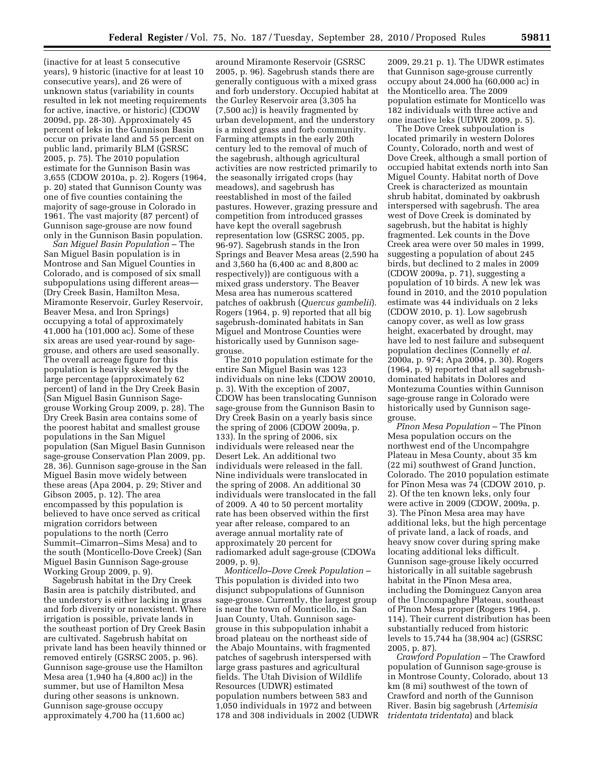(inactive for at least 5 consecutive years), 9 historic (inactive for at least 10 consecutive years), and 26 were of unknown status (variability in counts resulted in lek not meeting requirements for active, inactive, or historic) (CDOW 2009d, pp. 28-30). Approximately 45 percent of leks in the Gunnison Basin occur on private land and 55 percent on public land, primarily BLM (GSRSC 2005, p. 75). The 2010 population estimate for the Gunnison Basin was 3,655 (CDOW 2010a, p. 2). Rogers (1964, p. 20) stated that Gunnison County was one of five counties containing the majority of sage-grouse in Colorado in 1961. The vast majority (87 percent) of Gunnison sage-grouse are now found only in the Gunnison Basin population.

*San Miguel Basin Population* – The San Miguel Basin population is in Montrose and San Miguel Counties in Colorado, and is composed of six small subpopulations using different areas— (Dry Creek Basin, Hamilton Mesa, Miramonte Reservoir, Gurley Reservoir, Beaver Mesa, and Iron Springs) occupying a total of approximately 41,000 ha (101,000 ac). Some of these six areas are used year-round by sagegrouse, and others are used seasonally. The overall acreage figure for this population is heavily skewed by the large percentage (approximately 62 percent) of land in the Dry Creek Basin (San Miguel Basin Gunnison Sagegrouse Working Group 2009, p. 28). The Dry Creek Basin area contains some of the poorest habitat and smallest grouse populations in the San Miguel population (San Miguel Basin Gunnison sage-grouse Conservation Plan 2009, pp. 28, 36). Gunnison sage-grouse in the San Miguel Basin move widely between these areas (Apa 2004, p. 29; Stiver and Gibson 2005, p. 12). The area encompassed by this population is believed to have once served as critical migration corridors between populations to the north (Cerro Summit–Cimarron–Sims Mesa) and to the south (Monticello-Dove Creek) (San Miguel Basin Gunnison Sage-grouse Working Group 2009, p. 9).

Sagebrush habitat in the Dry Creek Basin area is patchily distributed, and the understory is either lacking in grass and forb diversity or nonexistent. Where irrigation is possible, private lands in the southeast portion of Dry Creek Basin are cultivated. Sagebrush habitat on private land has been heavily thinned or removed entirely (GSRSC 2005, p. 96). Gunnison sage-grouse use the Hamilton Mesa area (1,940 ha (4,800 ac)) in the summer, but use of Hamilton Mesa during other seasons is unknown. Gunnison sage-grouse occupy approximately 4,700 ha (11,600 ac)

around Miramonte Reservoir (GSRSC 2005, p. 96). Sagebrush stands there are generally contiguous with a mixed grass and forb understory. Occupied habitat at the Gurley Reservoir area (3,305 ha (7,500 ac)) is heavily fragmented by urban development, and the understory is a mixed grass and forb community. Farming attempts in the early 20th century led to the removal of much of the sagebrush, although agricultural activities are now restricted primarily to the seasonally irrigated crops (hay meadows), and sagebrush has reestablished in most of the failed pastures. However, grazing pressure and competition from introduced grasses have kept the overall sagebrush representation low (GSRSC 2005, pp. 96-97). Sagebrush stands in the Iron Springs and Beaver Mesa areas (2,590 ha and 3,560 ha (6,400 ac and 8,800 ac respectively)) are contiguous with a mixed grass understory. The Beaver Mesa area has numerous scattered patches of oakbrush (*Quercus gambelii*). Rogers (1964, p. 9) reported that all big sagebrush-dominated habitats in San Miguel and Montrose Counties were historically used by Gunnison sagegrouse.

The 2010 population estimate for the entire San Miguel Basin was 123 individuals on nine leks (CDOW 20010, p. 3). With the exception of 2007, CDOW has been translocating Gunnison sage-grouse from the Gunnison Basin to Dry Creek Basin on a yearly basis since the spring of 2006 (CDOW 2009a, p. 133). In the spring of 2006, six individuals were released near the Desert Lek. An additional two individuals were released in the fall. Nine individuals were translocated in the spring of 2008. An additional 30 individuals were translocated in the fall of 2009. A 40 to 50 percent mortality rate has been observed within the first year after release, compared to an average annual mortality rate of approximately 20 percent for radiomarked adult sage-grouse (CDOWa 2009, p. 9).

*Monticello–Dove Creek Population* – This population is divided into two disjunct subpopulations of Gunnison sage-grouse. Currently, the largest group is near the town of Monticello, in San Juan County, Utah. Gunnison sagegrouse in this subpopulation inhabit a broad plateau on the northeast side of the Abajo Mountains, with fragmented patches of sagebrush interspersed with large grass pastures and agricultural fields. The Utah Division of Wildlife Resources (UDWR) estimated population numbers between 583 and 1,050 individuals in 1972 and between 178 and 308 individuals in 2002 (UDWR

2009, 29.21 p. 1). The UDWR estimates that Gunnison sage-grouse currently occupy about 24,000 ha (60,000 ac) in the Monticello area. The 2009 population estimate for Monticello was 182 individuals with three active and one inactive leks (UDWR 2009, p. 5).

The Dove Creek subpoulation is located primarily in western Dolores County, Colorado, north and west of Dove Creek, although a small portion of occupied habitat extends north into San Miguel County. Habitat north of Dove Creek is characterized as mountain shrub habitat, dominated by oakbrush interspersed with sagebrush. The area west of Dove Creek is dominated by sagebrush, but the habitat is highly fragmented. Lek counts in the Dove Creek area were over 50 males in 1999, suggesting a population of about 245 birds, but declined to 2 males in 2009 (CDOW 2009a, p. 71), suggesting a population of 10 birds. A new lek was found in 2010, and the 2010 population estimate was 44 individuals on 2 leks (CDOW 2010, p. 1). Low sagebrush canopy cover, as well as low grass height, exacerbated by drought, may have led to nest failure and subsequent population declines (Connelly *et al.*  2000a, p. 974; Apa 2004, p. 30). Rogers (1964, p. 9) reported that all sagebrushdominated habitats in Dolores and Montezuma Counties within Gunnison sage-grouse range in Colorado were historically used by Gunnison sagegrouse.

Pinon Mesa Population - The Pinon Mesa population occurs on the northwest end of the Uncompahgre Plateau in Mesa County, about 35 km (22 mi) southwest of Grand Junction, Colorado. The 2010 population estimate for Pinon Mesa was 74 (CDOW 2010, p. 2). Of the ten known leks, only four were active in 2009 (CDOW, 2009a, p. 3). The Pinon Mesa area may have additional leks, but the high percentage of private land, a lack of roads, and heavy snow cover during spring make locating additional leks difficult. Gunnison sage-grouse likely occurred historically in all suitable sagebrush habitat in the Pinon Mesa area, including the Dominguez Canyon area of the Uncompaghre Plateau, southeast of Pinon Mesa proper (Rogers 1964, p. 114). Their current distribution has been substantially reduced from historic levels to 15,744 ha (38,904 ac) (GSRSC 2005, p. 87).

*Crawford Population* – The Crawford population of Gunnison sage-grouse is in Montrose County, Colorado, about 13 km (8 mi) southwest of the town of Crawford and north of the Gunnison River. Basin big sagebrush (*Artemisia tridentata tridentata*) and black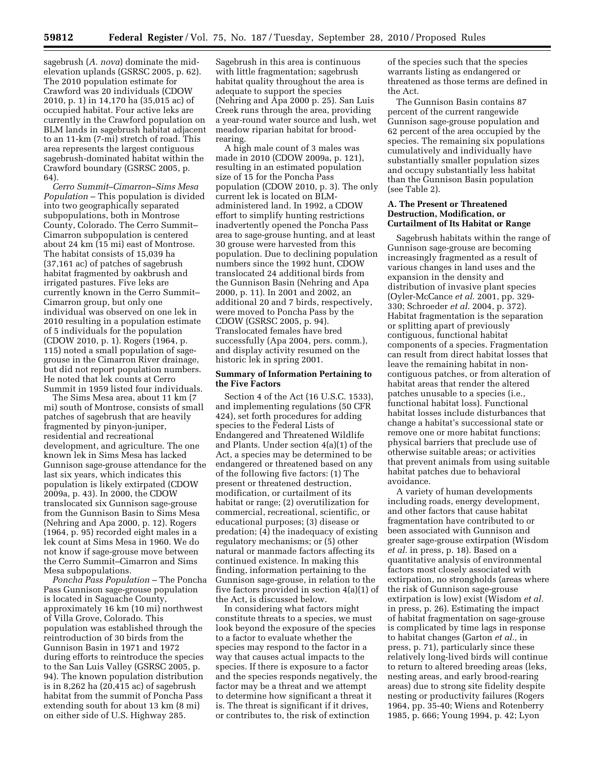sagebrush (*A. nova*) dominate the mid-

elevation uplands (GSRSC 2005, p. 62). The 2010 population estimate for Crawford was 20 individuals (CDOW 2010, p. 1) in 14,170 ha (35,015 ac) of occupied habitat. Four active leks are currently in the Crawford population on BLM lands in sagebrush habitat adjacent to an 11-km (7-mi) stretch of road. This area represents the largest contiguous sagebrush-dominated habitat within the Crawford boundary (GSRSC 2005, p. 64).

*Cerro Summit–Cimarron–Sims Mesa Population* – This population is divided into two geographically separated subpopulations, both in Montrose County, Colorado. The Cerro Summit– Cimarron subpopulation is centered about 24 km (15 mi) east of Montrose. The habitat consists of 15,039 ha (37,161 ac) of patches of sagebrush habitat fragmented by oakbrush and irrigated pastures. Five leks are currently known in the Cerro Summit– Cimarron group, but only one individual was observed on one lek in 2010 resulting in a population estimate of 5 individuals for the population (CDOW 2010, p. 1). Rogers (1964, p. 115) noted a small population of sagegrouse in the Cimarron River drainage, but did not report population numbers. He noted that lek counts at Cerro Summit in 1959 listed four individuals.

The Sims Mesa area, about 11 km (7 mi) south of Montrose, consists of small patches of sagebrush that are heavily fragmented by pinyon-juniper, residential and recreational development, and agriculture. The one known lek in Sims Mesa has lacked Gunnison sage-grouse attendance for the last six years, which indicates this population is likely extirpated (CDOW 2009a, p. 43). In 2000, the CDOW translocated six Gunnison sage-grouse from the Gunnison Basin to Sims Mesa (Nehring and Apa 2000, p. 12). Rogers (1964, p. 95) recorded eight males in a lek count at Sims Mesa in 1960. We do not know if sage-grouse move between the Cerro Summit–Cimarron and Sims Mesa subpopulations.

*Poncha Pass Population* – The Poncha Pass Gunnison sage-grouse population is located in Saguache County, approximately 16 km (10 mi) northwest of Villa Grove, Colorado. This population was established through the reintroduction of 30 birds from the Gunnison Basin in 1971 and 1972 during efforts to reintroduce the species to the San Luis Valley (GSRSC 2005, p. 94). The known population distribution is in 8,262 ha (20,415 ac) of sagebrush habitat from the summit of Poncha Pass extending south for about 13 km (8 mi) on either side of U.S. Highway 285.

Sagebrush in this area is continuous with little fragmentation; sagebrush habitat quality throughout the area is adequate to support the species (Nehring and Apa 2000 p. 25). San Luis Creek runs through the area, providing a year-round water source and lush, wet meadow riparian habitat for broodrearing.

A high male count of 3 males was made in 2010 (CDOW 2009a, p. 121), resulting in an estimated population size of 15 for the Poncha Pass population (CDOW 2010, p. 3). The only current lek is located on BLMadministered land. In 1992, a CDOW effort to simplify hunting restrictions inadvertently opened the Poncha Pass area to sage-grouse hunting, and at least 30 grouse were harvested from this population. Due to declining population numbers since the 1992 hunt, CDOW translocated 24 additional birds from the Gunnison Basin (Nehring and Apa 2000, p. 11). In 2001 and 2002, an additional 20 and 7 birds, respectively, were moved to Poncha Pass by the CDOW (GSRSC 2005, p. 94). Translocated females have bred successfully (Apa 2004, pers. comm.), and display activity resumed on the historic lek in spring 2001.

## **Summary of Information Pertaining to the Five Factors**

Section 4 of the Act (16 U.S.C. 1533), and implementing regulations (50 CFR 424), set forth procedures for adding species to the Federal Lists of Endangered and Threatened Wildlife and Plants. Under section 4(a)(1) of the Act, a species may be determined to be endangered or threatened based on any of the following five factors: (1) The present or threatened destruction, modification, or curtailment of its habitat or range; (2) overutilization for commercial, recreational, scientific, or educational purposes; (3) disease or predation; (4) the inadequacy of existing regulatory mechanisms; or (5) other natural or manmade factors affecting its continued existence. In making this finding, information pertaining to the Gunnison sage-grouse, in relation to the five factors provided in section 4(a)(1) of the Act, is discussed below.

In considering what factors might constitute threats to a species, we must look beyond the exposure of the species to a factor to evaluate whether the species may respond to the factor in a way that causes actual impacts to the species. If there is exposure to a factor and the species responds negatively, the factor may be a threat and we attempt to determine how significant a threat it is. The threat is significant if it drives, or contributes to, the risk of extinction

of the species such that the species warrants listing as endangered or threatened as those terms are defined in the Act.

The Gunnison Basin contains 87 percent of the current rangewide Gunnison sage-grouse population and 62 percent of the area occupied by the species. The remaining six populations cumulatively and individually have substantially smaller population sizes and occupy substantially less habitat than the Gunnison Basin population (see Table 2).

## **A. The Present or Threatened Destruction, Modification, or Curtailment of Its Habitat or Range**

Sagebrush habitats within the range of Gunnison sage-grouse are becoming increasingly fragmented as a result of various changes in land uses and the expansion in the density and distribution of invasive plant species (Oyler-McCance *et al.* 2001, pp. 329- 330; Schroeder *et al.* 2004, p. 372). Habitat fragmentation is the separation or splitting apart of previously contiguous, functional habitat components of a species. Fragmentation can result from direct habitat losses that leave the remaining habitat in noncontiguous patches, or from alteration of habitat areas that render the altered patches unusable to a species (i.e., functional habitat loss). Functional habitat losses include disturbances that change a habitat's successional state or remove one or more habitat functions; physical barriers that preclude use of otherwise suitable areas; or activities that prevent animals from using suitable habitat patches due to behavioral avoidance.

A variety of human developments including roads, energy development, and other factors that cause habitat fragmentation have contributed to or been associated with Gunnison and greater sage-grouse extirpation (Wisdom *et al.* in press, p. 18). Based on a quantitative analysis of environmental factors most closely associated with extirpation, no strongholds (areas where the risk of Gunnison sage-grouse extirpation is low) exist (Wisdom *et al.*  in press, p. 26). Estimating the impact of habitat fragmentation on sage-grouse is complicated by time lags in response to habitat changes (Garton *et al.,* in press, p. 71), particularly since these relatively long-lived birds will continue to return to altered breeding areas (leks, nesting areas, and early brood-rearing areas) due to strong site fidelity despite nesting or productivity failures (Rogers 1964, pp. 35-40; Wiens and Rotenberry 1985, p. 666; Young 1994, p. 42; Lyon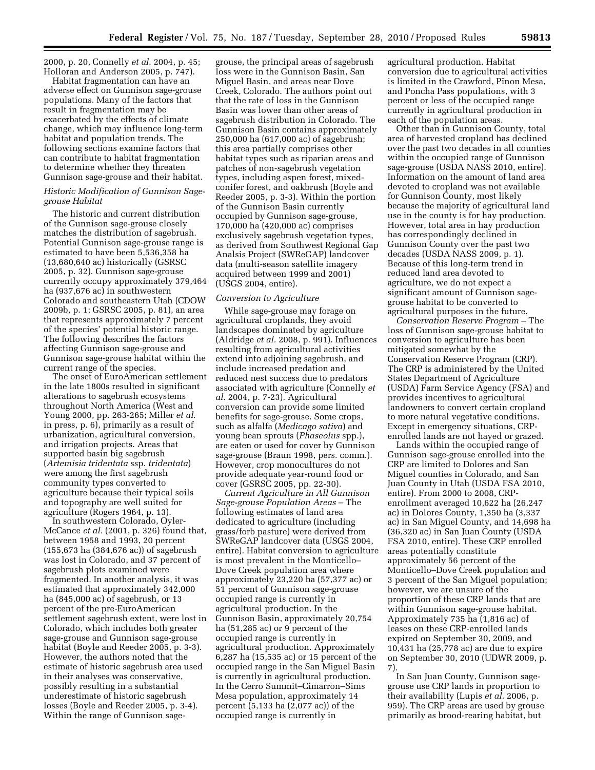2000, p. 20, Connelly *et al.* 2004, p. 45; Holloran and Anderson 2005, p. 747).

Habitat fragmentation can have an adverse effect on Gunnison sage-grouse populations. Many of the factors that result in fragmentation may be exacerbated by the effects of climate change, which may influence long-term habitat and population trends. The following sections examine factors that can contribute to habitat fragmentation to determine whether they threaten Gunnison sage-grouse and their habitat.

## *Historic Modification of Gunnison Sagegrouse Habitat*

The historic and current distribution of the Gunnison sage-grouse closely matches the distribution of sagebrush. Potential Gunnison sage-grouse range is estimated to have been 5,536,358 ha (13,680,640 ac) historically (GSRSC 2005, p. 32). Gunnison sage-grouse currently occupy approximately 379,464 ha (937,676 ac) in southwestern Colorado and southeastern Utah (CDOW 2009b, p. 1; GSRSC 2005, p. 81), an area that represents approximately 7 percent of the species' potential historic range. The following describes the factors affecting Gunnison sage-grouse and Gunnison sage-grouse habitat within the current range of the species.

The onset of EuroAmerican settlement in the late 1800s resulted in significant alterations to sagebrush ecosystems throughout North America (West and Young 2000, pp. 263-265; Miller *et al*. in press, p. 6), primarily as a result of urbanization, agricultural conversion, and irrigation projects. Areas that supported basin big sagebrush (*Artemisia tridentata* ssp. *tridentata*) were among the first sagebrush community types converted to agriculture because their typical soils and topography are well suited for agriculture (Rogers 1964, p. 13).

In southwestern Colorado, Oyler-McCance *et al.* (2001, p. 326) found that, between 1958 and 1993, 20 percent (155,673 ha (384,676 ac)) of sagebrush was lost in Colorado, and 37 percent of sagebrush plots examined were fragmented. In another analysis, it was estimated that approximately 342,000 ha (845,000 ac) of sagebrush, or 13 percent of the pre-EuroAmerican settlement sagebrush extent, were lost in Colorado, which includes both greater sage-grouse and Gunnison sage-grouse habitat (Boyle and Reeder 2005, p. 3-3). However, the authors noted that the estimate of historic sagebrush area used in their analyses was conservative, possibly resulting in a substantial underestimate of historic sagebrush losses (Boyle and Reeder 2005, p. 3-4). Within the range of Gunnison sage-

grouse, the principal areas of sagebrush loss were in the Gunnison Basin, San Miguel Basin, and areas near Dove Creek, Colorado. The authors point out that the rate of loss in the Gunnison Basin was lower than other areas of sagebrush distribution in Colorado. The Gunnison Basin contains approximately 250,000 ha (617,000 ac) of sagebrush; this area partially comprises other habitat types such as riparian areas and patches of non-sagebrush vegetation types, including aspen forest, mixedconifer forest, and oakbrush (Boyle and Reeder 2005, p. 3-3). Within the portion of the Gunnison Basin currently occupied by Gunnison sage-grouse, 170,000 ha (420,000 ac) comprises exclusively sagebrush vegetation types, as derived from Southwest Regional Gap Analsis Project (SWReGAP) landcover data (multi-season satellite imagery acquired between 1999 and 2001) (USGS 2004, entire).

## *Conversion to Agriculture*

While sage-grouse may forage on agricultural croplands, they avoid landscapes dominated by agriculture (Aldridge *et al.* 2008, p. 991). Influences resulting from agricultural activities extend into adjoining sagebrush, and include increased predation and reduced nest success due to predators associated with agriculture (Connelly *et al*. 2004, p. 7-23). Agricultural conversion can provide some limited benefits for sage-grouse. Some crops, such as alfalfa (*Medicago sativa*) and young bean sprouts (*Phaseolus* spp.), are eaten or used for cover by Gunnison sage-grouse (Braun 1998, pers. comm.). However, crop monocultures do not provide adequate year-round food or cover (GSRSC 2005, pp. 22-30).

*Current Agriculture in All Gunnison Sage-grouse Population Areas* – The following estimates of land area dedicated to agriculture (including grass/forb pasture) were derived from SWReGAP landcover data (USGS 2004, entire). Habitat conversion to agriculture is most prevalent in the Monticello– Dove Creek population area where approximately 23,220 ha (57,377 ac) or 51 percent of Gunnison sage-grouse occupied range is currently in agricultural production. In the Gunnison Basin, approximately 20,754 ha (51,285 ac) or 9 percent of the occupied range is currently in agricultural production. Approximately 6,287 ha (15,535 ac) or 15 percent of the occupied range in the San Miguel Basin is currently in agricultural production. In the Cerro Summit–Cimarron–Sims Mesa population, approximately 14 percent (5,133 ha (2,077 ac)) of the occupied range is currently in

agricultural production. Habitat conversion due to agricultural activities is limited in the Crawford, Pinon Mesa, and Poncha Pass populations, with 3 percent or less of the occupied range currently in agricultural production in each of the population areas.

Other than in Gunnison County, total area of harvested cropland has declined over the past two decades in all counties within the occupied range of Gunnison sage-grouse (USDA NASS 2010, entire). Information on the amount of land area devoted to cropland was not available for Gunnison County, most likely because the majority of agricultural land use in the county is for hay production. However, total area in hay production has correspondingly declined in Gunnison County over the past two decades (USDA NASS 2009, p. 1). Because of this long-term trend in reduced land area devoted to agriculture, we do not expect a significant amount of Gunnison sagegrouse habitat to be converted to agricultural purposes in the future.

*Conservation Reserve Program* – The loss of Gunnison sage-grouse habitat to conversion to agriculture has been mitigated somewhat by the Conservation Reserve Program (CRP). The CRP is administered by the United States Department of Agriculture (USDA) Farm Service Agency (FSA) and provides incentives to agricultural landowners to convert certain cropland to more natural vegetative conditions. Except in emergency situations, CRPenrolled lands are not hayed or grazed.

Lands within the occupied range of Gunnison sage-grouse enrolled into the CRP are limited to Dolores and San Miguel counties in Colorado, and San Juan County in Utah (USDA FSA 2010, entire). From 2000 to 2008, CRPenrollment averaged 10,622 ha (26,247 ac) in Dolores County, 1,350 ha (3,337 ac) in San Miguel County, and 14,698 ha (36,320 ac) in San Juan County (USDA FSA 2010, entire). These CRP enrolled areas potentially constitute approximately 56 percent of the Monticello–Dove Creek population and 3 percent of the San Miguel population; however, we are unsure of the proportion of these CRP lands that are within Gunnison sage-grouse habitat. Approximately 735 ha (1,816 ac) of leases on these CRP-enrolled lands expired on September 30, 2009, and 10,431 ha (25,778 ac) are due to expire on September 30, 2010 (UDWR 2009, p. 7).

In San Juan County, Gunnison sagegrouse use CRP lands in proportion to their availability (Lupis *et al.* 2006, p. 959). The CRP areas are used by grouse primarily as brood-rearing habitat, but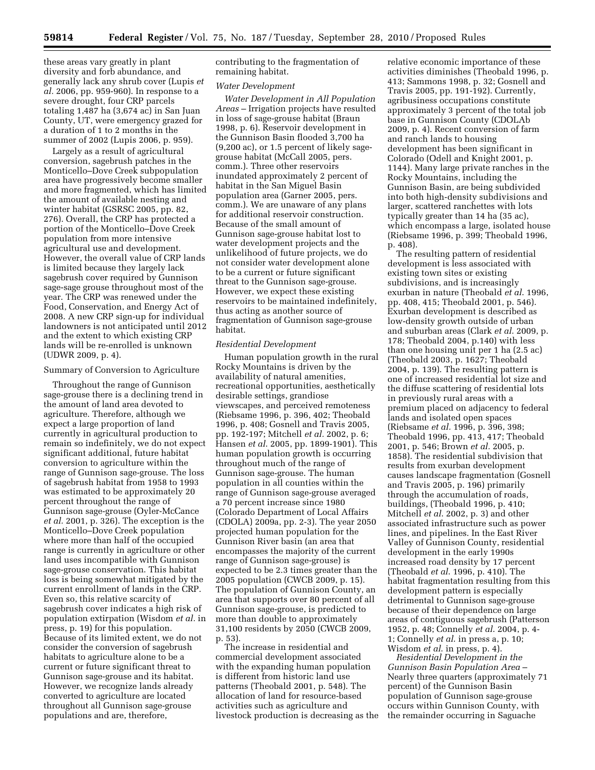these areas vary greatly in plant diversity and forb abundance, and generally lack any shrub cover (Lupis *et al.* 2006, pp. 959-960). In response to a severe drought, four CRP parcels totaling 1,487 ha (3,674 ac) in San Juan County, UT, were emergency grazed for a duration of 1 to 2 months in the summer of 2002 (Lupis 2006, p. 959).

Largely as a result of agricultural conversion, sagebrush patches in the Monticello–Dove Creek subpopulation area have progressively become smaller and more fragmented, which has limited the amount of available nesting and winter habitat (GSRSC 2005, pp. 82, 276). Overall, the CRP has protected a portion of the Monticello–Dove Creek population from more intensive agricultural use and development. However, the overall value of CRP lands is limited because they largely lack sagebrush cover required by Gunnison sage-sage grouse throughout most of the year. The CRP was renewed under the Food, Conservation, and Energy Act of 2008. A new CRP sign-up for individual landowners is not anticipated until 2012 and the extent to which existing CRP lands will be re-enrolled is unknown (UDWR 2009, p. 4).

## Summary of Conversion to Agriculture

Throughout the range of Gunnison sage-grouse there is a declining trend in the amount of land area devoted to agriculture. Therefore, although we expect a large proportion of land currently in agricultural production to remain so indefinitely, we do not expect significant additional, future habitat conversion to agriculture within the range of Gunnison sage-grouse. The loss of sagebrush habitat from 1958 to 1993 was estimated to be approximately 20 percent throughout the range of Gunnison sage-grouse (Oyler-McCance *et al.* 2001, p. 326). The exception is the Monticello–Dove Creek population where more than half of the occupied range is currently in agriculture or other land uses incompatible with Gunnison sage-grouse conservation. This habitat loss is being somewhat mitigated by the current enrollment of lands in the CRP. Even so, this relative scarcity of sagebrush cover indicates a high risk of population extirpation (Wisdom *et al.* in press, p. 19) for this population. Because of its limited extent, we do not consider the conversion of sagebrush habitats to agriculture alone to be a current or future significant threat to Gunnison sage-grouse and its habitat. However, we recognize lands already converted to agriculture are located throughout all Gunnison sage-grouse populations and are, therefore,

contributing to the fragmentation of remaining habitat.

#### *Water Development*

*Water Development in All Population Areas* – Irrigation projects have resulted in loss of sage-grouse habitat (Braun 1998, p. 6). Reservoir development in the Gunnison Basin flooded 3,700 ha (9,200 ac), or 1.5 percent of likely sagegrouse habitat (McCall 2005, pers. comm.). Three other reservoirs inundated approximately 2 percent of habitat in the San Miguel Basin population area (Garner 2005, pers. comm.). We are unaware of any plans for additional reservoir construction. Because of the small amount of Gunnison sage-grouse habitat lost to water development projects and the unlikelihood of future projects, we do not consider water development alone to be a current or future significant threat to the Gunnison sage-grouse. However, we expect these existing reservoirs to be maintained indefinitely, thus acting as another source of fragmentation of Gunnison sage-grouse habitat.

#### *Residential Development*

Human population growth in the rural Rocky Mountains is driven by the availability of natural amenities, recreational opportunities, aesthetically desirable settings, grandiose viewscapes, and perceived remoteness (Riebsame 1996, p. 396, 402; Theobald 1996, p. 408; Gosnell and Travis 2005, pp. 192-197; Mitchell *et al.* 2002, p. 6; Hansen *et al*. 2005, pp. 1899-1901). This human population growth is occurring throughout much of the range of Gunnison sage-grouse. The human population in all counties within the range of Gunnison sage-grouse averaged a 70 percent increase since 1980 (Colorado Department of Local Affairs (CDOLA) 2009a, pp. 2-3). The year 2050 projected human population for the Gunnison River basin (an area that encompasses the majority of the current range of Gunnison sage-grouse) is expected to be 2.3 times greater than the 2005 population (CWCB 2009, p. 15). The population of Gunnison County, an area that supports over 80 percent of all Gunnison sage-grouse, is predicted to more than double to approximately 31,100 residents by 2050 (CWCB 2009, p. 53).

The increase in residential and commercial development associated with the expanding human population is different from historic land use patterns (Theobald 2001, p. 548). The allocation of land for resource-based activities such as agriculture and livestock production is decreasing as the relative economic importance of these activities diminishes (Theobald 1996, p. 413; Sammons 1998, p. 32; Gosnell and Travis 2005, pp. 191-192). Currently, agribusiness occupations constitute approximately 3 percent of the total job base in Gunnison County (CDOLAb 2009, p. 4). Recent conversion of farm and ranch lands to housing development has been significant in Colorado (Odell and Knight 2001, p. 1144). Many large private ranches in the Rocky Mountains, including the Gunnison Basin, are being subdivided into both high-density subdivisions and larger, scattered ranchettes with lots typically greater than 14 ha (35 ac), which encompass a large, isolated house (Riebsame 1996, p. 399; Theobald 1996, p. 408).

The resulting pattern of residential development is less associated with existing town sites or existing subdivisions, and is increasingly exurban in nature (Theobald *et al*. 1996, pp. 408, 415; Theobald 2001, p. 546). Exurban development is described as low-density growth outside of urban and suburban areas (Clark *et al.* 2009, p. 178; Theobald 2004, p.140) with less than one housing unit per 1 ha (2.5 ac) (Theobald 2003, p. 1627; Theobald 2004, p. 139). The resulting pattern is one of increased residential lot size and the diffuse scattering of residential lots in previously rural areas with a premium placed on adjacency to federal lands and isolated open spaces (Riebsame *et al.* 1996, p. 396, 398; Theobald 1996, pp. 413, 417; Theobald 2001, p. 546; Brown *et al.* 2005, p. 1858). The residential subdivision that results from exurban development causes landscape fragmentation (Gosnell and Travis 2005, p. 196) primarily through the accumulation of roads, buildings, (Theobald 1996, p. 410; Mitchell *et al*. 2002, p. 3) and other associated infrastructure such as power lines, and pipelines. In the East River Valley of Gunnison County, residential development in the early 1990s increased road density by 17 percent (Theobald *et al*. 1996, p. 410). The habitat fragmentation resulting from this development pattern is especially detrimental to Gunnison sage-grouse because of their dependence on large areas of contiguous sagebrush (Patterson 1952, p. 48; Connelly *et al*. 2004, p. 4- 1; Connelly *et al*. in press a, p. 10; Wisdom *et al*. in press, p. 4).

*Residential Development in the Gunnison Basin Population Area* – Nearly three quarters (approximately 71 percent) of the Gunnison Basin population of Gunnison sage-grouse occurs within Gunnison County, with the remainder occurring in Saguache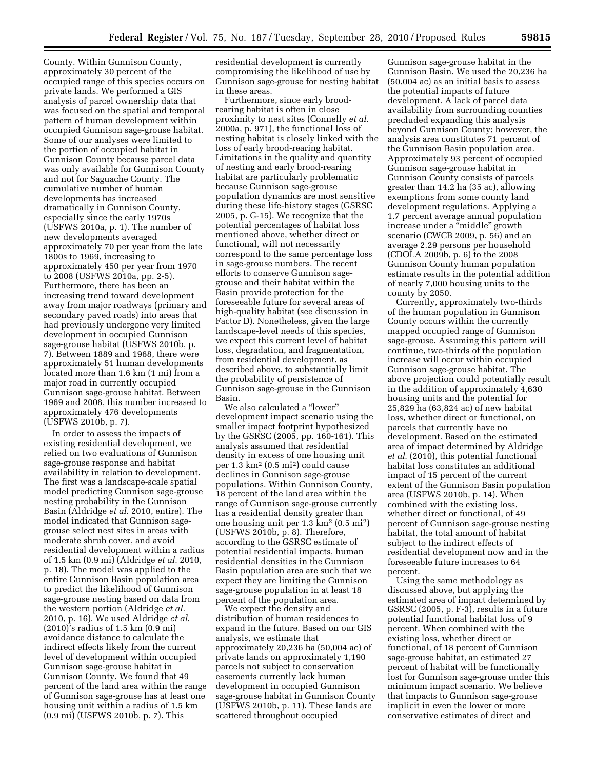County. Within Gunnison County, approximately 30 percent of the occupied range of this species occurs on private lands. We performed a GIS analysis of parcel ownership data that was focused on the spatial and temporal pattern of human development within occupied Gunnison sage-grouse habitat. Some of our analyses were limited to the portion of occupied habitat in Gunnison County because parcel data was only available for Gunnison County and not for Saguache County. The cumulative number of human developments has increased dramatically in Gunnison County, especially since the early 1970s (USFWS 2010a, p. 1). The number of new developments averaged approximately 70 per year from the late 1800s to 1969, increasing to approximately 450 per year from 1970 to 2008 (USFWS 2010a, pp. 2-5). Furthermore, there has been an increasing trend toward development away from major roadways (primary and secondary paved roads) into areas that had previously undergone very limited development in occupied Gunnison sage-grouse habitat (USFWS 2010b, p. 7). Between 1889 and 1968, there were approximately 51 human developments located more than 1.6 km (1 mi) from a major road in currently occupied Gunnison sage-grouse habitat. Between 1969 and 2008, this number increased to approximately 476 developments (USFWS 2010b, p. 7).

In order to assess the impacts of existing residential development, we relied on two evaluations of Gunnison sage-grouse response and habitat availability in relation to development. The first was a landscape-scale spatial model predicting Gunnison sage-grouse nesting probability in the Gunnison Basin (Aldridge *et al*. 2010, entire). The model indicated that Gunnison sagegrouse select nest sites in areas with moderate shrub cover, and avoid residential development within a radius of 1.5 km (0.9 mi) (Aldridge *et al.* 2010, p. 18). The model was applied to the entire Gunnison Basin population area to predict the likelihood of Gunnison sage-grouse nesting based on data from the western portion (Aldridge *et al.*  2010, p. 16). We used Aldridge *et al*. (2010)'s radius of 1.5 km (0.9 mi) avoidance distance to calculate the indirect effects likely from the current level of development within occupied Gunnison sage-grouse habitat in Gunnison County. We found that 49 percent of the land area within the range of Gunnison sage-grouse has at least one housing unit within a radius of 1.5 km (0.9 mi) (USFWS 2010b, p. 7). This

residential development is currently compromising the likelihood of use by Gunnison sage-grouse for nesting habitat in these areas.

Furthermore, since early broodrearing habitat is often in close proximity to nest sites (Connelly *et al.*  2000a, p. 971), the functional loss of nesting habitat is closely linked with the loss of early brood-rearing habitat. Limitations in the quality and quantity of nesting and early brood-rearing habitat are particularly problematic because Gunnison sage-grouse population dynamics are most sensitive during these life-history stages (GSRSC 2005, p. G-15). We recognize that the potential percentages of habitat loss mentioned above, whether direct or functional, will not necessarily correspond to the same percentage loss in sage-grouse numbers. The recent efforts to conserve Gunnison sagegrouse and their habitat within the Basin provide protection for the foreseeable future for several areas of high-quality habitat (see discussion in Factor D). Nonetheless, given the large landscape-level needs of this species, we expect this current level of habitat loss, degradation, and fragmentation, from residential development, as described above, to substantially limit the probability of persistence of Gunnison sage-grouse in the Gunnison Basin.

We also calculated a ''lower'' development impact scenario using the smaller impact footprint hypothesized by the GSRSC (2005, pp. 160-161). This analysis assumed that residential density in excess of one housing unit per 1.3 km2 (0.5 mi2) could cause declines in Gunnison sage-grouse populations. Within Gunnison County, 18 percent of the land area within the range of Gunnison sage-grouse currently has a residential density greater than one housing unit per 1.3 km2 (0.5 mi2) (USFWS 2010b, p. 8). Therefore, according to the GSRSC estimate of potential residential impacts, human residential densities in the Gunnison Basin population area are such that we expect they are limiting the Gunnison sage-grouse population in at least 18 percent of the population area.

We expect the density and distribution of human residences to expand in the future. Based on our GIS analysis, we estimate that approximately 20,236 ha (50,004 ac) of private lands on approximately 1,190 parcels not subject to conservation easements currently lack human development in occupied Gunnison sage-grouse habitat in Gunnison County (USFWS 2010b, p. 11). These lands are scattered throughout occupied

Gunnison sage-grouse habitat in the Gunnison Basin. We used the 20,236 ha (50,004 ac) as an initial basis to assess the potential impacts of future development. A lack of parcel data availability from surrounding counties precluded expanding this analysis beyond Gunnison County; however, the analysis area constitutes 71 percent of the Gunnison Basin population area. Approximately 93 percent of occupied Gunnison sage-grouse habitat in Gunnison County consists of parcels greater than 14.2 ha (35 ac), allowing exemptions from some county land development regulations. Applying a 1.7 percent average annual population increase under a ''middle'' growth scenario (CWCB 2009, p. 56) and an average 2.29 persons per household (CDOLA 2009b, p. 6) to the 2008 Gunnison County human population estimate results in the potential addition of nearly 7,000 housing units to the county by 2050.

Currently, approximately two-thirds of the human population in Gunnison County occurs within the currently mapped occupied range of Gunnison sage-grouse. Assuming this pattern will continue, two-thirds of the population increase will occur within occupied Gunnison sage-grouse habitat. The above projection could potentially result in the addition of approximately 4,630 housing units and the potential for 25,829 ha (63,824 ac) of new habitat loss, whether direct or functional, on parcels that currently have no development. Based on the estimated area of impact determined by Aldridge *et al*. (2010), this potential functional habitat loss constitutes an additional impact of 15 percent of the current extent of the Gunnison Basin population area (USFWS 2010b, p. 14). When combined with the existing loss, whether direct or functional, of 49 percent of Gunnison sage-grouse nesting habitat, the total amount of habitat subject to the indirect effects of residential development now and in the foreseeable future increases to 64 percent.

Using the same methodology as discussed above, but applying the estimated area of impact determined by GSRSC (2005, p. F-3), results in a future potential functional habitat loss of 9 percent. When combined with the existing loss, whether direct or functional, of 18 percent of Gunnison sage-grouse habitat, an estimated 27 percent of habitat will be functionally lost for Gunnison sage-grouse under this minimum impact scenario. We believe that impacts to Gunnison sage-grouse implicit in even the lower or more conservative estimates of direct and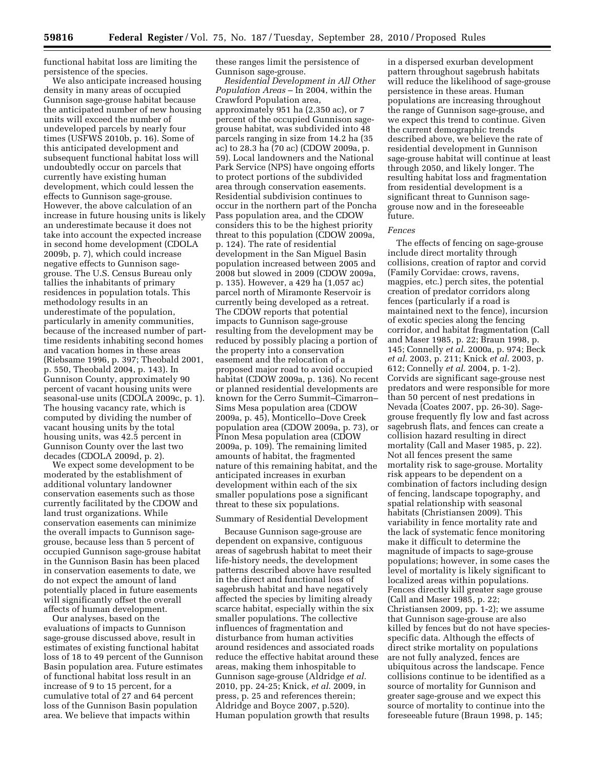functional habitat loss are limiting the persistence of the species.

We also anticipate increased housing density in many areas of occupied Gunnison sage-grouse habitat because the anticipated number of new housing units will exceed the number of undeveloped parcels by nearly four times (USFWS 2010b, p. 16). Some of this anticipated development and subsequent functional habitat loss will undoubtedly occur on parcels that currently have existing human development, which could lessen the effects to Gunnison sage-grouse. However, the above calculation of an increase in future housing units is likely an underestimate because it does not take into account the expected increase in second home development (CDOLA 2009b, p. 7), which could increase negative effects to Gunnison sagegrouse. The U.S. Census Bureau only tallies the inhabitants of primary residences in population totals. This methodology results in an underestimate of the population, particularly in amenity communities, because of the increased number of parttime residents inhabiting second homes and vacation homes in these areas (Riebsame 1996, p. 397; Theobald 2001, p. 550, Theobald 2004, p. 143). In Gunnison County, approximately 90 percent of vacant housing units were seasonal-use units (CDOLA 2009c, p. 1). The housing vacancy rate, which is computed by dividing the number of vacant housing units by the total housing units, was 42.5 percent in Gunnison County over the last two decades (CDOLA 2009d, p. 2).

We expect some development to be moderated by the establishment of additional voluntary landowner conservation easements such as those currently facilitated by the CDOW and land trust organizations. While conservation easements can minimize the overall impacts to Gunnison sagegrouse, because less than 5 percent of occupied Gunnison sage-grouse habitat in the Gunnison Basin has been placed in conservation easements to date, we do not expect the amount of land potentially placed in future easements will significantly offset the overall affects of human development.

Our analyses, based on the evaluations of impacts to Gunnison sage-grouse discussed above, result in estimates of existing functional habitat loss of 18 to 49 percent of the Gunnison Basin population area. Future estimates of functional habitat loss result in an increase of 9 to 15 percent, for a cumulative total of 27 and 64 percent loss of the Gunnison Basin population area. We believe that impacts within

these ranges limit the persistence of Gunnison sage-grouse.

*Residential Development in All Other Population Areas* – In 2004, within the Crawford Population area, approximately 951 ha (2,350 ac), or 7 percent of the occupied Gunnison sagegrouse habitat, was subdivided into 48 parcels ranging in size from 14.2 ha (35 ac) to 28.3 ha (70 ac) (CDOW 2009a, p. 59). Local landowners and the National Park Service (NPS) have ongoing efforts to protect portions of the subdivided area through conservation easements. Residential subdivision continues to occur in the northern part of the Poncha Pass population area, and the CDOW considers this to be the highest priority threat to this population (CDOW 2009a, p. 124). The rate of residential development in the San Miguel Basin population increased between 2005 and 2008 but slowed in 2009 (CDOW 2009a, p. 135). However, a 429 ha (1,057 ac) parcel north of Miramonte Reservoir is currently being developed as a retreat. The CDOW reports that potential impacts to Gunnison sage-grouse resulting from the development may be reduced by possibly placing a portion of the property into a conservation easement and the relocation of a proposed major road to avoid occupied habitat (CDOW 2009a, p. 136). No recent or planned residential developments are known for the Cerro Summit–Cimarron– Sims Mesa population area (CDOW 2009a, p. 45), Monticello–Dove Creek population area (CDOW 2009a, p. 73), or Pinon Mesa population area (CDOW 2009a, p. 109). The remaining limited amounts of habitat, the fragmented nature of this remaining habitat, and the anticipated increases in exurban development within each of the six smaller populations pose a significant threat to these six populations.

## Summary of Residential Development

Because Gunnison sage-grouse are dependent on expansive, contiguous areas of sagebrush habitat to meet their life-history needs, the development patterns described above have resulted in the direct and functional loss of sagebrush habitat and have negatively affected the species by limiting already scarce habitat, especially within the six smaller populations. The collective influences of fragmentation and disturbance from human activities around residences and associated roads reduce the effective habitat around these areas, making them inhospitable to Gunnison sage-grouse (Aldridge *et al.*  2010, pp. 24-25; Knick, *et al*. 2009, in press, p. 25 and references therein; Aldridge and Boyce 2007, p.520). Human population growth that results

in a dispersed exurban development pattern throughout sagebrush habitats will reduce the likelihood of sage-grouse persistence in these areas. Human populations are increasing throughout the range of Gunnison sage-grouse, and we expect this trend to continue. Given the current demographic trends described above, we believe the rate of residential development in Gunnison sage-grouse habitat will continue at least through 2050, and likely longer. The resulting habitat loss and fragmentation from residential development is a significant threat to Gunnison sagegrouse now and in the foreseeable future.

#### *Fences*

The effects of fencing on sage-grouse include direct mortality through collisions, creation of raptor and corvid (Family Corvidae: crows, ravens, magpies, etc.) perch sites, the potential creation of predator corridors along fences (particularly if a road is maintained next to the fence), incursion of exotic species along the fencing corridor, and habitat fragmentation (Call and Maser 1985, p. 22; Braun 1998, p. 145; Connelly *et al*. 2000a, p. 974; Beck *et al*. 2003, p. 211; Knick *et al*. 2003, p. 612; Connelly *et al*. 2004, p. 1-2). Corvids are significant sage-grouse nest predators and were responsible for more than 50 percent of nest predations in Nevada (Coates 2007, pp. 26-30). Sagegrouse frequently fly low and fast across sagebrush flats, and fences can create a collision hazard resulting in direct mortality (Call and Maser 1985, p. 22). Not all fences present the same mortality risk to sage-grouse. Mortality risk appears to be dependent on a combination of factors including design of fencing, landscape topography, and spatial relationship with seasonal habitats (Christiansen 2009). This variability in fence mortality rate and the lack of systematic fence monitoring make it difficult to determine the magnitude of impacts to sage-grouse populations; however, in some cases the level of mortality is likely significant to localized areas within populations. Fences directly kill greater sage grouse (Call and Maser 1985, p. 22; Christiansen 2009, pp. 1-2); we assume that Gunnison sage-grouse are also killed by fences but do not have speciesspecific data. Although the effects of direct strike mortality on populations are not fully analyzed, fences are ubiquitous across the landscape. Fence collisions continue to be identified as a source of mortality for Gunnison and greater sage-grouse and we expect this source of mortality to continue into the foreseeable future (Braun 1998, p. 145;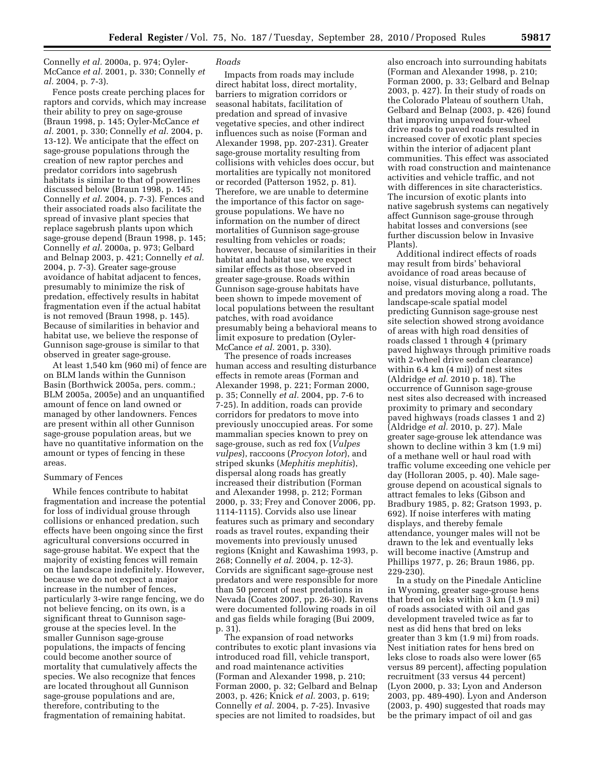Connelly *et al.* 2000a, p. 974; Oyler-McCance *et al.* 2001, p. 330; Connelly *et al.* 2004, p. 7-3).

Fence posts create perching places for raptors and corvids, which may increase their ability to prey on sage-grouse (Braun 1998, p. 145; Oyler-McCance *et al.* 2001, p. 330; Connelly *et al.* 2004, p. 13-12). We anticipate that the effect on sage-grouse populations through the creation of new raptor perches and predator corridors into sagebrush habitats is similar to that of powerlines discussed below (Braun 1998, p. 145; Connelly *et al.* 2004, p. 7-3). Fences and their associated roads also facilitate the spread of invasive plant species that replace sagebrush plants upon which sage-grouse depend (Braun 1998, p. 145; Connelly *et al.* 2000a, p. 973; Gelbard and Belnap 2003, p. 421; Connelly *et al.*  2004, p. 7-3). Greater sage-grouse avoidance of habitat adjacent to fences, presumably to minimize the risk of predation, effectively results in habitat fragmentation even if the actual habitat is not removed (Braun 1998, p. 145). Because of similarities in behavior and habitat use, we believe the response of Gunnison sage-grouse is similar to that observed in greater sage-grouse.

At least 1,540 km (960 mi) of fence are on BLM lands within the Gunnison Basin (Borthwick 2005a, pers. comm.; BLM 2005a, 2005e) and an unquantified amount of fence on land owned or managed by other landowners. Fences are present within all other Gunnison sage-grouse population areas, but we have no quantitative information on the amount or types of fencing in these areas.

## Summary of Fences

While fences contribute to habitat fragmentation and increase the potential for loss of individual grouse through collisions or enhanced predation, such effects have been ongoing since the first agricultural conversions occurred in sage-grouse habitat. We expect that the majority of existing fences will remain on the landscape indefinitely. However, because we do not expect a major increase in the number of fences, particularly 3-wire range fencing, we do not believe fencing, on its own, is a significant threat to Gunnison sagegrouse at the species level. In the smaller Gunnison sage-grouse populations, the impacts of fencing could become another source of mortality that cumulatively affects the species. We also recognize that fences are located throughout all Gunnison sage-grouse populations and are, therefore, contributing to the fragmentation of remaining habitat.

## *Roads*

Impacts from roads may include direct habitat loss, direct mortality, barriers to migration corridors or seasonal habitats, facilitation of predation and spread of invasive vegetative species, and other indirect influences such as noise (Forman and Alexander 1998, pp. 207-231). Greater sage-grouse mortality resulting from collisions with vehicles does occur, but mortalities are typically not monitored or recorded (Patterson 1952, p. 81). Therefore, we are unable to determine the importance of this factor on sagegrouse populations. We have no information on the number of direct mortalities of Gunnison sage-grouse resulting from vehicles or roads; however, because of similarities in their habitat and habitat use, we expect similar effects as those observed in greater sage-grouse. Roads within Gunnison sage-grouse habitats have been shown to impede movement of local populations between the resultant patches, with road avoidance presumably being a behavioral means to limit exposure to predation (Oyler-McCance *et al.* 2001, p. 330).

The presence of roads increases human access and resulting disturbance effects in remote areas (Forman and Alexander 1998, p. 221; Forman 2000, p. 35; Connelly *et al.* 2004, pp. 7-6 to 7-25). In addition, roads can provide corridors for predators to move into previously unoccupied areas. For some mammalian species known to prey on sage-grouse, such as red fox (*Vulpes vulpes*), raccoons (*Procyon lotor*), and striped skunks (*Mephitis mephitis*), dispersal along roads has greatly increased their distribution (Forman and Alexander 1998, p. 212; Forman 2000, p. 33; Frey and Conover 2006, pp. 1114-1115). Corvids also use linear features such as primary and secondary roads as travel routes, expanding their movements into previously unused regions (Knight and Kawashima 1993, p. 268; Connelly *et al.* 2004, p. 12-3). Corvids are significant sage-grouse nest predators and were responsible for more than 50 percent of nest predations in Nevada (Coates 2007, pp. 26-30). Ravens were documented following roads in oil and gas fields while foraging (Bui 2009, p. 31).

The expansion of road networks contributes to exotic plant invasions via introduced road fill, vehicle transport, and road maintenance activities (Forman and Alexander 1998, p. 210; Forman 2000, p. 32; Gelbard and Belnap 2003, p. 426; Knick *et al.* 2003, p. 619; Connelly *et al.* 2004, p. 7-25). Invasive species are not limited to roadsides, but

also encroach into surrounding habitats (Forman and Alexander 1998, p. 210; Forman 2000, p. 33; Gelbard and Belnap 2003, p. 427). In their study of roads on the Colorado Plateau of southern Utah, Gelbard and Belnap (2003, p. 426) found that improving unpaved four-wheel drive roads to paved roads resulted in increased cover of exotic plant species within the interior of adjacent plant communities. This effect was associated with road construction and maintenance activities and vehicle traffic, and not with differences in site characteristics. The incursion of exotic plants into native sagebrush systems can negatively affect Gunnison sage-grouse through habitat losses and conversions (see further discussion below in Invasive Plants).

Additional indirect effects of roads may result from birds' behavioral avoidance of road areas because of noise, visual disturbance, pollutants, and predators moving along a road. The landscape-scale spatial model predicting Gunnison sage-grouse nest site selection showed strong avoidance of areas with high road densities of roads classed 1 through 4 (primary paved highways through primitive roads with 2-wheel drive sedan clearance) within 6.4 km (4 mi)) of nest sites (Aldridge *et al*. 2010 p. 18). The occurrence of Gunnison sage-grouse nest sites also decreased with increased proximity to primary and secondary paved highways (roads classes 1 and 2) (Aldridge *et al.* 2010, p. 27). Male greater sage-grouse lek attendance was shown to decline within 3 km (1.9 mi) of a methane well or haul road with traffic volume exceeding one vehicle per day (Holloran 2005, p. 40). Male sagegrouse depend on acoustical signals to attract females to leks (Gibson and Bradbury 1985, p. 82; Gratson 1993, p. 692). If noise interferes with mating displays, and thereby female attendance, younger males will not be drawn to the lek and eventually leks will become inactive (Amstrup and Phillips 1977, p. 26; Braun 1986, pp. 229-230).

In a study on the Pinedale Anticline in Wyoming, greater sage-grouse hens that bred on leks within 3 km (1.9 mi) of roads associated with oil and gas development traveled twice as far to nest as did hens that bred on leks greater than 3 km (1.9 mi) from roads. Nest initiation rates for hens bred on leks close to roads also were lower (65 versus 89 percent), affecting population recruitment (33 versus 44 percent) (Lyon 2000, p. 33; Lyon and Anderson 2003, pp. 489-490). Lyon and Anderson (2003, p. 490) suggested that roads may be the primary impact of oil and gas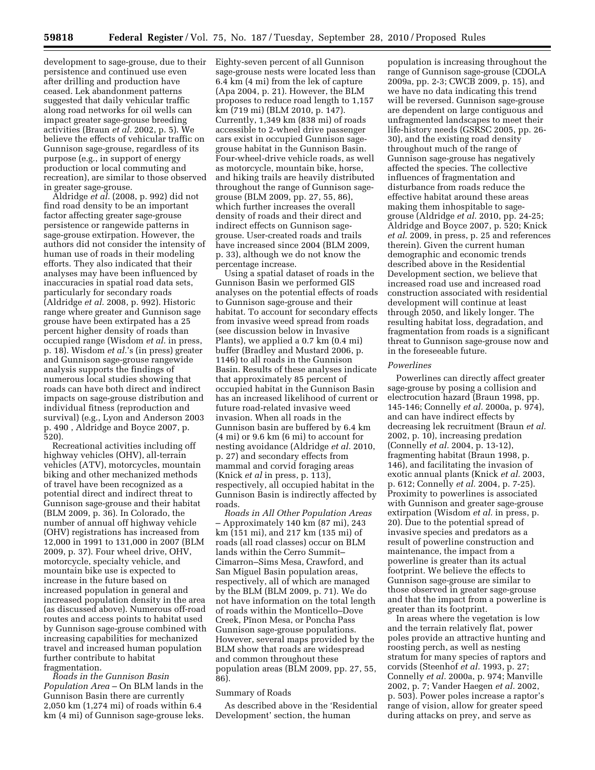development to sage-grouse, due to their Eighty-seven percent of all Gunnison persistence and continued use even after drilling and production have ceased. Lek abandonment patterns suggested that daily vehicular traffic along road networks for oil wells can impact greater sage-grouse breeding activities (Braun *et al.* 2002, p. 5). We believe the effects of vehicular traffic on Gunnison sage-grouse, regardless of its purpose (e.g., in support of energy production or local commuting and recreation), are similar to those observed in greater sage-grouse.

Aldridge *et al.* (2008, p. 992) did not find road density to be an important factor affecting greater sage-grouse persistence or rangewide patterns in sage-grouse extirpation. However, the authors did not consider the intensity of human use of roads in their modeling efforts. They also indicated that their analyses may have been influenced by inaccuracies in spatial road data sets, particularly for secondary roads (Aldridge *et al.* 2008, p. 992). Historic range where greater and Gunnison sage grouse have been extirpated has a 25 percent higher density of roads than occupied range (Wisdom *et al.* in press, p. 18). Wisdom *et al.*'s (in press) greater and Gunnison sage-grouse rangewide analysis supports the findings of numerous local studies showing that roads can have both direct and indirect impacts on sage-grouse distribution and individual fitness (reproduction and survival) (e.g., Lyon and Anderson 2003 p. 490 , Aldridge and Boyce 2007, p. 520).

Recreational activities including off highway vehicles (OHV), all-terrain vehicles (ATV), motorcycles, mountain biking and other mechanized methods of travel have been recognized as a potential direct and indirect threat to Gunnison sage-grouse and their habitat (BLM 2009, p. 36). In Colorado, the number of annual off highway vehicle (OHV) registrations has increased from 12,000 in 1991 to 131,000 in 2007 (BLM 2009, p. 37). Four wheel drive, OHV, motorcycle, specialty vehicle, and mountain bike use is expected to increase in the future based on increased population in general and increased population density in the area (as discussed above). Numerous off-road routes and access points to habitat used by Gunnison sage-grouse combined with increasing capabilities for mechanized travel and increased human population further contribute to habitat fragmentation.

*Roads in the Gunnison Basin Population Area* – On BLM lands in the Gunnison Basin there are currently 2,050 km (1,274 mi) of roads within 6.4 km (4 mi) of Gunnison sage-grouse leks.

sage-grouse nests were located less than 6.4 km (4 mi) from the lek of capture (Apa 2004, p. 21). However, the BLM proposes to reduce road length to 1,157 km (719 mi) (BLM 2010, p. 147). Currently, 1,349 km (838 mi) of roads accessible to 2-wheel drive passenger cars exist in occupied Gunnison sagegrouse habitat in the Gunnison Basin. Four-wheel-drive vehicle roads, as well as motorcycle, mountain bike, horse, and hiking trails are heavily distributed throughout the range of Gunnison sagegrouse (BLM 2009, pp. 27, 55, 86), which further increases the overall density of roads and their direct and indirect effects on Gunnison sagegrouse. User-created roads and trails have increased since 2004 (BLM 2009, p. 33), although we do not know the percentage increase.

Using a spatial dataset of roads in the Gunnison Basin we performed GIS analyses on the potential effects of roads to Gunnison sage-grouse and their habitat. To account for secondary effects from invasive weed spread from roads (see discussion below in Invasive Plants), we applied a 0.7 km (0.4 mi) buffer (Bradley and Mustard 2006, p. 1146) to all roads in the Gunnison Basin. Results of these analyses indicate that approximately 85 percent of occupied habitat in the Gunnison Basin has an increased likelihood of current or future road-related invasive weed invasion. When all roads in the Gunnison basin are buffered by 6.4 km (4 mi) or 9.6 km (6 mi) to account for nesting avoidance (Aldridge *et al.* 2010, p. 27) and secondary effects from mammal and corvid foraging areas (Knick *et al* in press, p. 113), respectively, all occupied habitat in the Gunnison Basin is indirectly affected by roads.

*Roads in All Other Population Areas*  – Approximately 140 km (87 mi), 243 km (151 mi), and 217 km (135 mi) of roads (all road classes) occur on BLM lands within the Cerro Summit– Cimarron–Sims Mesa, Crawford, and San Miguel Basin population areas, respectively, all of which are managed by the BLM (BLM 2009, p. 71). We do not have information on the total length of roads within the Monticello–Dove Creek, Pinon Mesa, or Poncha Pass Gunnison sage-grouse populations. However, several maps provided by the BLM show that roads are widespread and common throughout these population areas (BLM 2009, pp. 27, 55, 86).

## Summary of Roads

As described above in the 'Residential Development' section, the human

population is increasing throughout the range of Gunnison sage-grouse (CDOLA 2009a, pp. 2-3; CWCB 2009, p. 15), and we have no data indicating this trend will be reversed. Gunnison sage-grouse are dependent on large contiguous and unfragmented landscapes to meet their life-history needs (GSRSC 2005, pp. 26- 30), and the existing road density throughout much of the range of Gunnison sage-grouse has negatively affected the species. The collective influences of fragmentation and disturbance from roads reduce the effective habitat around these areas making them inhospitable to sagegrouse (Aldridge *et al.* 2010, pp. 24-25; Aldridge and Boyce 2007, p. 520; Knick *et al*. 2009, in press, p. 25 and references therein). Given the current human demographic and economic trends described above in the Residential Development section, we believe that increased road use and increased road construction associated with residential development will continue at least through 2050, and likely longer. The resulting habitat loss, degradation, and fragmentation from roads is a significant threat to Gunnison sage-grouse now and in the foreseeable future.

## *Powerlines*

Powerlines can directly affect greater sage-grouse by posing a collision and electrocution hazard (Braun 1998, pp. 145-146; Connelly *et al.* 2000a, p. 974), and can have indirect effects by decreasing lek recruitment (Braun *et al.*  2002, p. 10), increasing predation (Connelly *et al.* 2004, p. 13-12), fragmenting habitat (Braun 1998, p. 146), and facilitating the invasion of exotic annual plants (Knick *et al.* 2003, p. 612; Connelly *et al.* 2004, p. 7-25). Proximity to powerlines is associated with Gunnison and greater sage-grouse extirpation (Wisdom *et al.* in press, p. 20). Due to the potential spread of invasive species and predators as a result of powerline construction and maintenance, the impact from a powerline is greater than its actual footprint. We believe the effects to Gunnison sage-grouse are similar to those observed in greater sage-grouse and that the impact from a powerline is greater than its footprint.

In areas where the vegetation is low and the terrain relatively flat, power poles provide an attractive hunting and roosting perch, as well as nesting stratum for many species of raptors and corvids (Steenhof *et al.* 1993, p. 27; Connelly *et al.* 2000a, p. 974; Manville 2002, p. 7; Vander Haegen *et al.* 2002, p. 503). Power poles increase a raptor's range of vision, allow for greater speed during attacks on prey, and serve as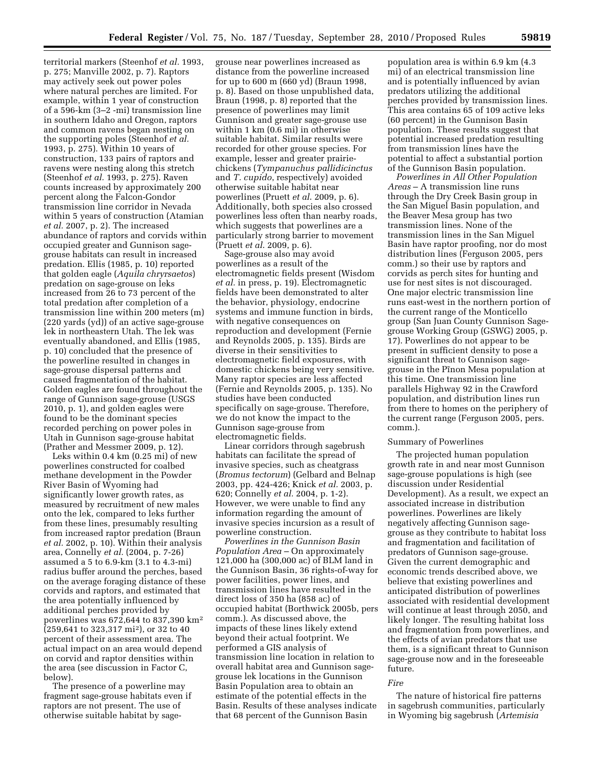territorial markers (Steenhof *et al.* 1993, p. 275; Manville 2002, p. 7). Raptors may actively seek out power poles where natural perches are limited. For example, within 1 year of construction of a 596-km (3–2 -mi) transmission line in southern Idaho and Oregon, raptors and common ravens began nesting on the supporting poles (Steenhof *et al.*  1993, p. 275). Within 10 years of construction, 133 pairs of raptors and ravens were nesting along this stretch (Steenhof *et al.* 1993, p. 275). Raven counts increased by approximately 200 percent along the Falcon-Gondor transmission line corridor in Nevada within 5 years of construction (Atamian *et al.* 2007, p. 2). The increased abundance of raptors and corvids within occupied greater and Gunnison sagegrouse habitats can result in increased predation. Ellis (1985, p. 10) reported that golden eagle (*Aquila chryrsaetos*) predation on sage-grouse on leks increased from 26 to 73 percent of the total predation after completion of a transmission line within 200 meters (m) (220 yards (yd)) of an active sage-grouse lek in northeastern Utah. The lek was eventually abandoned, and Ellis (1985, p. 10) concluded that the presence of the powerline resulted in changes in sage-grouse dispersal patterns and caused fragmentation of the habitat. Golden eagles are found throughout the range of Gunnison sage-grouse (USGS 2010, p. 1), and golden eagles were found to be the dominant species recorded perching on power poles in Utah in Gunnison sage-grouse habitat (Prather and Messmer 2009, p. 12).

Leks within 0.4 km (0.25 mi) of new powerlines constructed for coalbed methane development in the Powder River Basin of Wyoming had significantly lower growth rates, as measured by recruitment of new males onto the lek, compared to leks further from these lines, presumably resulting from increased raptor predation (Braun *et al.* 2002, p. 10). Within their analysis area, Connelly *et al.* (2004, p. 7-26) assumed a 5 to 6.9-km (3.1 to 4.3-mi) radius buffer around the perches, based on the average foraging distance of these corvids and raptors, and estimated that the area potentially influenced by additional perches provided by powerlines was 672,644 to 837,390 km2 (259,641 to 323,317 mi2), or 32 to 40 percent of their assessment area. The actual impact on an area would depend on corvid and raptor densities within the area (see discussion in Factor C, below).

The presence of a powerline may fragment sage-grouse habitats even if raptors are not present. The use of otherwise suitable habitat by sagegrouse near powerlines increased as distance from the powerline increased for up to 600 m (660 yd) (Braun 1998, p. 8). Based on those unpublished data, Braun (1998, p. 8) reported that the presence of powerlines may limit Gunnison and greater sage-grouse use within 1 km (0.6 mi) in otherwise suitable habitat. Similar results were recorded for other grouse species. For example, lesser and greater prairiechickens (*Tympanuchus pallidicinctus*  and *T. cupido*, respectively) avoided otherwise suitable habitat near powerlines (Pruett *et al*. 2009, p. 6). Additionally, both species also crossed powerlines less often than nearby roads, which suggests that powerlines are a particularly strong barrier to movement (Pruett *et al*. 2009, p. 6).

Sage-grouse also may avoid powerlines as a result of the electromagnetic fields present (Wisdom *et al.* in press, p. 19). Electromagnetic fields have been demonstrated to alter the behavior, physiology, endocrine systems and immune function in birds, with negative consequences on reproduction and development (Fernie and Reynolds 2005, p. 135). Birds are diverse in their sensitivities to electromagnetic field exposures, with domestic chickens being very sensitive. Many raptor species are less affected (Fernie and Reynolds 2005, p. 135). No studies have been conducted specifically on sage-grouse. Therefore, we do not know the impact to the Gunnison sage-grouse from electromagnetic fields.

Linear corridors through sagebrush habitats can facilitate the spread of invasive species, such as cheatgrass (*Bromus tectorum*) (Gelbard and Belnap 2003, pp. 424-426; Knick *et al.* 2003, p. 620; Connelly *et al.* 2004, p. 1-2). However, we were unable to find any information regarding the amount of invasive species incursion as a result of powerline construction.

*Powerlines in the Gunnison Basin Population Area* – On approximately 121,000 ha (300,000 ac) of BLM land in the Gunnison Basin, 36 rights-of-way for power facilities, power lines, and transmission lines have resulted in the direct loss of 350 ha (858 ac) of occupied habitat (Borthwick 2005b, pers comm.). As discussed above, the impacts of these lines likely extend beyond their actual footprint. We performed a GIS analysis of transmission line location in relation to overall habitat area and Gunnison sagegrouse lek locations in the Gunnison Basin Population area to obtain an estimate of the potential effects in the Basin. Results of these analyses indicate that 68 percent of the Gunnison Basin

population area is within 6.9 km (4.3 mi) of an electrical transmission line and is potentially influenced by avian predators utilizing the additional perches provided by transmission lines. This area contains 65 of 109 active leks (60 percent) in the Gunnison Basin population. These results suggest that potential increased predation resulting from transmission lines have the potential to affect a substantial portion of the Gunnison Basin population.

*Powerlines in All Other Population Areas* – A transmission line runs through the Dry Creek Basin group in the San Miguel Basin population, and the Beaver Mesa group has two transmission lines. None of the transmission lines in the San Miguel Basin have raptor proofing, nor do most distribution lines (Ferguson 2005, pers comm.) so their use by raptors and corvids as perch sites for hunting and use for nest sites is not discouraged. One major electric transmission line runs east-west in the northern portion of the current range of the Monticello group (San Juan County Gunnison Sagegrouse Working Group (GSWG) 2005, p. 17). Powerlines do not appear to be present in sufficient density to pose a significant threat to Gunnison sagegrouse in the Pinon Mesa population at this time. One transmission line parallels Highway 92 in the Crawford population, and distribution lines run from there to homes on the periphery of the current range (Ferguson 2005, pers. comm.).

## Summary of Powerlines

The projected human population growth rate in and near most Gunnison sage-grouse populations is high (see discussion under Residential Development). As a result, we expect an associated increase in distribution powerlines. Powerlines are likely negatively affecting Gunnison sagegrouse as they contribute to habitat loss and fragmentation and facilitation of predators of Gunnison sage-grouse. Given the current demographic and economic trends described above, we believe that existing powerlines and anticipated distribution of powerlines associated with residential development will continue at least through 2050, and likely longer. The resulting habitat loss and fragmentation from powerlines, and the effects of avian predators that use them, is a significant threat to Gunnison sage-grouse now and in the foreseeable future.

#### *Fire*

The nature of historical fire patterns in sagebrush communities, particularly in Wyoming big sagebrush (*Artemisia*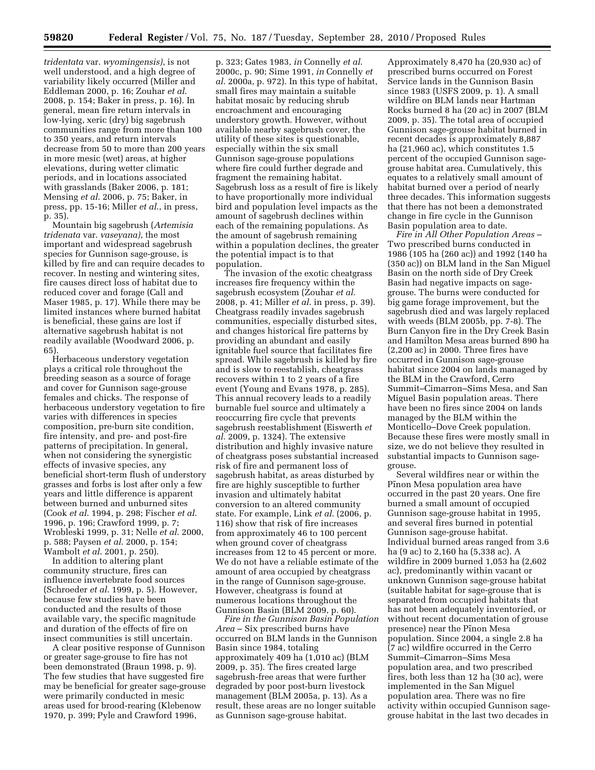*tridentata* var. *wyomingensis)*, is not well understood, and a high degree of variability likely occurred (Miller and Eddleman 2000, p. 16; Zouhar *et al*. 2008, p. 154; Baker in press, p. 16). In general, mean fire return intervals in low-lying, xeric (dry) big sagebrush communities range from more than 100 to 350 years, and return intervals decrease from 50 to more than 200 years in more mesic (wet) areas, at higher elevations, during wetter climatic periods, and in locations associated with grasslands (Baker 2006, p. 181; Mensing *et al*. 2006, p. 75; Baker, in press, pp. 15-16; Miller *et al*., in press, p. 35).

Mountain big sagebrush (*Artemisia tridenata* var. *vaseyana)*, the most important and widespread sagebrush species for Gunnison sage-grouse, is killed by fire and can require decades to recover. In nesting and wintering sites, fire causes direct loss of habitat due to reduced cover and forage (Call and Maser 1985, p. 17). While there may be limited instances where burned habitat is beneficial, these gains are lost if alternative sagebrush habitat is not readily available (Woodward 2006, p. 65).

Herbaceous understory vegetation plays a critical role throughout the breeding season as a source of forage and cover for Gunnison sage-grouse females and chicks. The response of herbaceous understory vegetation to fire varies with differences in species composition, pre-burn site condition, fire intensity, and pre- and post-fire patterns of precipitation. In general, when not considering the synergistic effects of invasive species, any beneficial short-term flush of understory grasses and forbs is lost after only a few years and little difference is apparent between burned and unburned sites (Cook *et al*. 1994, p. 298; Fischer *et al*. 1996, p. 196; Crawford 1999, p. 7; Wrobleski 1999, p. 31; Nelle *et al*. 2000, p. 588; Paysen *et al*. 2000, p. 154; Wambolt *et al*. 2001, p. 250).

In addition to altering plant community structure, fires can influence invertebrate food sources (Schroeder *et al*. 1999, p. 5). However, because few studies have been conducted and the results of those available vary, the specific magnitude and duration of the effects of fire on insect communities is still uncertain.

A clear positive response of Gunnison or greater sage-grouse to fire has not been demonstrated (Braun 1998, p. 9). The few studies that have suggested fire may be beneficial for greater sage-grouse were primarily conducted in mesic areas used for brood-rearing (Klebenow 1970, p. 399; Pyle and Crawford 1996,

p. 323; Gates 1983, *in* Connelly *et al*. 2000c, p. 90; Sime 1991, *in* Connelly *et al*. 2000a, p. 972). In this type of habitat, small fires may maintain a suitable habitat mosaic by reducing shrub encroachment and encouraging understory growth. However, without available nearby sagebrush cover, the utility of these sites is questionable, especially within the six small Gunnison sage-grouse populations where fire could further degrade and fragment the remaining habitat. Sagebrush loss as a result of fire is likely to have proportionally more individual bird and population level impacts as the amount of sagebrush declines within each of the remaining populations. As the amount of sagebrush remaining within a population declines, the greater the potential impact is to that population.

The invasion of the exotic cheatgrass increases fire frequency within the sagebrush ecosystem (Zouhar *et al*. 2008, p. 41; Miller *et al*. in press, p. 39). Cheatgrass readily invades sagebrush communities, especially disturbed sites, and changes historical fire patterns by providing an abundant and easily ignitable fuel source that facilitates fire spread. While sagebrush is killed by fire and is slow to reestablish, cheatgrass recovers within 1 to 2 years of a fire event (Young and Evans 1978, p. 285). This annual recovery leads to a readily burnable fuel source and ultimately a reoccurring fire cycle that prevents sagebrush reestablishment (Eiswerth *et al*. 2009, p. 1324). The extensive distribution and highly invasive nature of cheatgrass poses substantial increased risk of fire and permanent loss of sagebrush habitat, as areas disturbed by fire are highly susceptible to further invasion and ultimately habitat conversion to an altered community state. For example, Link *et al*. (2006, p. 116) show that risk of fire increases from approximately 46 to 100 percent when ground cover of cheatgrass increases from 12 to 45 percent or more. We do not have a reliable estimate of the amount of area occupied by cheatgrass in the range of Gunnison sage-grouse. However, cheatgrass is found at numerous locations throughout the Gunnison Basin (BLM 2009, p. 60).

*Fire in the Gunnison Basin Population Area* – Six prescribed burns have occurred on BLM lands in the Gunnison Basin since 1984, totaling approximately 409 ha (1,010 ac) (BLM 2009, p. 35). The fires created large sagebrush-free areas that were further degraded by poor post-burn livestock management (BLM 2005a, p. 13). As a result, these areas are no longer suitable as Gunnison sage-grouse habitat.

Approximately 8,470 ha (20,930 ac) of prescribed burns occurred on Forest Service lands in the Gunnison Basin since 1983 (USFS 2009, p. 1). A small wildfire on BLM lands near Hartman Rocks burned 8 ha (20 ac) in 2007 (BLM 2009, p. 35). The total area of occupied Gunnison sage-grouse habitat burned in recent decades is approximately 8,887 ha (21,960 ac), which constitutes 1.5 percent of the occupied Gunnison sagegrouse habitat area. Cumulatively, this equates to a relatively small amount of habitat burned over a period of nearly three decades. This information suggests that there has not been a demonstrated change in fire cycle in the Gunnison Basin population area to date.

*Fire in All Other Population Areas* – Two prescribed burns conducted in 1986 (105 ha (260 ac)) and 1992 (140 ha (350 ac)) on BLM land in the San Miguel Basin on the north side of Dry Creek Basin had negative impacts on sagegrouse. The burns were conducted for big game forage improvement, but the sagebrush died and was largely replaced with weeds (BLM 2005b, pp. 7-8). The Burn Canyon fire in the Dry Creek Basin and Hamilton Mesa areas burned 890 ha (2,200 ac) in 2000. Three fires have occurred in Gunnison sage-grouse habitat since 2004 on lands managed by the BLM in the Crawford, Cerro Summit–Cimarron–Sims Mesa, and San Miguel Basin population areas. There have been no fires since 2004 on lands managed by the BLM within the Monticello–Dove Creek population. Because these fires were mostly small in size, we do not believe they resulted in substantial impacts to Gunnison sagegrouse.

Several wildfires near or within the Pinon Mesa population area have occurred in the past 20 years. One fire burned a small amount of occupied Gunnison sage-grouse habitat in 1995, and several fires burned in potential Gunnison sage-grouse habitat. Individual burned areas ranged from 3.6 ha (9 ac) to 2,160 ha (5,338 ac). A wildfire in 2009 burned 1,053 ha (2,602 ac), predominantly within vacant or unknown Gunnison sage-grouse habitat (suitable habitat for sage-grouse that is separated from occupied habitats that has not been adequately inventoried, or without recent documentation of grouse presence) near the Pinon Mesa population. Since 2004, a single 2.8 ha (7 ac) wildfire occurred in the Cerro Summit–Cimarron–Sims Mesa population area, and two prescribed fires, both less than 12 ha (30 ac), were implemented in the San Miguel population area. There was no fire activity within occupied Gunnison sagegrouse habitat in the last two decades in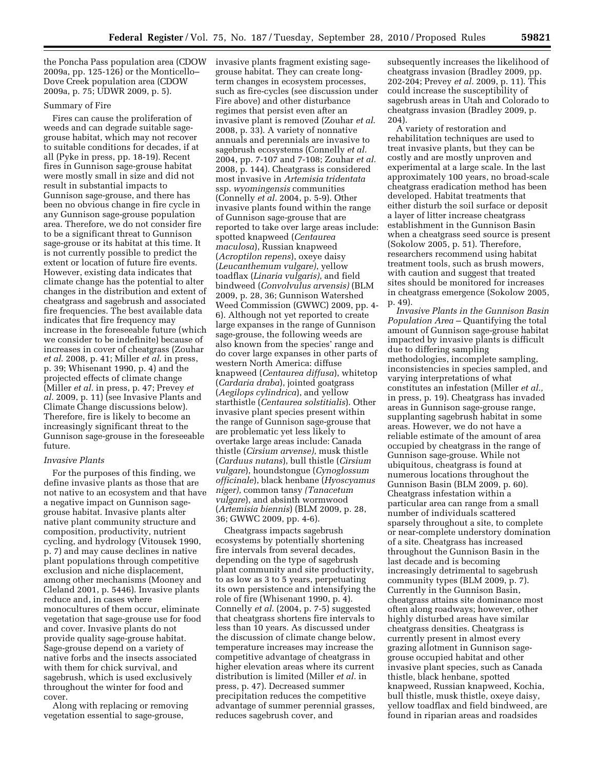the Poncha Pass population area (CDOW 2009a, pp. 125-126) or the Monticello– Dove Creek population area (CDOW 2009a, p. 75; UDWR 2009, p. 5).

## Summary of Fire

Fires can cause the proliferation of weeds and can degrade suitable sagegrouse habitat, which may not recover to suitable conditions for decades, if at all (Pyke in press, pp. 18-19). Recent fires in Gunnison sage-grouse habitat were mostly small in size and did not result in substantial impacts to Gunnison sage-grouse, and there has been no obvious change in fire cycle in any Gunnison sage-grouse population area. Therefore, we do not consider fire to be a significant threat to Gunnison sage-grouse or its habitat at this time. It is not currently possible to predict the extent or location of future fire events. However, existing data indicates that climate change has the potential to alter changes in the distribution and extent of cheatgrass and sagebrush and associated fire frequencies. The best available data indicates that fire frequency may increase in the foreseeable future (which we consider to be indefinite) because of increases in cover of cheatgrass (Zouhar *et al*. 2008, p. 41; Miller *et al*. in press, p. 39; Whisenant 1990, p. 4) and the projected effects of climate change (Miller *et al.* in press, p. 47; Prevey *et al.* 2009, p. 11) (see Invasive Plants and Climate Change discussions below). Therefore, fire is likely to become an increasingly significant threat to the Gunnison sage-grouse in the foreseeable future.

## *Invasive Plants*

For the purposes of this finding, we define invasive plants as those that are not native to an ecosystem and that have a negative impact on Gunnison sagegrouse habitat. Invasive plants alter native plant community structure and composition, productivity, nutrient cycling, and hydrology (Vitousek 1990, p. 7) and may cause declines in native plant populations through competitive exclusion and niche displacement, among other mechanisms (Mooney and Cleland 2001, p. 5446). Invasive plants reduce and, in cases where monocultures of them occur, eliminate vegetation that sage-grouse use for food and cover. Invasive plants do not provide quality sage-grouse habitat. Sage-grouse depend on a variety of native forbs and the insects associated with them for chick survival, and sagebrush, which is used exclusively throughout the winter for food and cover.

Along with replacing or removing vegetation essential to sage-grouse,

invasive plants fragment existing sagegrouse habitat. They can create longterm changes in ecosystem processes, such as fire-cycles (see discussion under Fire above) and other disturbance regimes that persist even after an invasive plant is removed (Zouhar *et al*. 2008, p. 33). A variety of nonnative annuals and perennials are invasive to sagebrush ecosystems (Connelly *et al.*  2004, pp. 7-107 and 7-108; Zouhar *et al.*  2008, p. 144). Cheatgrass is considered most invasive in *Artemisia tridentata*  ssp. *wyomingensis* communities (Connelly *et al.* 2004, p. 5-9). Other invasive plants found within the range of Gunnison sage-grouse that are reported to take over large areas include: spotted knapweed (*Centaurea maculosa*), Russian knapweed (*Acroptilon repens*), oxeye daisy (*Leucanthemum vulgare)*, yellow toadflax (*Linaria vulgaris)*, and field bindweed (*Convolvulus arvensis)* (BLM 2009, p. 28, 36; Gunnison Watershed Weed Commission (GWWC) 2009, pp. 4- 6). Although not yet reported to create large expanses in the range of Gunnison sage-grouse, the following weeds are also known from the species' range and do cover large expanses in other parts of western North America: diffuse knapweed (*Centaurea diffusa*), whitetop (*Cardaria draba*), jointed goatgrass (*Aegilops cylindrica*), and yellow starthistle (*Centaurea solstitialis*). Other invasive plant species present within the range of Gunnison sage-grouse that are problematic yet less likely to overtake large areas include: Canada thistle (*Cirsium arvense)*, musk thistle (*Carduus nutans*), bull thistle (*Cirsium vulgare*), houndstongue (*Cynoglossum officinale*), black henbane (*Hyoscyamus niger),* common tansy *(Tanacetum vulgare*), and absinth wormwood (*Artemisia biennis*) (BLM 2009, p. 28, 36; GWWC 2009, pp. 4-6).

Cheatgrass impacts sagebrush ecosystems by potentially shortening fire intervals from several decades, depending on the type of sagebrush plant community and site productivity, to as low as 3 to 5 years, perpetuating its own persistence and intensifying the role of fire (Whisenant 1990, p. 4). Connelly *et al*. (2004, p. 7-5) suggested that cheatgrass shortens fire intervals to less than 10 years. As discussed under the discussion of climate change below, temperature increases may increase the competitive advantage of cheatgrass in higher elevation areas where its current distribution is limited (Miller *et al.* in press, p. 47). Decreased summer precipitation reduces the competitive advantage of summer perennial grasses, reduces sagebrush cover, and

subsequently increases the likelihood of cheatgrass invasion (Bradley 2009, pp. 202-204; Prevey *et al.* 2009, p. 11). This could increase the susceptibility of sagebrush areas in Utah and Colorado to cheatgrass invasion (Bradley 2009, p. 204).

A variety of restoration and rehabilitation techniques are used to treat invasive plants, but they can be costly and are mostly unproven and experimental at a large scale. In the last approximately 100 years, no broad-scale cheatgrass eradication method has been developed. Habitat treatments that either disturb the soil surface or deposit a layer of litter increase cheatgrass establishment in the Gunnison Basin when a cheatgrass seed source is present (Sokolow 2005, p. 51). Therefore, researchers recommend using habitat treatment tools, such as brush mowers, with caution and suggest that treated sites should be monitored for increases in cheatgrass emergence (Sokolow 2005, p. 49).

*Invasive Plants in the Gunnison Basin Population Area* – Quantifying the total amount of Gunnison sage-grouse habitat impacted by invasive plants is difficult due to differing sampling methodologies, incomplete sampling, inconsistencies in species sampled, and varying interpretations of what constitutes an infestation (Miller *et al.,*  in press, p. 19). Cheatgrass has invaded areas in Gunnison sage-grouse range, supplanting sagebrush habitat in some areas. However, we do not have a reliable estimate of the amount of area occupied by cheatgrass in the range of Gunnison sage-grouse. While not ubiquitous, cheatgrass is found at numerous locations throughout the Gunnison Basin (BLM 2009, p. 60). Cheatgrass infestation within a particular area can range from a small number of individuals scattered sparsely throughout a site, to complete or near-complete understory domination of a site. Cheatgrass has increased throughout the Gunnison Basin in the last decade and is becoming increasingly detrimental to sagebrush community types (BLM 2009, p. 7). Currently in the Gunnison Basin, cheatgrass attains site dominance most often along roadways; however, other highly disturbed areas have similar cheatgrass densities. Cheatgrass is currently present in almost every grazing allotment in Gunnison sagegrouse occupied habitat and other invasive plant species, such as Canada thistle, black henbane, spotted knapweed, Russian knapweed, Kochia, bull thistle, musk thistle, oxeye daisy, yellow toadflax and field bindweed, are found in riparian areas and roadsides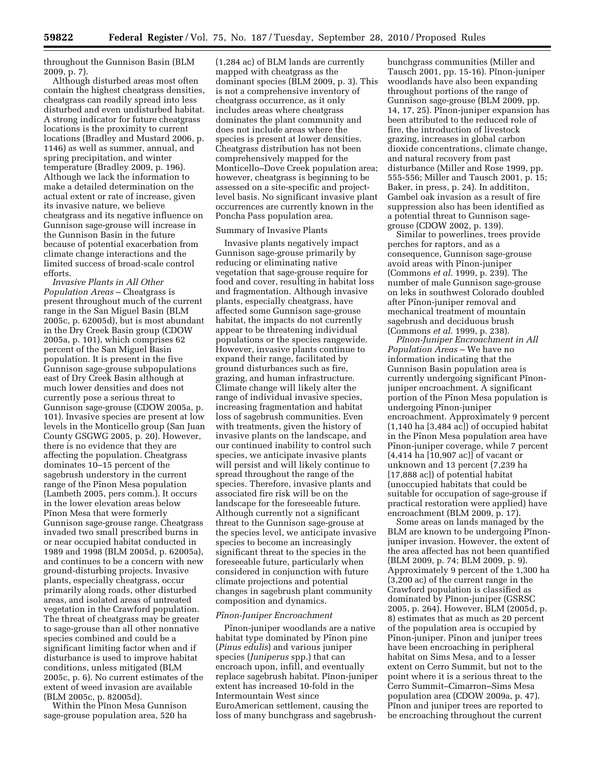throughout the Gunnison Basin (BLM 2009, p. 7).

Although disturbed areas most often contain the highest cheatgrass densities, cheatgrass can readily spread into less disturbed and even undisturbed habitat. A strong indicator for future cheatgrass locations is the proximity to current locations (Bradley and Mustard 2006, p. 1146) as well as summer, annual, and spring precipitation, and winter temperature (Bradley 2009, p. 196). Although we lack the information to make a detailed determination on the actual extent or rate of increase, given its invasive nature, we believe cheatgrass and its negative influence on Gunnison sage-grouse will increase in the Gunnison Basin in the future because of potential exacerbation from climate change interactions and the limited success of broad-scale control efforts.

*Invasive Plants in All Other Population Areas* – Cheatgrass is present throughout much of the current range in the San Miguel Basin (BLM 2005c, p. 62005d), but is most abundant in the Dry Creek Basin group (CDOW 2005a, p. 101), which comprises 62 percent of the San Miguel Basin population. It is present in the five Gunnison sage-grouse subpopulations east of Dry Creek Basin although at much lower densities and does not currently pose a serious threat to Gunnison sage-grouse (CDOW 2005a, p. 101). Invasive species are present at low levels in the Monticello group (San Juan County GSGWG 2005, p. 20). However, there is no evidence that they are affecting the population. Cheatgrass dominates 10–15 percent of the sagebrush understory in the current range of the Pinon Mesa population (Lambeth 2005, pers comm.). It occurs in the lower elevation areas below Pinon Mesa that were formerly Gunnison sage-grouse range. Cheatgrass invaded two small prescribed burns in or near occupied habitat conducted in 1989 and 1998 (BLM 2005d, p. 62005a), and continues to be a concern with new ground-disturbing projects. Invasive plants, especially cheatgrass, occur primarily along roads, other disturbed areas, and isolated areas of untreated vegetation in the Crawford population. The threat of cheatgrass may be greater to sage-grouse than all other nonnative species combined and could be a significant limiting factor when and if disturbance is used to improve habitat conditions, unless mitigated (BLM 2005c, p. 6). No current estimates of the extent of weed invasion are available (BLM 2005c, p. 82005d).

Within the Pinon Mesa Gunnison sage-grouse population area, 520 ha

(1,284 ac) of BLM lands are currently mapped with cheatgrass as the dominant species (BLM 2009, p. 3). This is not a comprehensive inventory of cheatgrass occurrence, as it only includes areas where cheatgrass dominates the plant community and does not include areas where the species is present at lower densities. Cheatgrass distribution has not been comprehensively mapped for the Monticello–Dove Creek population area; however, cheatgrass is beginning to be assessed on a site-specific and projectlevel basis. No significant invasive plant occurrences are currently known in the Poncha Pass population area.

## Summary of Invasive Plants

Invasive plants negatively impact Gunnison sage-grouse primarily by reducing or eliminating native vegetation that sage-grouse require for food and cover, resulting in habitat loss and fragmentation. Although invasive plants, especially cheatgrass, have affected some Gunnison sage-grouse habitat, the impacts do not currently appear to be threatening individual populations or the species rangewide. However, invasive plants continue to expand their range, facilitated by ground disturbances such as fire, grazing, and human infrastructure. Climate change will likely alter the range of individual invasive species, increasing fragmentation and habitat loss of sagebrush communities. Even with treatments, given the history of invasive plants on the landscape, and our continued inability to control such species, we anticipate invasive plants will persist and will likely continue to spread throughout the range of the species. Therefore, invasive plants and associated fire risk will be on the landscape for the foreseeable future. Although currently not a significant threat to the Gunnison sage-grouse at the species level, we anticipate invasive species to become an increasingly significant threat to the species in the foreseeable future, particularly when considered in conjunction with future climate projections and potential changes in sagebrush plant community composition and dynamics.

## *Pı˜non-Juniper Encroachment*

Pinon-juniper woodlands are a native habitat type dominated by Pinon pine (*Pinus edulis*) and various juniper species (*Juniperus* spp.) that can encroach upon, infill, and eventually replace sagebrush habitat. Pinon-juniper extent has increased 10-fold in the Intermountain West since EuroAmerican settlement, causing the loss of many bunchgrass and sagebrushbunchgrass communities (Miller and Tausch 2001, pp. 15-16). Pinon-juniper woodlands have also been expanding throughout portions of the range of Gunnison sage-grouse (BLM 2009, pp. 14, 17, 25). Pinon-juniper expansion has been attributed to the reduced role of fire, the introduction of livestock grazing, increases in global carbon dioxide concentrations, climate change, and natural recovery from past disturbance (Miller and Rose 1999, pp. 555-556; Miller and Tausch 2001, p. 15; Baker, in press, p. 24). In addititon, Gambel oak invasion as a result of fire suppression also has been identified as a potential threat to Gunnison sagegrouse (CDOW 2002, p. 139).

Similar to powerlines, trees provide perches for raptors, and as a consequence, Gunnison sage-grouse avoid areas with Pinon-juniper (Commons *et al.* 1999, p. 239). The number of male Gunnison sage-grouse on leks in southwest Colorado doubled after Pinon-juniper removal and mechanical treatment of mountain sagebrush and deciduous brush (Commons *et al.* 1999, p. 238).

*Pı˜non-Juniper Encroachment in All Population Areas* – We have no information indicating that the Gunnison Basin population area is currently undergoing significant Pinonjuniper encroachment. A significant portion of the Pinon Mesa population is undergoing Pinon-juniper encroachment. Approximately 9 percent (1,140 ha [3,484 ac]) of occupied habitat in the Pinon Mesa population area have Pinon-juniper coverage, while 7 percent (4,414 ha [10,907 ac)] of vacant or unknown and 13 percent (7,239 ha [17,888 ac]) of potential habitat (unoccupied habitats that could be suitable for occupation of sage-grouse if practical restoration were applied) have encroachment (BLM 2009, p. 17).

Some areas on lands managed by the BLM are known to be undergoing Pinonjuniper invasion. However, the extent of the area affected has not been quantified (BLM 2009, p. 74; BLM 2009, p. 9). Approximately 9 percent of the 1,300 ha (3,200 ac) of the current range in the Crawford population is classified as dominated by Pinon-juniper (GSRSC 2005, p. 264). However, BLM (2005d, p. 8) estimates that as much as 20 percent of the population area is occupied by Pinon-juniper. Pinon and juniper trees have been encroaching in peripheral habitat on Sims Mesa, and to a lesser extent on Cerro Summit, but not to the point where it is a serious threat to the Cerro Summit–Cimarron–Sims Mesa population area (CDOW 2009a, p. 47). Pinon and juniper trees are reported to be encroaching throughout the current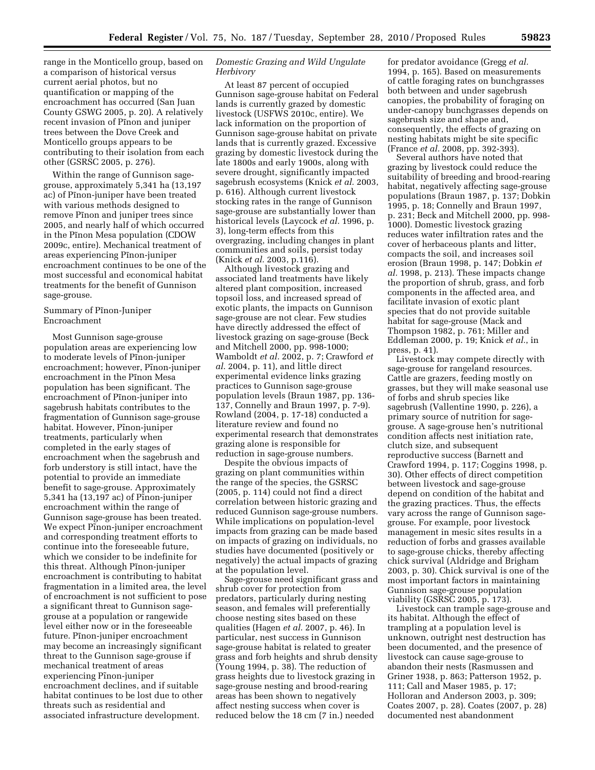range in the Monticello group, based on a comparison of historical versus current aerial photos, but no quantification or mapping of the encroachment has occurred (San Juan County GSWG 2005, p. 20). A relatively recent invasion of Pinon and juniper trees between the Dove Creek and Monticello groups appears to be contributing to their isolation from each other (GSRSC 2005, p. 276).

Within the range of Gunnison sagegrouse, approximately 5,341 ha (13,197 ac) of Pinon-juniper have been treated with various methods designed to remove Pinon and juniper trees since 2005, and nearly half of which occurred in the Pinon Mesa population (CDOW 2009c, entire). Mechanical treatment of areas experiencing Pinon-juniper encroachment continues to be one of the most successful and economical habitat treatments for the benefit of Gunnison sage-grouse.

## Summary of Pinon-Juniper Encroachment

Most Gunnison sage-grouse population areas are experiencing low to moderate levels of Pinon-juniper encroachment; however, Pinon-juniper encroachment in the Pinon Mesa population has been significant. The encroachment of Pinon-juniper into sagebrush habitats contributes to the fragmentation of Gunnison sage-grouse habitat. However, Pinon-juniper treatments, particularly when completed in the early stages of encroachment when the sagebrush and forb understory is still intact, have the potential to provide an immediate benefit to sage-grouse. Approximately  $5,341$  ha  $(13,197 \text{ ac})$  of Pinon-juniper encroachment within the range of Gunnison sage-grouse has been treated. We expect Pinon-juniper encroachment and corresponding treatment efforts to continue into the foreseeable future, which we consider to be indefinite for this threat. Although Pinon-juniper encroachment is contributing to habitat fragmentation in a limited area, the level of encroachment is not sufficient to pose a significant threat to Gunnison sagegrouse at a population or rangewide level either now or in the foreseeable future. Pinon-juniper encroachment may become an increasingly significant threat to the Gunnison sage-grouse if mechanical treatment of areas experiencing Pinon-juniper encroachment declines, and if suitable habitat continues to be lost due to other threats such as residential and associated infrastructure development.

## *Domestic Grazing and Wild Ungulate Herbivory*

At least 87 percent of occupied Gunnison sage-grouse habitat on Federal lands is currently grazed by domestic livestock (USFWS 2010c, entire). We lack information on the proportion of Gunnison sage-grouse habitat on private lands that is currently grazed. Excessive grazing by domestic livestock during the late 1800s and early 1900s, along with severe drought, significantly impacted sagebrush ecosystems (Knick *et al.* 2003, p. 616). Although current livestock stocking rates in the range of Gunnison sage-grouse are substantially lower than historical levels (Laycock *et al.* 1996, p. 3), long-term effects from this overgrazing, including changes in plant communities and soils, persist today (Knick *et al.* 2003, p.116).

Although livestock grazing and associated land treatments have likely altered plant composition, increased topsoil loss, and increased spread of exotic plants, the impacts on Gunnison sage-grouse are not clear. Few studies have directly addressed the effect of livestock grazing on sage-grouse (Beck and Mitchell 2000, pp. 998-1000; Wamboldt *et al.* 2002, p. 7; Crawford *et al*. 2004, p. 11), and little direct experimental evidence links grazing practices to Gunnison sage-grouse population levels (Braun 1987, pp. 136- 137, Connelly and Braun 1997, p. 7-9). Rowland (2004, p. 17-18) conducted a literature review and found no experimental research that demonstrates grazing alone is responsible for reduction in sage-grouse numbers.

Despite the obvious impacts of grazing on plant communities within the range of the species, the GSRSC (2005, p. 114) could not find a direct correlation between historic grazing and reduced Gunnison sage-grouse numbers. While implications on population-level impacts from grazing can be made based on impacts of grazing on individuals, no studies have documented (positively or negatively) the actual impacts of grazing at the population level.

Sage-grouse need significant grass and shrub cover for protection from predators, particularly during nesting season, and females will preferentially choose nesting sites based on these qualities (Hagen *et al.* 2007, p. 46). In particular, nest success in Gunnison sage-grouse habitat is related to greater grass and forb heights and shrub density (Young 1994, p. 38). The reduction of grass heights due to livestock grazing in sage-grouse nesting and brood-rearing areas has been shown to negatively affect nesting success when cover is reduced below the 18 cm (7 in.) needed

for predator avoidance (Gregg *et al.*  1994, p. 165). Based on measurements of cattle foraging rates on bunchgrasses both between and under sagebrush canopies, the probability of foraging on under-canopy bunchgrasses depends on sagebrush size and shape and, consequently, the effects of grazing on nesting habitats might be site specific (France *et al.* 2008, pp. 392-393).

Several authors have noted that grazing by livestock could reduce the suitability of breeding and brood-rearing habitat, negatively affecting sage-grouse populations (Braun 1987, p. 137; Dobkin 1995, p. 18; Connelly and Braun 1997, p. 231; Beck and Mitchell 2000, pp. 998- 1000). Domestic livestock grazing reduces water infiltration rates and the cover of herbaceous plants and litter, compacts the soil, and increases soil erosion (Braun 1998, p. 147; Dobkin *et al.* 1998, p. 213). These impacts change the proportion of shrub, grass, and forb components in the affected area, and facilitate invasion of exotic plant species that do not provide suitable habitat for sage-grouse (Mack and Thompson 1982, p. 761; Miller and Eddleman 2000, p. 19; Knick *et al.*, in press, p. 41).

Livestock may compete directly with sage-grouse for rangeland resources. Cattle are grazers, feeding mostly on grasses, but they will make seasonal use of forbs and shrub species like sagebrush (Vallentine 1990, p. 226), a primary source of nutrition for sagegrouse. A sage-grouse hen's nutritional condition affects nest initiation rate, clutch size, and subsequent reproductive success (Barnett and Crawford 1994, p. 117; Coggins 1998, p. 30). Other effects of direct competition between livestock and sage-grouse depend on condition of the habitat and the grazing practices. Thus, the effects vary across the range of Gunnison sagegrouse. For example, poor livestock management in mesic sites results in a reduction of forbs and grasses available to sage-grouse chicks, thereby affecting chick survival (Aldridge and Brigham 2003, p. 30). Chick survival is one of the most important factors in maintaining Gunnison sage-grouse population viability (GSRSC 2005, p. 173).

Livestock can trample sage-grouse and its habitat. Although the effect of trampling at a population level is unknown, outright nest destruction has been documented, and the presence of livestock can cause sage-grouse to abandon their nests (Rasmussen and Griner 1938, p. 863; Patterson 1952, p. 111; Call and Maser 1985, p. 17; Holloran and Anderson 2003, p. 309; Coates 2007, p. 28). Coates (2007, p. 28) documented nest abandonment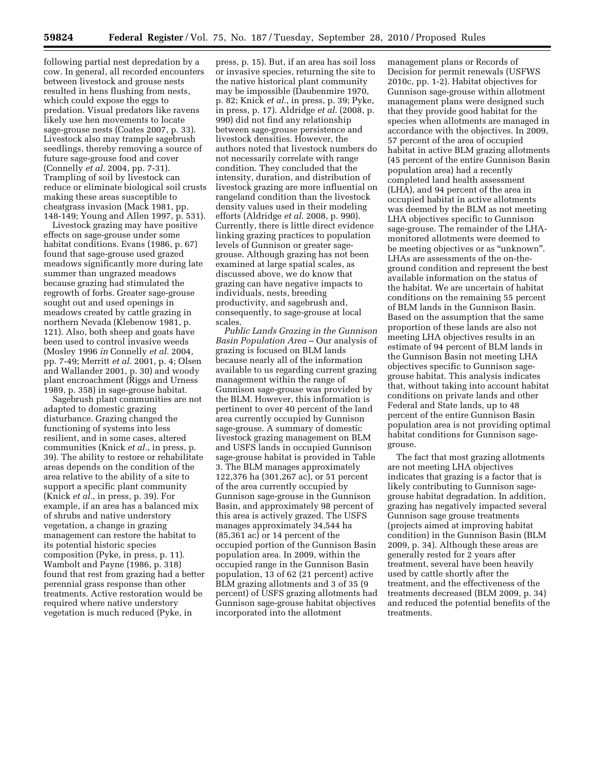following partial nest depredation by a cow. In general, all recorded encounters between livestock and grouse nests resulted in hens flushing from nests, which could expose the eggs to predation. Visual predators like ravens likely use hen movements to locate sage-grouse nests (Coates 2007, p. 33). Livestock also may trample sagebrush seedlings, thereby removing a source of future sage-grouse food and cover (Connelly *et al.* 2004, pp. 7-31). Trampling of soil by livestock can reduce or eliminate biological soil crusts making these areas susceptible to cheatgrass invasion (Mack 1981, pp. 148-149; Young and Allen 1997, p. 531).

Livestock grazing may have positive effects on sage-grouse under some habitat conditions. Evans (1986, p. 67) found that sage-grouse used grazed meadows significantly more during late summer than ungrazed meadows because grazing had stimulated the regrowth of forbs. Greater sage-grouse sought out and used openings in meadows created by cattle grazing in northern Nevada (Klebenow 1981, p. 121). Also, both sheep and goats have been used to control invasive weeds (Mosley 1996 *in* Connelly *et al.* 2004, pp. 7-49; Merritt *et al.* 2001, p. 4; Olsen and Wallander 2001, p. 30) and woody plant encroachment (Riggs and Urness 1989, p. 358) in sage-grouse habitat.

Sagebrush plant communities are not adapted to domestic grazing disturbance. Grazing changed the functioning of systems into less resilient, and in some cases, altered communities (Knick *et al.*, in press, p. 39). The ability to restore or rehabilitate areas depends on the condition of the area relative to the ability of a site to support a specific plant community (Knick *et al.*, in press, p. 39). For example, if an area has a balanced mix of shrubs and native understory vegetation, a change in grazing management can restore the habitat to its potential historic species composition (Pyke, in press, p. 11). Wambolt and Payne (1986, p. 318) found that rest from grazing had a better perennial grass response than other treatments. Active restoration would be required where native understory vegetation is much reduced (Pyke, in

press, p. 15). But, if an area has soil loss or invasive species, returning the site to the native historical plant community may be impossible (Daubenmire 1970, p. 82; Knick *et al.*, in press, p. 39; Pyke, in press, p. 17). Aldridge *et al.* (2008, p. 990) did not find any relationship between sage-grouse persistence and livestock densities. However, the authors noted that livestock numbers do not necessarily correlate with range condition. They concluded that the intensity, duration, and distribution of livestock grazing are more influential on rangeland condition than the livestock density values used in their modeling efforts (Aldridge *et al.* 2008, p. 990). Currently, there is little direct evidence linking grazing practices to population levels of Gunnison or greater sagegrouse. Although grazing has not been examined at large spatial scales, as discussed above, we do know that grazing can have negative impacts to individuals, nests, breeding productivity, and sagebrush and, consequently, to sage-grouse at local scales.

*Public Lands Grazing in the Gunnison Basin Population Area* – Our analysis of grazing is focused on BLM lands because nearly all of the information available to us regarding current grazing management within the range of Gunnison sage-grouse was provided by the BLM. However, this information is pertinent to over 40 percent of the land area currently occupied by Gunnison sage-grouse. A summary of domestic livestock grazing management on BLM and USFS lands in occupied Gunnison sage-grouse habitat is provided in Table 3. The BLM manages approximately 122,376 ha (301,267 ac), or 51 percent of the area currently occupied by Gunnison sage-grouse in the Gunnison Basin, and approximately 98 percent of this area is actively grazed. The USFS manages approximately 34,544 ha (85,361 ac) or 14 percent of the occupied portion of the Gunnison Basin population area. In 2009, within the occupied range in the Gunnison Basin population, 13 of 62 (21 percent) active BLM grazing allotments and 3 of 35 (9 percent) of USFS grazing allotments had Gunnison sage-grouse habitat objectives incorporated into the allotment

management plans or Records of Decision for permit renewals (USFWS 2010c, pp. 1-2). Habitat objectives for Gunnison sage-grouse within allotment management plans were designed such that they provide good habitat for the species when allotments are managed in accordance with the objectives. In 2009, 57 percent of the area of occupied habitat in active BLM grazing allotments (45 percent of the entire Gunnison Basin population area) had a recently completed land health assessment (LHA), and 94 percent of the area in occupied habitat in active allotments was deemed by the BLM as not meeting LHA objectives specific to Gunnison sage-grouse. The remainder of the LHAmonitored allotments were deemed to be meeting objectives or as ''unknown''. LHAs are assessments of the on-theground condition and represent the best available information on the status of the habitat. We are uncertain of habitat conditions on the remaining 55 percent of BLM lands in the Gunnison Basin. Based on the assumption that the same proportion of these lands are also not meeting LHA objectives results in an estimate of 94 percent of BLM lands in the Gunnison Basin not meeting LHA objectives specific to Gunnison sagegrouse habitat. This analysis indicates that, without taking into account habitat conditions on private lands and other Federal and State lands, up to 48 percent of the entire Gunnison Basin population area is not providing optimal habitat conditions for Gunnison sagegrouse.

The fact that most grazing allotments are not meeting LHA objectives indicates that grazing is a factor that is likely contributing to Gunnison sagegrouse habitat degradation. In addition, grazing has negatively impacted several Gunnison sage grouse treatments (projects aimed at improving habitat condition) in the Gunnison Basin (BLM 2009, p. 34). Although these areas are generally rested for 2 years after treatment, several have been heavily used by cattle shortly after the treatment, and the effectiveness of the treatments decreased (BLM 2009, p. 34) and reduced the potential benefits of the treatments.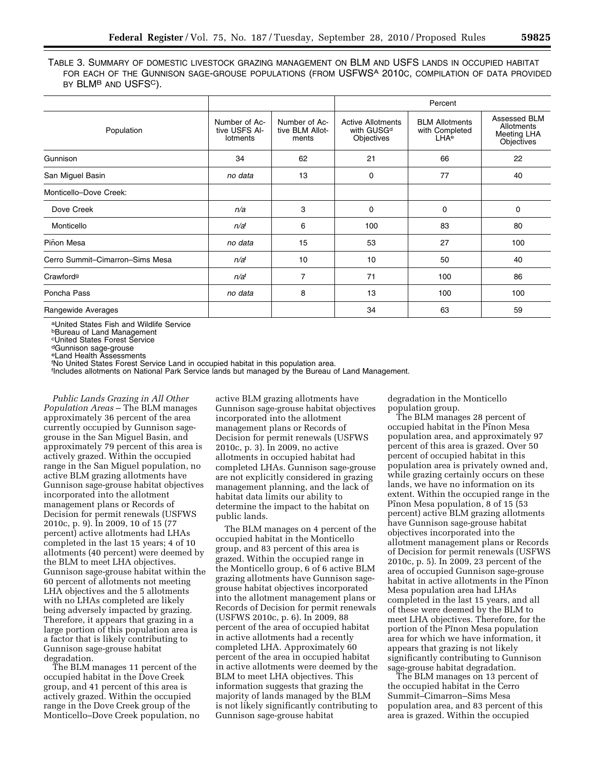TABLE 3. SUMMARY OF DOMESTIC LIVESTOCK GRAZING MANAGEMENT ON BLM AND USFS LANDS IN OCCUPIED HABITAT FOR EACH OF THE GUNNISON SAGE-GROUSE POPULATIONS (FROM USFWSA 2010C, COMPILATION OF DATA PROVIDED BY BLM<sup>B</sup> AND USFS<sup>C</sup>).

|                                 |                                                   |                                           |                                                                  | Percent                                                     |                                                         |
|---------------------------------|---------------------------------------------------|-------------------------------------------|------------------------------------------------------------------|-------------------------------------------------------------|---------------------------------------------------------|
| Population                      | Number of Ac-<br>tive USFS Al-<br><b>lotments</b> | Number of Ac-<br>tive BLM Allot-<br>ments | <b>Active Allotments</b><br>with GUSG <sup>d</sup><br>Objectives | <b>BLM Allotments</b><br>with Completed<br>LHA <sup>e</sup> | Assessed BLM<br>Allotments<br>Meeting LHA<br>Objectives |
| Gunnison                        | 34                                                | 62                                        | 21                                                               | 66                                                          | 22                                                      |
| San Miguel Basin                | no data                                           | 13                                        | 0                                                                | 77                                                          | 40                                                      |
| Monticello-Dove Creek:          |                                                   |                                           |                                                                  |                                                             |                                                         |
| Dove Creek                      | n/a                                               | 3                                         | 0                                                                | 0                                                           | 0                                                       |
| Monticello                      | n/a <sup>f</sup>                                  | 6                                         | 100                                                              | 83                                                          | 80                                                      |
| Piñon Mesa                      | no data                                           | 15                                        | 53                                                               | 27                                                          | 100                                                     |
| Cerro Summit-Cimarron-Sims Mesa | n/a <sup>f</sup>                                  | 10                                        | 10                                                               | 50                                                          | 40                                                      |
| Crawford <sup>g</sup>           | n/a <sup>f</sup>                                  | $\overline{7}$                            | 71                                                               | 100                                                         | 86                                                      |
| Poncha Pass                     | no data                                           | 8                                         | 13                                                               | 100                                                         | 100                                                     |
| Rangewide Averages              |                                                   |                                           | 34                                                               | 63                                                          | 59                                                      |

aUnited States Fish and Wildlife Service

bBureau of Land Management

cUnited States Forest Service

dGunnison sage-grouse

eLand Health Assessments

f No United States Forest Service Land in occupied habitat in this population area.

f Includes allotments on National Park Service lands but managed by the Bureau of Land Management.

*Public Lands Grazing in All Other Population Areas* – The BLM manages approximately 36 percent of the area currently occupied by Gunnison sagegrouse in the San Miguel Basin, and approximately 79 percent of this area is actively grazed. Within the occupied range in the San Miguel population, no active BLM grazing allotments have Gunnison sage-grouse habitat objectives incorporated into the allotment management plans or Records of Decision for permit renewals (USFWS 2010c, p. 9). In 2009, 10 of 15 (77 percent) active allotments had LHAs completed in the last 15 years; 4 of 10 allotments (40 percent) were deemed by the BLM to meet LHA objectives. Gunnison sage-grouse habitat within the 60 percent of allotments not meeting LHA objectives and the 5 allotments with no LHAs completed are likely being adversely impacted by grazing. Therefore, it appears that grazing in a large portion of this population area is a factor that is likely contributing to Gunnison sage-grouse habitat degradation.

The BLM manages 11 percent of the occupied habitat in the Dove Creek group, and 41 percent of this area is actively grazed. Within the occupied range in the Dove Creek group of the Monticello–Dove Creek population, no

active BLM grazing allotments have Gunnison sage-grouse habitat objectives incorporated into the allotment management plans or Records of Decision for permit renewals (USFWS 2010c, p. 3). In 2009, no active allotments in occupied habitat had completed LHAs. Gunnison sage-grouse are not explicitly considered in grazing management planning, and the lack of habitat data limits our ability to determine the impact to the habitat on public lands.

The BLM manages on 4 percent of the occupied habitat in the Monticello group, and 83 percent of this area is grazed. Within the occupied range in the Monticello group, 6 of 6 active BLM grazing allotments have Gunnison sagegrouse habitat objectives incorporated into the allotment management plans or Records of Decision for permit renewals (USFWS 2010c, p. 6). In 2009, 88 percent of the area of occupied habitat in active allotments had a recently completed LHA. Approximately 60 percent of the area in occupied habitat in active allotments were deemed by the BLM to meet LHA objectives. This information suggests that grazing the majority of lands managed by the BLM is not likely significantly contributing to Gunnison sage-grouse habitat

degradation in the Monticello population group.

The BLM manages 28 percent of occupied habitat in the Pinon Mesa population area, and approximately 97 percent of this area is grazed. Over 50 percent of occupied habitat in this population area is privately owned and, while grazing certainly occurs on these lands, we have no information on its extent. Within the occupied range in the Pinon Mesa population, 8 of 15 (53) percent) active BLM grazing allotments have Gunnison sage-grouse habitat objectives incorporated into the allotment management plans or Records of Decision for permit renewals (USFWS 2010c, p. 5). In 2009, 23 percent of the area of occupied Gunnison sage-grouse habitat in active allotments in the Pinon Mesa population area had LHAs completed in the last 15 years, and all of these were deemed by the BLM to meet LHA objectives. Therefore, for the portion of the Pinon Mesa population area for which we have information, it appears that grazing is not likely significantly contributing to Gunnison sage-grouse habitat degradation.

The BLM manages on 13 percent of the occupied habitat in the Cerro Summit–Cimarron–Sims Mesa population area, and 83 percent of this area is grazed. Within the occupied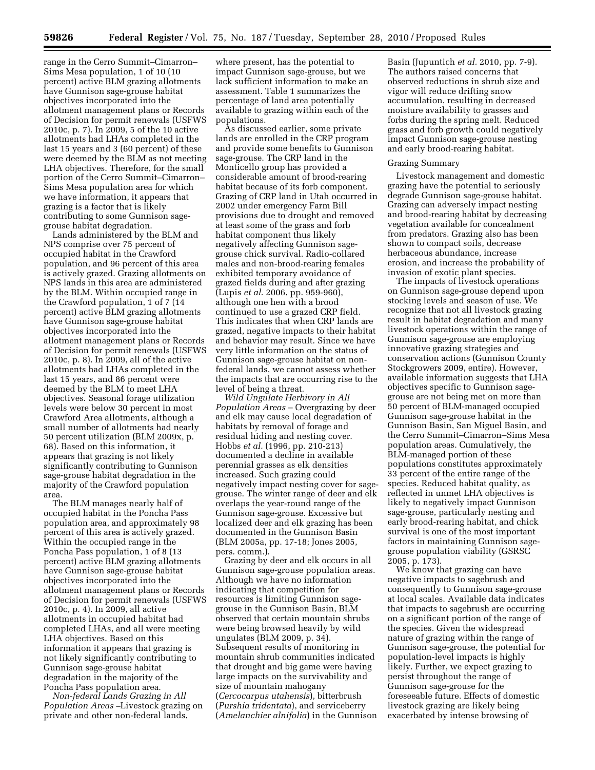range in the Cerro Summit–Cimarron– Sims Mesa population, 1 of 10 (10 percent) active BLM grazing allotments have Gunnison sage-grouse habitat objectives incorporated into the allotment management plans or Records of Decision for permit renewals (USFWS 2010c, p. 7). In 2009, 5 of the 10 active allotments had LHAs completed in the last 15 years and 3 (60 percent) of these were deemed by the BLM as not meeting LHA objectives. Therefore, for the small portion of the Cerro Summit–Cimarron– Sims Mesa population area for which we have information, it appears that grazing is a factor that is likely contributing to some Gunnison sagegrouse habitat degradation.

Lands administered by the BLM and NPS comprise over 75 percent of occupied habitat in the Crawford population, and 96 percent of this area is actively grazed. Grazing allotments on NPS lands in this area are administered by the BLM. Within occupied range in the Crawford population, 1 of 7 (14 percent) active BLM grazing allotments have Gunnison sage-grouse habitat objectives incorporated into the allotment management plans or Records of Decision for permit renewals (USFWS 2010c, p. 8). In 2009, all of the active allotments had LHAs completed in the last 15 years, and 86 percent were deemed by the BLM to meet LHA objectives. Seasonal forage utilization levels were below 30 percent in most Crawford Area allotments, although a small number of allotments had nearly 50 percent utilization (BLM 2009x, p. 68). Based on this information, it appears that grazing is not likely significantly contributing to Gunnison sage-grouse habitat degradation in the majority of the Crawford population area.

The BLM manages nearly half of occupied habitat in the Poncha Pass population area, and approximately 98 percent of this area is actively grazed. Within the occupied range in the Poncha Pass population, 1 of 8 (13 percent) active BLM grazing allotments have Gunnison sage-grouse habitat objectives incorporated into the allotment management plans or Records of Decision for permit renewals (USFWS 2010c, p. 4). In 2009, all active allotments in occupied habitat had completed LHAs, and all were meeting LHA objectives. Based on this information it appears that grazing is not likely significantly contributing to Gunnison sage-grouse habitat degradation in the majority of the Poncha Pass population area.

*Non-federal Lands Grazing in All Population Areas –*Livestock grazing on private and other non-federal lands,

where present, has the potential to impact Gunnison sage-grouse, but we lack sufficient information to make an assessment. Table 1 summarizes the percentage of land area potentially available to grazing within each of the populations.

As discussed earlier, some private lands are enrolled in the CRP program and provide some benefits to Gunnison sage-grouse. The CRP land in the Monticello group has provided a considerable amount of brood-rearing habitat because of its forb component. Grazing of CRP land in Utah occurred in 2002 under emergency Farm Bill provisions due to drought and removed at least some of the grass and forb habitat component thus likely negatively affecting Gunnison sagegrouse chick survival. Radio-collared males and non-brood-rearing females exhibited temporary avoidance of grazed fields during and after grazing (Lupis *et al*. 2006, pp. 959-960), although one hen with a brood continued to use a grazed CRP field. This indicates that when CRP lands are grazed, negative impacts to their habitat and behavior may result. Since we have very little information on the status of Gunnison sage-grouse habitat on nonfederal lands, we cannot assess whether the impacts that are occurring rise to the level of being a threat.

*Wild Ungulate Herbivory in All Population Areas* – Overgrazing by deer and elk may cause local degradation of habitats by removal of forage and residual hiding and nesting cover. Hobbs *et al.* (1996, pp. 210-213) documented a decline in available perennial grasses as elk densities increased. Such grazing could negatively impact nesting cover for sagegrouse. The winter range of deer and elk overlaps the year-round range of the Gunnison sage-grouse. Excessive but localized deer and elk grazing has been documented in the Gunnison Basin (BLM 2005a, pp. 17-18; Jones 2005, pers. comm.).

Grazing by deer and elk occurs in all Gunnison sage-grouse population areas. Although we have no information indicating that competition for resources is limiting Gunnison sagegrouse in the Gunnison Basin, BLM observed that certain mountain shrubs were being browsed heavily by wild ungulates (BLM 2009, p. 34). Subsequent results of monitoring in mountain shrub communities indicated that drought and big game were having large impacts on the survivability and size of mountain mahogany (*Cercocarpus utahensis*), bitterbrush (*Purshia tridentata*), and serviceberry (*Amelanchier alnifolia*) in the Gunnison

Basin (Jupuntich *et al.* 2010, pp. 7-9). The authors raised concerns that observed reductions in shrub size and vigor will reduce drifting snow accumulation, resulting in decreased moisture availability to grasses and forbs during the spring melt. Reduced grass and forb growth could negatively impact Gunnison sage-grouse nesting and early brood-rearing habitat.

## Grazing Summary

Livestock management and domestic grazing have the potential to seriously degrade Gunnison sage-grouse habitat. Grazing can adversely impact nesting and brood-rearing habitat by decreasing vegetation available for concealment from predators. Grazing also has been shown to compact soils, decrease herbaceous abundance, increase erosion, and increase the probability of invasion of exotic plant species.

The impacts of livestock operations on Gunnison sage-grouse depend upon stocking levels and season of use. We recognize that not all livestock grazing result in habitat degradation and many livestock operations within the range of Gunnison sage-grouse are employing innovative grazing strategies and conservation actions (Gunnison County Stockgrowers 2009, entire). However, available information suggests that LHA objectives specific to Gunnison sagegrouse are not being met on more than 50 percent of BLM-managed occupied Gunnison sage-grouse habitat in the Gunnison Basin, San Miguel Basin, and the Cerro Summit–Cimarron–Sims Mesa population areas. Cumulatively, the BLM-managed portion of these populations constitutes approximately 33 percent of the entire range of the species. Reduced habitat quality, as reflected in unmet LHA objectives is likely to negatively impact Gunnison sage-grouse, particularly nesting and early brood-rearing habitat, and chick survival is one of the most important factors in maintaining Gunnison sagegrouse population viability (GSRSC 2005, p. 173).

We know that grazing can have negative impacts to sagebrush and consequently to Gunnison sage-grouse at local scales. Available data indicates that impacts to sagebrush are occurring on a significant portion of the range of the species. Given the widespread nature of grazing within the range of Gunnison sage-grouse, the potential for population-level impacts is highly likely. Further, we expect grazing to persist throughout the range of Gunnison sage-grouse for the foreseeable future. Effects of domestic livestock grazing are likely being exacerbated by intense browsing of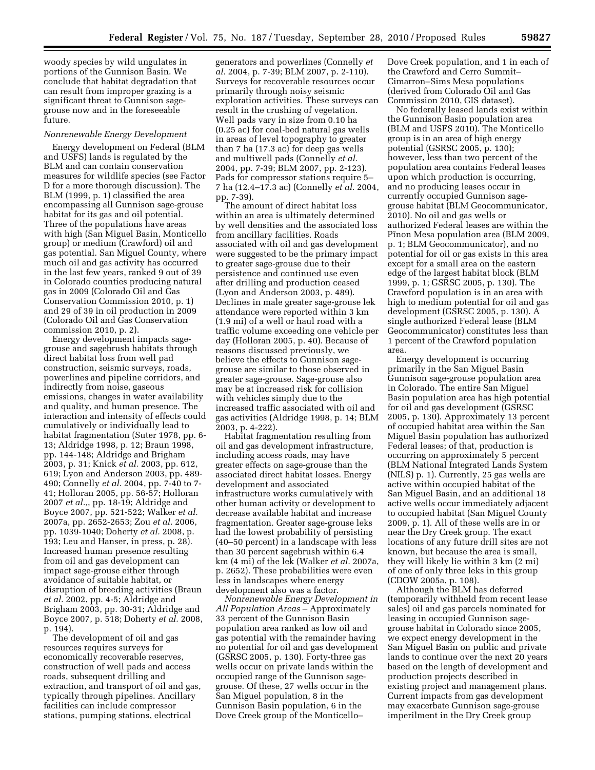woody species by wild ungulates in portions of the Gunnison Basin. We conclude that habitat degradation that can result from improper grazing is a significant threat to Gunnison sagegrouse now and in the foreseeable future.

## *Nonrenewable Energy Development*

Energy development on Federal (BLM and USFS) lands is regulated by the BLM and can contain conservation measures for wildlife species (see Factor D for a more thorough discussion). The BLM (1999, p. 1) classified the area encompassing all Gunnison sage-grouse habitat for its gas and oil potential. Three of the populations have areas with high (San Miguel Basin, Monticello group) or medium (Crawford) oil and gas potential. San Miguel County, where much oil and gas activity has occurred in the last few years, ranked 9 out of 39 in Colorado counties producing natural gas in 2009 (Colorado Oil and Gas Conservation Commission 2010, p. 1) and 29 of 39 in oil production in 2009 (Colorado Oil and Gas Conservation commission 2010, p. 2).

Energy development impacts sagegrouse and sagebrush habitats through direct habitat loss from well pad construction, seismic surveys, roads, powerlines and pipeline corridors, and indirectly from noise, gaseous emissions, changes in water availability and quality, and human presence. The interaction and intensity of effects could cumulatively or individually lead to habitat fragmentation (Suter 1978, pp. 6- 13; Aldridge 1998, p. 12; Braun 1998, pp. 144-148; Aldridge and Brigham 2003, p. 31; Knick *et al.* 2003, pp. 612, 619; Lyon and Anderson 2003, pp. 489- 490; Connelly *et al.* 2004, pp. 7-40 to 7- 41; Holloran 2005, pp. 56-57; Holloran 2007 *et al.,*, pp. 18-19; Aldridge and Boyce 2007, pp. 521-522; Walker *et al.*  2007a, pp. 2652-2653; Zou *et al.* 2006, pp. 1039-1040; Doherty *et al.* 2008, p. 193; Leu and Hanser, in press, p. 28). Increased human presence resulting from oil and gas development can impact sage-grouse either through avoidance of suitable habitat, or disruption of breeding activities (Braun *et al.* 2002, pp. 4-5; Aldridge and Brigham 2003, pp. 30-31; Aldridge and Boyce 2007, p. 518; Doherty *et al.* 2008, p. 194).

The development of oil and gas resources requires surveys for economically recoverable reserves, construction of well pads and access roads, subsequent drilling and extraction, and transport of oil and gas, typically through pipelines. Ancillary facilities can include compressor stations, pumping stations, electrical

generators and powerlines (Connelly *et al.* 2004, p. 7-39; BLM 2007, p. 2-110). Surveys for recoverable resources occur primarily through noisy seismic exploration activities. These surveys can result in the crushing of vegetation. Well pads vary in size from 0.10 ha (0.25 ac) for coal-bed natural gas wells in areas of level topography to greater than 7 ha (17.3 ac) for deep gas wells and multiwell pads (Connelly *et al.*  2004, pp. 7-39; BLM 2007, pp. 2-123). Pads for compressor stations require 5– 7 ha (12.4–17.3 ac) (Connelly *et al.* 2004, pp. 7-39).

The amount of direct habitat loss within an area is ultimately determined by well densities and the associated loss from ancillary facilities. Roads associated with oil and gas development were suggested to be the primary impact to greater sage-grouse due to their persistence and continued use even after drilling and production ceased (Lyon and Anderson 2003, p. 489). Declines in male greater sage-grouse lek attendance were reported within 3 km (1.9 mi) of a well or haul road with a traffic volume exceeding one vehicle per day (Holloran 2005, p. 40). Because of reasons discussed previously, we believe the effects to Gunnison sagegrouse are similar to those observed in greater sage-grouse. Sage-grouse also may be at increased risk for collision with vehicles simply due to the increased traffic associated with oil and gas activities (Aldridge 1998, p. 14; BLM 2003, p. 4-222).

Habitat fragmentation resulting from oil and gas development infrastructure, including access roads, may have greater effects on sage-grouse than the associated direct habitat losses. Energy development and associated infrastructure works cumulatively with other human activity or development to decrease available habitat and increase fragmentation. Greater sage-grouse leks had the lowest probability of persisting (40–50 percent) in a landscape with less than 30 percent sagebrush within 6.4 km (4 mi) of the lek (Walker *et al.* 2007a, p. 2652). These probabilities were even less in landscapes where energy development also was a factor.

*Nonrenewable Energy Development in All Population Areas* – Approximately 33 percent of the Gunnison Basin population area ranked as low oil and gas potential with the remainder having no potential for oil and gas development (GSRSC 2005, p. 130). Forty-three gas wells occur on private lands within the occupied range of the Gunnison sagegrouse. Of these, 27 wells occur in the San Miguel population, 8 in the Gunnison Basin population, 6 in the Dove Creek group of the Monticello–

Dove Creek population, and 1 in each of the Crawford and Cerro Summit– Cimarron–Sims Mesa populations (derived from Colorado Oil and Gas Commission 2010, GIS dataset).

No federally leased lands exist within the Gunnison Basin population area (BLM and USFS 2010). The Monticello group is in an area of high energy potential (GSRSC 2005, p. 130); however, less than two percent of the population area contains Federal leases upon which production is occurring, and no producing leases occur in currently occupied Gunnison sagegrouse habitat (BLM Geocommunicator, 2010). No oil and gas wells or authorized Federal leases are within the Pinon Mesa population area (BLM 2009, p. 1; BLM Geocommunicator), and no potential for oil or gas exists in this area except for a small area on the eastern edge of the largest habitat block (BLM 1999, p. 1; GSRSC 2005, p. 130). The Crawford population is in an area with high to medium potential for oil and gas development (GSRSC 2005, p. 130). A single authorized Federal lease (BLM Geocommunicator) constitutes less than 1 percent of the Crawford population area.

Energy development is occurring primarily in the San Miguel Basin Gunnison sage-grouse population area in Colorado. The entire San Miguel Basin population area has high potential for oil and gas development (GSRSC 2005, p. 130). Approximately 13 percent of occupied habitat area within the San Miguel Basin population has authorized Federal leases; of that, production is occurring on approximately 5 percent (BLM National Integrated Lands System (NILS) p. 1). Currently, 25 gas wells are active within occupied habitat of the San Miguel Basin, and an additional 18 active wells occur immediately adjacent to occupied habitat (San Miguel County 2009, p. 1). All of these wells are in or near the Dry Creek group. The exact locations of any future drill sites are not known, but because the area is small, they will likely lie within 3 km (2 mi) of one of only three leks in this group (CDOW 2005a, p. 108).

Although the BLM has deferred (temporarily withheld from recent lease sales) oil and gas parcels nominated for leasing in occupied Gunnison sagegrouse habitat in Colorado since 2005, we expect energy development in the San Miguel Basin on public and private lands to continue over the next 20 years based on the length of development and production projects described in existing project and management plans. Current impacts from gas development may exacerbate Gunnison sage-grouse imperilment in the Dry Creek group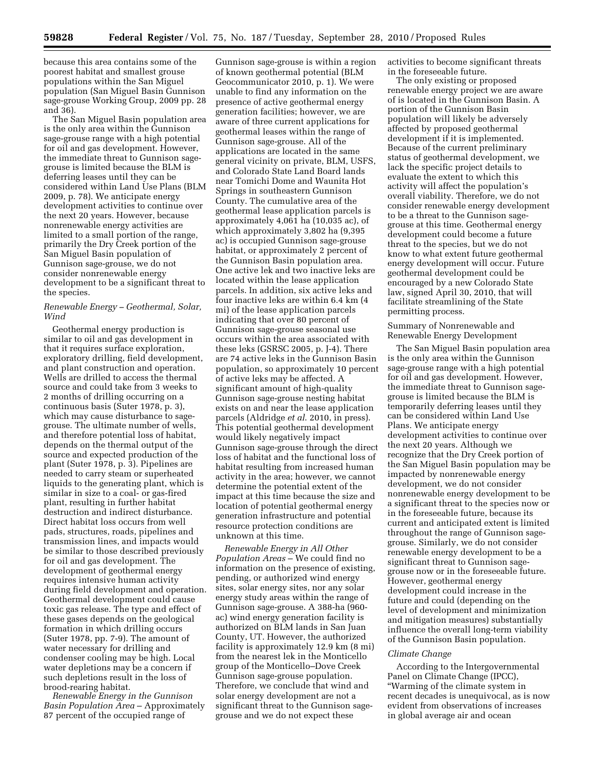because this area contains some of the poorest habitat and smallest grouse populations within the San Miguel population (San Miguel Basin Gunnison sage-grouse Working Group, 2009 pp. 28 and 36).

The San Miguel Basin population area is the only area within the Gunnison sage-grouse range with a high potential for oil and gas development. However, the immediate threat to Gunnison sagegrouse is limited because the BLM is deferring leases until they can be considered within Land Use Plans (BLM 2009, p. 78). We anticipate energy development activities to continue over the next 20 years. However, because nonrenewable energy activities are limited to a small portion of the range, primarily the Dry Creek portion of the San Miguel Basin population of Gunnison sage-grouse, we do not consider nonrenewable energy development to be a significant threat to the species.

## *Renewable Energy – Geothermal, Solar, Wind*

Geothermal energy production is similar to oil and gas development in that it requires surface exploration, exploratory drilling, field development, and plant construction and operation. Wells are drilled to access the thermal source and could take from 3 weeks to 2 months of drilling occurring on a continuous basis (Suter 1978, p. 3), which may cause disturbance to sagegrouse. The ultimate number of wells, and therefore potential loss of habitat, depends on the thermal output of the source and expected production of the plant (Suter 1978, p. 3). Pipelines are needed to carry steam or superheated liquids to the generating plant, which is similar in size to a coal- or gas-fired plant, resulting in further habitat destruction and indirect disturbance. Direct habitat loss occurs from well pads, structures, roads, pipelines and transmission lines, and impacts would be similar to those described previously for oil and gas development. The development of geothermal energy requires intensive human activity during field development and operation. Geothermal development could cause toxic gas release. The type and effect of these gases depends on the geological formation in which drilling occurs (Suter 1978, pp. 7-9). The amount of water necessary for drilling and condenser cooling may be high. Local water depletions may be a concern if such depletions result in the loss of brood-rearing habitat.

*Renewable Energy in the Gunnison Basin Population Area* – Approximately 87 percent of the occupied range of

Gunnison sage-grouse is within a region of known geothermal potential (BLM Geocommunicator 2010, p. 1). We were unable to find any information on the presence of active geothermal energy generation facilities; however, we are aware of three current applications for geothermal leases within the range of Gunnison sage-grouse. All of the applications are located in the same general vicinity on private, BLM, USFS, and Colorado State Land Board lands near Tomichi Dome and Waunita Hot Springs in southeastern Gunnison County. The cumulative area of the geothermal lease application parcels is approximately 4,061 ha (10,035 ac), of which approximately 3,802 ha (9,395 ac) is occupied Gunnison sage-grouse habitat, or approximately 2 percent of the Gunnison Basin population area. One active lek and two inactive leks are located within the lease application parcels. In addition, six active leks and four inactive leks are within 6.4 km (4 mi) of the lease application parcels indicating that over 80 percent of Gunnison sage-grouse seasonal use occurs within the area associated with these leks (GSRSC 2005, p. J-4). There are 74 active leks in the Gunnison Basin population, so approximately 10 percent of active leks may be affected. A significant amount of high-quality Gunnison sage-grouse nesting habitat exists on and near the lease application parcels (Aldridge *et al*. 2010, in press). This potential geothermal development would likely negatively impact Gunnison sage-grouse through the direct loss of habitat and the functional loss of habitat resulting from increased human activity in the area; however, we cannot determine the potential extent of the impact at this time because the size and location of potential geothermal energy generation infrastructure and potential resource protection conditions are unknown at this time.

*Renewable Energy in All Other Population Areas* – We could find no information on the presence of existing, pending, or authorized wind energy sites, solar energy sites, nor any solar energy study areas within the range of Gunnison sage-grouse. A 388-ha (960 ac) wind energy generation facility is authorized on BLM lands in San Juan County, UT. However, the authorized facility is approximately 12.9 km (8 mi) from the nearest lek in the Monticello group of the Monticello–Dove Creek Gunnison sage-grouse population. Therefore, we conclude that wind and solar energy development are not a significant threat to the Gunnison sagegrouse and we do not expect these

activities to become significant threats in the foreseeable future.

The only existing or proposed renewable energy project we are aware of is located in the Gunnison Basin. A portion of the Gunnison Basin population will likely be adversely affected by proposed geothermal development if it is implemented. Because of the current preliminary status of geothermal development, we lack the specific project details to evaluate the extent to which this activity will affect the population's overall viability. Therefore, we do not consider renewable energy development to be a threat to the Gunnison sagegrouse at this time. Geothermal energy development could become a future threat to the species, but we do not know to what extent future geothermal energy development will occur. Future geothermal development could be encouraged by a new Colorado State law, signed April 30, 2010, that will facilitate streamlining of the State permitting process.

Summary of Nonrenewable and Renewable Energy Development

The San Miguel Basin population area is the only area within the Gunnison sage-grouse range with a high potential for oil and gas development. However, the immediate threat to Gunnison sagegrouse is limited because the BLM is temporarily deferring leases until they can be considered within Land Use Plans. We anticipate energy development activities to continue over the next 20 years. Although we recognize that the Dry Creek portion of the San Miguel Basin population may be impacted by nonrenewable energy development, we do not consider nonrenewable energy development to be a significant threat to the species now or in the foreseeable future, because its current and anticipated extent is limited throughout the range of Gunnison sagegrouse. Similarly, we do not consider renewable energy development to be a significant threat to Gunnison sagegrouse now or in the foreseeable future. However, geothermal energy development could increase in the future and could (depending on the level of development and minimization and mitigation measures) substantially influence the overall long-term viability of the Gunnison Basin population.

#### *Climate Change*

According to the Intergovernmental Panel on Climate Change (IPCC), ''Warming of the climate system in recent decades is unequivocal, as is now evident from observations of increases in global average air and ocean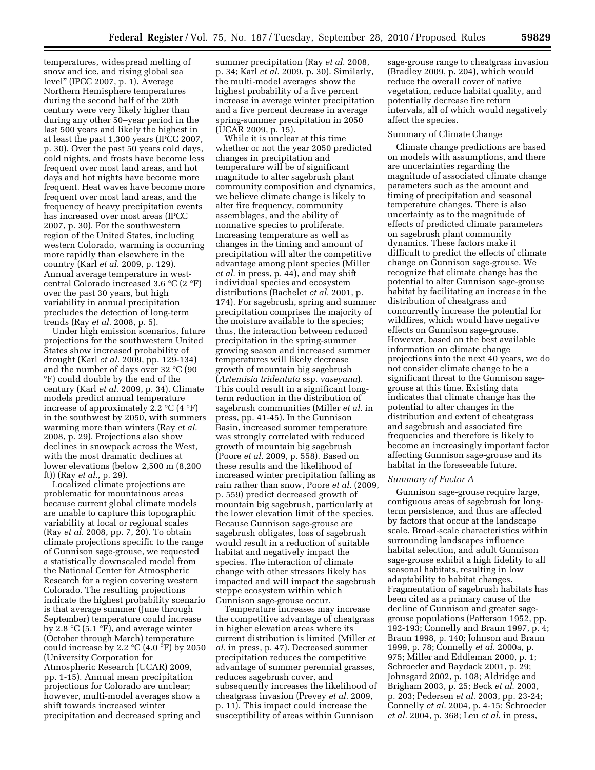temperatures, widespread melting of snow and ice, and rising global sea level'' (IPCC 2007, p. 1). Average Northern Hemisphere temperatures during the second half of the 20th century were very likely higher than during any other 50–year period in the last 500 years and likely the highest in at least the past 1,300 years (IPCC 2007, p. 30). Over the past 50 years cold days, cold nights, and frosts have become less frequent over most land areas, and hot days and hot nights have become more frequent. Heat waves have become more frequent over most land areas, and the frequency of heavy precipitation events has increased over most areas (IPCC 2007, p. 30). For the southwestern region of the United States, including western Colorado, warming is occurring more rapidly than elsewhere in the country (Karl *et al.* 2009, p. 129). Annual average temperature in westcentral Colorado increased 3.6 °C (2 °F) over the past 30 years, but high variability in annual precipitation precludes the detection of long-term trends (Ray *et al.* 2008, p. 5).

Under high emission scenarios, future projections for the southwestern United States show increased probability of drought (Karl *et al.* 2009, pp. 129-134) and the number of days over 32 °C (90 °F) could double by the end of the century (Karl *et al.* 2009, p. 34). Climate models predict annual temperature increase of approximately 2.2  $\mathrm{C}$  (4  $\mathrm{F}$ ) in the southwest by 2050, with summers warming more than winters (Ray *et al.*  2008, p. 29). Projections also show declines in snowpack across the West, with the most dramatic declines at lower elevations (below 2,500 m (8,200 ft)) (Ray *et al.*, p. 29).

Localized climate projections are problematic for mountainous areas because current global climate models are unable to capture this topographic variability at local or regional scales (Ray *et al.* 2008, pp. 7, 20). To obtain climate projections specific to the range of Gunnison sage-grouse, we requested a statistically downscaled model from the National Center for Atmospheric Research for a region covering western Colorado. The resulting projections indicate the highest probability scenario is that average summer (June through September) temperature could increase by 2.8  $\mathrm{C}$  (5.1  $\mathrm{F}$ ), and average winter (October through March) temperature could increase by 2.2  $\mathrm{C}(4.0 \mathrm{~}^{\circ}\mathrm{F})$  by 2050 (University Corporation for Atmospheric Research (UCAR) 2009, pp. 1-15). Annual mean precipitation projections for Colorado are unclear; however, multi-model averages show a shift towards increased winter precipitation and decreased spring and

summer precipitation (Ray *et al.* 2008, p. 34; Karl *et al.* 2009, p. 30). Similarly, the multi-model averages show the highest probability of a five percent increase in average winter precipitation and a five percent decrease in average spring-summer precipitation in 2050 (UCAR 2009, p. 15).

While it is unclear at this time whether or not the year 2050 predicted changes in precipitation and temperature will be of significant magnitude to alter sagebrush plant community composition and dynamics, we believe climate change is likely to alter fire frequency, community assemblages, and the ability of nonnative species to proliferate. Increasing temperature as well as changes in the timing and amount of precipitation will alter the competitive advantage among plant species (Miller *et al.* in press, p. 44), and may shift individual species and ecosystem distributions (Bachelet *et al.* 2001, p. 174). For sagebrush, spring and summer precipitation comprises the majority of the moisture available to the species; thus, the interaction between reduced precipitation in the spring-summer growing season and increased summer temperatures will likely decrease growth of mountain big sagebrush (*Artemisia tridentata* ssp. *vaseyana*). This could result in a significant longterm reduction in the distribution of sagebrush communities (Miller *et al.* in press, pp. 41-45). In the Gunnison Basin, increased summer temperature was strongly correlated with reduced growth of mountain big sagebrush (Poore *et al*. 2009, p. 558). Based on these results and the likelihood of increased winter precipitation falling as rain rather than snow, Poore *et al.* (2009, p. 559) predict decreased growth of mountain big sagebrush, particularly at the lower elevation limit of the species. Because Gunnison sage-grouse are sagebrush obligates, loss of sagebrush would result in a reduction of suitable habitat and negatively impact the species. The interaction of climate change with other stressors likely has impacted and will impact the sagebrush steppe ecosystem within which Gunnison sage-grouse occur.

Temperature increases may increase the competitive advantage of cheatgrass in higher elevation areas where its current distribution is limited (Miller *et al.* in press, p. 47). Decreased summer precipitation reduces the competitive advantage of summer perennial grasses, reduces sagebrush cover, and subsequently increases the likelihood of cheatgrass invasion (Prevey *et al.* 2009, p. 11). This impact could increase the susceptibility of areas within Gunnison

sage-grouse range to cheatgrass invasion (Bradley 2009, p. 204), which would reduce the overall cover of native vegetation, reduce habitat quality, and potentially decrease fire return intervals, all of which would negatively affect the species.

## Summary of Climate Change

Climate change predictions are based on models with assumptions, and there are uncertainties regarding the magnitude of associated climate change parameters such as the amount and timing of precipitation and seasonal temperature changes. There is also uncertainty as to the magnitude of effects of predicted climate parameters on sagebrush plant community dynamics. These factors make it difficult to predict the effects of climate change on Gunnison sage-grouse. We recognize that climate change has the potential to alter Gunnison sage-grouse habitat by facilitating an increase in the distribution of cheatgrass and concurrently increase the potential for wildfires, which would have negative effects on Gunnison sage-grouse. However, based on the best available information on climate change projections into the next 40 years, we do not consider climate change to be a significant threat to the Gunnison sagegrouse at this time. Existing data indicates that climate change has the potential to alter changes in the distribution and extent of cheatgrass and sagebrush and associated fire frequencies and therefore is likely to become an increasingly important factor affecting Gunnison sage-grouse and its habitat in the foreseeable future.

## *Summary of Factor A*

Gunnison sage-grouse require large, contiguous areas of sagebrush for longterm persistence, and thus are affected by factors that occur at the landscape scale. Broad-scale characteristics within surrounding landscapes influence habitat selection, and adult Gunnison sage-grouse exhibit a high fidelity to all seasonal habitats, resulting in low adaptability to habitat changes. Fragmentation of sagebrush habitats has been cited as a primary cause of the decline of Gunnison and greater sagegrouse populations (Patterson 1952, pp. 192-193; Connelly and Braun 1997, p. 4; Braun 1998, p. 140; Johnson and Braun 1999, p. 78; Connelly *et al.* 2000a, p. 975; Miller and Eddleman 2000, p. 1; Schroeder and Baydack 2001, p. 29; Johnsgard 2002, p. 108; Aldridge and Brigham 2003, p. 25; Beck *et al*. 2003, p. 203; Pedersen *et al.* 2003, pp. 23-24; Connelly *et al.* 2004, p. 4-15; Schroeder *et al.* 2004, p. 368; Leu *et al*. in press,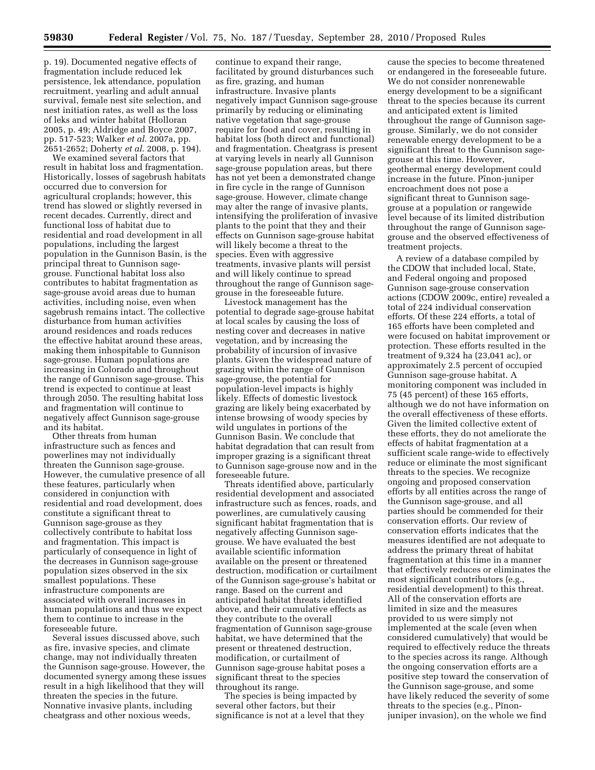p. 19). Documented negative effects of fragmentation include reduced lek persistence, lek attendance, population recruitment, yearling and adult annual survival, female nest site selection, and nest initiation rates, as well as the loss of leks and winter habitat (Holloran 2005, p. 49; Aldridge and Boyce 2007, pp. 517-523; Walker *et al*. 2007a, pp. 2651-2652; Doherty *et al*. 2008, p. 194).

We examined several factors that result in habitat loss and fragmentation. Historically, losses of sagebrush habitats occurred due to conversion for agricultural croplands; however, this trend has slowed or slightly reversed in recent decades. Currently, direct and functional loss of habitat due to residential and road development in all populations, including the largest population in the Gunnison Basin, is the principal threat to Gunnison sagegrouse. Functional habitat loss also contributes to habitat fragmentation as sage-grouse avoid areas due to human activities, including noise, even when sagebrush remains intact. The collective disturbance from human activities around residences and roads reduces the effective habitat around these areas, making them inhospitable to Gunnison sage-grouse. Human populations are increasing in Colorado and throughout the range of Gunnison sage-grouse. This trend is expected to continue at least through 2050. The resulting habitat loss and fragmentation will continue to negatively affect Gunnison sage-grouse and its habitat.

Other threats from human infrastructure such as fences and powerlines may not individually threaten the Gunnison sage-grouse. However, the cumulative presence of all these features, particularly when considered in conjunction with residential and road development, does constitute a significant threat to Gunnison sage-grouse as they collectively contribute to habitat loss and fragmentation. This impact is particularly of consequence in light of the decreases in Gunnison sage-grouse population sizes observed in the six smallest populations. These infrastructure components are associated with overall increases in human populations and thus we expect them to continue to increase in the foreseeable future.

Several issues discussed above, such as fire, invasive species, and climate change, may not individually threaten the Gunnison sage-grouse. However, the documented synergy among these issues result in a high likelihood that they will threaten the species in the future. Nonnative invasive plants, including cheatgrass and other noxious weeds,

continue to expand their range, facilitated by ground disturbances such as fire, grazing, and human infrastructure. Invasive plants negatively impact Gunnison sage-grouse primarily by reducing or eliminating native vegetation that sage-grouse require for food and cover, resulting in habitat loss (both direct and functional) and fragmentation. Cheatgrass is present at varying levels in nearly all Gunnison sage-grouse population areas, but there has not yet been a demonstrated change in fire cycle in the range of Gunnison sage-grouse. However, climate change may alter the range of invasive plants, intensifying the proliferation of invasive plants to the point that they and their effects on Gunnison sage-grouse habitat will likely become a threat to the species. Even with aggressive treatments, invasive plants will persist and will likely continue to spread throughout the range of Gunnison sagegrouse in the foreseeable future.

Livestock management has the potential to degrade sage-grouse habitat at local scales by causing the loss of nesting cover and decreases in native vegetation, and by increasing the probability of incursion of invasive plants. Given the widespread nature of grazing within the range of Gunnison sage-grouse, the potential for population-level impacts is highly likely. Effects of domestic livestock grazing are likely being exacerbated by intense browsing of woody species by wild ungulates in portions of the Gunnison Basin. We conclude that habitat degradation that can result from improper grazing is a significant threat to Gunnison sage-grouse now and in the foreseeable future.

Threats identified above, particularly residential development and associated infrastructure such as fences, roads, and powerlines, are cumulatively causing significant habitat fragmentation that is negatively affecting Gunnison sagegrouse. We have evaluated the best available scientific information available on the present or threatened destruction, modification or curtailment of the Gunnison sage-grouse's habitat or range. Based on the current and anticipated habitat threats identified above, and their cumulative effects as they contribute to the overall fragmentation of Gunnison sage-grouse habitat, we have determined that the present or threatened destruction, modification, or curtailment of Gunnison sage-grouse habitat poses a significant threat to the species throughout its range.

The species is being impacted by several other factors, but their significance is not at a level that they

cause the species to become threatened or endangered in the foreseeable future. We do not consider nonrenewable energy development to be a significant threat to the species because its current and anticipated extent is limited throughout the range of Gunnison sagegrouse. Similarly, we do not consider renewable energy development to be a significant threat to the Gunnison sagegrouse at this time. However, geothermal energy development could increase in the future. Pinon-juniper encroachment does not pose a significant threat to Gunnison sagegrouse at a population or rangewide level because of its limited distribution throughout the range of Gunnison sagegrouse and the observed effectiveness of treatment projects.

A review of a database compiled by the CDOW that included local, State, and Federal ongoing and proposed Gunnison sage-grouse conservation actions (CDOW 2009c, entire) revealed a total of 224 individual conservation efforts. Of these 224 efforts, a total of 165 efforts have been completed and were focused on habitat improvement or protection. These efforts resulted in the treatment of 9,324 ha (23,041 ac), or approximately 2.5 percent of occupied Gunnison sage-grouse habitat. A monitoring component was included in 75 (45 percent) of these 165 efforts, although we do not have information on the overall effectiveness of these efforts. Given the limited collective extent of these efforts, they do not ameliorate the effects of habitat fragmentation at a sufficient scale range-wide to effectively reduce or eliminate the most significant threats to the species. We recognize ongoing and proposed conservation efforts by all entities across the range of the Gunnison sage-grouse, and all parties should be commended for their conservation efforts. Our review of conservation efforts indicates that the measures identified are not adequate to address the primary threat of habitat fragmentation at this time in a manner that effectively reduces or eliminates the most significant contributors (e.g., residential development) to this threat. All of the conservation efforts are limited in size and the measures provided to us were simply not implemented at the scale (even when considered cumulatively) that would be required to effectively reduce the threats to the species across its range. Although the ongoing conservation efforts are a positive step toward the conservation of the Gunnison sage-grouse, and some have likely reduced the severity of some threats to the species (e.g., Pinonjuniper invasion), on the whole we find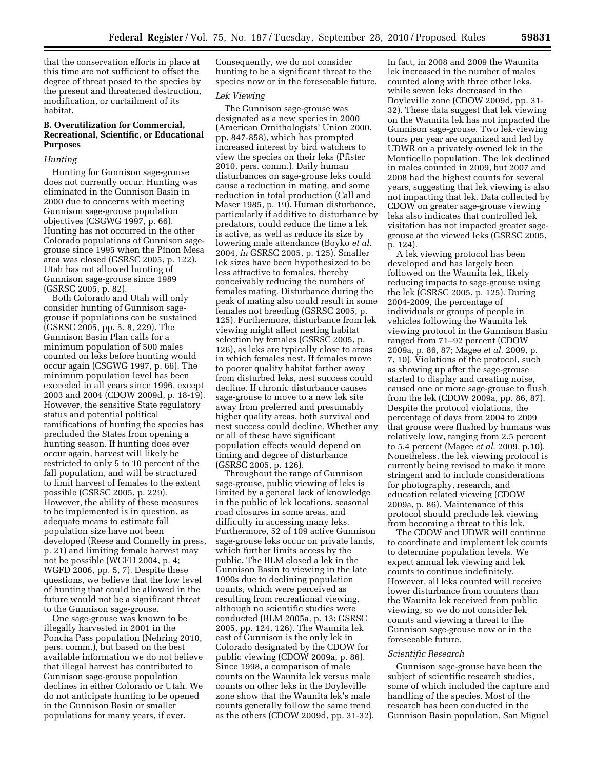that the conservation efforts in place at this time are not sufficient to offset the degree of threat posed to the species by the present and threatened destruction, modification, or curtailment of its habitat.

## **B. Overutilization for Commercial, Recreational, Scientific, or Educational Purposes**

## *Hunting*

Hunting for Gunnison sage-grouse does not currently occur. Hunting was eliminated in the Gunnison Basin in 2000 due to concerns with meeting Gunnison sage-grouse population objectives (CSGWG 1997, p. 66). Hunting has not occurred in the other Colorado populations of Gunnison sagegrouse since 1995 when the Pinon Mesa area was closed (GSRSC 2005, p. 122). Utah has not allowed hunting of Gunnison sage-grouse since 1989 (GSRSC 2005, p. 82).

Both Colorado and Utah will only consider hunting of Gunnison sagegrouse if populations can be sustained (GSRSC 2005, pp. 5, 8, 229). The Gunnison Basin Plan calls for a minimum population of 500 males counted on leks before hunting would occur again (CSGWG 1997, p. 66). The minimum population level has been exceeded in all years since 1996, except 2003 and 2004 (CDOW 2009d, p. 18-19). However, the sensitive State regulatory status and potential political ramifications of hunting the species has precluded the States from opening a hunting season. If hunting does ever occur again, harvest will likely be restricted to only 5 to 10 percent of the fall population, and will be structured to limit harvest of females to the extent possible (GSRSC 2005, p. 229). However, the ability of these measures to be implemented is in question, as adequate means to estimate fall population size have not been developed (Reese and Connelly in press, p. 21) and limiting female harvest may not be possible (WGFD 2004, p. 4; WGFD 2006, pp. 5, 7). Despite these questions, we believe that the low level of hunting that could be allowed in the future would not be a significant threat to the Gunnison sage-grouse.

One sage-grouse was known to be illegally harvested in 2001 in the Poncha Pass population (Nehring 2010, pers. comm.), but based on the best available information we do not believe that illegal harvest has contributed to Gunnison sage-grouse population declines in either Colorado or Utah. We do not anticipate hunting to be opened in the Gunnison Basin or smaller populations for many years, if ever.

Consequently, we do not consider hunting to be a significant threat to the species now or in the foreseeable future.

## *Lek Viewing*

The Gunnison sage-grouse was designated as a new species in 2000 (American Ornithologists' Union 2000, pp. 847-858), which has prompted increased interest by bird watchers to view the species on their leks (Pfister 2010, pers. comm.). Daily human disturbances on sage-grouse leks could cause a reduction in mating, and some reduction in total production (Call and Maser 1985, p. 19). Human disturbance, particularly if additive to disturbance by predators, could reduce the time a lek is active, as well as reduce its size by lowering male attendance (Boyko *et al.*  2004, *in* GSRSC 2005, p. 125). Smaller lek sizes have been hypothesized to be less attractive to females, thereby conceivably reducing the numbers of females mating. Disturbance during the peak of mating also could result in some females not breeding (GSRSC 2005, p. 125). Furthermore, disturbance from lek viewing might affect nesting habitat selection by females (GSRSC 2005, p. 126), as leks are typically close to areas in which females nest. If females move to poorer quality habitat farther away from disturbed leks, nest success could decline. If chronic disturbance causes sage-grouse to move to a new lek site away from preferred and presumably higher quality areas, both survival and nest success could decline. Whether any or all of these have significant population effects would depend on timing and degree of disturbance (GSRSC 2005, p. 126).

Throughout the range of Gunnison sage-grouse, public viewing of leks is limited by a general lack of knowledge in the public of lek locations, seasonal road closures in some areas, and difficulty in accessing many leks. Furthermore, 52 of 109 active Gunnison sage-grouse leks occur on private lands, which further limits access by the public. The BLM closed a lek in the Gunnison Basin to viewing in the late 1990s due to declining population counts, which were perceived as resulting from recreational viewing, although no scientific studies were conducted (BLM 2005a, p. 13; GSRSC 2005, pp. 124, 126). The Waunita lek east of Gunnison is the only lek in Colorado designated by the CDOW for public viewing (CDOW 2009a, p. 86). Since 1998, a comparison of male counts on the Waunita lek versus male counts on other leks in the Doyleville zone show that the Waunita lek's male counts generally follow the same trend as the others (CDOW 2009d, pp. 31-32).

In fact, in 2008 and 2009 the Waunita lek increased in the number of males counted along with three other leks, while seven leks decreased in the Doyleville zone (CDOW 2009d, pp. 31- 32). These data suggest that lek viewing on the Waunita lek has not impacted the Gunnison sage-grouse. Two lek-viewing tours per year are organized and led by UDWR on a privately owned lek in the Monticello population. The lek declined in males counted in 2009, but 2007 and 2008 had the highest counts for several years, suggesting that lek viewing is also not impacting that lek. Data collected by CDOW on greater sage-grouse viewing leks also indicates that controlled lek visitation has not impacted greater sagegrouse at the viewed leks (GSRSC 2005, p. 124).

A lek viewing protocol has been developed and has largely been followed on the Waunita lek, likely reducing impacts to sage-grouse using the lek (GSRSC 2005, p. 125). During 2004-2009, the percentage of individuals or groups of people in vehicles following the Waunita lek viewing protocol in the Gunnison Basin ranged from 71–92 percent (CDOW 2009a, p. 86, 87; Magee *et al*. 2009, p. 7, 10). Violations of the protocol, such as showing up after the sage-grouse started to display and creating noise, caused one or more sage-grouse to flush from the lek (CDOW 2009a, pp. 86, 87). Despite the protocol violations, the percentage of days from 2004 to 2009 that grouse were flushed by humans was relatively low, ranging from 2.5 percent to 5.4 percent (Magee *et al*. 2009, p.10). Nonetheless, the lek viewing protocol is currently being revised to make it more stringent and to include considerations for photography, research, and education related viewing (CDOW 2009a, p. 86). Maintenance of this protocol should preclude lek viewing from becoming a threat to this lek.

The CDOW and UDWR will continue to coordinate and implement lek counts to determine population levels. We expect annual lek viewing and lek counts to continue indefinitely. However, all leks counted will receive lower disturbance from counters than the Waunita lek received from public viewing, so we do not consider lek counts and viewing a threat to the Gunnison sage-grouse now or in the foreseeable future.

## *Scientific Research*

Gunnison sage-grouse have been the subject of scientific research studies, some of which included the capture and handling of the species. Most of the research has been conducted in the Gunnison Basin population, San Miguel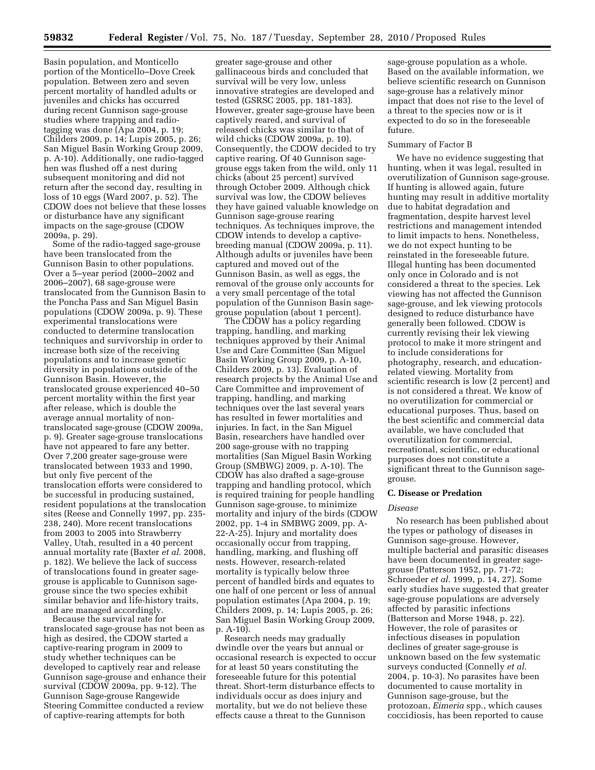Basin population, and Monticello portion of the Monticello–Dove Creek population. Between zero and seven percent mortality of handled adults or juveniles and chicks has occurred during recent Gunnison sage-grouse studies where trapping and radiotagging was done (Apa 2004, p. 19; Childers 2009, p. 14; Lupis 2005, p. 26; San Miguel Basin Working Group 2009, p. A-10). Additionally, one radio-tagged hen was flushed off a nest during subsequent monitoring and did not return after the second day, resulting in loss of 10 eggs (Ward 2007, p. 52). The CDOW does not believe that these losses or disturbance have any significant impacts on the sage-grouse (CDOW 2009a, p. 29).

Some of the radio-tagged sage-grouse have been translocated from the Gunnison Basin to other populations. Over a 5–year period (2000–2002 and 2006–2007), 68 sage-grouse were translocated from the Gunnison Basin to the Poncha Pass and San Miguel Basin populations (CDOW 2009a, p. 9). These experimental translocations were conducted to determine translocation techniques and survivorship in order to increase both size of the receiving populations and to increase genetic diversity in populations outside of the Gunnison Basin. However, the translocated grouse experienced 40–50 percent mortality within the first year after release, which is double the average annual mortality of nontranslocated sage-grouse (CDOW 2009a, p. 9). Greater sage-grouse translocations have not appeared to fare any better. Over 7,200 greater sage-grouse were translocated between 1933 and 1990, but only five percent of the translocation efforts were considered to be successful in producing sustained, resident populations at the translocation sites (Reese and Connelly 1997, pp. 235- 238, 240). More recent translocations from 2003 to 2005 into Strawberry Valley, Utah, resulted in a 40 percent annual mortality rate (Baxter *et al.* 2008, p. 182). We believe the lack of success of translocations found in greater sagegrouse is applicable to Gunnison sagegrouse since the two species exhibit similar behavior and life-history traits, and are managed accordingly.

Because the survival rate for translocated sage-grouse has not been as high as desired, the CDOW started a captive-rearing program in 2009 to study whether techniques can be developed to captively rear and release Gunnison sage-grouse and enhance their survival (CDOW 2009a, pp. 9-12). The Gunnison Sage-grouse Rangewide Steering Committee conducted a review of captive-rearing attempts for both

greater sage-grouse and other gallinaceous birds and concluded that survival will be very low, unless innovative strategies are developed and tested (GSRSC 2005, pp. 181-183). However, greater sage-grouse have been captively reared, and survival of released chicks was similar to that of wild chicks (CDOW 2009a, p. 10). Consequently, the CDOW decided to try captive rearing. Of 40 Gunnison sagegrouse eggs taken from the wild, only 11 chicks (about 25 percent) survived through October 2009. Although chick survival was low, the CDOW believes they have gained valuable knowledge on Gunnison sage-grouse rearing techniques. As techniques improve, the CDOW intends to develop a captivebreeding manual (CDOW 2009a, p. 11). Although adults or juveniles have been captured and moved out of the Gunnison Basin, as well as eggs, the removal of the grouse only accounts for a very small percentage of the total population of the Gunnison Basin sagegrouse population (about 1 percent).

The CDOW has a policy regarding trapping, handling, and marking techniques approved by their Animal Use and Care Committee (San Miguel Basin Working Group 2009, p. A-10, Childers 2009, p. 13). Evaluation of research projects by the Animal Use and Care Committee and improvement of trapping, handling, and marking techniques over the last several years has resulted in fewer mortalities and injuries. In fact, in the San Miguel Basin, researchers have handled over 200 sage-grouse with no trapping mortalities (San Miguel Basin Working Group (SMBWG) 2009, p. A-10). The CDOW has also drafted a sage-grouse trapping and handling protocol, which is required training for people handling Gunnison sage-grouse, to minimize mortality and injury of the birds (CDOW 2002, pp. 1-4 in SMBWG 2009, pp. A-22-A-25). Injury and mortality does occasionally occur from trapping, handling, marking, and flushing off nests. However, research-related mortality is typically below three percent of handled birds and equates to one half of one percent or less of annual population estimates (Apa 2004, p. 19; Childers 2009, p. 14; Lupis 2005, p. 26; San Miguel Basin Working Group 2009, p. A-10).

Research needs may gradually dwindle over the years but annual or occasional research is expected to occur for at least 50 years constituting the foreseeable future for this potential threat. Short-term disturbance effects to individuals occur as does injury and mortality, but we do not believe these effects cause a threat to the Gunnison

sage-grouse population as a whole. Based on the available information, we believe scientific research on Gunnison sage-grouse has a relatively minor impact that does not rise to the level of a threat to the species now or is it expected to do so in the foreseeable future.

## Summary of Factor B

We have no evidence suggesting that hunting, when it was legal, resulted in overutilization of Gunnison sage-grouse. If hunting is allowed again, future hunting may result in additive mortality due to habitat degradation and fragmentation, despite harvest level restrictions and management intended to limit impacts to hens. Nonetheless, we do not expect hunting to be reinstated in the foreseeable future. Illegal hunting has been documented only once in Colorado and is not considered a threat to the species. Lek viewing has not affected the Gunnison sage-grouse, and lek viewing protocols designed to reduce disturbance have generally been followed. CDOW is currently revising their lek viewing protocol to make it more stringent and to include considerations for photography, research, and educationrelated viewing. Mortality from scientific research is low (2 percent) and is not considered a threat. We know of no overutilization for commercial or educational purposes. Thus, based on the best scientific and commercial data available, we have concluded that overutilization for commercial, recreational, scientific, or educational purposes does not constitute a significant threat to the Gunnison sagegrouse.

## **C. Disease or Predation**

## *Disease*

No research has been published about the types or pathology of diseases in Gunnison sage-grouse. However, multiple bacterial and parasitic diseases have been documented in greater sagegrouse (Patterson 1952, pp. 71-72; Schroeder *et al.* 1999, p. 14, 27). Some early studies have suggested that greater sage-grouse populations are adversely affected by parasitic infections (Batterson and Morse 1948, p. 22). However, the role of parasites or infectious diseases in population declines of greater sage-grouse is unknown based on the few systematic surveys conducted (Connelly *et al.*  2004, p. 10-3). No parasites have been documented to cause mortality in Gunnison sage-grouse, but the protozoan, *Eimeria* spp., which causes coccidiosis, has been reported to cause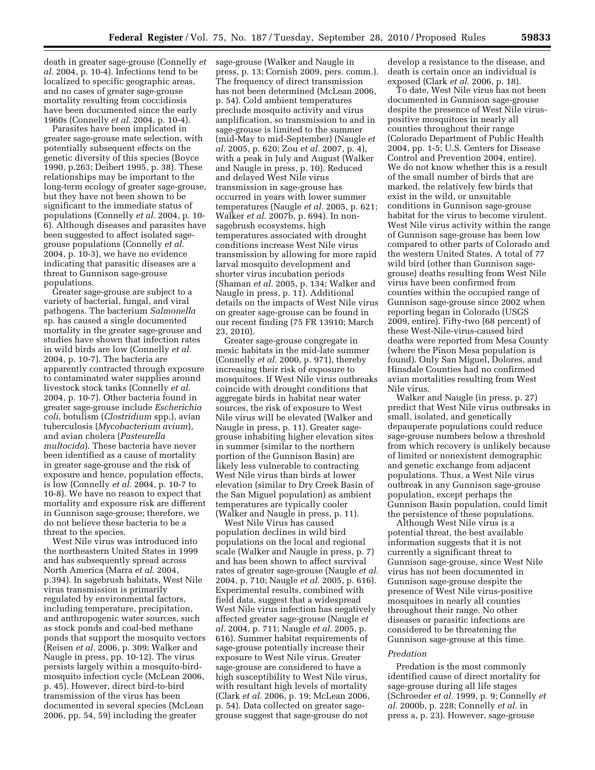death in greater sage-grouse (Connelly *et*  sage-grouse (Walker and Naugle in *al.* 2004, p. 10-4). Infections tend to be localized to specific geographic areas, and no cases of greater sage-grouse mortality resulting from coccidiosis have been documented since the early 1960s (Connelly *et al.* 2004, p. 10-4).

Parasites have been implicated in greater sage-grouse mate selection, with potentially subsequent effects on the genetic diversity of this species (Boyce 1990, p.263; Deibert 1995, p. 38). These relationships may be important to the long-term ecology of greater sage-grouse, but they have not been shown to be significant to the immediate status of populations (Connelly *et al.* 2004, p. 10- 6). Although diseases and parasites have been suggested to affect isolated sagegrouse populations (Connelly *et al.*  2004, p. 10-3), we have no evidence indicating that parasitic diseases are a threat to Gunnison sage-grouse populations.

Greater sage-grouse are subject to a variety of bacterial, fungal, and viral pathogens. The bacterium *Salmonella*  sp. has caused a single documented mortality in the greater sage-grouse and studies have shown that infection rates in wild birds are low (Connelly *et al.*  2004, p. 10-7). The bacteria are apparently contracted through exposure to contaminated water supplies around livestock stock tanks (Connelly *et al.*  2004, p. 10-7). Other bacteria found in greater sage-grouse include *Escherichia coli*, botulism (*Clostridium* spp.), avian tuberculosis (*Mycobacterium avium*), and avian cholera (*Pasteurella multocida*). These bacteria have never been identified as a cause of mortality in greater sage-grouse and the risk of exposure and hence, population effects, is low (Connelly *et al.* 2004, p. 10-7 to 10-8). We have no reason to expect that mortality and exposure risk are different in Gunnison sage-grouse; therefore, we do not believe these bacteria to be a threat to the species.

West Nile virus was introduced into the northeastern United States in 1999 and has subsequently spread across North America (Marra *et al.* 2004, p.394). In sagebrush habitats, West Nile virus transmission is primarily regulated by environmental factors, including temperature, precipitation, and anthropogenic water sources, such as stock ponds and coal-bed methane ponds that support the mosquito vectors (Reisen *et al.* 2006, p. 309; Walker and Naugle in press, pp. 10-12). The virus persists largely within a mosquito-birdmosquito infection cycle (McLean 2006, p. 45). However, direct bird-to-bird transmission of the virus has been documented in several species (McLean 2006, pp. 54, 59) including the greater

press, p. 13; Cornish 2009, pers. comm.). The frequency of direct transmission has not been determined (McLean 2006, p. 54). Cold ambient temperatures preclude mosquito activity and virus amplification, so transmission to and in sage-grouse is limited to the summer (mid-May to mid-September) (Naugle *et al.* 2005, p. 620; Zou *et al.* 2007, p. 4), with a peak in July and August (Walker and Naugle in press, p. 10). Reduced and delayed West Nile virus transmission in sage-grouse has occurred in years with lower summer temperatures (Naugle *et al.* 2005, p. 621; Walker *et al.* 2007b, p. 694). In nonsagebrush ecosystems, high temperatures associated with drought conditions increase West Nile virus transmission by allowing for more rapid larval mosquito development and shorter virus incubation periods (Shaman *et al.* 2005, p. 134; Walker and Naugle in press, p. 11). Additional details on the impacts of West Nile virus on greater sage-grouse can be found in our recent finding (75 FR 13910; March 23, 2010).

Greater sage-grouse congregate in mesic habitats in the mid-late summer (Connelly *et al.* 2000, p. 971), thereby increasing their risk of exposure to mosquitoes. If West Nile virus outbreaks coincide with drought conditions that aggregate birds in habitat near water sources, the risk of exposure to West Nile virus will be elevated (Walker and Naugle in press, p. 11). Greater sagegrouse inhabiting higher elevation sites in summer (similar to the northern portion of the Gunnison Basin) are likely less vulnerable to contracting West Nile virus than birds at lower elevation (similar to Dry Creek Basin of the San Miguel population) as ambient temperatures are typically cooler (Walker and Naugle in press, p. 11).

West Nile Virus has caused population declines in wild bird populations on the local and regional scale (Walker and Naugle in press, p. 7) and has been shown to affect survival rates of greater sage-grouse (Naugle *et al.*  2004, p. 710; Naugle *et al.* 2005, p. 616). Experimental results, combined with field data, suggest that a widespread West Nile virus infection has negatively affected greater sage-grouse (Naugle *et al.* 2004, p. 711; Naugle *et al.* 2005, p. 616). Summer habitat requirements of sage-grouse potentially increase their exposure to West Nile virus. Greater sage-grouse are considered to have a high susceptibility to West Nile virus, with resultant high levels of mortality (Clark *et al.* 2006, p. 19; McLean 2006, p. 54). Data collected on greater sagegrouse suggest that sage-grouse do not

develop a resistance to the disease, and death is certain once an individual is exposed (Clark *et al.* 2006, p. 18).

To date, West Nile virus has not been documented in Gunnison sage-grouse despite the presence of West Nile viruspositive mosquitoes in nearly all counties throughout their range (Colorado Department of Public Health 2004, pp. 1-5; U.S. Centers for Disease Control and Prevention 2004, entire). We do not know whether this is a result of the small number of birds that are marked, the relatively few birds that exist in the wild, or unsuitable conditions in Gunnison sage-grouse habitat for the virus to become virulent. West Nile virus activity within the range of Gunnison sage-grouse has been low compared to other parts of Colorado and the western United States. A total of 77 wild bird (other than Gunnison sagegrouse) deaths resulting from West Nile virus have been confirmed from counties within the occupied range of Gunnison sage-grouse since 2002 when reporting began in Colorado (USGS 2009, entire). Fifty-two (68 percent) of these West-Nile-virus-caused bird deaths were reported from Mesa County (where the Pinon Mesa population is found). Only San Miguel, Dolores, and Hinsdale Counties had no confirmed avian mortalities resulting from West Nile virus.

Walker and Naugle (in press, p. 27) predict that West Nile virus outbreaks in small, isolated, and genetically depauperate populations could reduce sage-grouse numbers below a threshold from which recovery is unlikely because of limited or nonexistent demographic and genetic exchange from adjacent populations. Thus, a West Nile virus outbreak in any Gunnison sage-grouse population, except perhaps the Gunnison Basin population, could limit the persistence of these populations.

Although West Nile virus is a potential threat, the best available information suggests that it is not currently a significant threat to Gunnison sage-grouse, since West Nile virus has not been documented in Gunnison sage-grouse despite the presence of West Nile virus-positive mosquitoes in nearly all counties throughout their range. No other diseases or parasitic infections are considered to be threatening the Gunnison sage-grouse at this time.

#### *Predation*

Predation is the most commonly identified cause of direct mortality for sage-grouse during all life stages (Schroeder *et al.* 1999, p. 9; Connelly *et al.* 2000b, p. 228; Connelly *et al.* in press a, p. 23). However, sage-grouse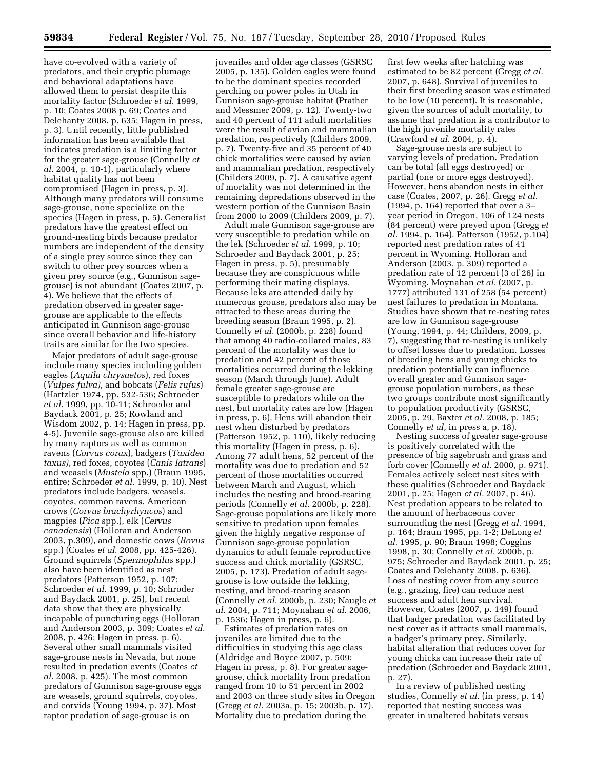have co-evolved with a variety of predators, and their cryptic plumage and behavioral adaptations have allowed them to persist despite this mortality factor (Schroeder *et al.* 1999, p. 10; Coates 2008 p. 69; Coates and Delehanty 2008, p. 635; Hagen in press, p. 3). Until recently, little published information has been available that indicates predation is a limiting factor for the greater sage-grouse (Connelly *et al.* 2004, p. 10-1), particularly where habitat quality has not been compromised (Hagen in press, p. 3). Although many predators will consume sage-grouse, none specialize on the species (Hagen in press, p. 5). Generalist predators have the greatest effect on ground-nesting birds because predator numbers are independent of the density of a single prey source since they can switch to other prey sources when a given prey source (e.g., Gunnison sagegrouse) is not abundant (Coates 2007, p. 4). We believe that the effects of predation observed in greater sagegrouse are applicable to the effects anticipated in Gunnison sage-grouse since overall behavior and life-history traits are similar for the two species.

Major predators of adult sage-grouse include many species including golden eagles (*Aquila chrysaetos*), red foxes (*Vulpes fulva),* and bobcats (*Felis rufus*) (Hartzler 1974, pp. 532-536; Schroeder *et al.* 1999, pp. 10-11; Schroeder and Baydack 2001, p. 25; Rowland and Wisdom 2002, p. 14; Hagen in press, pp. 4-5). Juvenile sage-grouse also are killed by many raptors as well as common ravens (*Corvus corax*), badgers (*Taxidea taxus)*, red foxes, coyotes (*Canis latrans*) and weasels (*Mustela* spp.) (Braun 1995, entire; Schroeder *et al.* 1999, p. 10). Nest predators include badgers, weasels, coyotes, common ravens, American crows (*Corvus brachyrhyncos*) and magpies (*Pica* spp.), elk (*Cervus canadensis*) (Holloran and Anderson 2003, p.309), and domestic cows (*Bovus*  spp.) (Coates *et al.* 2008, pp. 425-426). Ground squirrels (*Spermophilus* spp.) also have been identified as nest predators (Patterson 1952, p. 107; Schroeder *et al.* 1999, p. 10; Schroder and Baydack 2001, p. 25), but recent data show that they are physically incapable of puncturing eggs (Holloran and Anderson 2003, p. 309; Coates *et al*. 2008, p. 426; Hagen in press, p. 6). Several other small mammals visited sage-grouse nests in Nevada, but none resulted in predation events (Coates *et al.* 2008, p. 425). The most common predators of Gunnison sage-grouse eggs are weasels, ground squirrels, coyotes, and corvids (Young 1994, p. 37). Most raptor predation of sage-grouse is on

juveniles and older age classes (GSRSC 2005, p. 135). Golden eagles were found to be the dominant species recorded perching on power poles in Utah in Gunnison sage-grouse habitat (Prather and Messmer 2009, p. 12). Twenty-two and 40 percent of 111 adult mortalities were the result of avian and mammalian predation, respectively (Childers 2009, p. 7). Twenty-five and 35 percent of 40 chick mortalities were caused by avian and mammalian predation, respectively (Childers 2009, p. 7). A causative agent of mortality was not determined in the remaining depredations observed in the western portion of the Gunnison Basin from 2000 to 2009 (Childers 2009, p. 7).

Adult male Gunnison sage-grouse are very susceptible to predation while on the lek (Schroeder *et al.* 1999, p. 10; Schroeder and Baydack 2001, p. 25; Hagen in press, p. 5), presumably because they are conspicuous while performing their mating displays. Because leks are attended daily by numerous grouse, predators also may be attracted to these areas during the breeding season (Braun 1995, p. 2). Connelly *et al.* (2000b, p. 228) found that among 40 radio-collared males, 83 percent of the mortality was due to predation and 42 percent of those mortalities occurred during the lekking season (March through June). Adult female greater sage-grouse are susceptible to predators while on the nest, but mortality rates are low (Hagen in press, p. 6). Hens will abandon their nest when disturbed by predators (Patterson 1952, p. 110), likely reducing this mortality (Hagen in press, p. 6). Among 77 adult hens, 52 percent of the mortality was due to predation and 52 percent of those mortalities occurred between March and August, which includes the nesting and brood-rearing periods (Connelly *et al.* 2000b, p. 228). Sage-grouse populations are likely more sensitive to predation upon females given the highly negative response of Gunnison sage-grouse population dynamics to adult female reproductive success and chick mortality (GSRSC, 2005, p. 173). Predation of adult sagegrouse is low outside the lekking, nesting, and brood-rearing season (Connelly *et al.* 2000b, p. 230; Naugle *et al.* 2004, p. 711; Moynahan *et al.* 2006, p. 1536; Hagen in press, p. 6).

Estimates of predation rates on juveniles are limited due to the difficulties in studying this age class (Aldridge and Boyce 2007, p. 509; Hagen in press, p. 8). For greater sagegrouse, chick mortality from predation ranged from 10 to 51 percent in 2002 and 2003 on three study sites in Oregon (Gregg *et al.* 2003a, p. 15; 2003b, p. 17). Mortality due to predation during the

first few weeks after hatching was estimated to be 82 percent (Gregg *et al.*  2007, p. 648). Survival of juveniles to their first breeding season was estimated to be low (10 percent). It is reasonable, given the sources of adult mortality, to assume that predation is a contributor to the high juvenile mortality rates (Crawford *et al.* 2004, p. 4).

Sage-grouse nests are subject to varying levels of predation. Predation can be total (all eggs destroyed) or partial (one or more eggs destroyed). However, hens abandon nests in either case (Coates, 2007, p. 26). Gregg *et al.*  (1994, p. 164) reported that over a 3– year period in Oregon, 106 of 124 nests (84 percent) were preyed upon (Gregg *et al.* 1994, p. 164). Patterson (1952, p.104) reported nest predation rates of 41 percent in Wyoming. Holloran and Anderson (2003, p. 309) reported a predation rate of 12 percent (3 of 26) in Wyoming. Moynahan *et al.* (2007, p. 1777) attributed 131 of 258 (54 percent) nest failures to predation in Montana. Studies have shown that re-nesting rates are low in Gunnison sage-grouse (Young, 1994, p. 44; Childers, 2009, p. 7), suggesting that re-nesting is unlikely to offset losses due to predation. Losses of breeding hens and young chicks to predation potentially can influence overall greater and Gunnison sagegrouse population numbers, as these two groups contribute most significantly to population productivity (GSRSC, 2005, p. 29, Baxter *et al*. 2008, p. 185; Connelly *et al,* in press a, p. 18).

Nesting success of greater sage-grouse is positively correlated with the presence of big sagebrush and grass and forb cover (Connelly *et al.* 2000, p. 971). Females actively select nest sites with these qualities (Schroeder and Baydack 2001, p. 25; Hagen *et al.* 2007, p. 46). Nest predation appears to be related to the amount of herbaceous cover surrounding the nest (Gregg *et al.* 1994, p. 164; Braun 1995, pp. 1-2; DeLong *et al.* 1995, p. 90; Braun 1998; Coggins 1998, p. 30; Connelly *et al.* 2000b, p. 975; Schroeder and Baydack 2001, p. 25; Coates and Delehanty 2008, p. 636). Loss of nesting cover from any source (e.g., grazing, fire) can reduce nest success and adult hen survival. However, Coates (2007, p. 149) found that badger predation was facilitated by nest cover as it attracts small mammals, a badger's primary prey. Similarly, habitat alteration that reduces cover for young chicks can increase their rate of predation (Schroeder and Baydack 2001, p. 27).

In a review of published nesting studies, Connelly *et al.* (in press, p. 14) reported that nesting success was greater in unaltered habitats versus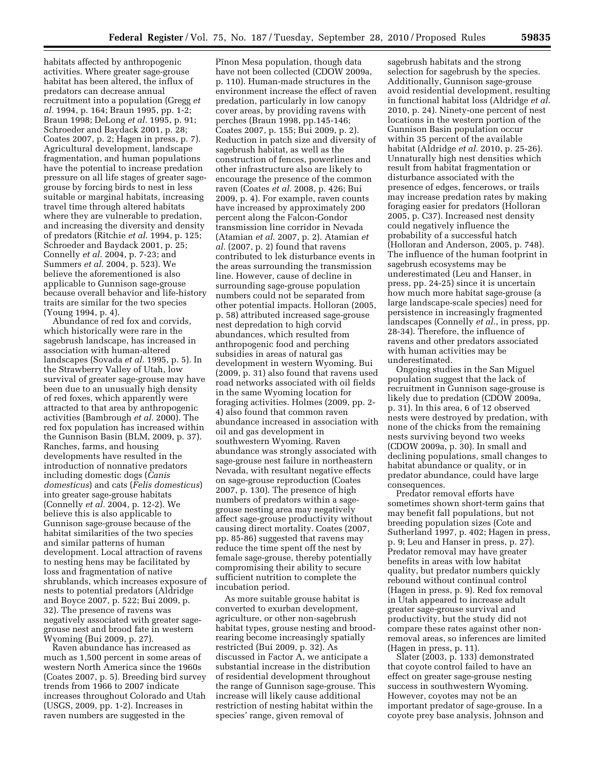habitats affected by anthropogenic activities. Where greater sage-grouse habitat has been altered, the influx of predators can decrease annual recruitment into a population (Gregg *et al.* 1994, p. 164; Braun 1995, pp. 1-2; Braun 1998; DeLong *et al.* 1995, p. 91; Schroeder and Baydack 2001, p. 28; Coates 2007, p. 2; Hagen in press, p. 7). Agricultural development, landscape fragmentation, and human populations have the potential to increase predation pressure on all life stages of greater sagegrouse by forcing birds to nest in less suitable or marginal habitats, increasing travel time through altered habitats where they are vulnerable to predation, and increasing the diversity and density of predators (Ritchie *et al.* 1994, p. 125; Schroeder and Baydack 2001, p. 25; Connelly *et al.* 2004, p. 7-23; and Summers *et al.* 2004, p. 523). We believe the aforementioned is also applicable to Gunnison sage-grouse because overall behavior and life-history traits are similar for the two species (Young 1994, p. 4).

Abundance of red fox and corvids, which historically were rare in the sagebrush landscape, has increased in association with human-altered landscapes (Sovada *et al.* 1995, p. 5). In the Strawberry Valley of Utah, low survival of greater sage-grouse may have been due to an unusually high density of red foxes, which apparently were attracted to that area by anthropogenic activities (Bambrough *et al.* 2000). The red fox population has increased within the Gunnison Basin (BLM, 2009, p. 37). Ranches, farms, and housing developments have resulted in the introduction of nonnative predators including domestic dogs (*Canis domesticus*) and cats (*Felis domesticus*) into greater sage-grouse habitats (Connelly *et al.* 2004, p. 12-2). We believe this is also applicable to Gunnison sage-grouse because of the habitat similarities of the two species and similar patterns of human development. Local attraction of ravens to nesting hens may be facilitated by loss and fragmentation of native shrublands, which increases exposure of nests to potential predators (Aldridge and Boyce 2007, p. 522; Bui 2009, p. 32). The presence of ravens was negatively associated with greater sagegrouse nest and brood fate in western Wyoming (Bui 2009, p. 27).

Raven abundance has increased as much as 1,500 percent in some areas of western North America since the 1960s (Coates 2007, p. 5). Breeding bird survey trends from 1966 to 2007 indicate increases throughout Colorado and Utah (USGS, 2009, pp. 1-2). Increases in raven numbers are suggested in the

Pinon Mesa population, though data have not been collected (CDOW 2009a, p. 110). Human-made structures in the environment increase the effect of raven predation, particularly in low canopy cover areas, by providing ravens with perches (Braun 1998, pp.145-146; Coates 2007, p. 155; Bui 2009, p. 2). Reduction in patch size and diversity of sagebrush habitat, as well as the construction of fences, powerlines and other infrastructure also are likely to encourage the presence of the common raven (Coates *et al.* 2008, p. 426; Bui 2009, p. 4). For example, raven counts have increased by approximately 200 percent along the Falcon-Gondor transmission line corridor in Nevada (Atamian *et al*. 2007, p. 2). Atamian *et al.* (2007, p. 2) found that ravens contributed to lek disturbance events in the areas surrounding the transmission line. However, cause of decline in surrounding sage-grouse population numbers could not be separated from other potential impacts. Holloran (2005, p. 58) attributed increased sage-grouse nest depredation to high corvid abundances, which resulted from anthropogenic food and perching subsidies in areas of natural gas development in western Wyoming. Bui (2009, p. 31) also found that ravens used road networks associated with oil fields in the same Wyoming location for foraging activities. Holmes (2009, pp. 2- 4) also found that common raven abundance increased in association with oil and gas development in southwestern Wyoming. Raven abundance was strongly associated with sage-grouse nest failure in northeastern Nevada, with resultant negative effects on sage-grouse reproduction (Coates 2007, p. 130). The presence of high numbers of predators within a sagegrouse nesting area may negatively affect sage-grouse productivity without causing direct mortality. Coates (2007, pp. 85-86) suggested that ravens may reduce the time spent off the nest by female sage-grouse, thereby potentially compromising their ability to secure sufficient nutrition to complete the incubation period.

As more suitable grouse habitat is converted to exurban development, agriculture, or other non-sagebrush habitat types, grouse nesting and broodrearing become increasingly spatially restricted (Bui 2009, p. 32). As discussed in Factor A, we anticipate a substantial increase in the distribution of residential development throughout the range of Gunnison sage-grouse. This increase will likely cause additional restriction of nesting habitat within the species' range, given removal of

sagebrush habitats and the strong selection for sagebrush by the species. Additionally, Gunnison sage-grouse avoid residential development, resulting in functional habitat loss (Aldridge *et al.*  2010, p. 24). Ninety-one percent of nest locations in the western portion of the Gunnison Basin population occur within 35 percent of the available habitat (Aldridge *et al.* 2010, p. 25-26). Unnaturally high nest densities which result from habitat fragmentation or disturbance associated with the presence of edges, fencerows, or trails may increase predation rates by making foraging easier for predators (Holloran 2005, p. C37). Increased nest density could negatively influence the probability of a successful hatch (Holloran and Anderson, 2005, p. 748). The influence of the human footprint in sagebrush ecosystems may be underestimated (Leu and Hanser, in press, pp. 24-25) since it is uncertain how much more habitat sage-grouse (a large landscape-scale species) need for persistence in increasingly fragmented landscapes (Connelly *et al*., in press, pp. 28-34). Therefore, the influence of ravens and other predators associated with human activities may be underestimated.

Ongoing studies in the San Miguel population suggest that the lack of recruitment in Gunnison sage-grouse is likely due to predation (CDOW 2009a, p. 31). In this area, 6 of 12 observed nests were destroyed by predation, with none of the chicks from the remaining nests surviving beyond two weeks (CDOW 2009a, p. 30). In small and declining populations, small changes to habitat abundance or quality, or in predator abundance, could have large consequences.

Predator removal efforts have sometimes shown short-term gains that may benefit fall populations, but not breeding population sizes (Cote and Sutherland 1997, p. 402; Hagen in press, p. 9; Leu and Hanser in press, p. 27). Predator removal may have greater benefits in areas with low habitat quality, but predator numbers quickly rebound without continual control (Hagen in press, p. 9). Red fox removal in Utah appeared to increase adult greater sage-grouse survival and productivity, but the study did not compare these rates against other nonremoval areas, so inferences are limited (Hagen in press, p. 11).

Slater (2003, p. 133) demonstrated that coyote control failed to have an effect on greater sage-grouse nesting success in southwestern Wyoming. However, coyotes may not be an important predator of sage-grouse. In a coyote prey base analysis, Johnson and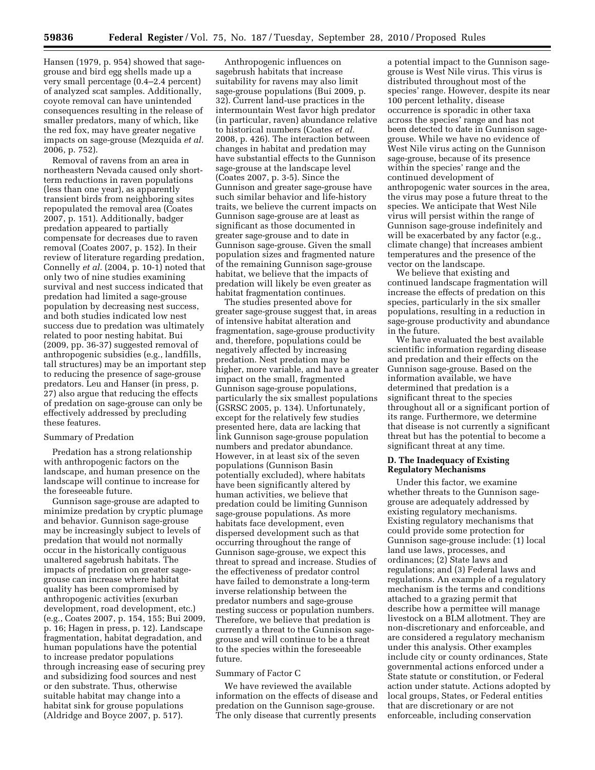Hansen (1979, p. 954) showed that sagegrouse and bird egg shells made up a very small percentage (0.4–2.4 percent) of analyzed scat samples. Additionally, coyote removal can have unintended consequences resulting in the release of smaller predators, many of which, like the red fox, may have greater negative impacts on sage-grouse (Mezquida *et al.*  2006, p. 752).

Removal of ravens from an area in northeastern Nevada caused only shortterm reductions in raven populations (less than one year), as apparently transient birds from neighboring sites repopulated the removal area (Coates 2007, p. 151). Additionally, badger predation appeared to partially compensate for decreases due to raven removal (Coates 2007, p. 152). In their review of literature regarding predation, Connelly *et al.* (2004, p. 10-1) noted that only two of nine studies examining survival and nest success indicated that predation had limited a sage-grouse population by decreasing nest success, and both studies indicated low nest success due to predation was ultimately related to poor nesting habitat. Bui (2009, pp. 36-37) suggested removal of anthropogenic subsidies (e.g., landfills, tall structures) may be an important step to reducing the presence of sage-grouse predators. Leu and Hanser (in press, p. 27) also argue that reducing the effects of predation on sage-grouse can only be effectively addressed by precluding these features.

## Summary of Predation

Predation has a strong relationship with anthropogenic factors on the landscape, and human presence on the landscape will continue to increase for the foreseeable future.

Gunnison sage-grouse are adapted to minimize predation by cryptic plumage and behavior. Gunnison sage-grouse may be increasingly subject to levels of predation that would not normally occur in the historically contiguous unaltered sagebrush habitats. The impacts of predation on greater sagegrouse can increase where habitat quality has been compromised by anthropogenic activities (exurban development, road development, etc.) (e.g., Coates 2007, p. 154, 155; Bui 2009, p. 16; Hagen in press, p. 12). Landscape fragmentation, habitat degradation, and human populations have the potential to increase predator populations through increasing ease of securing prey and subsidizing food sources and nest or den substrate. Thus, otherwise suitable habitat may change into a habitat sink for grouse populations (Aldridge and Boyce 2007, p. 517).

Anthropogenic influences on sagebrush habitats that increase suitability for ravens may also limit sage-grouse populations (Bui 2009, p. 32). Current land-use practices in the intermountain West favor high predator (in particular, raven) abundance relative to historical numbers (Coates *et al.*  2008, p. 426). The interaction between changes in habitat and predation may have substantial effects to the Gunnison sage-grouse at the landscape level (Coates 2007, p. 3-5). Since the Gunnison and greater sage-grouse have such similar behavior and life-history traits, we believe the current impacts on Gunnison sage-grouse are at least as significant as those documented in greater sage-grouse and to date in Gunnison sage-grouse. Given the small population sizes and fragmented nature of the remaining Gunnison sage-grouse habitat, we believe that the impacts of predation will likely be even greater as habitat fragmentation continues.

The studies presented above for greater sage-grouse suggest that, in areas of intensive habitat alteration and fragmentation, sage-grouse productivity and, therefore, populations could be negatively affected by increasing predation. Nest predation may be higher, more variable, and have a greater impact on the small, fragmented Gunnison sage-grouse populations, particularly the six smallest populations (GSRSC 2005, p. 134). Unfortunately, except for the relatively few studies presented here, data are lacking that link Gunnison sage-grouse population numbers and predator abundance. However, in at least six of the seven populations (Gunnison Basin potentially excluded), where habitats have been significantly altered by human activities, we believe that predation could be limiting Gunnison sage-grouse populations. As more habitats face development, even dispersed development such as that occurring throughout the range of Gunnison sage-grouse, we expect this threat to spread and increase. Studies of the effectiveness of predator control have failed to demonstrate a long-term inverse relationship between the predator numbers and sage-grouse nesting success or population numbers. Therefore, we believe that predation is currently a threat to the Gunnison sagegrouse and will continue to be a threat to the species within the foreseeable future.

#### Summary of Factor C

We have reviewed the available information on the effects of disease and predation on the Gunnison sage-grouse. The only disease that currently presents

a potential impact to the Gunnison sagegrouse is West Nile virus. This virus is distributed throughout most of the species' range. However, despite its near 100 percent lethality, disease occurrence is sporadic in other taxa across the species' range and has not been detected to date in Gunnison sagegrouse. While we have no evidence of West Nile virus acting on the Gunnison sage-grouse, because of its presence within the species' range and the continued development of anthropogenic water sources in the area, the virus may pose a future threat to the species. We anticipate that West Nile virus will persist within the range of Gunnison sage-grouse indefinitely and will be exacerbated by any factor (e.g., climate change) that increases ambient temperatures and the presence of the vector on the landscape.

We believe that existing and continued landscape fragmentation will increase the effects of predation on this species, particularly in the six smaller populations, resulting in a reduction in sage-grouse productivity and abundance in the future.

We have evaluated the best available scientific information regarding disease and predation and their effects on the Gunnison sage-grouse. Based on the information available, we have determined that predation is a significant threat to the species throughout all or a significant portion of its range. Furthermore, we determine that disease is not currently a significant threat but has the potential to become a significant threat at any time.

## **D. The Inadequacy of Existing Regulatory Mechanisms**

Under this factor, we examine whether threats to the Gunnison sagegrouse are adequately addressed by existing regulatory mechanisms. Existing regulatory mechanisms that could provide some protection for Gunnison sage-grouse include: (1) local land use laws, processes, and ordinances; (2) State laws and regulations; and (3) Federal laws and regulations. An example of a regulatory mechanism is the terms and conditions attached to a grazing permit that describe how a permittee will manage livestock on a BLM allotment. They are non-discretionary and enforceable, and are considered a regulatory mechanism under this analysis. Other examples include city or county ordinances, State governmental actions enforced under a State statute or constitution, or Federal action under statute. Actions adopted by local groups, States, or Federal entities that are discretionary or are not enforceable, including conservation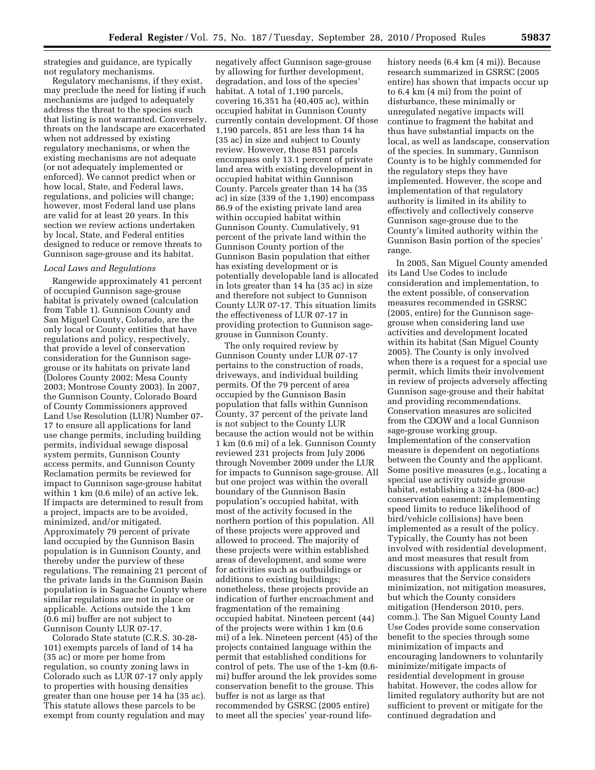strategies and guidance, are typically not regulatory mechanisms.

Regulatory mechanisms, if they exist, may preclude the need for listing if such mechanisms are judged to adequately address the threat to the species such that listing is not warranted. Conversely, threats on the landscape are exacerbated when not addressed by existing regulatory mechanisms, or when the existing mechanisms are not adequate (or not adequately implemented or enforced). We cannot predict when or how local, State, and Federal laws, regulations, and policies will change; however, most Federal land use plans are valid for at least 20 years. In this section we review actions undertaken by local, State, and Federal entities designed to reduce or remove threats to Gunnison sage-grouse and its habitat.

#### *Local Laws and Regulations*

Rangewide approximately 41 percent of occupied Gunnison sage-grouse habitat is privately owned (calculation from Table 1). Gunnison County and San Miguel County, Colorado, are the only local or County entities that have regulations and policy, respectively, that provide a level of conservation consideration for the Gunnison sagegrouse or its habitats on private land (Dolores County 2002; Mesa County 2003; Montrose County 2003). In 2007, the Gunnison County, Colorado Board of County Commissioners approved Land Use Resolution (LUR) Number 07- 17 to ensure all applications for land use change permits, including building permits, individual sewage disposal system permits, Gunnison County access permits, and Gunnison County Reclamation permits be reviewed for impact to Gunnison sage-grouse habitat within 1 km (0.6 mile) of an active lek. If impacts are determined to result from a project, impacts are to be avoided, minimized, and/or mitigated. Approximately 79 percent of private land occupied by the Gunnison Basin population is in Gunnison County, and thereby under the purview of these regulations. The remaining 21 percent of the private lands in the Gunnison Basin population is in Saguache County where similar regulations are not in place or applicable. Actions outside the 1 km (0.6 mi) buffer are not subject to Gunnison County LUR 07-17.

Colorado State statute (C.R.S. 30-28- 101) exempts parcels of land of 14 ha (35 ac) or more per home from regulation, so county zoning laws in Colorado such as LUR 07-17 only apply to properties with housing densities greater than one house per 14 ha (35 ac). This statute allows these parcels to be exempt from county regulation and may

negatively affect Gunnison sage-grouse by allowing for further development, degradation, and loss of the species' habitat. A total of 1,190 parcels, covering 16,351 ha (40,405 ac), within occupied habitat in Gunnison County currently contain development. Of those 1,190 parcels, 851 are less than 14 ha (35 ac) in size and subject to County review. However, those 851 parcels encompass only 13.1 percent of private land area with existing development in occupied habitat within Gunnison County. Parcels greater than 14 ha (35 ac) in size (339 of the 1,190) encompass 86.9 of the existing private land area within occupied habitat within Gunnison County. Cumulatively, 91 percent of the private land within the Gunnison County portion of the Gunnison Basin population that either has existing development or is potentially developable land is allocated in lots greater than 14 ha (35 ac) in size and therefore not subject to Gunnison County LUR 07-17. This situation limits the effectiveness of LUR 07-17 in providing protection to Gunnison sagegrouse in Gunnison County.

The only required review by Gunnison County under LUR 07-17 pertains to the construction of roads, driveways, and individual building permits. Of the 79 percent of area occupied by the Gunnison Basin population that falls within Gunnison County, 37 percent of the private land is not subject to the County LUR because the action would not be within 1 km (0.6 mi) of a lek. Gunnison County reviewed 231 projects from July 2006 through November 2009 under the LUR for impacts to Gunnison sage-grouse. All but one project was within the overall boundary of the Gunnison Basin population's occupied habitat, with most of the activity focused in the northern portion of this population. All of these projects were approved and allowed to proceed. The majority of these projects were within established areas of development, and some were for activities such as outbuildings or additions to existing buildings; nonetheless, these projects provide an indication of further encroachment and fragmentation of the remaining occupied habitat. Nineteen percent (44) of the projects were within 1 km (0.6 mi) of a lek. Nineteen percent (45) of the projects contained language within the permit that established conditions for control of pets. The use of the 1-km (0.6 mi) buffer around the lek provides some conservation benefit to the grouse. This buffer is not as large as that recommended by GSRSC (2005 entire) to meet all the species' year-round life-

history needs (6.4 km (4 mi)). Because research summarized in GSRSC (2005 entire) has shown that impacts occur up to 6.4 km (4 mi) from the point of disturbance, these minimally or unregulated negative impacts will continue to fragment the habitat and thus have substantial impacts on the local, as well as landscape, conservation of the species. In summary, Gunnison County is to be highly commended for the regulatory steps they have implemented. However, the scope and implementation of that regulatory authority is limited in its ability to effectively and collectively conserve Gunnison sage-grouse due to the County's limited authority within the Gunnison Basin portion of the species' range.

In 2005, San Miguel County amended its Land Use Codes to include consideration and implementation, to the extent possible, of conservation measures recommended in GSRSC (2005, entire) for the Gunnison sagegrouse when considering land use activities and development located within its habitat (San Miguel County 2005). The County is only involved when there is a request for a special use permit, which limits their involvement in review of projects adversely affecting Gunnison sage-grouse and their habitat and providing recommendations. Conservation measures are solicited from the CDOW and a local Gunnison sage-grouse working group. Implementation of the conservation measure is dependent on negotiations between the County and the applicant. Some positive measures (e.g., locating a special use activity outside grouse habitat, establishing a 324-ha (800-ac) conservation easement; implementing speed limits to reduce likelihood of bird/vehicle collisions) have been implemented as a result of the policy. Typically, the County has not been involved with residential development, and most measures that result from discussions with applicants result in measures that the Service considers minimization, not mitigation measures, but which the County considers mitigation (Henderson 2010, pers. comm.). The San Miguel County Land Use Codes provide some conservation benefit to the species through some minimization of impacts and encouraging landowners to voluntarily minimize/mitigate impacts of residential development in grouse habitat. However, the codes allow for limited regulatory authority but are not sufficient to prevent or mitigate for the continued degradation and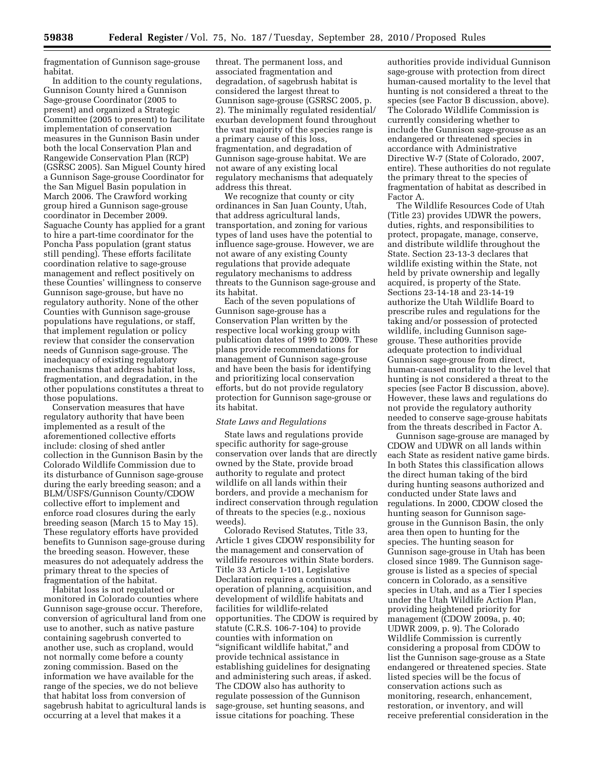fragmentation of Gunnison sage-grouse habitat.

In addition to the county regulations, Gunnison County hired a Gunnison Sage-grouse Coordinator (2005 to present) and organized a Strategic Committee (2005 to present) to facilitate implementation of conservation measures in the Gunnison Basin under both the local Conservation Plan and Rangewide Conservation Plan (RCP) (GSRSC 2005). San Miguel County hired a Gunnison Sage-grouse Coordinator for the San Miguel Basin population in March 2006. The Crawford working group hired a Gunnison sage-grouse coordinator in December 2009. Saguache County has applied for a grant to hire a part-time coordinator for the Poncha Pass population (grant status still pending). These efforts facilitate coordination relative to sage-grouse management and reflect positively on these Counties' willingness to conserve Gunnison sage-grouse, but have no regulatory authority. None of the other Counties with Gunnison sage-grouse populations have regulations, or staff, that implement regulation or policy review that consider the conservation needs of Gunnison sage-grouse. The inadequacy of existing regulatory mechanisms that address habitat loss, fragmentation, and degradation, in the other populations constitutes a threat to those populations.

Conservation measures that have regulatory authority that have been implemented as a result of the aforementioned collective efforts include: closing of shed antler collection in the Gunnison Basin by the Colorado Wildlife Commission due to its disturbance of Gunnison sage-grouse during the early breeding season; and a BLM/USFS/Gunnison County/CDOW collective effort to implement and enforce road closures during the early breeding season (March 15 to May 15). These regulatory efforts have provided benefits to Gunnison sage-grouse during the breeding season. However, these measures do not adequately address the primary threat to the species of fragmentation of the habitat.

Habitat loss is not regulated or monitored in Colorado counties where Gunnison sage-grouse occur. Therefore, conversion of agricultural land from one use to another, such as native pasture containing sagebrush converted to another use, such as cropland, would not normally come before a county zoning commission. Based on the information we have available for the range of the species, we do not believe that habitat loss from conversion of sagebrush habitat to agricultural lands is occurring at a level that makes it a

threat. The permanent loss, and associated fragmentation and degradation, of sagebrush habitat is considered the largest threat to Gunnison sage-grouse (GSRSC 2005, p. 2). The minimally regulated residential/ exurban development found throughout the vast majority of the species range is a primary cause of this loss, fragmentation, and degradation of Gunnison sage-grouse habitat. We are not aware of any existing local regulatory mechanisms that adequately address this threat.

We recognize that county or city ordinances in San Juan County, Utah, that address agricultural lands, transportation, and zoning for various types of land uses have the potential to influence sage-grouse. However, we are not aware of any existing County regulations that provide adequate regulatory mechanisms to address threats to the Gunnison sage-grouse and its habitat.

Each of the seven populations of Gunnison sage-grouse has a Conservation Plan written by the respective local working group with publication dates of 1999 to 2009. These plans provide recommendations for management of Gunnison sage-grouse and have been the basis for identifying and prioritizing local conservation efforts, but do not provide regulatory protection for Gunnison sage-grouse or its habitat.

## *State Laws and Regulations*

State laws and regulations provide specific authority for sage-grouse conservation over lands that are directly owned by the State, provide broad authority to regulate and protect wildlife on all lands within their borders, and provide a mechanism for indirect conservation through regulation of threats to the species (e.g., noxious weeds).

Colorado Revised Statutes, Title 33, Article 1 gives CDOW responsibility for the management and conservation of wildlife resources within State borders. Title 33 Article 1-101, Legislative Declaration requires a continuous operation of planning, acquisition, and development of wildlife habitats and facilities for wildlife-related opportunities. The CDOW is required by statute (C.R.S. 106-7-104) to provide counties with information on "significant wildlife habitat," and provide technical assistance in establishing guidelines for designating and administering such areas, if asked. The CDOW also has authority to regulate possession of the Gunnison sage-grouse, set hunting seasons, and issue citations for poaching. These

authorities provide individual Gunnison sage-grouse with protection from direct human-caused mortality to the level that hunting is not considered a threat to the species (see Factor B discussion, above). The Colorado Wildlife Commission is currently considering whether to include the Gunnison sage-grouse as an endangered or threatened species in accordance with Administrative Directive W-7 (State of Colorado, 2007, entire). These authorities do not regulate the primary threat to the species of fragmentation of habitat as described in Factor A.

The Wildlife Resources Code of Utah (Title 23) provides UDWR the powers, duties, rights, and responsibilities to protect, propagate, manage, conserve, and distribute wildlife throughout the State. Section 23-13-3 declares that wildlife existing within the State, not held by private ownership and legally acquired, is property of the State. Sections 23-14-18 and 23-14-19 authorize the Utah Wildlife Board to prescribe rules and regulations for the taking and/or possession of protected wildlife, including Gunnison sagegrouse. These authorities provide adequate protection to individual Gunnison sage-grouse from direct, human-caused mortality to the level that hunting is not considered a threat to the species (see Factor B discussion, above). However, these laws and regulations do not provide the regulatory authority needed to conserve sage-grouse habitats from the threats described in Factor A.

Gunnison sage-grouse are managed by CDOW and UDWR on all lands within each State as resident native game birds. In both States this classification allows the direct human taking of the bird during hunting seasons authorized and conducted under State laws and regulations. In 2000, CDOW closed the hunting season for Gunnison sagegrouse in the Gunnison Basin, the only area then open to hunting for the species. The hunting season for Gunnison sage-grouse in Utah has been closed since 1989. The Gunnison sagegrouse is listed as a species of special concern in Colorado, as a sensitive species in Utah, and as a Tier I species under the Utah Wildlife Action Plan, providing heightened priority for management (CDOW 2009a, p. 40; UDWR 2009, p. 9). The Colorado Wildlife Commission is currently considering a proposal from CDOW to list the Gunnison sage-grouse as a State endangered or threatened species. State listed species will be the focus of conservation actions such as monitoring, research, enhancement, restoration, or inventory, and will receive preferential consideration in the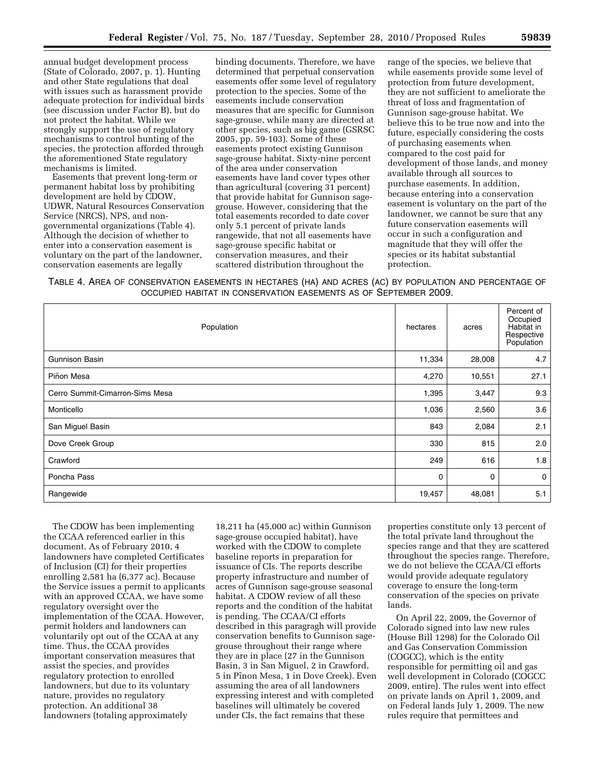annual budget development process (State of Colorado, 2007, p. 1). Hunting and other State regulations that deal with issues such as harassment provide adequate protection for individual birds (see discussion under Factor B), but do not protect the habitat. While we strongly support the use of regulatory mechanisms to control hunting of the species, the protection afforded through the aforementioned State regulatory mechanisms is limited.

Easements that prevent long-term or permanent habitat loss by prohibiting development are held by CDOW, UDWR, Natural Resources Conservation Service (NRCS), NPS, and nongovernmental organizations (Table 4). Although the decision of whether to enter into a conservation easement is voluntary on the part of the landowner, conservation easements are legally

binding documents. Therefore, we have determined that perpetual conservation easements offer some level of regulatory protection to the species. Some of the easements include conservation measures that are specific for Gunnison sage-grouse, while many are directed at other species, such as big game (GSRSC 2005, pp. 59-103). Some of these easements protect existing Gunnison sage-grouse habitat. Sixty-nine percent of the area under conservation easements have land cover types other than agricultural (covering 31 percent) that provide habitat for Gunnison sagegrouse. However, considering that the total easements recorded to date cover only 5.1 percent of private lands rangewide, that not all easements have sage-grouse specific habitat or conservation measures, and their scattered distribution throughout the

range of the species, we believe that while easements provide some level of protection from future development, they are not sufficient to ameliorate the threat of loss and fragmentation of Gunnison sage-grouse habitat. We believe this to be true now and into the future, especially considering the costs of purchasing easements when compared to the cost paid for development of those lands, and money available through all sources to purchase easements. In addition, because entering into a conservation easement is voluntary on the part of the landowner, we cannot be sure that any future conservation easements will occur in such a configuration and magnitude that they will offer the species or its habitat substantial protection.

TABLE 4. AREA OF CONSERVATION EASEMENTS IN HECTARES (HA) AND ACRES (AC) BY POPULATION AND PERCENTAGE OF OCCUPIED HABITAT IN CONSERVATION EASEMENTS AS OF SEPTEMBER 2009.

| Population                      | hectares | acres       | Percent of<br>Occupied<br>Habitat in<br>Respective<br>Population |
|---------------------------------|----------|-------------|------------------------------------------------------------------|
| Gunnison Basin                  | 11,334   | 28,008      | 4.7                                                              |
| Piñon Mesa                      | 4,270    | 10,551      | 27.1                                                             |
| Cerro Summit-Cimarron-Sims Mesa | 1,395    | 3,447       | 9.3                                                              |
| Monticello                      | 1,036    | 2,560       | 3.6                                                              |
| San Miguel Basin                | 843      | 2,084       | 2.1                                                              |
| Dove Creek Group                | 330      | 815         | 2.0                                                              |
| Crawford                        | 249      | 616         | 1.8                                                              |
| Poncha Pass                     | 0        | $\mathbf 0$ | $\mathbf 0$                                                      |
| Rangewide                       | 19,457   | 48,081      | 5.1                                                              |

The CDOW has been implementing the CCAA referenced earlier in this document. As of February 2010, 4 landowners have completed Certificates of Inclusion (CI) for their properties enrolling 2,581 ha (6,377 ac). Because the Service issues a permit to applicants with an approved CCAA, we have some regulatory oversight over the implementation of the CCAA. However, permit holders and landowners can voluntarily opt out of the CCAA at any time. Thus, the CCAA provides important conservation measures that assist the species, and provides regulatory protection to enrolled landowners, but due to its voluntary nature, provides no regulatory protection. An additional 38 landowners (totaling approximately

18,211 ha (45,000 ac) within Gunnison sage-grouse occupied habitat), have worked with the CDOW to complete baseline reports in preparation for issuance of CIs. The reports describe property infrastructure and number of acres of Gunnison sage-grouse seasonal habitat. A CDOW review of all these reports and the condition of the habitat is pending. The CCAA/CI efforts described in this paragragh will provide conservation benefits to Gunnison sagegrouse throughout their range where they are in place (27 in the Gunnison Basin, 3 in San Miguel, 2 in Crawford, 5 in Pinon Mesa, 1 in Dove Creek). Even assuming the area of all landowners expressing interest and with completed baselines will ultimately be covered under CIs, the fact remains that these

properties constitute only 13 percent of the total private land throughout the species range and that they are scattered throughout the species range. Therefore, we do not believe the CCAA/CI efforts would provide adequate regulatory coverage to ensure the long-term conservation of the species on private lands.

On April 22, 2009, the Governor of Colorado signed into law new rules (House Bill 1298) for the Colorado Oil and Gas Conservation Commission (COGCC), which is the entity responsible for permitting oil and gas well development in Colorado (COGCC 2009, entire). The rules went into effect on private lands on April 1, 2009, and on Federal lands July 1, 2009. The new rules require that permittees and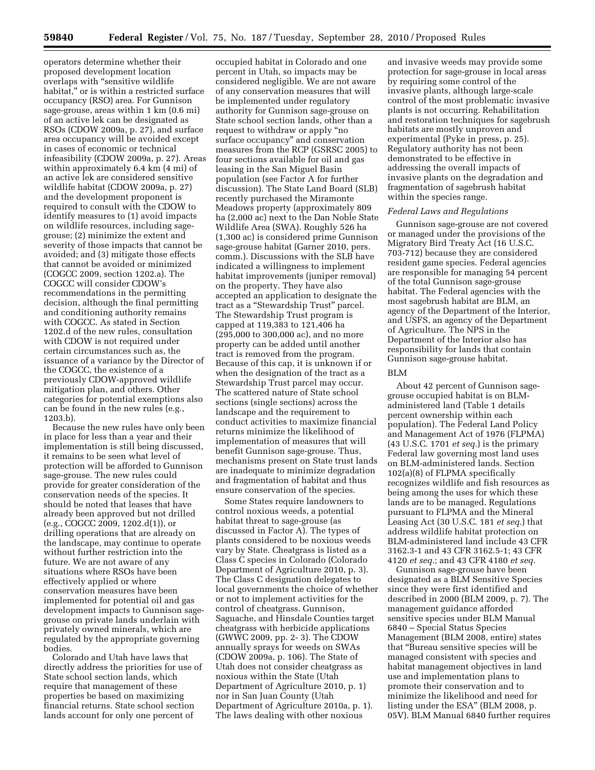operators determine whether their proposed development location overlaps with ''sensitive wildlife habitat," or is within a restricted surface occupancy (RSO) area. For Gunnison sage-grouse, areas within 1 km (0.6 mi) of an active lek can be designated as RSOs (CDOW 2009a, p. 27), and surface area occupancy will be avoided except in cases of economic or technical infeasibility (CDOW 2009a, p. 27). Areas within approximately 6.4 km (4 mi) of an active lek are considered sensitive wildlife habitat (CDOW 2009a, p. 27) and the development proponent is required to consult with the CDOW to identify measures to (1) avoid impacts on wildlife resources, including sagegrouse; (2) minimize the extent and severity of those impacts that cannot be avoided; and (3) mitigate those effects that cannot be avoided or minimized (COGCC 2009, section 1202.a). The COGCC will consider CDOW's recommendations in the permitting decision, although the final permitting and conditioning authority remains with COGCC. As stated in Section 1202.d of the new rules, consultation with CDOW is not required under certain circumstances such as, the issuance of a variance by the Director of the COGCC, the existence of a previously CDOW-approved wildlife mitigation plan, and others. Other categories for potential exemptions also can be found in the new rules (e.g., 1203.b).

Because the new rules have only been in place for less than a year and their implementation is still being discussed, it remains to be seen what level of protection will be afforded to Gunnison sage-grouse. The new rules could provide for greater consideration of the conservation needs of the species. It should be noted that leases that have already been approved but not drilled (e.g., COGCC 2009, 1202.d(1)), or drilling operations that are already on the landscape, may continue to operate without further restriction into the future. We are not aware of any situations where RSOs have been effectively applied or where conservation measures have been implemented for potential oil and gas development impacts to Gunnison sagegrouse on private lands underlain with privately owned minerals, which are regulated by the appropriate governing bodies.

Colorado and Utah have laws that directly address the priorities for use of State school section lands, which require that management of these properties be based on maximizing financial returns. State school section lands account for only one percent of

occupied habitat in Colorado and one percent in Utah, so impacts may be considered negligible. We are not aware of any conservation measures that will be implemented under regulatory authority for Gunnison sage-grouse on State school section lands, other than a request to withdraw or apply ''no surface occupancy'' and conservation measures from the RCP (GSRSC 2005) to four sections available for oil and gas leasing in the San Miguel Basin population (see Factor A for further discussion). The State Land Board (SLB) recently purchased the Miramonte Meadows property (approximately 809 ha (2,000 ac) next to the Dan Noble State Wildlife Area (SWA). Roughly 526 ha (1,300 ac) is considered prime Gunnison sage-grouse habitat (Garner 2010, pers. comm.). Discussions with the SLB have indicated a willingness to implement habitat improvements (juniper removal) on the property. They have also accepted an application to designate the tract as a ''Stewardship Trust'' parcel. The Stewardship Trust program is capped at 119,383 to 121,406 ha (295,000 to 300,000 ac), and no more property can be added until another tract is removed from the program. Because of this cap, it is unknown if or when the designation of the tract as a Stewardship Trust parcel may occur. The scattered nature of State school sections (single sections) across the landscape and the requirement to conduct activities to maximize financial returns minimize the likelihood of implementation of measures that will benefit Gunnison sage-grouse. Thus, mechanisms present on State trust lands are inadequate to minimize degradation and fragmentation of habitat and thus ensure conservation of the species.

Some States require landowners to control noxious weeds, a potential habitat threat to sage-grouse (as discussed in Factor A). The types of plants considered to be noxious weeds vary by State. Cheatgrass is listed as a Class C species in Colorado (Colorado Department of Agriculture 2010, p. 3). The Class C designation delegates to local governments the choice of whether or not to implement activities for the control of cheatgrass. Gunnison, Saguache, and Hinsdale Counties target cheatgrass with herbicide applications (GWWC 2009, pp. 2- 3). The CDOW annually sprays for weeds on SWAs (CDOW 2009a, p. 106). The State of Utah does not consider cheatgrass as noxious within the State (Utah Department of Agriculture 2010, p. 1) nor in San Juan County (Utah Department of Agriculture 2010a, p. 1). The laws dealing with other noxious

and invasive weeds may provide some protection for sage-grouse in local areas by requiring some control of the invasive plants, although large-scale control of the most problematic invasive plants is not occurring. Rehabilitation and restoration techniques for sagebrush habitats are mostly unproven and experimental (Pyke in press, p. 25). Regulatory authority has not been demonstrated to be effective in addressing the overall impacts of invasive plants on the degradation and fragmentation of sagebrush habitat within the species range.

## *Federal Laws and Regulations*

Gunnison sage-grouse are not covered or managed under the provisions of the Migratory Bird Treaty Act (16 U.S.C. 703-712) because they are considered resident game species. Federal agencies are responsible for managing 54 percent of the total Gunnison sage-grouse habitat. The Federal agencies with the most sagebrush habitat are BLM, an agency of the Department of the Interior, and USFS, an agency of the Department of Agriculture. The NPS in the Department of the Interior also has responsibility for lands that contain Gunnison sage-grouse habitat.

## BLM

About 42 percent of Gunnison sagegrouse occupied habitat is on BLMadministered land (Table 1 details percent ownership within each population). The Federal Land Policy and Management Act of 1976 (FLPMA) (43 U.S.C. 1701 *et seq.*) is the primary Federal law governing most land uses on BLM-administered lands. Section 102(a)(8) of FLPMA specifically recognizes wildlife and fish resources as being among the uses for which these lands are to be managed. Regulations pursuant to FLPMA and the Mineral Leasing Act (30 U.S.C. 181 *et seq.*) that address wildlife habitat protection on BLM-administered land include 43 CFR 3162.3-1 and 43 CFR 3162.5-1; 43 CFR 4120 *et seq.*; and 43 CFR 4180 *et seq.* 

Gunnison sage-grouse have been designated as a BLM Sensitive Species since they were first identified and described in 2000 (BLM 2009, p. 7). The management guidance afforded sensitive species under BLM Manual 6840 – Special Status Species Management (BLM 2008, entire) states that ''Bureau sensitive species will be managed consistent with species and habitat management objectives in land use and implementation plans to promote their conservation and to minimize the likelihood and need for listing under the ESA'' (BLM 2008, p. 05V). BLM Manual 6840 further requires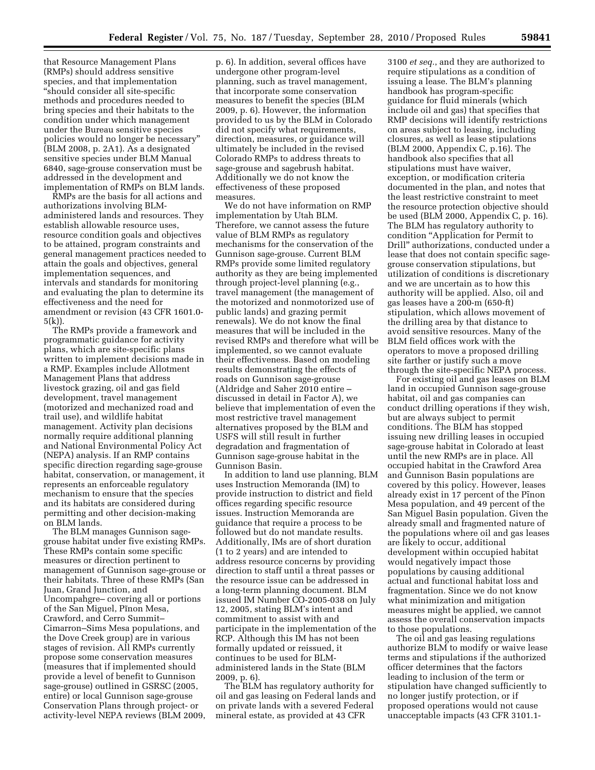that Resource Management Plans (RMPs) should address sensitive species, and that implementation ''should consider all site-specific methods and procedures needed to bring species and their habitats to the condition under which management under the Bureau sensitive species policies would no longer be necessary'' (BLM 2008, p. 2A1). As a designated sensitive species under BLM Manual 6840, sage-grouse conservation must be addressed in the development and implementation of RMPs on BLM lands.

RMPs are the basis for all actions and authorizations involving BLMadministered lands and resources. They establish allowable resource uses, resource condition goals and objectives to be attained, program constraints and general management practices needed to attain the goals and objectives, general implementation sequences, and intervals and standards for monitoring and evaluating the plan to determine its effectiveness and the need for amendment or revision (43 CFR 1601.0- 5(k)).

The RMPs provide a framework and programmatic guidance for activity plans, which are site-specific plans written to implement decisions made in a RMP. Examples include Allotment Management Plans that address livestock grazing, oil and gas field development, travel management (motorized and mechanized road and trail use), and wildlife habitat management. Activity plan decisions normally require additional planning and National Environmental Policy Act (NEPA) analysis. If an RMP contains specific direction regarding sage-grouse habitat, conservation, or management, it represents an enforceable regulatory mechanism to ensure that the species and its habitats are considered during permitting and other decision-making on BLM lands.

The BLM manages Gunnison sagegrouse habitat under five existing RMPs. These RMPs contain some specific measures or direction pertinent to management of Gunnison sage-grouse or their habitats. Three of these RMPs (San Juan, Grand Junction, and Uncompahgre– covering all or portions of the San Miguel, Pinon Mesa, Crawford, and Cerro Summit– Cimarron–Sims Mesa populations, and the Dove Creek group) are in various stages of revision. All RMPs currently propose some conservation measures (measures that if implemented should provide a level of benefit to Gunnison sage-grouse) outlined in GSRSC (2005, entire) or local Gunnison sage-grouse Conservation Plans through project- or activity-level NEPA reviews (BLM 2009,

p. 6). In addition, several offices have undergone other program-level planning, such as travel management, that incorporate some conservation measures to benefit the species (BLM 2009, p. 6). However, the information provided to us by the BLM in Colorado did not specify what requirements, direction, measures, or guidance will ultimately be included in the revised Colorado RMPs to address threats to sage-grouse and sagebrush habitat. Additionally we do not know the effectiveness of these proposed measures.

We do not have information on RMP implementation by Utah BLM. Therefore, we cannot assess the future value of BLM RMPs as regulatory mechanisms for the conservation of the Gunnison sage-grouse. Current BLM RMPs provide some limited regulatory authority as they are being implemented through project-level planning (e.g., travel management (the management of the motorized and nonmotorized use of public lands) and grazing permit renewals). We do not know the final measures that will be included in the revised RMPs and therefore what will be implemented, so we cannot evaluate their effectiveness. Based on modeling results demonstrating the effects of roads on Gunnison sage-grouse (Aldridge and Saher 2010 entire – discussed in detail in Factor A), we believe that implementation of even the most restrictive travel management alternatives proposed by the BLM and USFS will still result in further degradation and fragmentation of Gunnison sage-grouse habitat in the Gunnison Basin.

In addition to land use planning, BLM uses Instruction Memoranda (IM) to provide instruction to district and field offices regarding specific resource issues. Instruction Memoranda are guidance that require a process to be followed but do not mandate results. Additionally, IMs are of short duration (1 to 2 years) and are intended to address resource concerns by providing direction to staff until a threat passes or the resource issue can be addressed in a long-term planning document. BLM issued IM Number CO-2005-038 on July 12, 2005, stating BLM's intent and commitment to assist with and participate in the implementation of the RCP. Although this IM has not been formally updated or reissued, it continues to be used for BLMadministered lands in the State (BLM  $2009, p. 6.$ 

The BLM has regulatory authority for oil and gas leasing on Federal lands and on private lands with a severed Federal mineral estate, as provided at 43 CFR

3100 *et seq.*, and they are authorized to require stipulations as a condition of issuing a lease. The BLM's planning handbook has program-specific guidance for fluid minerals (which include oil and gas) that specifies that RMP decisions will identify restrictions on areas subject to leasing, including closures, as well as lease stipulations (BLM 2000, Appendix C, p.16). The handbook also specifies that all stipulations must have waiver, exception, or modification criteria documented in the plan, and notes that the least restrictive constraint to meet the resource protection objective should be used (BLM 2000, Appendix C, p. 16). The BLM has regulatory authority to condition ''Application for Permit to Drill'' authorizations, conducted under a lease that does not contain specific sagegrouse conservation stipulations, but utilization of conditions is discretionary and we are uncertain as to how this authority will be applied. Also, oil and gas leases have a 200-m (650-ft) stipulation, which allows movement of the drilling area by that distance to avoid sensitive resources. Many of the BLM field offices work with the operators to move a proposed drilling site farther or justify such a move through the site-specific NEPA process.

For existing oil and gas leases on BLM land in occupied Gunnison sage-grouse habitat, oil and gas companies can conduct drilling operations if they wish, but are always subject to permit conditions. The BLM has stopped issuing new drilling leases in occupied sage-grouse habitat in Colorado at least until the new RMPs are in place. All occupied habitat in the Crawford Area and Gunnison Basin populations are covered by this policy. However, leases already exist in 17 percent of the Pinon Mesa population, and 49 percent of the San Miguel Basin population. Given the already small and fragmented nature of the populations where oil and gas leases are likely to occur, additional development within occupied habitat would negatively impact those populations by causing additional actual and functional habitat loss and fragmentation. Since we do not know what minimization and mitigation measures might be applied, we cannot assess the overall conservation impacts to those populations.

The oil and gas leasing regulations authorize BLM to modify or waive lease terms and stipulations if the authorized officer determines that the factors leading to inclusion of the term or stipulation have changed sufficiently to no longer justify protection, or if proposed operations would not cause unacceptable impacts (43 CFR 3101.1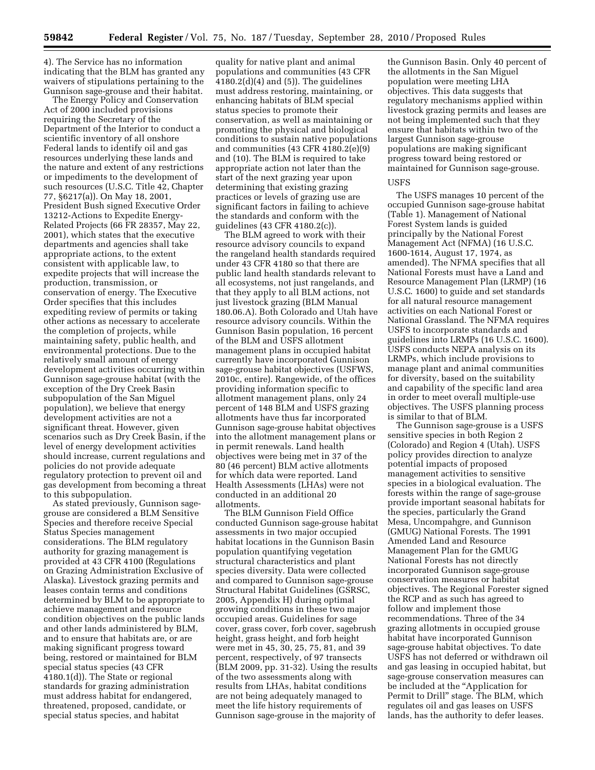4). The Service has no information indicating that the BLM has granted any waivers of stipulations pertaining to the Gunnison sage-grouse and their habitat.

The Energy Policy and Conservation Act of 2000 included provisions requiring the Secretary of the Department of the Interior to conduct a scientific inventory of all onshore Federal lands to identify oil and gas resources underlying these lands and the nature and extent of any restrictions or impediments to the development of such resources (U.S.C. Title 42, Chapter 77, §6217(a)). On May 18, 2001, President Bush signed Executive Order 13212-Actions to Expedite Energy-Related Projects (66 FR 28357, May 22, 2001), which states that the executive departments and agencies shall take appropriate actions, to the extent consistent with applicable law, to expedite projects that will increase the production, transmission, or conservation of energy. The Executive Order specifies that this includes expediting review of permits or taking other actions as necessary to accelerate the completion of projects, while maintaining safety, public health, and environmental protections. Due to the relatively small amount of energy development activities occurring within Gunnison sage-grouse habitat (with the exception of the Dry Creek Basin subpopulation of the San Miguel population), we believe that energy development activities are not a significant threat. However, given scenarios such as Dry Creek Basin, if the level of energy development activities should increase, current regulations and policies do not provide adequate regulatory protection to prevent oil and gas development from becoming a threat to this subpopulation.

As stated previously, Gunnison sagegrouse are considered a BLM Sensitive Species and therefore receive Special Status Species management considerations. The BLM regulatory authority for grazing management is provided at 43 CFR 4100 (Regulations on Grazing Administration Exclusive of Alaska). Livestock grazing permits and leases contain terms and conditions determined by BLM to be appropriate to achieve management and resource condition objectives on the public lands and other lands administered by BLM, and to ensure that habitats are, or are making significant progress toward being, restored or maintained for BLM special status species (43 CFR 4180.1(d)). The State or regional standards for grazing administration must address habitat for endangered, threatened, proposed, candidate, or special status species, and habitat

quality for native plant and animal populations and communities (43 CFR  $4180.2\text{(d)}(4)$  and  $(5)$ ). The guidelines must address restoring, maintaining, or enhancing habitats of BLM special status species to promote their conservation, as well as maintaining or promoting the physical and biological conditions to sustain native populations and communities (43 CFR 4180.2(e)(9) and (10). The BLM is required to take appropriate action not later than the start of the next grazing year upon determining that existing grazing practices or levels of grazing use are significant factors in failing to achieve the standards and conform with the guidelines (43 CFR 4180.2(c)).

The BLM agreed to work with their resource advisory councils to expand the rangeland health standards required under 43 CFR 4180 so that there are public land health standards relevant to all ecosystems, not just rangelands, and that they apply to all BLM actions, not just livestock grazing (BLM Manual 180.06.A). Both Colorado and Utah have resource advisory councils. Within the Gunnison Basin population, 16 percent of the BLM and USFS allotment management plans in occupied habitat currently have incorporated Gunnison sage-grouse habitat objectives (USFWS, 2010c, entire). Rangewide, of the offices providing information specific to allotment management plans, only 24 percent of 148 BLM and USFS grazing allotments have thus far incorporated Gunnison sage-grouse habitat objectives into the allotment management plans or in permit renewals. Land health objectives were being met in 37 of the 80 (46 percent) BLM active allotments for which data were reported. Land Health Assessments (LHAs) were not conducted in an additional 20 allotments.

The BLM Gunnison Field Office conducted Gunnison sage-grouse habitat assessments in two major occupied habitat locations in the Gunnison Basin population quantifying vegetation structural characteristics and plant species diversity. Data were collected and compared to Gunnison sage-grouse Structural Habitat Guidelines (GSRSC, 2005, Appendix H) during optimal growing conditions in these two major occupied areas. Guidelines for sage cover, grass cover, forb cover, sagebrush height, grass height, and forb height were met in 45, 30, 25, 75, 81, and 39 percent, respectively, of 97 transects (BLM 2009, pp. 31-32). Using the results of the two assessments along with results from LHAs, habitat conditions are not being adequately managed to meet the life history requirements of Gunnison sage-grouse in the majority of

the Gunnison Basin. Only 40 percent of the allotments in the San Miguel population were meeting LHA objectives. This data suggests that regulatory mechanisms applied within livestock grazing permits and leases are not being implemented such that they ensure that habitats within two of the largest Gunnison sage-grouse populations are making significant progress toward being restored or maintained for Gunnison sage-grouse.

## **USFS**

The USFS manages 10 percent of the occupied Gunnison sage-grouse habitat (Table 1). Management of National Forest System lands is guided principally by the National Forest Management Act (NFMA) (16 U.S.C. 1600-1614, August 17, 1974, as amended). The NFMA specifies that all National Forests must have a Land and Resource Management Plan (LRMP) (16 U.S.C. 1600) to guide and set standards for all natural resource management activities on each National Forest or National Grassland. The NFMA requires USFS to incorporate standards and guidelines into LRMPs (16 U.S.C. 1600). USFS conducts NEPA analysis on its LRMPs, which include provisions to manage plant and animal communities for diversity, based on the suitability and capability of the specific land area in order to meet overall multiple-use objectives. The USFS planning process is similar to that of BLM.

The Gunnison sage-grouse is a USFS sensitive species in both Region 2 (Colorado) and Region 4 (Utah). USFS policy provides direction to analyze potential impacts of proposed management activities to sensitive species in a biological evaluation. The forests within the range of sage-grouse provide important seasonal habitats for the species, particularly the Grand Mesa, Uncompahgre, and Gunnison (GMUG) National Forests. The 1991 Amended Land and Resource Management Plan for the GMUG National Forests has not directly incorporated Gunnison sage-grouse conservation measures or habitat objectives. The Regional Forester signed the RCP and as such has agreed to follow and implement those recommendations. Three of the 34 grazing allotments in occupied grouse habitat have incorporated Gunnison sage-grouse habitat objectives. To date USFS has not deferred or withdrawn oil and gas leasing in occupied habitat, but sage-grouse conservation measures can be included at the "Application for Permit to Drill'' stage. The BLM, which regulates oil and gas leases on USFS lands, has the authority to defer leases.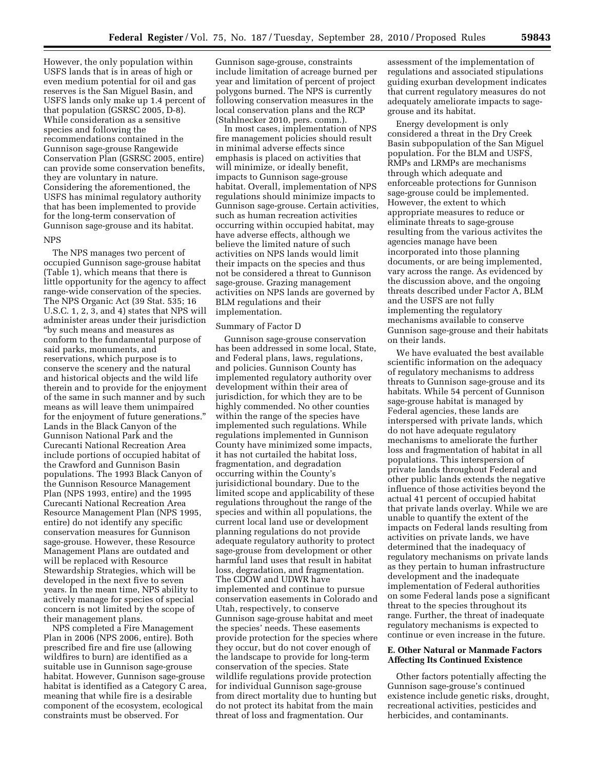However, the only population within USFS lands that is in areas of high or even medium potential for oil and gas reserves is the San Miguel Basin, and USFS lands only make up 1.4 percent of that population (GSRSC 2005, D-8). While consideration as a sensitive species and following the recommendations contained in the Gunnison sage-grouse Rangewide Conservation Plan (GSRSC 2005, entire) can provide some conservation benefits, they are voluntary in nature. Considering the aforementioned, the USFS has minimal regulatory authority that has been implemented to provide for the long-term conservation of Gunnison sage-grouse and its habitat. **NPS** 

The NPS manages two percent of occupied Gunnison sage-grouse habitat (Table 1), which means that there is little opportunity for the agency to affect range-wide conservation of the species. The NPS Organic Act (39 Stat. 535; 16 U.S.C. 1, 2, 3, and 4) states that NPS will administer areas under their jurisdiction ''by such means and measures as conform to the fundamental purpose of said parks, monuments, and reservations, which purpose is to conserve the scenery and the natural and historical objects and the wild life therein and to provide for the enjoyment of the same in such manner and by such means as will leave them unimpaired for the enjoyment of future generations.'' Lands in the Black Canyon of the Gunnison National Park and the Curecanti National Recreation Area include portions of occupied habitat of the Crawford and Gunnison Basin populations. The 1993 Black Canyon of the Gunnison Resource Management Plan (NPS 1993, entire) and the 1995 Curecanti National Recreation Area Resource Management Plan (NPS 1995, entire) do not identify any specific conservation measures for Gunnison sage-grouse. However, these Resource Management Plans are outdated and will be replaced with Resource Stewardship Strategies, which will be developed in the next five to seven years. In the mean time, NPS ability to actively manage for species of special concern is not limited by the scope of their management plans.

NPS completed a Fire Management Plan in 2006 (NPS 2006, entire). Both prescribed fire and fire use (allowing wildfires to burn) are identified as a suitable use in Gunnison sage-grouse habitat. However, Gunnison sage-grouse habitat is identified as a Category C area, meaning that while fire is a desirable component of the ecosystem, ecological constraints must be observed. For

Gunnison sage-grouse, constraints include limitation of acreage burned per year and limitation of percent of project polygons burned. The NPS is currently following conservation measures in the local conservation plans and the RCP (Stahlnecker 2010, pers. comm.).

In most cases, implementation of NPS fire management policies should result in minimal adverse effects since emphasis is placed on activities that will minimize, or ideally benefit, impacts to Gunnison sage-grouse habitat. Overall, implementation of NPS regulations should minimize impacts to Gunnison sage-grouse. Certain activities, such as human recreation activities occurring within occupied habitat, may have adverse effects, although we believe the limited nature of such activities on NPS lands would limit their impacts on the species and thus not be considered a threat to Gunnison sage-grouse. Grazing management activities on NPS lands are governed by BLM regulations and their implementation.

## Summary of Factor D

Gunnison sage-grouse conservation has been addressed in some local, State, and Federal plans, laws, regulations, and policies. Gunnison County has implemented regulatory authority over development within their area of jurisdiction, for which they are to be highly commended. No other counties within the range of the species have implemented such regulations. While regulations implemented in Gunnison County have minimized some impacts, it has not curtailed the habitat loss, fragmentation, and degradation occurring within the County's jurisidictional boundary. Due to the limited scope and applicability of these regulations throughout the range of the species and within all populations, the current local land use or development planning regulations do not provide adequate regulatory authority to protect sage-grouse from development or other harmful land uses that result in habitat loss, degradation, and fragmentation. The CDOW and UDWR have implemented and continue to pursue conservation easements in Colorado and Utah, respectively, to conserve Gunnison sage-grouse habitat and meet the species' needs. These easements provide protection for the species where they occur, but do not cover enough of the landscape to provide for long-term conservation of the species. State wildlife regulations provide protection for individual Gunnison sage-grouse from direct mortality due to hunting but do not protect its habitat from the main threat of loss and fragmentation. Our

assessment of the implementation of regulations and associated stipulations guiding exurban development indicates that current regulatory measures do not adequately ameliorate impacts to sagegrouse and its habitat.

Energy development is only considered a threat in the Dry Creek Basin subpopulation of the San Miguel population. For the BLM and USFS, RMPs and LRMPs are mechanisms through which adequate and enforceable protections for Gunnison sage-grouse could be implemented. However, the extent to which appropriate measures to reduce or eliminate threats to sage-grouse resulting from the various activites the agencies manage have been incorporated into those planning documents, or are being implemented, vary across the range. As evidenced by the discussion above, and the ongoing threats described under Factor A, BLM and the USFS are not fully implementing the regulatory mechanisms available to conserve Gunnison sage-grouse and their habitats on their lands.

We have evaluated the best available scientific information on the adequacy of regulatory mechanisms to address threats to Gunnison sage-grouse and its habitats. While 54 percent of Gunnison sage-grouse habitat is managed by Federal agencies, these lands are interspersed with private lands, which do not have adequate regulatory mechanisms to ameliorate the further loss and fragmentation of habitat in all populations. This interspersion of private lands throughout Federal and other public lands extends the negative influence of those activities beyond the actual 41 percent of occupied habitat that private lands overlay. While we are unable to quantify the extent of the impacts on Federal lands resulting from activities on private lands, we have determined that the inadequacy of regulatory mechanisms on private lands as they pertain to human infrastructure development and the inadequate implementation of Federal authorities on some Federal lands pose a significant threat to the species throughout its range. Further, the threat of inadequate regulatory mechanisms is expected to continue or even increase in the future.

## **E. Other Natural or Manmade Factors Affecting Its Continued Existence**

Other factors potentially affecting the Gunnison sage-grouse's continued existence include genetic risks, drought, recreational activities, pesticides and herbicides, and contaminants.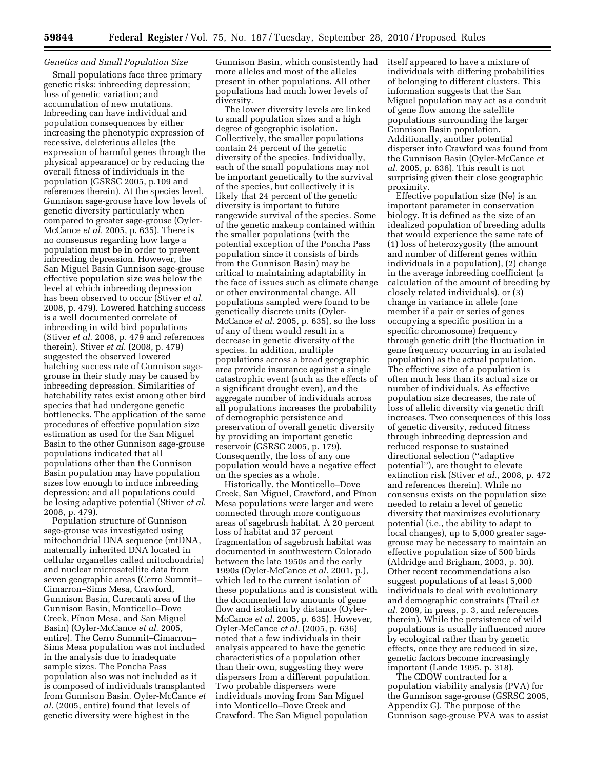## *Genetics and Small Population Size*

Small populations face three primary genetic risks: inbreeding depression; loss of genetic variation; and accumulation of new mutations. Inbreeding can have individual and population consequences by either increasing the phenotypic expression of recessive, deleterious alleles (the expression of harmful genes through the physical appearance) or by reducing the overall fitness of individuals in the population (GSRSC 2005, p.109 and references therein). At the species level, Gunnison sage-grouse have low levels of genetic diversity particularly when compared to greater sage-grouse (Oyler-McCance *et al.* 2005, p. 635). There is no consensus regarding how large a population must be in order to prevent inbreeding depression. However, the San Miguel Basin Gunnison sage-grouse effective population size was below the level at which inbreeding depression has been observed to occur (Stiver *et al*. 2008, p. 479). Lowered hatching success is a well documented correlate of inbreeding in wild bird populations (Stiver *et al*. 2008, p. 479 and references therein). Stiver *et al*. (2008, p. 479) suggested the observed lowered hatching success rate of Gunnison sagegrouse in their study may be caused by inbreeding depression. Similarities of hatchability rates exist among other bird species that had undergone genetic bottlenecks. The application of the same procedures of effective population size estimation as used for the San Miguel Basin to the other Gunnison sage-grouse populations indicated that all populations other than the Gunnison Basin population may have population sizes low enough to induce inbreeding depression; and all populations could be losing adaptive potential (Stiver *et al*. 2008, p. 479).

Population structure of Gunnison sage-grouse was investigated using mitochondrial DNA sequence (mtDNA, maternally inherited DNA located in cellular organelles called mitochondria) and nuclear microsatellite data from seven geographic areas (Cerro Summit– Cimarron–Sims Mesa, Crawford, Gunnison Basin, Curecanti area of the Gunnison Basin, Monticello–Dove Creek, Pinon Mesa, and San Miguel Basin) (Oyler-McCance *et al.* 2005, entire). The Cerro Summit–Cimarron– Sims Mesa population was not included in the analysis due to inadequate sample sizes. The Poncha Pass population also was not included as it is composed of individuals transplanted from Gunnison Basin. Oyler-McCance *et al.* (2005, entire) found that levels of genetic diversity were highest in the

Gunnison Basin, which consistently had more alleles and most of the alleles present in other populations. All other populations had much lower levels of diversity.

The lower diversity levels are linked to small population sizes and a high degree of geographic isolation. Collectively, the smaller populations contain 24 percent of the genetic diversity of the species. Individually, each of the small populations may not be important genetically to the survival of the species, but collectively it is likely that 24 percent of the genetic diversity is important to future rangewide survival of the species. Some of the genetic makeup contained within the smaller populations (with the potential exception of the Poncha Pass population since it consists of birds from the Gunnison Basin) may be critical to maintaining adaptability in the face of issues such as climate change or other environmental change. All populations sampled were found to be genetically discrete units (Oyler-McCance *et al.* 2005, p. 635), so the loss of any of them would result in a decrease in genetic diversity of the species. In addition, multiple populations across a broad geographic area provide insurance against a single catastrophic event (such as the effects of a significant drought even), and the aggregate number of individuals across all populations increases the probability of demographic persistence and preservation of overall genetic diversity by providing an important genetic reservoir (GSRSC 2005, p. 179). Consequently, the loss of any one population would have a negative effect on the species as a whole.

Historically, the Monticello–Dove Creek, San Miguel, Crawford, and Pinon Mesa populations were larger and were connected through more contiguous areas of sagebrush habitat. A 20 percent loss of habitat and 37 percent fragmentation of sagebrush habitat was documented in southwestern Colorado between the late 1950s and the early 1990s (Oyler-McCance *et al.* 2001, p.), which led to the current isolation of these populations and is consistent with the documented low amounts of gene flow and isolation by distance (Oyler-McCance *et al.* 2005, p. 635). However, Oyler-McCance *et al.* (2005, p. 636) noted that a few individuals in their analysis appeared to have the genetic characteristics of a population other than their own, suggesting they were dispersers from a different population. Two probable dispersers were individuals moving from San Miguel into Monticello–Dove Creek and Crawford. The San Miguel population

itself appeared to have a mixture of individuals with differing probabilities of belonging to different clusters. This information suggests that the San Miguel population may act as a conduit of gene flow among the satellite populations surrounding the larger Gunnison Basin population. Additionally, another potential disperser into Crawford was found from the Gunnison Basin (Oyler-McCance *et al.* 2005, p. 636). This result is not surprising given their close geographic proximity.

Effective population size (Ne) is an important parameter in conservation biology. It is defined as the size of an idealized population of breeding adults that would experience the same rate of (1) loss of heterozygosity (the amount and number of different genes within individuals in a population), (2) change in the average inbreeding coefficient (a calculation of the amount of breeding by closely related individuals), or (3) change in variance in allele (one member if a pair or series of genes occupying a specific position in a specific chromosome) frequency through genetic drift (the fluctuation in gene frequency occurring in an isolated population) as the actual population. The effective size of a population is often much less than its actual size or number of individuals. As effective population size decreases, the rate of loss of allelic diversity via genetic drift increases. Two consequences of this loss of genetic diversity, reduced fitness through inbreeding depression and reduced response to sustained directional selection (''adaptive potential''), are thought to elevate extinction risk (Stiver *et al*., 2008, p. 472 and references therein). While no consensus exists on the population size needed to retain a level of genetic diversity that maximizes evolutionary potential (i.e., the ability to adapt to local changes), up to 5,000 greater sagegrouse may be necessary to maintain an effective population size of 500 birds (Aldridge and Brigham, 2003, p. 30). Other recent recommendations also suggest populations of at least 5,000 individuals to deal with evolutionary and demographic constraints (Trail *et al.* 2009, in press, p. 3, and references therein). While the persistence of wild populations is usually influenced more by ecological rather than by genetic effects, once they are reduced in size, genetic factors become increasingly important (Lande 1995, p. 318).

The CDOW contracted for a population viability analysis (PVA) for the Gunnison sage-grouse (GSRSC 2005, Appendix G). The purpose of the Gunnison sage-grouse PVA was to assist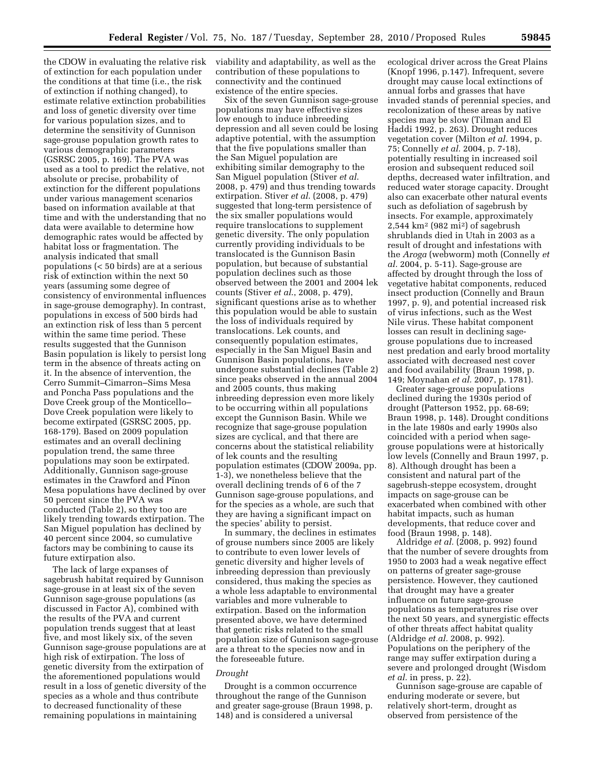the CDOW in evaluating the relative risk of extinction for each population under the conditions at that time (i.e., the risk of extinction if nothing changed), to estimate relative extinction probabilities and loss of genetic diversity over time for various population sizes, and to determine the sensitivity of Gunnison sage-grouse population growth rates to various demographic parameters (GSRSC 2005, p. 169). The PVA was used as a tool to predict the relative, not absolute or precise, probability of extinction for the different populations under various management scenarios based on information available at that time and with the understanding that no data were available to determine how demographic rates would be affected by habitat loss or fragmentation. The analysis indicated that small populations (< 50 birds) are at a serious risk of extinction within the next 50 years (assuming some degree of consistency of environmental influences in sage-grouse demography). In contrast, populations in excess of 500 birds had an extinction risk of less than 5 percent within the same time period. These results suggested that the Gunnison Basin population is likely to persist long term in the absence of threats acting on it. In the absence of intervention, the Cerro Summit–Cimarron–Sims Mesa and Poncha Pass populations and the Dove Creek group of the Monticello– Dove Creek population were likely to become extirpated (GSRSC 2005, pp. 168-179). Based on 2009 population estimates and an overall declining population trend, the same three populations may soon be extirpated. Additionally, Gunnison sage-grouse estimates in the Crawford and Pinon Mesa populations have declined by over 50 percent since the PVA was conducted (Table 2), so they too are likely trending towards extirpation. The San Miguel population has declined by 40 percent since 2004, so cumulative factors may be combining to cause its future extirpation also.

The lack of large expanses of sagebrush habitat required by Gunnison sage-grouse in at least six of the seven Gunnison sage-grouse populations (as discussed in Factor A), combined with the results of the PVA and current population trends suggest that at least five, and most likely six, of the seven Gunnison sage-grouse populations are at high risk of extirpation. The loss of genetic diversity from the extirpation of the aforementioned populations would result in a loss of genetic diversity of the species as a whole and thus contribute to decreased functionality of these remaining populations in maintaining

viability and adaptability, as well as the contribution of these populations to connectivity and the continued existence of the entire species.

Six of the seven Gunnison sage-grouse populations may have effective sizes low enough to induce inbreeding depression and all seven could be losing adaptive potential, with the assumption that the five populations smaller than the San Miguel population are exhibiting similar demography to the San Miguel population (Stiver *et al*. 2008, p. 479) and thus trending towards extirpation. Stiver *et al*. (2008, p. 479) suggested that long-term persistence of the six smaller populations would require translocations to supplement genetic diversity. The only population currently providing individuals to be translocated is the Gunnison Basin population, but because of substantial population declines such as those observed between the 2001 and 2004 lek counts (Stiver *et al*., 2008, p. 479), significant questions arise as to whether this population would be able to sustain the loss of individuals required by translocations. Lek counts, and consequently population estimates, especially in the San Miguel Basin and Gunnison Basin populations, have undergone substantial declines (Table 2) since peaks observed in the annual 2004 and 2005 counts, thus making inbreeding depression even more likely to be occurring within all populations except the Gunnison Basin. While we recognize that sage-grouse population sizes are cyclical, and that there are concerns about the statistical reliability of lek counts and the resulting population estimates (CDOW 2009a, pp. 1-3), we nonetheless believe that the overall declining trends of 6 of the 7 Gunnison sage-grouse populations, and for the species as a whole, are such that they are having a significant impact on the species' ability to persist.

In summary, the declines in estimates of grouse numbers since 2005 are likely to contribute to even lower levels of genetic diversity and higher levels of inbreeding depression than previously considered, thus making the species as a whole less adaptable to environmental variables and more vulnerable to extirpation. Based on the information presented above, we have determined that genetic risks related to the small population size of Gunnison sage-grouse are a threat to the species now and in the foreseeable future.

## *Drought*

Drought is a common occurrence throughout the range of the Gunnison and greater sage-grouse (Braun 1998, p. 148) and is considered a universal

ecological driver across the Great Plains (Knopf 1996, p.147). Infrequent, severe drought may cause local extinctions of annual forbs and grasses that have invaded stands of perennial species, and recolonization of these areas by native species may be slow (Tilman and El Haddi 1992, p. 263). Drought reduces vegetation cover (Milton *et al.* 1994, p. 75; Connelly *et al.* 2004, p. 7-18), potentially resulting in increased soil erosion and subsequent reduced soil depths, decreased water infiltration, and reduced water storage capacity. Drought also can exacerbate other natural events such as defoliation of sagebrush by insects. For example, approximately  $2,544 \text{ km}^2 \text{ (982 mi}^2) \text{ of sagebrush}$ shrublands died in Utah in 2003 as a result of drought and infestations with the *Aroga* (webworm) moth (Connelly *et al.* 2004, p. 5-11). Sage-grouse are affected by drought through the loss of vegetative habitat components, reduced insect production (Connelly and Braun 1997, p. 9), and potential increased risk of virus infections, such as the West Nile virus. These habitat component losses can result in declining sagegrouse populations due to increased nest predation and early brood mortality associated with decreased nest cover and food availability (Braun 1998, p. 149; Moynahan *et al.* 2007, p. 1781).

Greater sage-grouse populations declined during the 1930s period of drought (Patterson 1952, pp. 68-69; Braun 1998, p. 148). Drought conditions in the late 1980s and early 1990s also coincided with a period when sagegrouse populations were at historically low levels (Connelly and Braun 1997, p. 8). Although drought has been a consistent and natural part of the sagebrush-steppe ecosystem, drought impacts on sage-grouse can be exacerbated when combined with other habitat impacts, such as human developments, that reduce cover and food (Braun 1998, p. 148).

Aldridge *et al.* (2008, p. 992) found that the number of severe droughts from 1950 to 2003 had a weak negative effect on patterns of greater sage-grouse persistence. However, they cautioned that drought may have a greater influence on future sage-grouse populations as temperatures rise over the next 50 years, and synergistic effects of other threats affect habitat quality (Aldridge *et al.* 2008, p. 992). Populations on the periphery of the range may suffer extirpation during a severe and prolonged drought (Wisdom *et al.* in press, p. 22).

Gunnison sage-grouse are capable of enduring moderate or severe, but relatively short-term, drought as observed from persistence of the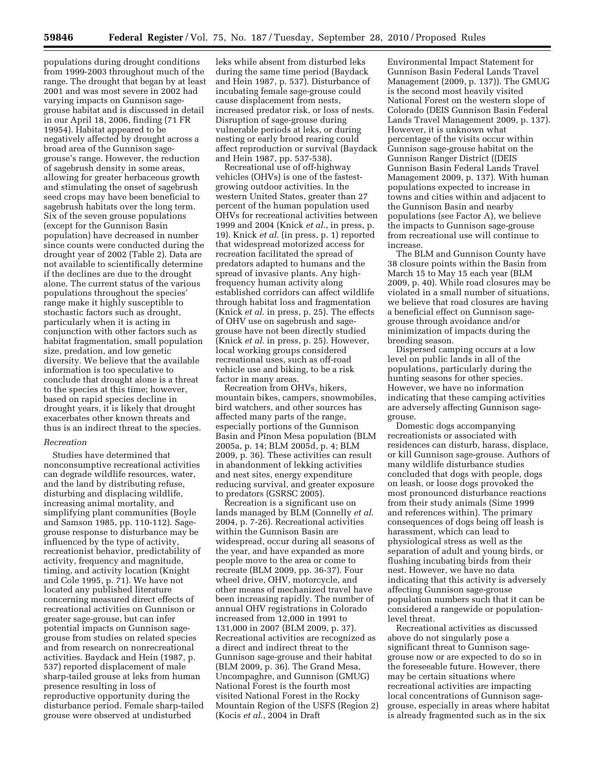populations during drought conditions from 1999-2003 throughout much of the range. The drought that began by at least 2001 and was most severe in 2002 had varying impacts on Gunnison sagegrouse habitat and is discussed in detail in our April 18, 2006, finding (71 FR 19954). Habitat appeared to be negatively affected by drought across a broad area of the Gunnison sagegrouse's range. However, the reduction of sagebrush density in some areas, allowing for greater herbaceous growth and stimulating the onset of sagebrush seed crops may have been beneficial to sagebrush habitats over the long term. Six of the seven grouse populations (except for the Gunnison Basin population) have decreased in number since counts were conducted during the drought year of 2002 (Table 2). Data are not available to scientifically determine if the declines are due to the drought alone. The current status of the various populations throughout the species' range make it highly susceptible to stochastic factors such as drought, particularly when it is acting in conjunction with other factors such as habitat fragmentation, small population size, predation, and low genetic diversity. We believe that the available information is too speculative to conclude that drought alone is a threat to the species at this time; however, based on rapid species decline in drought years, it is likely that drought exacerbates other known threats and thus is an indirect threat to the species.

## *Recreation*

Studies have determined that nonconsumptive recreational activities can degrade wildlife resources, water, and the land by distributing refuse, disturbing and displacing wildlife, increasing animal mortality, and simplifying plant communities (Boyle and Samson 1985, pp. 110-112). Sagegrouse response to disturbance may be influenced by the type of activity, recreationist behavior, predictability of activity, frequency and magnitude, timing, and activity location (Knight and Cole 1995, p. 71). We have not located any published literature concerning measured direct effects of recreational activities on Gunnison or greater sage-grouse, but can infer potential impacts on Gunnison sagegrouse from studies on related species and from research on nonrecreational activities. Baydack and Hein (1987, p. 537) reported displacement of male sharp-tailed grouse at leks from human presence resulting in loss of reproductive opportunity during the disturbance period. Female sharp-tailed grouse were observed at undisturbed

leks while absent from disturbed leks during the same time period (Baydack and Hein 1987, p. 537). Disturbance of incubating female sage-grouse could cause displacement from nests, increased predator risk, or loss of nests. Disruption of sage-grouse during vulnerable periods at leks, or during nesting or early brood rearing could affect reproduction or survival (Baydack and Hein 1987, pp. 537-538).

Recreational use of off-highway vehicles (OHVs) is one of the fastestgrowing outdoor activities. In the western United States, greater than 27 percent of the human population used OHVs for recreational activities between 1999 and 2004 (Knick *et al*., in press, p. 19). Knick *et al*. (in press, p. 1) reported that widespread motorized access for recreation facilitated the spread of predators adapted to humans and the spread of invasive plants. Any highfrequency human activity along established corridors can affect wildlife through habitat loss and fragmentation (Knick *et al.* in press, p. 25). The effects of OHV use on sagebrush and sagegrouse have not been directly studied (Knick *et al.* in press, p. 25). However, local working groups considered recreational uses, such as off-road vehicle use and biking, to be a risk factor in many areas.

Recreation from OHVs, hikers, mountain bikes, campers, snowmobiles, bird watchers, and other sources has affected many parts of the range, especially portions of the Gunnison Basin and Pinon Mesa population (BLM 2005a, p. 14; BLM 2005d, p. 4; BLM 2009, p. 36). These activities can result in abandonment of lekking activities and nest sites, energy expenditure reducing survival, and greater exposure to predators (GSRSC 2005).

Recreation is a significant use on lands managed by BLM (Connelly *et al*. 2004, p. 7-26). Recreational activities within the Gunnison Basin are widespread, occur during all seasons of the year, and have expanded as more people move to the area or come to recreate (BLM 2009, pp. 36-37). Four wheel drive, OHV, motorcycle, and other means of mechanized travel have been increasing rapidly. The number of annual OHV registrations in Colorado increased from 12,000 in 1991 to 131,000 in 2007 (BLM 2009, p. 37). Recreational activities are recognized as a direct and indirect threat to the Gunnison sage-grouse and their habitat (BLM 2009, p. 36). The Grand Mesa, Uncompaghre, and Gunnison (GMUG) National Forest is the fourth most visited National Forest in the Rocky Mountain Region of the USFS (Region 2) (Kocis *et al*., 2004 in Draft

Environmental Impact Statement for Gunnison Basin Federal Lands Travel Management (2009, p. 137)). The GMUG is the second most heavily visited National Forest on the western slope of Colorado (DEIS Gunnison Basin Federal Lands Travel Management 2009, p. 137). However, it is unknown what percentage of the visits occur within Gunnison sage-grouse habitat on the Gunnison Ranger District ((DEIS Gunnison Basin Federal Lands Travel Management 2009, p. 137). With human populations expected to increase in towns and cities within and adjacent to the Gunnison Basin and nearby populations (see Factor A), we believe the impacts to Gunnison sage-grouse from recreational use will continue to increase.

The BLM and Gunnison County have 38 closure points within the Basin from March 15 to May 15 each year (BLM 2009, p. 40). While road closures may be violated in a small number of situations, we believe that road closures are having a beneficial effect on Gunnison sagegrouse through avoidance and/or minimization of impacts during the breeding season.

Dispersed camping occurs at a low level on public lands in all of the populations, particularly during the hunting seasons for other species. However, we have no information indicating that these camping activities are adversely affecting Gunnison sagegrouse.

Domestic dogs accompanying recreationists or associated with residences can disturb, harass, displace, or kill Gunnison sage-grouse. Authors of many wildlife disturbance studies concluded that dogs with people, dogs on leash, or loose dogs provoked the most pronounced disturbance reactions from their study animals (Sime 1999 and references within). The primary consequences of dogs being off leash is harassment, which can lead to physiological stress as well as the separation of adult and young birds, or flushing incubating birds from their nest. However, we have no data indicating that this activity is adversely affecting Gunnison sage-grouse population numbers such that it can be considered a rangewide or populationlevel threat.

Recreational activities as discussed above do not singularly pose a significant threat to Gunnison sagegrouse now or are expected to do so in the foreseeable future. However, there may be certain situations where recreational activities are impacting local concentrations of Gunnison sagegrouse, especially in areas where habitat is already fragmented such as in the six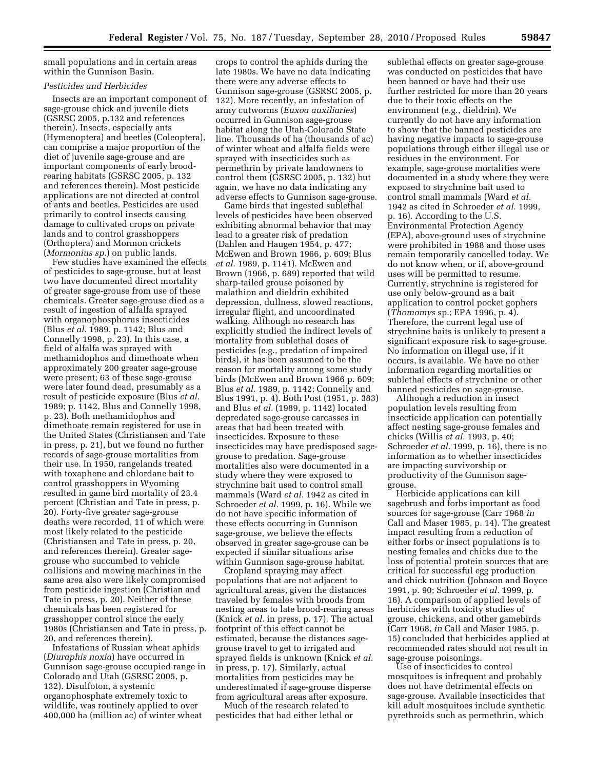small populations and in certain areas within the Gunnison Basin.

## *Pesticides and Herbicides*

Insects are an important component of sage-grouse chick and juvenile diets (GSRSC 2005, p.132 and references therein). Insects, especially ants (Hymenoptera) and beetles (Coleoptera), can comprise a major proportion of the diet of juvenile sage-grouse and are important components of early broodrearing habitats (GSRSC 2005, p. 132 and references therein). Most pesticide applications are not directed at control of ants and beetles. Pesticides are used primarily to control insects causing damage to cultivated crops on private lands and to control grasshoppers (Orthoptera) and Mormon crickets (*Mormonius sp.*) on public lands.

Few studies have examined the effects of pesticides to sage-grouse, but at least two have documented direct mortality of greater sage-grouse from use of these chemicals. Greater sage-grouse died as a result of ingestion of alfalfa sprayed with organophosphorus insecticides (Blus *et al.* 1989, p. 1142; Blus and Connelly 1998, p. 23). In this case, a field of alfalfa was sprayed with methamidophos and dimethoate when approximately 200 greater sage-grouse were present; 63 of these sage-grouse were later found dead, presumably as a result of pesticide exposure (Blus *et al.*  1989; p. 1142, Blus and Connelly 1998, p. 23). Both methamidophos and dimethoate remain registered for use in the United States (Christiansen and Tate in press, p. 21), but we found no further records of sage-grouse mortalities from their use. In 1950, rangelands treated with toxaphene and chlordane bait to control grasshoppers in Wyoming resulted in game bird mortality of 23.4 percent (Christian and Tate in press, p. 20). Forty-five greater sage-grouse deaths were recorded, 11 of which were most likely related to the pesticide (Christiansen and Tate in press, p. 20, and references therein). Greater sagegrouse who succumbed to vehicle collisions and mowing machines in the same area also were likely compromised from pesticide ingestion (Christian and Tate in press, p. 20). Neither of these chemicals has been registered for grasshopper control since the early 1980s (Christiansen and Tate in press, p. 20, and references therein).

Infestations of Russian wheat aphids (*Diuraphis noxia*) have occurred in Gunnison sage-grouse occupied range in Colorado and Utah (GSRSC 2005, p. 132). Disulfoton, a systemic organophosphate extremely toxic to wildlife, was routinely applied to over 400,000 ha (million ac) of winter wheat

crops to control the aphids during the late 1980s. We have no data indicating there were any adverse effects to Gunnison sage-grouse (GSRSC 2005, p. 132). More recently, an infestation of army cutworms (*Euxoa auxiliaries*) occurred in Gunnison sage-grouse habitat along the Utah-Colorado State line. Thousands of ha (thousands of ac) of winter wheat and alfalfa fields were sprayed with insecticides such as permethrin by private landowners to control them (GSRSC 2005, p. 132) but again, we have no data indicating any adverse effects to Gunnison sage-grouse.

Game birds that ingested sublethal levels of pesticides have been observed exhibiting abnormal behavior that may lead to a greater risk of predation (Dahlen and Haugen 1954, p. 477; McEwen and Brown 1966, p. 609; Blus *et al.* 1989, p. 1141). McEwen and Brown (1966, p. 689) reported that wild sharp-tailed grouse poisoned by malathion and dieldrin exhibited depression, dullness, slowed reactions, irregular flight, and uncoordinated walking. Although no research has explicitly studied the indirect levels of mortality from sublethal doses of pesticides (e.g., predation of impaired birds), it has been assumed to be the reason for mortality among some study birds (McEwen and Brown 1966 p. 609; Blus *et al.* 1989, p. 1142; Connelly and Blus 1991, p. 4). Both Post (1951, p. 383) and Blus *et al.* (1989, p. 1142) located depredated sage-grouse carcasses in areas that had been treated with insecticides. Exposure to these insecticides may have predisposed sagegrouse to predation. Sage-grouse mortalities also were documented in a study where they were exposed to strychnine bait used to control small mammals (Ward *et al.* 1942 as cited in Schroeder *et al.* 1999, p. 16). While we do not have specific information of these effects occurring in Gunnison sage-grouse, we believe the effects observed in greater sage-grouse can be expected if similar situations arise within Gunnison sage-grouse habitat.

Cropland spraying may affect populations that are not adjacent to agricultural areas, given the distances traveled by females with broods from nesting areas to late brood-rearing areas (Knick *et al.* in press, p. 17). The actual footprint of this effect cannot be estimated, because the distances sagegrouse travel to get to irrigated and sprayed fields is unknown (Knick *et al.*  in press, p. 17). Similarly, actual mortalities from pesticides may be underestimated if sage-grouse disperse from agricultural areas after exposure.

Much of the research related to pesticides that had either lethal or

sublethal effects on greater sage-grouse was conducted on pesticides that have been banned or have had their use further restricted for more than 20 years due to their toxic effects on the environment (e.g., dieldrin). We currently do not have any information to show that the banned pesticides are having negative impacts to sage-grouse populations through either illegal use or residues in the environment. For example, sage-grouse mortalities were documented in a study where they were exposed to strychnine bait used to control small mammals (Ward *et al.*  1942 as cited in Schroeder *et al.* 1999, p. 16). According to the U.S. Environmental Protection Agency (EPA), above-ground uses of strychnine were prohibited in 1988 and those uses remain temporarily cancelled today. We do not know when, or if, above-ground uses will be permitted to resume. Currently, strychnine is registered for use only below-ground as a bait application to control pocket gophers (*Thomomys* sp.; EPA 1996, p. 4). Therefore, the current legal use of strychnine baits is unlikely to present a significant exposure risk to sage-grouse. No information on illegal use, if it occurs, is available. We have no other information regarding mortalities or sublethal effects of strychnine or other banned pesticides on sage-grouse.

Although a reduction in insect population levels resulting from insecticide application can potentially affect nesting sage-grouse females and chicks (Willis *et al.* 1993, p. 40; Schroeder *et al.* 1999, p. 16), there is no information as to whether insecticides are impacting survivorship or productivity of the Gunnison sagegrouse.

Herbicide applications can kill sagebrush and forbs important as food sources for sage-grouse (Carr 1968 *in*  Call and Maser 1985, p. 14). The greatest impact resulting from a reduction of either forbs or insect populations is to nesting females and chicks due to the loss of potential protein sources that are critical for successful egg production and chick nutrition (Johnson and Boyce 1991, p. 90; Schroeder *et al.* 1999, p. 16). A comparison of applied levels of herbicides with toxicity studies of grouse, chickens, and other gamebirds (Carr 1968, *in* Call and Maser 1985, p. 15) concluded that herbicides applied at recommended rates should not result in sage-grouse poisonings.

Use of insecticides to control mosquitoes is infrequent and probably does not have detrimental effects on sage-grouse. Available insecticides that kill adult mosquitoes include synthetic pyrethroids such as permethrin, which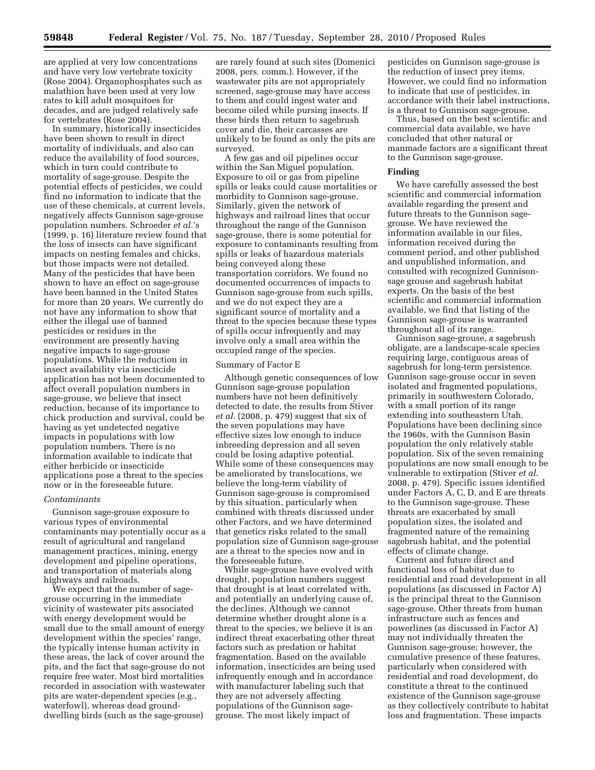are applied at very low concentrations and have very low vertebrate toxicity (Rose 2004). Organophosphates such as malathion have been used at very low rates to kill adult mosquitoes for decades, and are judged relatively safe for vertebrates (Rose 2004).

In summary, historically insecticides have been shown to result in direct mortality of individuals, and also can reduce the availability of food sources, which in turn could contribute to mortality of sage-grouse. Despite the potential effects of pesticides, we could find no information to indicate that the use of these chemicals, at current levels, negatively affects Gunnison sage-grouse population numbers. Schroeder *et al.*'s (1999, p. 16) literature review found that the loss of insects can have significant impacts on nesting females and chicks, but those impacts were not detailed. Many of the pesticides that have been shown to have an effect on sage-grouse have been banned in the United States for more than 20 years. We currently do not have any information to show that either the illegal use of banned pesticides or residues in the environment are presently having negative impacts to sage-grouse populations. While the reduction in insect availability via insecticide application has not been documented to affect overall population numbers in sage-grouse, we believe that insect reduction, because of its importance to chick production and survival, could be having as yet undetected negative impacts in populations with low population numbers. There is no information available to indicate that either herbicide or insecticide applications pose a threat to the species now or in the foreseeable future.

## *Contaminants*

Gunnison sage-grouse exposure to various types of environmental contaminants may potentially occur as a result of agricultural and rangeland management practices, mining, energy development and pipeline operations, and transportation of materials along highways and railroads.

We expect that the number of sagegrouse occurring in the immediate vicinity of wastewater pits associated with energy development would be small due to the small amount of energy development within the species' range, the typically intense human activity in these areas, the lack of cover around the pits, and the fact that sage-grouse do not require free water. Most bird mortalities recorded in association with wastewater pits are water-dependent species (e.g., waterfowl), whereas dead grounddwelling birds (such as the sage-grouse)

are rarely found at such sites (Domenici 2008, pers. comm.). However, if the wastewater pits are not appropriately screened, sage-grouse may have access to them and could ingest water and become oiled while pursing insects. If these birds then return to sagebrush cover and die, their carcasses are unlikely to be found as only the pits are surveyed.

A few gas and oil pipelines occur within the San Miguel population. Exposure to oil or gas from pipeline spills or leaks could cause mortalities or morbidity to Gunnison sage-grouse. Similarly, given the network of highways and railroad lines that occur throughout the range of the Gunnison sage-grouse, there is some potential for exposure to contaminants resulting from spills or leaks of hazardous materials being conveyed along these transportation corridors. We found no documented occurrences of impacts to Gunnison sage-grouse from such spills, and we do not expect they are a significant source of mortality and a threat to the species because these types of spills occur infrequently and may involve only a small area within the occupied range of the species.

## Summary of Factor E

Although genetic consequences of low Gunnison sage-grouse population numbers have not been definitively detected to date, the results from Stiver *et al.* (2008, p. 479) suggest that six of the seven populations may have effective sizes low enough to induce inbreeding depression and all seven could be losing adaptive potential. While some of these consequences may be ameliorated by translocations, we believe the long-term viability of Gunnison sage-grouse is compromised by this situation, particularly when combined with threats discussed under other Factors, and we have determined that genetics risks related to the small population size of Gunnison sage-grouse are a threat to the species now and in the foreseeable future.

While sage-grouse have evolved with drought, population numbers suggest that drought is at least correlated with, and potentially an underlying cause of, the declines. Although we cannot determine whether drought alone is a threat to the species, we believe it is an indirect threat exacerbating other threat factors such as predation or habitat fragmentation. Based on the available information, insecticides are being used infrequently enough and in accordance with manufacturer labeling such that they are not adversely affecting populations of the Gunnison sagegrouse. The most likely impact of

pesticides on Gunnison sage-grouse is the reduction of insect prey items. However, we could find no information to indicate that use of pesticides, in accordance with their label instructions, is a threat to Gunnison sage-grouse.

Thus, based on the best scientific and commercial data available, we have concluded that other natural or manmade factors are a significant threat to the Gunnison sage-grouse.

#### **Finding**

We have carefully assessed the best scientific and commercial information available regarding the present and future threats to the Gunnison sagegrouse. We have reviewed the information available in our files, information received during the comment period, and other published and unpublished information, and consulted with recognized Gunnisonsage grouse and sagebrush habitat experts. On the basis of the best scientific and commercial information available, we find that listing of the Gunnison sage-grouse is warranted throughout all of its range.

Gunnison sage-grouse, a sagebrush obligate, are a landscape-scale species requiring large, contiguous areas of sagebrush for long-term persistence. Gunnison sage-grouse occur in seven isolated and fragmented populations, primarily in southwestern Colorado, with a small portion of its range extending into southeastern Utah. Populations have been declining since the 1960s, with the Gunnison Basin population the only relatively stable population. Six of the seven remaining populations are now small enough to be vulnerable to extirpation (Stiver *et al*. 2008, p. 479). Specific issues identified under Factors A, C, D, and E are threats to the Gunnison sage-grouse. These threats are exacerbated by small population sizes, the isolated and fragmented nature of the remaining sagebrush habitat, and the potential effects of climate change.

Current and future direct and functional loss of habitat due to residential and road development in all populations (as discussed in Factor A) is the principal threat to the Gunnison sage-grouse. Other threats from human infrastructure such as fences and powerlines (as discussed in Factor A) may not individually threaten the Gunnison sage-grouse; however, the cumulative presence of these features, particularly when considered with residential and road development, do constitute a threat to the continued existence of the Gunnison sage-grouse as they collectively contribute to habitat loss and fragmentation. These impacts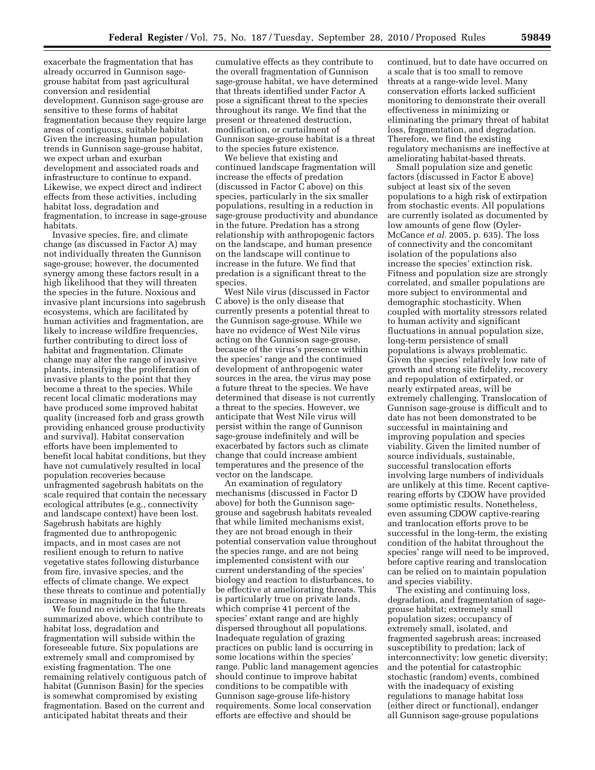exacerbate the fragmentation that has already occurred in Gunnison sagegrouse habitat from past agricultural conversion and residential development. Gunnison sage-grouse are sensitive to these forms of habitat fragmentation because they require large areas of contiguous, suitable habitat. Given the increasing human population trends in Gunnison sage-grouse habitat, we expect urban and exurban development and associated roads and infrastructure to continue to expand. Likewise, we expect direct and indirect effects from these activities, including habitat loss, degradation and fragmentation, to increase in sage-grouse habitats.

Invasive species, fire, and climate change (as discussed in Factor A) may not individually threaten the Gunnison sage-grouse; however, the documented synergy among these factors result in a high likelihood that they will threaten the species in the future. Noxious and invasive plant incursions into sagebrush ecosystems, which are facilitated by human activities and fragmentation, are likely to increase wildfire frequencies, further contributing to direct loss of habitat and fragmentation. Climate change may alter the range of invasive plants, intensifying the proliferation of invasive plants to the point that they become a threat to the species. While recent local climatic moderations may have produced some improved habitat quality (increased forb and grass growth providing enhanced grouse productivity and survival). Habitat conservation efforts have been implemented to benefit local habitat conditions, but they have not cumulatively resulted in local population recoveries because unfragmented sagebrush habitats on the scale required that contain the necessary ecological attributes (e.g., connectivity and landscape context) have been lost. Sagebrush habitats are highly fragmented due to anthropogenic impacts, and in most cases are not resilient enough to return to native vegetative states following disturbance from fire, invasive species, and the effects of climate change. We expect these threats to continue and potentially increase in magnitude in the future.

We found no evidence that the threats summarized above, which contribute to habitat loss, degradation and fragmentation will subside within the foreseeable future. Six populations are extremely small and compromised by existing fragmentation. The one remaining relatively contiguous patch of habitat (Gunnison Basin) for the species is somewhat compromised by existing fragmentation. Based on the current and anticipated habitat threats and their

cumulative effects as they contribute to the overall fragmentation of Gunnison sage-grouse habitat, we have determined that threats identified under Factor A pose a significant threat to the species throughout its range. We find that the present or threatened destruction, modification, or curtailment of Gunnison sage-grouse habitat is a threat to the species future existence.

We believe that existing and continued landscape fragmentation will increase the effects of predation (discussed in Factor C above) on this species, particularly in the six smaller populations, resulting in a reduction in sage-grouse productivity and abundance in the future. Predation has a strong relationship with anthropogenic factors on the landscape, and human presence on the landscape will continue to increase in the future. We find that predation is a significant threat to the species.

West Nile virus (discussed in Factor C above) is the only disease that currently presents a potential threat to the Gunnison sage-grouse. While we have no evidence of West Nile virus acting on the Gunnison sage-grouse, because of the virus's presence within the species' range and the continued development of anthropogenic water sources in the area, the virus may pose a future threat to the species. We have determined that disease is not currently a threat to the species. However, we anticipate that West Nile virus will persist within the range of Gunnison sage-grouse indefinitely and will be exacerbated by factors such as climate change that could increase ambient temperatures and the presence of the vector on the landscape.

An examination of regulatory mechanisms (discussed in Factor D above) for both the Gunnison sagegrouse and sagebrush habitats revealed that while limited mechanisms exist, they are not broad enough in their potential conservation value throughout the species range, and are not being implemented consistent with our current understanding of the species' biology and reaction to disturbances, to be effective at ameliorating threats. This is particularly true on private lands, which comprise 41 percent of the species' extant range and are highly dispersed throughout all populations. Inadequate regulation of grazing practices on public land is occurring in some locations within the species' range. Public land management agencies should continue to improve habitat conditions to be compatible with Gunnison sage-grouse life-history requirements. Some local conservation efforts are effective and should be

continued, but to date have occurred on a scale that is too small to remove threats at a range-wide level. Many conservation efforts lacked sufficient monitoring to demonstrate their overall effectiveness in minimizing or eliminating the primary threat of habitat loss, fragmentation, and degradation. Therefore, we find the existing regulatory mechanisms are ineffective at ameliorating habitat-based threats.

Small population size and genetic factors (discussed in Factor E above) subject at least six of the seven populations to a high risk of extirpation from stochastic events. All populations are currently isolated as documented by low amounts of gene flow (Oyler-McCance *et al.* 2005, p. 635). The loss of connectivity and the concomitant isolation of the populations also increase the species' extinction risk. Fitness and population size are strongly correlated, and smaller populations are more subject to environmental and demographic stochasticity. When coupled with mortality stressors related to human activity and significant fluctuations in annual population size, long-term persistence of small populations is always problematic. Given the species' relatively low rate of growth and strong site fidelity, recovery and repopulation of extirpated, or nearly extirpated areas, will be extremely challenging. Translocation of Gunnison sage-grouse is difficult and to date has not been demonstrated to be successful in maintaining and improving population and species viability. Given the limited number of source individuals, sustainable, successful translocation efforts involving large numbers of individuals are unlikely at this time. Recent captiverearing efforts by CDOW have provided some optimistic results. Nonetheless, even assuming CDOW captive-rearing and tranlocation efforts prove to be successful in the long-term, the existing condition of the habitat throughout the species' range will need to be improved, before captive rearing and translocation can be relied on to maintain population and species viability.

The existing and continuing loss, degradation, and fragmentation of sagegrouse habitat; extremely small population sizes; occupancy of extremely small, isolated, and fragmented sagebrush areas; increased susceptibility to predation; lack of interconnectivity; low genetic diversity; and the potential for catastrophic stochastic (random) events, combined with the inadequacy of existing regulations to manage habitat loss (either direct or functional), endanger all Gunnison sage-grouse populations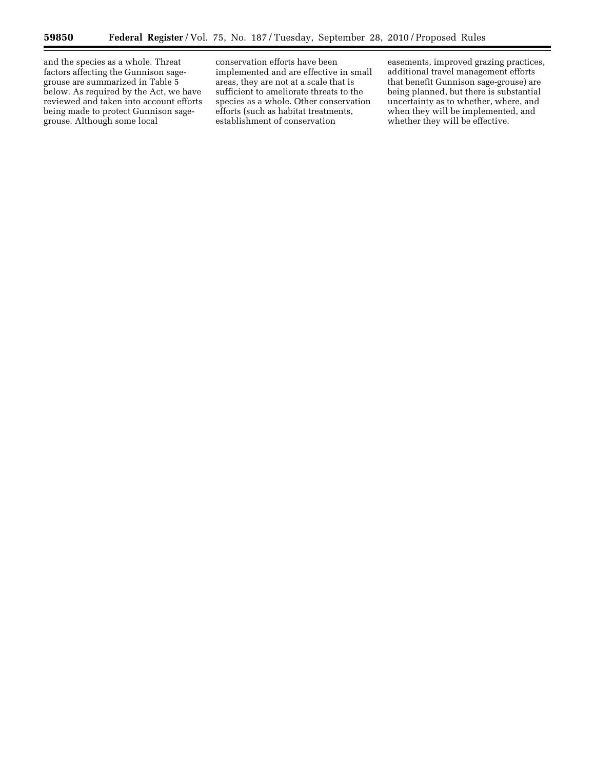≡

and the species as a whole. Threat factors affecting the Gunnison sagegrouse are summarized in Table 5 below. As required by the Act, we have reviewed and taken into account efforts being made to protect Gunnison sagegrouse. Although some local

conservation efforts have been implemented and are effective in small areas, they are not at a scale that is sufficient to ameliorate threats to the species as a whole. Other conservation efforts (such as habitat treatments, establishment of conservation

easements, improved grazing practices, additional travel management efforts that benefit Gunnison sage-grouse) are being planned, but there is substantial uncertainty as to whether, where, and when they will be implemented, and whether they will be effective.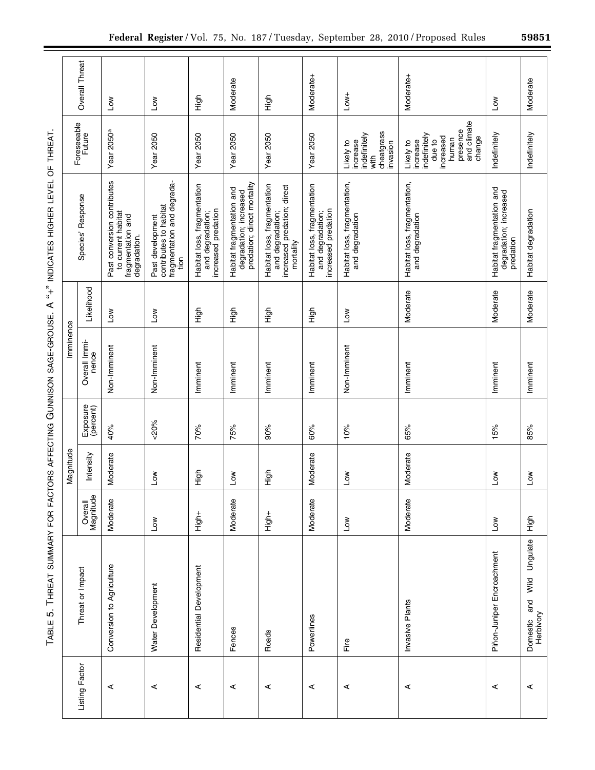|                                          |           | <b>Overall Threat</b>  | <b>No7</b>                                                                             | <b>Nor</b>                                                                                | High                                                                   | Moderate                                                                           | 동<br>도                                                                                      | Moderate+                                                              | $Low+$                                                                  | Moderate+                                                                                                  | <b>No7</b>                                                       | Moderate                                   |
|------------------------------------------|-----------|------------------------|----------------------------------------------------------------------------------------|-------------------------------------------------------------------------------------------|------------------------------------------------------------------------|------------------------------------------------------------------------------------|---------------------------------------------------------------------------------------------|------------------------------------------------------------------------|-------------------------------------------------------------------------|------------------------------------------------------------------------------------------------------------|------------------------------------------------------------------|--------------------------------------------|
|                                          |           | Foreseeable<br>Future  | Year 2050ª                                                                             | <b>Year 2050</b>                                                                          | Year 2050                                                              | <b>Year 2050</b>                                                                   | Year 2050                                                                                   | Year 2050                                                              | cheatgrass<br>indefinitely<br>increase<br>invasion<br>Likely to<br>with | presence<br>and climate<br>change<br>indefinitely<br>increased<br>human<br>due to<br>increase<br>Likely to | Indefinitely                                                     | Indefinitely                               |
| יואמה בא בבא בבא בה העובדה היה היה באו ה |           | Species' Response      | Past conversion contributes<br>to current habitat<br>fragmentation and<br>degradation. | fragmentation and degrada-<br>contributes to habitat<br>Past development<br>$\frac{1}{2}$ | Habitat loss, fragmentation<br>increased predation<br>and degradation; | predation; direct mortality<br>Habitat fragmentation and<br>degradation; increased | Habitat loss, fragmentation<br>increased predation; direct<br>mortality<br>and degradation; | Habitat loss, fragmentation<br>increased predation<br>and degradation; | Habitat loss, fragmentation,<br>and degradation                         | Habitat loss, fragmentation,<br>and degradation                                                            | Habitat fragmentation and<br>degradation; increased<br>predation | Habitat degradation                        |
| $\mathsf{C}$                             |           | Likelihood             | <b>Nor</b>                                                                             | <b>Nor</b>                                                                                | High                                                                   | High                                                                               | High                                                                                        | 스<br>도                                                                 | <b>Nor</b>                                                              | Moderate                                                                                                   | Moderate                                                         | Moderate                                   |
|                                          | Imminence | Overall Immi-<br>nence | Non-Imminent                                                                           | Non-Imminent                                                                              | Imminent                                                               | Imminent                                                                           | Imminent                                                                                    | Imminent                                                               | Non-Imminent                                                            | Imminent                                                                                                   | Imminent                                                         | Imminent                                   |
|                                          |           | Exposure<br>(percent)  | 40%                                                                                    | $&00\%$                                                                                   | 70%                                                                    | 75%                                                                                | 90%                                                                                         | 60%                                                                    | 10%                                                                     | 65%                                                                                                        | 15%                                                              | 85%                                        |
|                                          | Magnitude | Intensity              | Moderate                                                                               | Μoη                                                                                       | 등<br>도                                                                 | $\sum_{i=1}^{n}$                                                                   | High                                                                                        | Moderate                                                               | Low                                                                     | Moderate                                                                                                   | Low                                                              | Low                                        |
| INE LIVENIMIN                            |           | Overall<br>Magnitude   | Moderate                                                                               | Low                                                                                       | +<br>ip<br>i                                                           | Moderate                                                                           | <b>High+</b>                                                                                | Moderate                                                               | <b>Nor</b>                                                              | Moderate                                                                                                   | Low                                                              | High                                       |
| - 1 L L L L L<br>こうこうしょう                 |           | Threat or Impact       | Conversion to Agriculture                                                              | Water Development                                                                         | Residential Development                                                | Fences                                                                             | Roads                                                                                       | Powerlines                                                             | Fire                                                                    | Invasive Plants                                                                                            | Piñon-Juniper Encroachment                                       | Wild Ungulate<br>Domestic and<br>Herbivory |
|                                          |           | Listing Factor         | ⋖                                                                                      | ⋖                                                                                         | ⋖                                                                      | ⋖                                                                                  | ⋖                                                                                           | ⋖                                                                      | ⋖                                                                       | ⋖                                                                                                          | ⋖                                                                | ⋖                                          |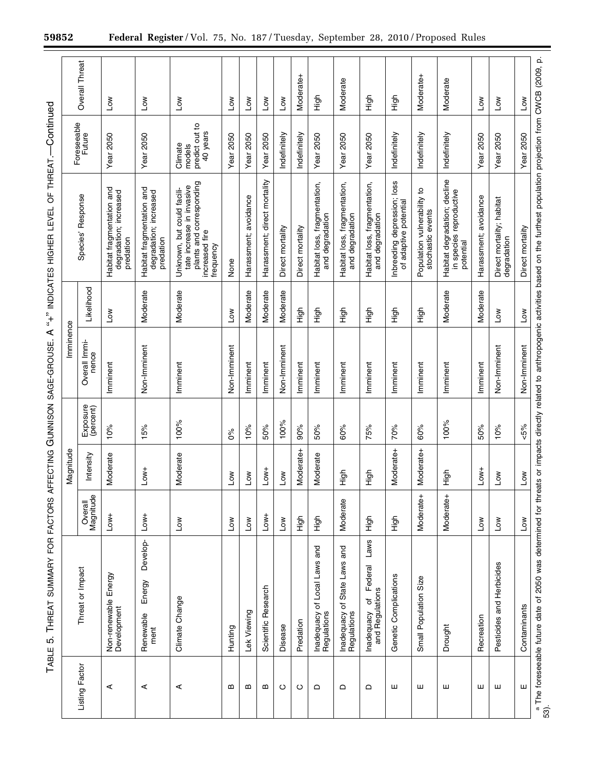| ī<br>י<br>;<br>;<br>;                                                                       |
|---------------------------------------------------------------------------------------------|
| l<br>ׇ֖֖֖֖֖֧ׅ֧ׅ֦֧ׅ֧֧֧֧֧֧֧֧֧֚֚֚֚֚֚֚֚֚֚֚֚֚֚֚֡֝֝֝֝֓֝֬֓֡֝֬֓֬֝֓֬֝֓֬֝֓֬֝֓֬֝֓֬֝֓֝֬֝֬֝֬֝֬֝֬֝֬֝֬֝֬֝֬ |
|                                                                                             |
| ミニリーシー                                                                                      |
| ֚֚֚֬<br>j<br>l<br>ٜ<br>;                                                                    |
| l<br>֚֓֡<br>ׇ֚֓֡                                                                            |
| ı<br>֕<br><b>Service Service</b><br>I                                                       |

|                |                                                                                                                                                                                                  |                       | Magnitude               |                       | Imminence              |                   |                                                                                                                    |                                                 |                       |
|----------------|--------------------------------------------------------------------------------------------------------------------------------------------------------------------------------------------------|-----------------------|-------------------------|-----------------------|------------------------|-------------------|--------------------------------------------------------------------------------------------------------------------|-------------------------------------------------|-----------------------|
| Listing Factor | Threat or Impact                                                                                                                                                                                 | Overall<br>Magnitude  | Intensity               | Exposure<br>(percent) | Overall Immi-<br>nence | Likelihood        | Species' Response                                                                                                  | Foreseeable<br>Future                           | <b>Overall Threat</b> |
| ⋖              | Non-renewable Energy<br>Development                                                                                                                                                              | $-0w +$               | loderate<br>Σ           | 10%                   | Imminent               | <b>NOT</b>        | Habitat fragmentation and<br>degradation; increased<br>predation                                                   | <b>Year 2050</b>                                | Mo7                   |
| ⋖              | Develop-<br>Energy<br>Renewable<br>ment                                                                                                                                                          | $-10W +$              | $LOW+$                  | 15%                   | Non-Imminent           | Moderate          | Habitat fragmentation and<br>degradation; increased<br>predation                                                   | <b>Year 2050</b>                                | Μoη                   |
| ⋖              | Climate Change                                                                                                                                                                                   | $\sum_{i=1}^{\infty}$ | loderate<br>≥           | 100%                  | Imminent               | Moderate          | plants and corresponding<br>tate increase in invasive<br>Unknown, but could facili-<br>increased fire<br>frequency | predict out to<br>40 years<br>Climate<br>models | $\sum_{i=1}^{\infty}$ |
| ≃              | Hunting                                                                                                                                                                                          | Μoη                   | Low                     | $\delta$              | Non-Imminent           | $\overline{1}$ ow | None                                                                                                               | <b>Year 2050</b>                                | ŠΜ                    |
| ≃              | Lek Viewing                                                                                                                                                                                      | <b>No7</b>            | $\geqslant$<br>⊐        | 10%                   | Imminent               | Moderate          | Harassment; avoidance                                                                                              | Year 2050                                       | No7                   |
| m              | Scientific Research                                                                                                                                                                              | $Low+$                | $Low+$                  | 50%                   | Imminent               | Moderate          | Harassment; direct mortality                                                                                       | Year 2050                                       | No⊿                   |
| $\circ$        | Disease                                                                                                                                                                                          | No⊿                   | $\overline{\mathsf{S}}$ | 100%                  | Non-Imminent           | Moderate          | Direct mortality                                                                                                   | Indefinitely                                    | ΜOΤ                   |
| ပ              | Predation                                                                                                                                                                                        | )<br>도                | loderate+<br>≥          | 90%                   | Imminent               | High              | Direct mortality                                                                                                   | Indefinitely                                    | Moderate+             |
| ≏              | Inadequacy of Local Laws and<br>Regulations                                                                                                                                                      | High                  | loderate<br>Σ           | 50%                   | Imminent               | High              | Habitat loss, fragmentation,<br>and degradation                                                                    | <b>Year 2050</b>                                | High                  |
| ≏              | Inadequacy of State Laws and<br>Regulations                                                                                                                                                      | Moderate              | $\overline{5}$<br>I     | 60%                   | Imminent               | High              | Habitat loss, fragmentation,<br>and degradation                                                                    | Year 2050                                       | Moderate              |
| ≏              | Laws<br>Federal<br>Inadequacy of F<br>and Regulations                                                                                                                                            | 6<br>도                | $\overline{5}$<br>I     | 75%                   | Imminent               | High              | Habitat loss, fragmentation,<br>and degradation                                                                    | Year 2050                                       | 동<br>도                |
| ш              | Genetic Complications                                                                                                                                                                            | nigh                  | oderate+<br>Σ           | 70%                   | Imminent               | High              | Inbreeding depression; loss<br>of adaptive potential                                                               | Indefinitely                                    | High                  |
| ш              | Small Population Size                                                                                                                                                                            | Moderate+             | loderate+<br>≥          | 60%                   | Imminent               | High              | Population vulnerability to<br>stochastic events                                                                   | Indefinitely                                    | Moderate+             |
| ш              | Drought                                                                                                                                                                                          | Moderate+             | $\overline{5}$<br>ᆂ     | 100%                  | Imminent               | Moderate          | Habitat degradation; decline<br>in species reproductive<br>potential                                               | Indefinitely                                    | Moderate              |
| ш              | Recreation                                                                                                                                                                                       | <b>NOT</b>            | $Low+$                  | 50%                   | Imminent               | Moderate          | Harassment; avoidance                                                                                              | <b>Year 2050</b>                                | ΜoΓ                   |
| ш              | Pesticides and Herbicides                                                                                                                                                                        | Mo⊿                   | <b>NOT</b>              | 10%                   | Non-Imminent           | No⊿               | Direct mortality; habitat<br>degradation                                                                           | Year 2050                                       | <b>Norl</b>           |
| Ш              | Contaminants                                                                                                                                                                                     | <b>Norl</b>           | Low                     | $5\%$                 | Non-Imminent           | <b>NOT</b>        | Direct mortality                                                                                                   | <b>Year 2050</b>                                | Low                   |
|                | a The foreseeable future date of 2050 was determined for threats or impacts directly related to anthropogenic activities based on the furthest population projection from CWCB (2009, p.<br>53). |                       |                         |                       |                        |                   |                                                                                                                    |                                                 |                       |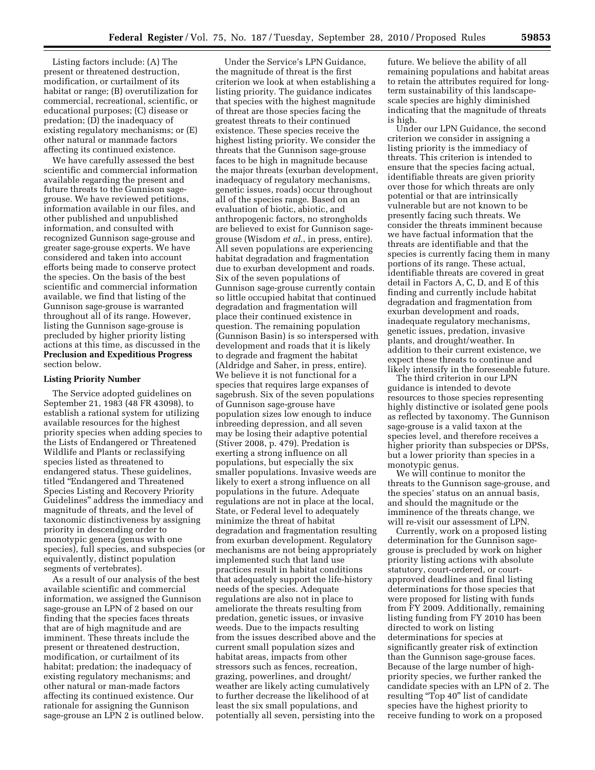Listing factors include: (A) The present or threatened destruction, modification, or curtailment of its habitat or range; (B) overutilization for commercial, recreational, scientific, or educational purposes; (C) disease or predation; (D) the inadequacy of existing regulatory mechanisms; or (E) other natural or manmade factors affecting its continued existence.

We have carefully assessed the best scientific and commercial information available regarding the present and future threats to the Gunnison sagegrouse. We have reviewed petitions, information available in our files, and other published and unpublished information, and consulted with recognized Gunnison sage-grouse and greater sage-grouse experts. We have considered and taken into account efforts being made to conserve protect the species. On the basis of the best scientific and commercial information available, we find that listing of the Gunnison sage-grouse is warranted throughout all of its range. However, listing the Gunnison sage-grouse is precluded by higher priority listing actions at this time, as discussed in the **Preclusion and Expeditious Progress**  section below.

## **Listing Priority Number**

The Service adopted guidelines on September 21, 1983 (48 FR 43098), to establish a rational system for utilizing available resources for the highest priority species when adding species to the Lists of Endangered or Threatened Wildlife and Plants or reclassifying species listed as threatened to endangered status. These guidelines, titled ''Endangered and Threatened Species Listing and Recovery Priority Guidelines'' address the immediacy and magnitude of threats, and the level of taxonomic distinctiveness by assigning priority in descending order to monotypic genera (genus with one species), full species, and subspecies (or equivalently, distinct population segments of vertebrates).

As a result of our analysis of the best available scientific and commercial information, we assigned the Gunnison sage-grouse an LPN of 2 based on our finding that the species faces threats that are of high magnitude and are imminent. These threats include the present or threatened destruction, modification, or curtailment of its habitat; predation; the inadequacy of existing regulatory mechanisms; and other natural or man-made factors affecting its continued existence. Our rationale for assigning the Gunnison sage-grouse an LPN 2 is outlined below.

Under the Service's LPN Guidance, the magnitude of threat is the first criterion we look at when establishing a listing priority. The guidance indicates that species with the highest magnitude of threat are those species facing the greatest threats to their continued existence. These species receive the highest listing priority. We consider the threats that the Gunnison sage-grouse faces to be high in magnitude because the major threats (exurban development, inadequacy of regulatory mechanisms, genetic issues, roads) occur throughout all of the species range. Based on an evaluation of biotic, abiotic, and anthropogenic factors, no strongholds are believed to exist for Gunnison sagegrouse (Wisdom *et al.*, in press, entire). All seven populations are experiencing habitat degradation and fragmentation due to exurban development and roads. Six of the seven populations of Gunnison sage-grouse currently contain so little occupied habitat that continued degradation and fragmentation will place their continued existence in question. The remaining population (Gunnison Basin) is so interspersed with development and roads that it is likely to degrade and fragment the habitat (Aldridge and Saher, in press, entire). We believe it is not functional for a species that requires large expanses of sagebrush. Six of the seven populations of Gunnison sage-grouse have population sizes low enough to induce inbreeding depression, and all seven may be losing their adaptive potential (Stiver 2008, p. 479). Predation is exerting a strong influence on all populations, but especially the six smaller populations. Invasive weeds are likely to exert a strong influence on all populations in the future. Adequate regulations are not in place at the local, State, or Federal level to adequately minimize the threat of habitat degradation and fragmentation resulting from exurban development. Regulatory mechanisms are not being appropriately implemented such that land use practices result in habitat conditions that adequately support the life-history needs of the species. Adequate regulations are also not in place to ameliorate the threats resulting from predation, genetic issues, or invasive weeds. Due to the impacts resulting from the issues described above and the current small population sizes and habitat areas, impacts from other stressors such as fences, recreation, grazing, powerlines, and drought/ weather are likely acting cumulatively to further decrease the likelihood of at least the six small populations, and potentially all seven, persisting into the

future. We believe the ability of all remaining populations and habitat areas to retain the attributes required for longterm sustainability of this landscapescale species are highly diminished indicating that the magnitude of threats is high.

Under our LPN Guidance, the second criterion we consider in assigning a listing priority is the immediacy of threats. This criterion is intended to ensure that the species facing actual, identifiable threats are given priority over those for which threats are only potential or that are intrinsically vulnerable but are not known to be presently facing such threats. We consider the threats imminent because we have factual information that the threats are identifiable and that the species is currently facing them in many portions of its range. These actual, identifiable threats are covered in great detail in Factors A, C, D, and E of this finding and currently include habitat degradation and fragmentation from exurban development and roads, inadequate regulatory mechanisms, genetic issues, predation, invasive plants, and drought/weather. In addition to their current existence, we expect these threats to continue and likely intensify in the foreseeable future.

The third criterion in our LPN guidance is intended to devote resources to those species representing highly distinctive or isolated gene pools as reflected by taxonomy. The Gunnison sage-grouse is a valid taxon at the species level, and therefore receives a higher priority than subspecies or DPSs, but a lower priority than species in a monotypic genus.

We will continue to monitor the threats to the Gunnison sage-grouse, and the species' status on an annual basis, and should the magnitude or the imminence of the threats change, we will re-visit our assessment of LPN.

Currently, work on a proposed listing determination for the Gunnison sagegrouse is precluded by work on higher priority listing actions with absolute statutory, court-ordered, or courtapproved deadlines and final listing determinations for those species that were proposed for listing with funds from FY 2009. Additionally, remaining listing funding from FY 2010 has been directed to work on listing determinations for species at significantly greater risk of extinction than the Gunnison sage-grouse faces. Because of the large number of highpriority species, we further ranked the candidate species with an LPN of 2. The resulting "Top 40" list of candidate species have the highest priority to receive funding to work on a proposed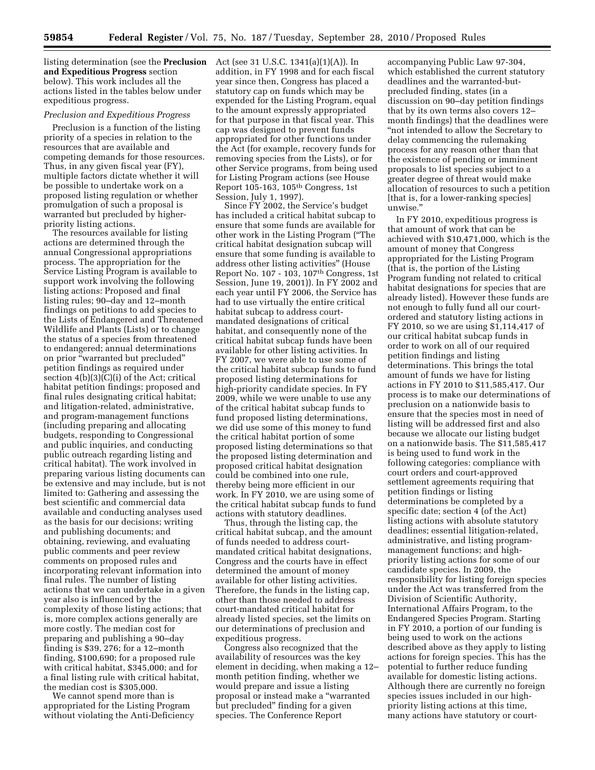listing determination (see the **Preclusion**  Act (see 31 U.S.C. 1341(a)(1)(A)). In **and Expeditious Progress** section below). This work includes all the actions listed in the tables below under expeditious progress.

## *Preclusion and Expeditious Progress*

Preclusion is a function of the listing priority of a species in relation to the resources that are available and competing demands for those resources. Thus, in any given fiscal year (FY), multiple factors dictate whether it will be possible to undertake work on a proposed listing regulation or whether promulgation of such a proposal is warranted but precluded by higherpriority listing actions.

The resources available for listing actions are determined through the annual Congressional appropriations process. The appropriation for the Service Listing Program is available to support work involving the following listing actions: Proposed and final listing rules; 90–day and 12–month findings on petitions to add species to the Lists of Endangered and Threatened Wildlife and Plants (Lists) or to change the status of a species from threatened to endangered; annual determinations on prior ''warranted but precluded'' petition findings as required under section 4(b)(3)(C)(i) of the Act; critical habitat petition findings; proposed and final rules designating critical habitat; and litigation-related, administrative, and program-management functions (including preparing and allocating budgets, responding to Congressional and public inquiries, and conducting public outreach regarding listing and critical habitat). The work involved in preparing various listing documents can be extensive and may include, but is not limited to: Gathering and assessing the best scientific and commercial data available and conducting analyses used as the basis for our decisions; writing and publishing documents; and obtaining, reviewing, and evaluating public comments and peer review comments on proposed rules and incorporating relevant information into final rules. The number of listing actions that we can undertake in a given year also is influenced by the complexity of those listing actions; that is, more complex actions generally are more costly. The median cost for preparing and publishing a 90–day finding is \$39, 276; for a 12–month finding, \$100,690; for a proposed rule with critical habitat, \$345,000; and for a final listing rule with critical habitat, the median cost is \$305,000.

We cannot spend more than is appropriated for the Listing Program without violating the Anti-Deficiency

addition, in FY 1998 and for each fiscal year since then, Congress has placed a statutory cap on funds which may be expended for the Listing Program, equal to the amount expressly appropriated for that purpose in that fiscal year. This cap was designed to prevent funds appropriated for other functions under the Act (for example, recovery funds for removing species from the Lists), or for other Service programs, from being used for Listing Program actions (see House Report 105-163, 105th Congress, 1st Session, July 1, 1997).

Since FY 2002, the Service's budget has included a critical habitat subcap to ensure that some funds are available for other work in the Listing Program (''The critical habitat designation subcap will ensure that some funding is available to address other listing activities'' (House Report No. 107 - 103, 107th Congress, 1st Session, June 19, 2001)). In FY 2002 and each year until FY 2006, the Service has had to use virtually the entire critical habitat subcap to address courtmandated designations of critical habitat, and consequently none of the critical habitat subcap funds have been available for other listing activities. In FY 2007, we were able to use some of the critical habitat subcap funds to fund proposed listing determinations for high-priority candidate species. In FY 2009, while we were unable to use any of the critical habitat subcap funds to fund proposed listing determinations, we did use some of this money to fund the critical habitat portion of some proposed listing determinations so that the proposed listing determination and proposed critical habitat designation could be combined into one rule, thereby being more efficient in our work. In FY 2010, we are using some of the critical habitat subcap funds to fund actions with statutory deadlines.

Thus, through the listing cap, the critical habitat subcap, and the amount of funds needed to address courtmandated critical habitat designations, Congress and the courts have in effect determined the amount of money available for other listing activities. Therefore, the funds in the listing cap, other than those needed to address court-mandated critical habitat for already listed species, set the limits on our determinations of preclusion and expeditious progress.

Congress also recognized that the availability of resources was the key element in deciding, when making a 12– month petition finding, whether we would prepare and issue a listing proposal or instead make a ''warranted but precluded'' finding for a given species. The Conference Report

accompanying Public Law 97-304, which established the current statutory deadlines and the warranted-butprecluded finding, states (in a discussion on 90–day petition findings that by its own terms also covers 12– month findings) that the deadlines were ''not intended to allow the Secretary to delay commencing the rulemaking process for any reason other than that the existence of pending or imminent proposals to list species subject to a greater degree of threat would make allocation of resources to such a petition [that is, for a lower-ranking species] unwise.''

In FY 2010, expeditious progress is that amount of work that can be achieved with \$10,471,000, which is the amount of money that Congress appropriated for the Listing Program (that is, the portion of the Listing Program funding not related to critical habitat designations for species that are already listed). However these funds are not enough to fully fund all our courtordered and statutory listing actions in FY 2010, so we are using \$1,114,417 of our critical habitat subcap funds in order to work on all of our required petition findings and listing determinations. This brings the total amount of funds we have for listing actions in FY 2010 to \$11,585,417. Our process is to make our determinations of preclusion on a nationwide basis to ensure that the species most in need of listing will be addressed first and also because we allocate our listing budget on a nationwide basis. The \$11,585,417 is being used to fund work in the following categories: compliance with court orders and court-approved settlement agreements requiring that petition findings or listing determinations be completed by a specific date; section 4 (of the Act) listing actions with absolute statutory deadlines; essential litigation-related, administrative, and listing programmanagement functions; and highpriority listing actions for some of our candidate species. In 2009, the responsibility for listing foreign species under the Act was transferred from the Division of Scientific Authority, International Affairs Program, to the Endangered Species Program. Starting in FY 2010, a portion of our funding is being used to work on the actions described above as they apply to listing actions for foreign species. This has the potential to further reduce funding available for domestic listing actions. Although there are currently no foreign species issues included in our highpriority listing actions at this time, many actions have statutory or court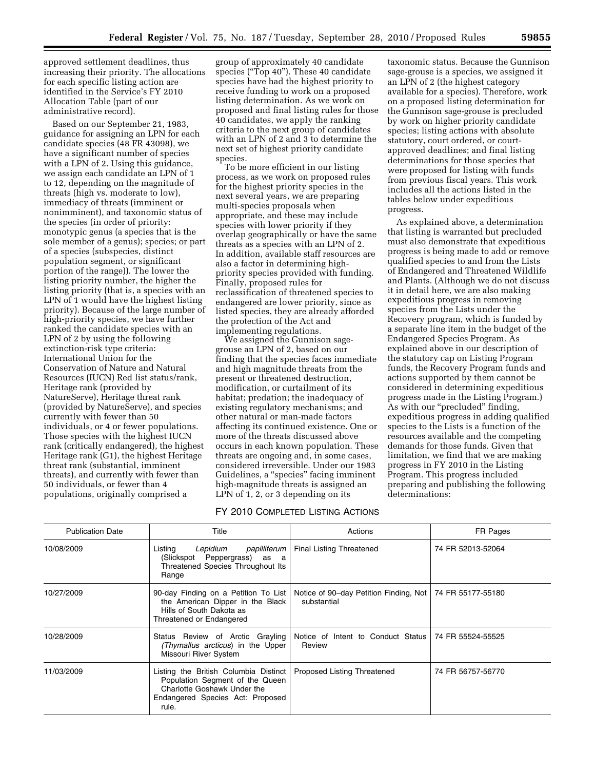approved settlement deadlines, thus increasing their priority. The allocations for each specific listing action are identified in the Service's FY 2010 Allocation Table (part of our administrative record).

Based on our September 21, 1983, guidance for assigning an LPN for each candidate species (48 FR 43098), we have a significant number of species with a LPN of 2. Using this guidance, we assign each candidate an LPN of 1 to 12, depending on the magnitude of threats (high vs. moderate to low), immediacy of threats (imminent or nonimminent), and taxonomic status of the species (in order of priority: monotypic genus (a species that is the sole member of a genus); species; or part of a species (subspecies, distinct population segment, or significant portion of the range)). The lower the listing priority number, the higher the listing priority (that is, a species with an LPN of 1 would have the highest listing priority). Because of the large number of high-priority species, we have further ranked the candidate species with an LPN of 2 by using the following extinction-risk type criteria: International Union for the Conservation of Nature and Natural Resources (IUCN) Red list status/rank, Heritage rank (provided by NatureServe), Heritage threat rank (provided by NatureServe), and species currently with fewer than 50 individuals, or 4 or fewer populations. Those species with the highest IUCN rank (critically endangered), the highest Heritage rank (G1), the highest Heritage threat rank (substantial, imminent threats), and currently with fewer than 50 individuals, or fewer than 4 populations, originally comprised a

group of approximately 40 candidate species ("Top 40"). These 40 candidate species have had the highest priority to receive funding to work on a proposed listing determination. As we work on proposed and final listing rules for those 40 candidates, we apply the ranking criteria to the next group of candidates with an LPN of 2 and 3 to determine the next set of highest priority candidate species.

To be more efficient in our listing process, as we work on proposed rules for the highest priority species in the next several years, we are preparing multi-species proposals when appropriate, and these may include species with lower priority if they overlap geographically or have the same threats as a species with an LPN of 2. In addition, available staff resources are also a factor in determining highpriority species provided with funding. Finally, proposed rules for reclassification of threatened species to endangered are lower priority, since as listed species, they are already afforded the protection of the Act and implementing regulations.

We assigned the Gunnison sagegrouse an LPN of 2, based on our finding that the species faces immediate and high magnitude threats from the present or threatened destruction, modification, or curtailment of its habitat; predation; the inadequacy of existing regulatory mechanisms; and other natural or man-made factors affecting its continued existence. One or more of the threats discussed above occurs in each known population. These threats are ongoing and, in some cases, considered irreversible. Under our 1983 Guidelines, a ''species'' facing imminent high-magnitude threats is assigned an LPN of 1, 2, or 3 depending on its

## FY 2010 COMPLETED LISTING ACTIONS

taxonomic status. Because the Gunnison sage-grouse is a species, we assigned it an LPN of 2 (the highest category available for a species). Therefore, work on a proposed listing determination for the Gunnison sage-grouse is precluded by work on higher priority candidate species; listing actions with absolute statutory, court ordered, or courtapproved deadlines; and final listing determinations for those species that were proposed for listing with funds from previous fiscal years. This work includes all the actions listed in the tables below under expeditious progress.

As explained above, a determination that listing is warranted but precluded must also demonstrate that expeditious progress is being made to add or remove qualified species to and from the Lists of Endangered and Threatened Wildlife and Plants. (Although we do not discuss it in detail here, we are also making expeditious progress in removing species from the Lists under the Recovery program, which is funded by a separate line item in the budget of the Endangered Species Program. As explained above in our description of the statutory cap on Listing Program funds, the Recovery Program funds and actions supported by them cannot be considered in determining expeditious progress made in the Listing Program.) As with our "precluded" finding, expeditious progress in adding qualified species to the Lists is a function of the resources available and the competing demands for those funds. Given that limitation, we find that we are making progress in FY 2010 in the Listing Program. This progress included preparing and publishing the following determinations:

| <b>Publication Date</b> | Title                                                                                                                                                | Actions                                                                   | FR Pages          |
|-------------------------|------------------------------------------------------------------------------------------------------------------------------------------------------|---------------------------------------------------------------------------|-------------------|
| 10/08/2009              | Listing<br>papilliferum<br>Lepidium<br>(Slickspot Peppergrass) as a<br>Threatened Species Throughout Its<br>Range                                    | <b>Final Listing Threatened</b>                                           | 74 FR 52013-52064 |
| 10/27/2009              | 90-day Finding on a Petition To List<br>the American Dipper in the Black<br>Hills of South Dakota as<br>Threatened or Endangered                     | Notice of 90-day Petition Finding, Not   74 FR 55177-55180<br>substantial |                   |
| 10/28/2009              | Status Review of Arctic Grayling<br>(Thymallus arcticus) in the Upper<br>Missouri River System                                                       | Notice of Intent to Conduct Status<br>Review                              | 74 FR 55524-55525 |
| 11/03/2009              | Listing the British Columbia Distinct<br>Population Segment of the Queen<br>Charlotte Goshawk Under the<br>Endangered Species Act: Proposed<br>rule. | Proposed Listing Threatened                                               | 74 FR 56757-56770 |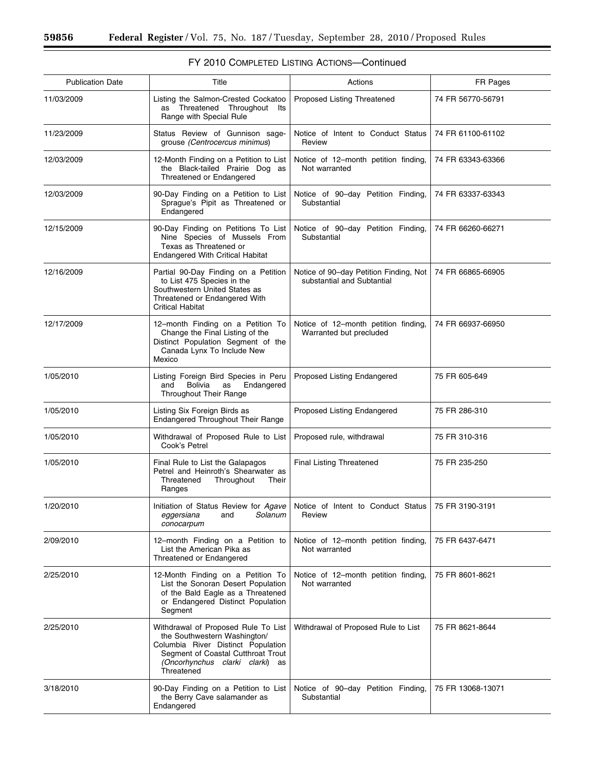$\equiv$ 

| <b>Publication Date</b> | Title                                                                                                                                                                                            | Actions                                                                                                | FR Pages          |
|-------------------------|--------------------------------------------------------------------------------------------------------------------------------------------------------------------------------------------------|--------------------------------------------------------------------------------------------------------|-------------------|
| 11/03/2009              | Listing the Salmon-Crested Cockatoo<br>Threatened Throughout Its<br>as<br>Range with Special Rule                                                                                                | Proposed Listing Threatened                                                                            | 74 FR 56770-56791 |
| 11/23/2009              | Status Review of Gunnison sage-<br>grouse (Centrocercus minimus)                                                                                                                                 | Notice of Intent to Conduct Status<br>Review                                                           | 74 FR 61100-61102 |
| 12/03/2009              | 12-Month Finding on a Petition to List<br>the Black-tailed Prairie Dog as<br>Threatened or Endangered                                                                                            | Notice of 12-month petition finding,<br>Not warranted                                                  | 74 FR 63343-63366 |
| 12/03/2009              | 90-Day Finding on a Petition to List<br>Sprague's Pipit as Threatened or<br>Endangered                                                                                                           | Notice of 90-day Petition Finding,<br>Substantial                                                      | 74 FR 63337-63343 |
| 12/15/2009              | 90-Day Finding on Petitions To List<br>Nine Species of Mussels From<br>Texas as Threatened or<br><b>Endangered With Critical Habitat</b>                                                         | Notice of 90-day Petition Finding,<br>Substantial                                                      | 74 FR 66260-66271 |
| 12/16/2009              | Partial 90-Day Finding on a Petition<br>to List 475 Species in the<br>Southwestern United States as<br>Threatened or Endangered With<br><b>Critical Habitat</b>                                  | Notice of 90-day Petition Finding, Not<br>substantial and Subtantial                                   | 74 FR 66865-66905 |
| 12/17/2009              | 12-month Finding on a Petition To<br>Change the Final Listing of the<br>Distinct Population Segment of the<br>Canada Lynx To Include New<br>Mexico                                               | Notice of 12-month petition finding,<br>Warranted but precluded                                        | 74 FR 66937-66950 |
| 1/05/2010               | Listing Foreign Bird Species in Peru<br>Bolivia as<br>Endangered<br>and<br>Throughout Their Range                                                                                                | Proposed Listing Endangered                                                                            | 75 FR 605-649     |
| 1/05/2010               | Listing Six Foreign Birds as<br>Endangered Throughout Their Range                                                                                                                                | Proposed Listing Endangered                                                                            | 75 FR 286-310     |
| 1/05/2010               | Withdrawal of Proposed Rule to List<br>Cook's Petrel                                                                                                                                             | Proposed rule, withdrawal                                                                              | 75 FR 310-316     |
| 1/05/2010               | Final Rule to List the Galapagos<br>Petrel and Heinroth's Shearwater as<br>Threatened<br>Throughout<br>Their<br>Ranges                                                                           | Final Listing Threatened                                                                               | 75 FR 235-250     |
| 1/20/2010               | eggersiana<br>Solanum<br>and<br>conocarpum                                                                                                                                                       | Initiation of Status Review for Agave   Notice of Intent to Conduct Status   75 FR 3190-3191<br>Review |                   |
| 2/09/2010               | 12-month Finding on a Petition to<br>List the American Pika as<br>Threatened or Endangered                                                                                                       | Notice of 12-month petition finding,<br>Not warranted                                                  | 75 FR 6437-6471   |
| 2/25/2010               | 12-Month Finding on a Petition To<br>List the Sonoran Desert Population<br>of the Bald Eagle as a Threatened<br>or Endangered Distinct Population<br>Segment                                     | Notice of 12-month petition finding,<br>Not warranted                                                  | 75 FR 8601-8621   |
| 2/25/2010               | Withdrawal of Proposed Rule To List<br>the Southwestern Washington/<br>Columbia River Distinct Population<br>Segment of Coastal Cutthroat Trout<br>(Oncorhynchus clarki clarki) as<br>Threatened | Withdrawal of Proposed Rule to List                                                                    | 75 FR 8621-8644   |
| 3/18/2010               | 90-Day Finding on a Petition to List<br>the Berry Cave salamander as<br>Endangered                                                                                                               | Notice of 90-day Petition Finding,<br>Substantial                                                      | 75 FR 13068-13071 |

## FY 2010 COMPLETED LISTING ACTIONS—Continued

÷.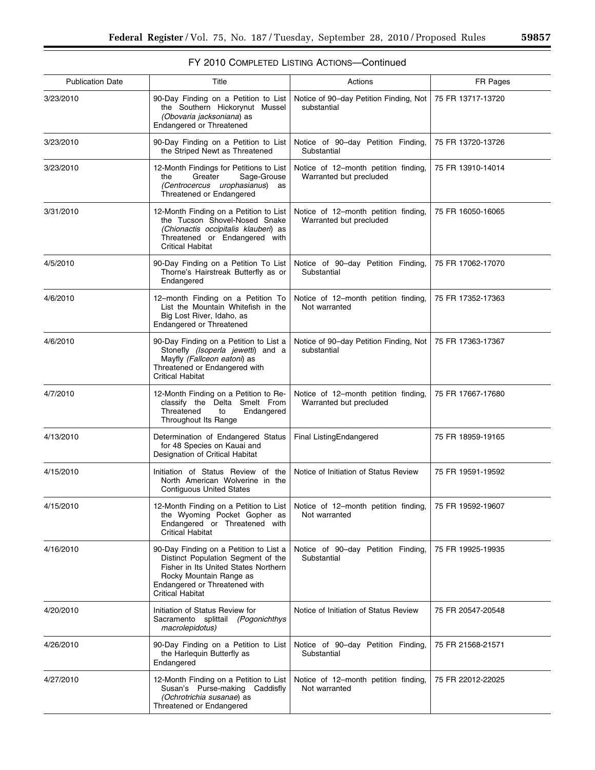## FY 2010 COMPLETED LISTING ACTIONS—Continued

| <b>Publication Date</b> | Title                                                                                                                                                                                                | Actions                                                                                        | FR Pages          |
|-------------------------|------------------------------------------------------------------------------------------------------------------------------------------------------------------------------------------------------|------------------------------------------------------------------------------------------------|-------------------|
| 3/23/2010               | 90-Day Finding on a Petition to List<br>the Southern Hickorynut Mussel<br>(Obovaria jacksoniana) as<br>Endangered or Threatened                                                                      | Notice of 90-day Petition Finding, Not<br>substantial                                          | 75 FR 13717-13720 |
| 3/23/2010               | 90-Day Finding on a Petition to List<br>the Striped Newt as Threatened                                                                                                                               | Notice of 90-day Petition Finding,<br>Substantial                                              | 75 FR 13720-13726 |
| 3/23/2010               | 12-Month Findings for Petitions to List<br>Sage-Grouse<br>Greater<br>the<br>(Centrocercus urophasianus)<br>as<br>Threatened or Endangered                                                            | Notice of 12-month petition finding,<br>Warranted but precluded                                | 75 FR 13910-14014 |
| 3/31/2010               | 12-Month Finding on a Petition to List<br>the Tucson Shovel-Nosed Snake<br>(Chionactis occipitalis klauberi) as<br>Threatened or Endangered with<br>Critical Habitat                                 | Notice of 12-month petition finding,<br>Warranted but precluded                                | 75 FR 16050-16065 |
| 4/5/2010                | 90-Day Finding on a Petition To List<br>Thorne's Hairstreak Butterfly as or<br>Endangered                                                                                                            | Notice of 90-day Petition Finding,<br>Substantial                                              | 75 FR 17062-17070 |
| 4/6/2010                | 12-month Finding on a Petition To<br>List the Mountain Whitefish in the<br>Big Lost River, Idaho, as<br>Endangered or Threatened                                                                     | Notice of 12-month petition finding,<br>Not warranted                                          | 75 FR 17352-17363 |
| 4/6/2010                | 90-Day Finding on a Petition to List a<br>Stonefly (Isoperla jewetti) and a<br>Mayfly (Fallceon eatoni) as<br>Threatened or Endangered with<br>Critical Habitat                                      | Notice of 90-day Petition Finding, Not<br>substantial                                          | 75 FR 17363-17367 |
| 4/7/2010                | 12-Month Finding on a Petition to Re-<br>classify the Delta Smelt From<br>Threatened<br>to<br>Endangered<br>Throughout Its Range                                                                     | Notice of 12-month petition finding,<br>Warranted but precluded                                | 75 FR 17667-17680 |
| 4/13/2010               | Determination of Endangered Status<br>for 48 Species on Kauai and<br>Designation of Critical Habitat                                                                                                 | Final ListingEndangered                                                                        | 75 FR 18959-19165 |
| 4/15/2010               | Initiation of Status Review of the<br>North American Wolverine in the<br><b>Contiguous United States</b>                                                                                             | Notice of Initiation of Status Review                                                          | 75 FR 19591-19592 |
| 4/15/2010               | the Wyoming Pocket Gopher as<br>Endangered or Threatened with<br><b>Critical Habitat</b>                                                                                                             | 12-Month Finding on a Petition to List   Notice of 12-month petition finding,<br>Not warranted | 75 FR 19592-19607 |
| 4/16/2010               | 90-Day Finding on a Petition to List a<br>Distinct Population Segment of the<br>Fisher in Its United States Northern<br>Rocky Mountain Range as<br>Endangered or Threatened with<br>Critical Habitat | Notice of 90-day Petition Finding,<br>Substantial                                              | 75 FR 19925-19935 |
| 4/20/2010               | Initiation of Status Review for<br>Sacramento splittail (Pogonichthys<br>macrolepidotus)                                                                                                             | Notice of Initiation of Status Review                                                          | 75 FR 20547-20548 |
| 4/26/2010               | 90-Day Finding on a Petition to List<br>the Harlequin Butterfly as<br>Endangered                                                                                                                     | Notice of 90-day Petition Finding,<br>Substantial                                              | 75 FR 21568-21571 |
| 4/27/2010               | 12-Month Finding on a Petition to List<br>Susan's Purse-making Caddisfly<br>(Ochrotrichia susanae) as<br>Threatened or Endangered                                                                    | Notice of 12-month petition finding,<br>Not warranted                                          | 75 FR 22012-22025 |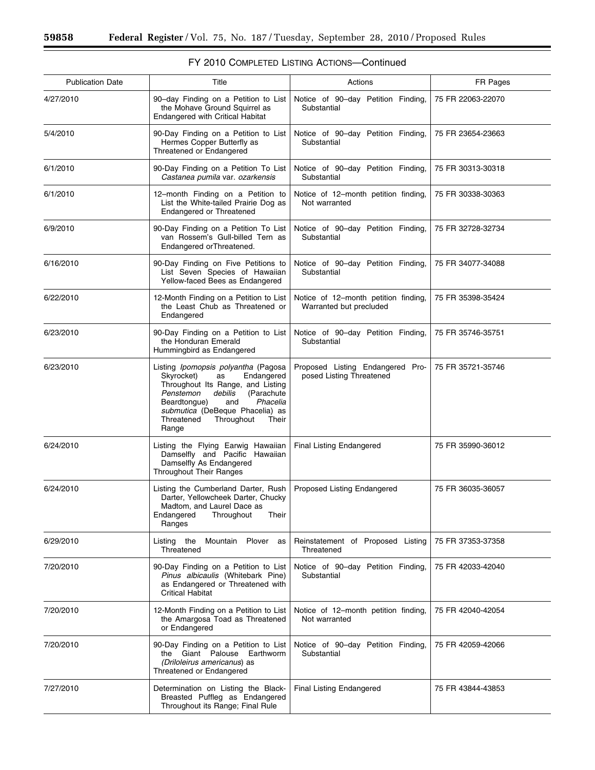| <b>Publication Date</b> | Title                                                                                                                                                                                                                                                                | Actions                                                         | FR Pages          |
|-------------------------|----------------------------------------------------------------------------------------------------------------------------------------------------------------------------------------------------------------------------------------------------------------------|-----------------------------------------------------------------|-------------------|
| 4/27/2010               | 90-day Finding on a Petition to List<br>the Mohave Ground Squirrel as<br>Endangered with Critical Habitat                                                                                                                                                            | Notice of 90-day Petition Finding,<br>Substantial               | 75 FR 22063-22070 |
| 5/4/2010                | 90-Day Finding on a Petition to List<br>Hermes Copper Butterfly as<br>Threatened or Endangered                                                                                                                                                                       | Notice of 90-day Petition Finding,<br>Substantial               | 75 FR 23654-23663 |
| 6/1/2010                | 90-Day Finding on a Petition To List<br>Castanea pumila var. ozarkensis                                                                                                                                                                                              | Notice of 90-day Petition Finding,<br>Substantial               | 75 FR 30313-30318 |
| 6/1/2010                | 12-month Finding on a Petition to<br>List the White-tailed Prairie Dog as<br>Endangered or Threatened                                                                                                                                                                | Notice of 12-month petition finding,<br>Not warranted           | 75 FR 30338-30363 |
| 6/9/2010                | 90-Day Finding on a Petition To List<br>van Rossem's Gull-billed Tern as<br>Endangered orThreatened.                                                                                                                                                                 | Notice of 90-day Petition Finding,<br>Substantial               | 75 FR 32728-32734 |
| 6/16/2010               | 90-Day Finding on Five Petitions to<br>List Seven Species of Hawaiian<br>Yellow-faced Bees as Endangered                                                                                                                                                             | Notice of 90-day Petition Finding,<br>Substantial               | 75 FR 34077-34088 |
| 6/22/2010               | 12-Month Finding on a Petition to List<br>the Least Chub as Threatened or<br>Endangered                                                                                                                                                                              | Notice of 12-month petition finding,<br>Warranted but precluded | 75 FR 35398-35424 |
| 6/23/2010               | 90-Day Finding on a Petition to List<br>the Honduran Emerald<br>Hummingbird as Endangered                                                                                                                                                                            | Notice of 90-day Petition Finding,<br>Substantial               | 75 FR 35746-35751 |
| 6/23/2010               | Listing Ipomopsis polyantha (Pagosa<br>Skyrocket)<br>Endangered<br>as<br>Throughout Its Range, and Listing<br>Penstemon<br>debilis<br>(Parachute<br>Beardtongue)<br>Phacelia<br>and<br>submutica (DeBeque Phacelia) as<br>Threatened<br>Throughout<br>Their<br>Range | Proposed Listing Endangered Pro-<br>posed Listing Threatened    | 75 FR 35721-35746 |
| 6/24/2010               | Listing the Flying Earwig Hawaiian<br>Damselfly and Pacific Hawaiian<br>Damselfly As Endangered<br><b>Throughout Their Ranges</b>                                                                                                                                    | Final Listing Endangered                                        | 75 FR 35990-36012 |
| 6/24/2010               | Listing the Cumberland Darter, Rush<br>Darter, Yellowcheek Darter, Chucky<br>Madtom, and Laurel Dace as<br>Endangered<br>Throughout<br>Their<br>Ranges                                                                                                               | Proposed Listing Endangered                                     | 75 FR 36035-36057 |
| 6/29/2010               | Listing the<br>Mountain Plover<br>as<br>Threatened                                                                                                                                                                                                                   | Reinstatement of Proposed Listing<br>Threatened                 | 75 FR 37353-37358 |
| 7/20/2010               | 90-Day Finding on a Petition to List<br>Pinus albicaulis (Whitebark Pine)<br>as Endangered or Threatened with<br><b>Critical Habitat</b>                                                                                                                             | Notice of 90-day Petition Finding,<br>Substantial               | 75 FR 42033-42040 |
| 7/20/2010               | 12-Month Finding on a Petition to List<br>the Amargosa Toad as Threatened<br>or Endangered                                                                                                                                                                           | Notice of 12-month petition finding,<br>Not warranted           | 75 FR 42040-42054 |
| 7/20/2010               | 90-Day Finding on a Petition to List<br>the Giant Palouse Earthworm<br>(Driloleirus americanus) as<br>Threatened or Endangered                                                                                                                                       | Notice of 90-day Petition Finding,<br>Substantial               | 75 FR 42059-42066 |
| 7/27/2010               | Determination on Listing the Black-<br>Breasted Puffleg as Endangered<br>Throughout its Range; Final Rule                                                                                                                                                            | Final Listing Endangered                                        | 75 FR 43844-43853 |

| FY 2010 COMPLETED LISTING ACTIONS-Continued |  |  |
|---------------------------------------------|--|--|
|                                             |  |  |

▀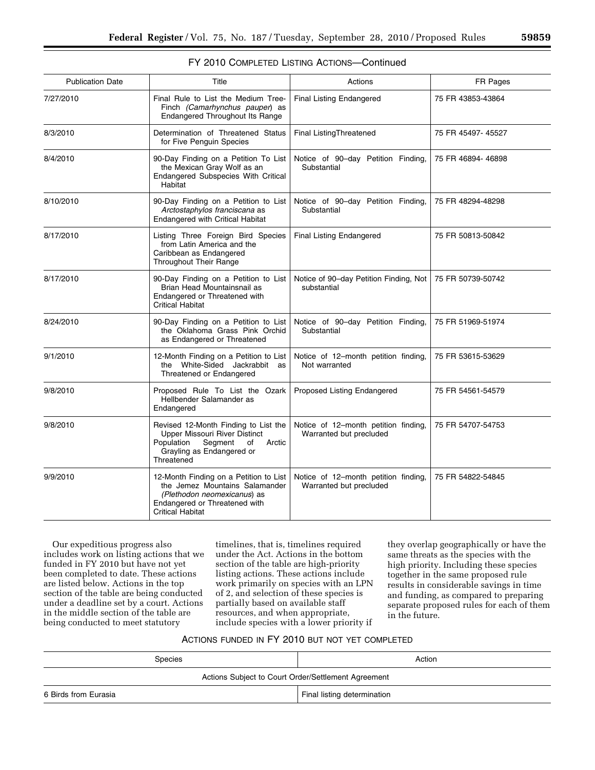| 59859 |  |
|-------|--|
|-------|--|

| <b>Publication Date</b> | Title                                                                                                                                                               | Actions                                                         | FR Pages           |
|-------------------------|---------------------------------------------------------------------------------------------------------------------------------------------------------------------|-----------------------------------------------------------------|--------------------|
| 7/27/2010               | Final Rule to List the Medium Tree-<br>Finch (Camarhynchus pauper) as<br>Endangered Throughout Its Range                                                            | <b>Final Listing Endangered</b>                                 | 75 FR 43853-43864  |
| 8/3/2010                | Determination of Threatened Status<br>for Five Penguin Species                                                                                                      | <b>Final ListingThreatened</b>                                  | 75 FR 45497- 45527 |
| 8/4/2010                | 90-Day Finding on a Petition To List<br>the Mexican Gray Wolf as an<br>Endangered Subspecies With Critical<br>Habitat                                               | Notice of 90-day Petition Finding,<br>Substantial               | 75 FR 46894-46898  |
| 8/10/2010               | 90-Day Finding on a Petition to List<br>Arctostaphylos franciscana as<br><b>Endangered with Critical Habitat</b>                                                    | Notice of 90-day Petition Finding,<br>Substantial               | 75 FR 48294-48298  |
| 8/17/2010               | Listing Three Foreign Bird Species<br>from Latin America and the<br>Caribbean as Endangered<br>Throughout Their Range                                               | Final Listing Endangered                                        | 75 FR 50813-50842  |
| 8/17/2010               | 90-Day Finding on a Petition to List<br>Brian Head Mountainsnail as<br>Endangered or Threatened with<br><b>Critical Habitat</b>                                     | Notice of 90-day Petition Finding, Not<br>substantial           | 75 FR 50739-50742  |
| 8/24/2010               | 90-Day Finding on a Petition to List<br>the Oklahoma Grass Pink Orchid<br>as Endangered or Threatened                                                               | Notice of 90-day Petition Finding,<br>Substantial               | 75 FR 51969-51974  |
| 9/1/2010                | 12-Month Finding on a Petition to List<br>the White-Sided Jackrabbit as<br>Threatened or Endangered                                                                 | Notice of 12-month petition finding,<br>Not warranted           | 75 FR 53615-53629  |
| 9/8/2010                | Proposed Rule To List the Ozark<br>Hellbender Salamander as<br>Endangered                                                                                           | Proposed Listing Endangered                                     | 75 FR 54561-54579  |
| 9/8/2010                | Revised 12-Month Finding to List the<br><b>Upper Missouri River Distinct</b><br>Population<br>Segment<br>οf<br>Arctic<br>Grayling as Endangered or<br>Threatened    | Notice of 12-month petition finding,<br>Warranted but precluded | 75 FR 54707-54753  |
| 9/9/2010                | 12-Month Finding on a Petition to List<br>the Jemez Mountains Salamander<br>(Plethodon neomexicanus) as<br>Endangered or Threatened with<br><b>Critical Habitat</b> | Notice of 12-month petition finding,<br>Warranted but precluded | 75 FR 54822-54845  |

## FY 2010 COMPLETED LISTING ACTIONS—Continued

Our expeditious progress also includes work on listing actions that we funded in FY 2010 but have not yet been completed to date. These actions are listed below. Actions in the top section of the table are being conducted under a deadline set by a court. Actions in the middle section of the table are being conducted to meet statutory

timelines, that is, timelines required under the Act. Actions in the bottom section of the table are high-priority listing actions. These actions include work primarily on species with an LPN of 2, and selection of these species is partially based on available staff resources, and when appropriate, include species with a lower priority if

they overlap geographically or have the same threats as the species with the high priority. Including these species together in the same proposed rule results in considerable savings in time and funding, as compared to preparing separate proposed rules for each of them in the future.

## ACTIONS FUNDED IN FY 2010 BUT NOT YET COMPLETED

| Species                                             | Action                      |  |
|-----------------------------------------------------|-----------------------------|--|
| Actions Subject to Court Order/Settlement Agreement |                             |  |
| 6 Birds from Eurasia                                | Final listing determination |  |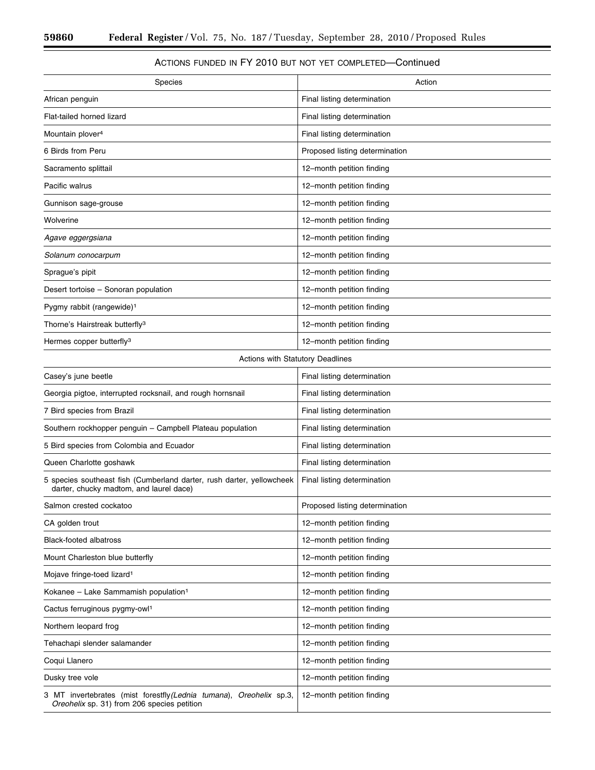$\equiv$ 

۰

## ACTIONS FUNDED IN FY 2010 BUT NOT YET COMPLETED—Continued

| Species                                                                                                            | Action                         |
|--------------------------------------------------------------------------------------------------------------------|--------------------------------|
| African penguin                                                                                                    | Final listing determination    |
| Flat-tailed horned lizard                                                                                          | Final listing determination    |
| Mountain plover <sup>4</sup>                                                                                       | Final listing determination    |
| 6 Birds from Peru                                                                                                  | Proposed listing determination |
| Sacramento splittail                                                                                               | 12-month petition finding      |
| Pacific walrus                                                                                                     | 12-month petition finding      |
| Gunnison sage-grouse                                                                                               | 12-month petition finding      |
| Wolverine                                                                                                          | 12-month petition finding      |
| Agave eggergsiana                                                                                                  | 12-month petition finding      |
| Solanum conocarpum                                                                                                 | 12-month petition finding      |
| Sprague's pipit                                                                                                    | 12-month petition finding      |
| Desert tortoise – Sonoran population                                                                               | 12-month petition finding      |
| Pygmy rabbit (rangewide) <sup>1</sup>                                                                              | 12-month petition finding      |
| Thorne's Hairstreak butterfly <sup>3</sup>                                                                         | 12-month petition finding      |
| Hermes copper butterfly <sup>3</sup>                                                                               | 12-month petition finding      |
| Actions with Statutory Deadlines                                                                                   |                                |
| Casey's june beetle                                                                                                | Final listing determination    |
| Georgia pigtoe, interrupted rocksnail, and rough hornsnail                                                         | Final listing determination    |
| 7 Bird species from Brazil                                                                                         | Final listing determination    |
| Southern rockhopper penguin - Campbell Plateau population                                                          | Final listing determination    |
| 5 Bird species from Colombia and Ecuador                                                                           | Final listing determination    |
| Queen Charlotte goshawk                                                                                            | Final listing determination    |
| 5 species southeast fish (Cumberland darter, rush darter, yellowcheek<br>darter, chucky madtom, and laurel dace)   | Final listing determination    |
| Salmon crested cockatoo                                                                                            | Proposed listing determination |
| CA golden trout                                                                                                    | 12-month petition finding      |
| <b>Black-footed albatross</b>                                                                                      | 12-month petition finding      |
| Mount Charleston blue butterfly                                                                                    | 12-month petition finding      |
| Mojave fringe-toed lizard <sup>1</sup>                                                                             | 12-month petition finding      |
| Kokanee - Lake Sammamish population <sup>1</sup>                                                                   | 12-month petition finding      |
| Cactus ferruginous pygmy-owl <sup>1</sup>                                                                          | 12-month petition finding      |
| Northern leopard frog                                                                                              | 12-month petition finding      |
| Tehachapi slender salamander                                                                                       | 12-month petition finding      |
| Coqui Llanero                                                                                                      | 12-month petition finding      |
| Dusky tree vole                                                                                                    | 12-month petition finding      |
| 3 MT invertebrates (mist forestfly (Lednia tumana), Oreohelix sp.3,<br>Oreohelix sp. 31) from 206 species petition | 12-month petition finding      |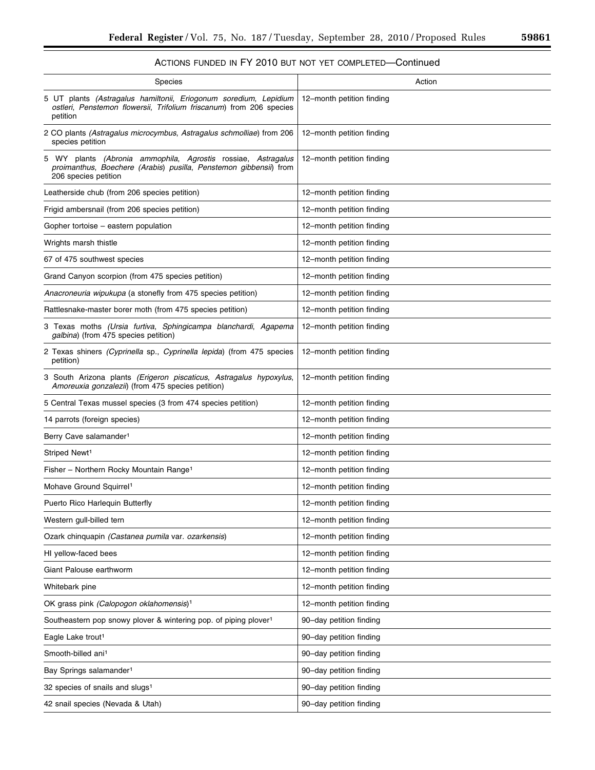## ACTIONS FUNDED IN FY 2010 BUT NOT YET COMPLETED—Continued

| Species                                                                                                                                                   | Action                    |
|-----------------------------------------------------------------------------------------------------------------------------------------------------------|---------------------------|
| 5 UT plants (Astragalus hamiltonii, Eriogonum soredium, Lepidium<br>ostleri, Penstemon flowersii, Trifolium friscanum) from 206 species<br>petition       | 12-month petition finding |
| 2 CO plants (Astragalus microcymbus, Astragalus schmolliae) from 206<br>species petition                                                                  | 12-month petition finding |
| 5 WY plants (Abronia ammophila, Agrostis rossiae, Astragalus<br>proimanthus, Boechere (Arabis) pusilla, Penstemon gibbensii) from<br>206 species petition | 12-month petition finding |
| Leatherside chub (from 206 species petition)                                                                                                              | 12-month petition finding |
| Frigid ambersnail (from 206 species petition)                                                                                                             | 12-month petition finding |
| Gopher tortoise – eastern population                                                                                                                      | 12-month petition finding |
| Wrights marsh thistle                                                                                                                                     | 12-month petition finding |
| 67 of 475 southwest species                                                                                                                               | 12-month petition finding |
| Grand Canyon scorpion (from 475 species petition)                                                                                                         | 12-month petition finding |
| Anacroneuria wipukupa (a stonefly from 475 species petition)                                                                                              | 12-month petition finding |
| Rattlesnake-master borer moth (from 475 species petition)                                                                                                 | 12-month petition finding |
| 3 Texas moths (Ursia furtiva, Sphingicampa blanchardi, Agapema<br>galbina) (from 475 species petition)                                                    | 12-month petition finding |
| 2 Texas shiners (Cyprinella sp., Cyprinella lepida) (from 475 species<br>petition)                                                                        | 12-month petition finding |
| 3 South Arizona plants (Erigeron piscaticus, Astragalus hypoxylus,<br>Amoreuxia gonzalezii) (from 475 species petition)                                   | 12-month petition finding |
| 5 Central Texas mussel species (3 from 474 species petition)                                                                                              | 12-month petition finding |
| 14 parrots (foreign species)                                                                                                                              | 12-month petition finding |
| Berry Cave salamander <sup>1</sup>                                                                                                                        | 12-month petition finding |
| Striped Newt <sup>1</sup>                                                                                                                                 | 12-month petition finding |
| Fisher - Northern Rocky Mountain Range <sup>1</sup>                                                                                                       | 12-month petition finding |
| Mohave Ground Squirrel <sup>1</sup>                                                                                                                       | 12-month petition finding |
| Puerto Rico Harlequin Butterfly                                                                                                                           | 12-month petition finding |
| Western gull-billed tern                                                                                                                                  | 12-month petition finding |
| Ozark chinquapin (Castanea pumila var. ozarkensis)                                                                                                        | 12-month petition finding |
| HI yellow-faced bees                                                                                                                                      | 12-month petition finding |
| Giant Palouse earthworm                                                                                                                                   | 12-month petition finding |
| Whitebark pine                                                                                                                                            | 12-month petition finding |
| OK grass pink (Calopogon oklahomensis) <sup>1</sup>                                                                                                       | 12-month petition finding |
| Southeastern pop snowy plover & wintering pop. of piping plover <sup>1</sup>                                                                              | 90-day petition finding   |
| Eagle Lake trout <sup>1</sup>                                                                                                                             | 90-day petition finding   |
| Smooth-billed ani <sup>1</sup>                                                                                                                            | 90-day petition finding   |
| Bay Springs salamander <sup>1</sup>                                                                                                                       | 90-day petition finding   |
| 32 species of snails and slugs <sup>1</sup>                                                                                                               | 90-day petition finding   |
| 42 snail species (Nevada & Utah)                                                                                                                          | 90-day petition finding   |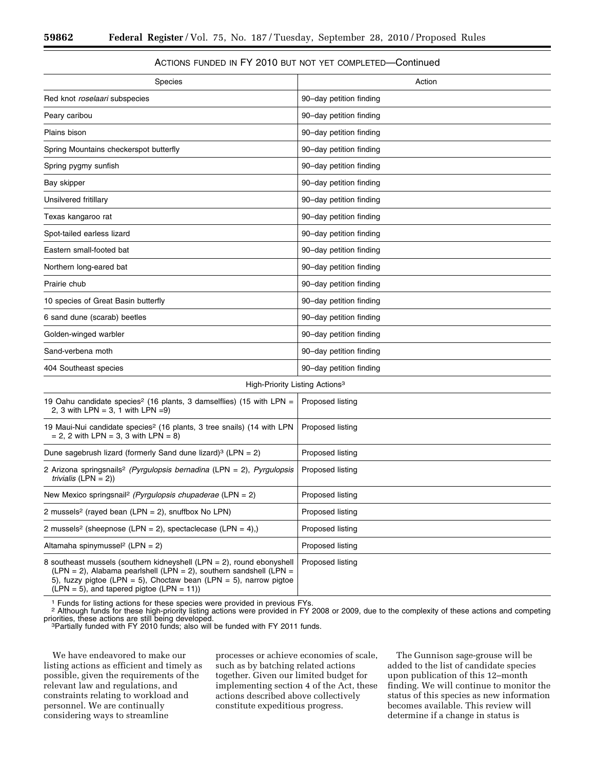## ACTIONS FUNDED IN FY 2010 BUT NOT YET COMPLETED—Continued

| <b>Species</b>                                                                                                                                                                                                                                                    | Action                  |
|-------------------------------------------------------------------------------------------------------------------------------------------------------------------------------------------------------------------------------------------------------------------|-------------------------|
| Red knot roselaari subspecies                                                                                                                                                                                                                                     | 90-day petition finding |
| Peary caribou                                                                                                                                                                                                                                                     | 90-day petition finding |
| Plains bison                                                                                                                                                                                                                                                      | 90-day petition finding |
| Spring Mountains checkerspot butterfly                                                                                                                                                                                                                            | 90-day petition finding |
| Spring pygmy sunfish                                                                                                                                                                                                                                              | 90-day petition finding |
| Bay skipper                                                                                                                                                                                                                                                       | 90-day petition finding |
| Unsilvered fritillary                                                                                                                                                                                                                                             | 90-day petition finding |
| Texas kangaroo rat                                                                                                                                                                                                                                                | 90-day petition finding |
| Spot-tailed earless lizard                                                                                                                                                                                                                                        | 90-day petition finding |
| Eastern small-footed bat                                                                                                                                                                                                                                          | 90-day petition finding |
| Northern long-eared bat                                                                                                                                                                                                                                           | 90-day petition finding |
| Prairie chub                                                                                                                                                                                                                                                      | 90-day petition finding |
| 10 species of Great Basin butterfly                                                                                                                                                                                                                               | 90-day petition finding |
| 6 sand dune (scarab) beetles                                                                                                                                                                                                                                      | 90-day petition finding |
| Golden-winged warbler                                                                                                                                                                                                                                             | 90-day petition finding |
| Sand-verbena moth                                                                                                                                                                                                                                                 | 90-day petition finding |
| 404 Southeast species                                                                                                                                                                                                                                             | 90-day petition finding |
| High-Priority Listing Actions <sup>3</sup>                                                                                                                                                                                                                        |                         |
| 19 Oahu candidate species <sup>2</sup> (16 plants, 3 damselflies) (15 with LPN =<br>2, 3 with LPN = 3, 1 with LPN = 9)                                                                                                                                            | Proposed listing        |
| 19 Maui-Nui candidate species <sup>2</sup> (16 plants, 3 tree snails) (14 with LPN<br>$= 2, 2$ with LPN $= 3, 3$ with LPN $= 8$ )                                                                                                                                 | Proposed listing        |
| Dune sagebrush lizard (formerly Sand dune lizard) <sup>3</sup> (LPN = 2)                                                                                                                                                                                          | Proposed listing        |
| 2 Arizona springsnails <sup>2</sup> (Pyrgulopsis bernadina (LPN = 2), Pyrgulopsis<br>trivialis $(LPN = 2)$ )                                                                                                                                                      | Proposed listing        |
| New Mexico springsnail <sup>2</sup> (Pyrgulopsis chupaderae (LPN = 2)                                                                                                                                                                                             | Proposed listing        |
| 2 mussels <sup>2</sup> (rayed bean (LPN = 2), snuffbox No LPN)                                                                                                                                                                                                    | Proposed listing        |
| 2 mussels <sup>2</sup> (sheepnose (LPN = 2), spectaclecase (LPN = 4),)                                                                                                                                                                                            | Proposed listing        |
| Altamaha spinymussel <sup>2</sup> (LPN = 2)                                                                                                                                                                                                                       | Proposed listing        |
| 8 southeast mussels (southern kidneyshell (LPN = 2), round ebonyshell<br>(LPN = 2), Alabama pearlshell (LPN = 2), southern sandshell (LPN =<br>5), fuzzy pigtoe (LPN = 5), Choctaw bean (LPN = 5), narrow pigtoe<br>$(LPN = 5)$ , and tapered pigtoe $(LPN = 11)$ | Proposed listing        |

<sup>1</sup> Funds for listing actions for these species were provided in previous FYs.<br><sup>2</sup> Although funds for these high-priority listing actions were provided in FY 2008 or 2009, due to the complexity of these actions and competi

<sup>3</sup>Partially funded with FY 2010 funds; also will be funded with FY 2011 funds.

We have endeavored to make our listing actions as efficient and timely as possible, given the requirements of the relevant law and regulations, and constraints relating to workload and personnel. We are continually considering ways to streamline

processes or achieve economies of scale, such as by batching related actions together. Given our limited budget for implementing section 4 of the Act, these actions described above collectively constitute expeditious progress.

The Gunnison sage-grouse will be added to the list of candidate species upon publication of this 12–month finding. We will continue to monitor the status of this species as new information becomes available. This review will determine if a change in status is